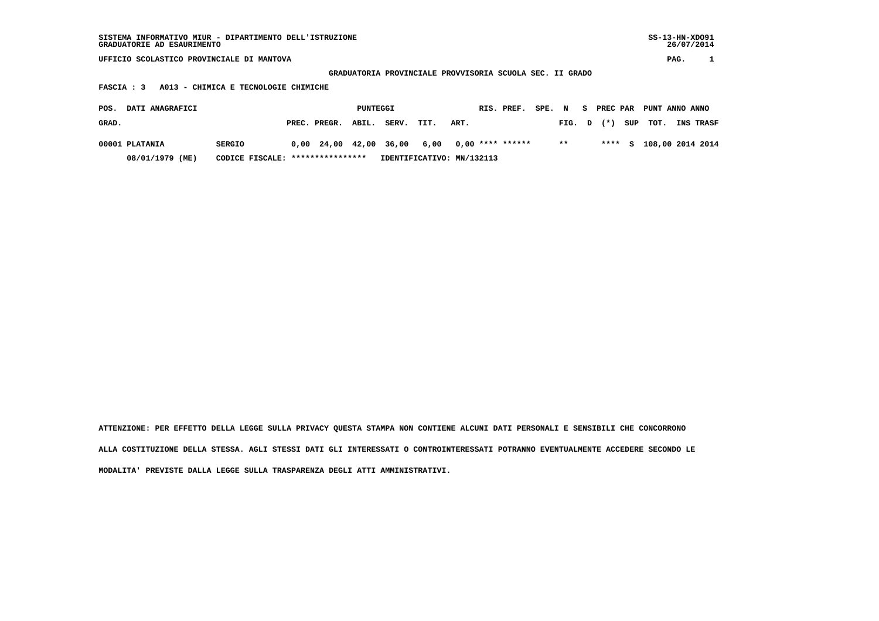**GRADUATORIA PROVINCIALE PROVVISORIA SCUOLA SEC. II GRADO**

 **FASCIA : 3 A013 - CHIMICA E TECNOLOGIE CHIMICHE**

| POS.  | DATI ANAGRAFICI |                                  |              | PUNTEGGI |                                                |      |      | RIS. PREF. | SPE. N |        | <b>PREC PAR</b> |     | PUNT ANNO ANNO |                         |
|-------|-----------------|----------------------------------|--------------|----------|------------------------------------------------|------|------|------------|--------|--------|-----------------|-----|----------------|-------------------------|
| GRAD. |                 |                                  | PREC. PREGR. | ABIL.    | SERV.                                          | TIT. | ART. |            |        | FIG. D | $(\star)$       | SUP | тот.           | <b>INS TRASF</b>        |
|       | 00001 PLATANIA  | <b>SERGIO</b>                    |              |          | $0,00$ 24,00 42,00 36,00 6,00 0,00 **** ****** |      |      |            |        | $**$   |                 |     |                | **** S 108,00 2014 2014 |
|       | 08/01/1979 (ME) | CODICE FISCALE: **************** |              |          | IDENTIFICATIVO: MN/132113                      |      |      |            |        |        |                 |     |                |                         |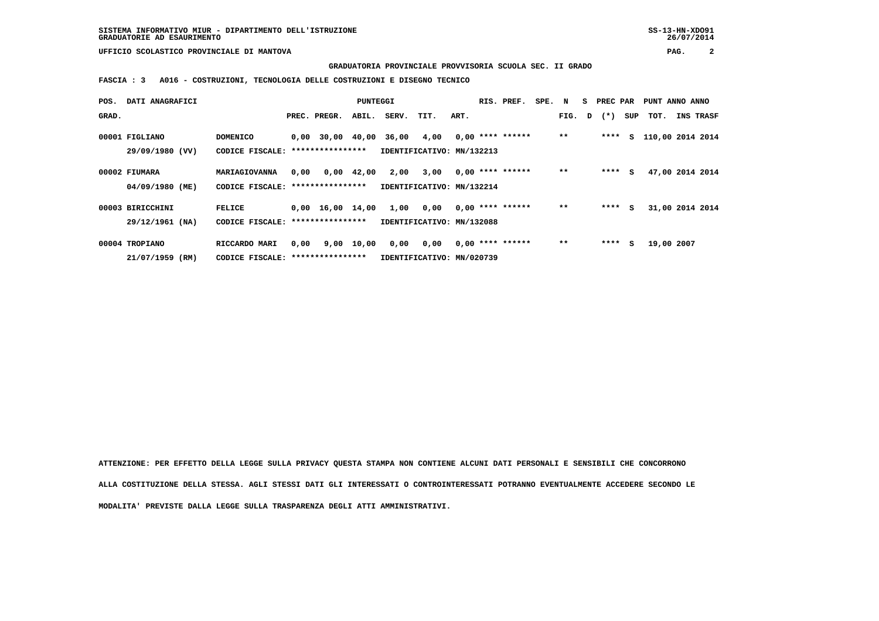#### **GRADUATORIA PROVINCIALE PROVVISORIA SCUOLA SEC. II GRADO**

 **FASCIA : 3 A016 - COSTRUZIONI, TECNOLOGIA DELLE COSTRUZIONI E DISEGNO TECNICO**

| POS.  | DATI ANAGRAFICI  |                                   |      |                                | PUNTEGGI   |                           |      |      | RIS. PREF.         | SPE. N |       | S. | PREC PAR     |     | PUNT ANNO ANNO   |                 |
|-------|------------------|-----------------------------------|------|--------------------------------|------------|---------------------------|------|------|--------------------|--------|-------|----|--------------|-----|------------------|-----------------|
| GRAD. |                  |                                   |      | PREC. PREGR.                   | ABIL.      | SERV.                     | TIT. | ART. |                    |        |       |    | FIG. D $(*)$ | SUP | тот.             | INS TRASF       |
|       | 00001 FIGLIANO   | <b>DOMENICO</b>                   |      | $0.00$ 30.00 40.00             |            | 36,00                     | 4,00 |      | $0,00$ **** ****** |        | $* *$ |    | ****         | S.  | 110,00 2014 2014 |                 |
|       | 29/09/1980 (VV)  | CODICE FISCALE: ***************** |      |                                |            | IDENTIFICATIVO: MN/132213 |      |      |                    |        |       |    |              |     |                  |                 |
|       | 00002 FIUMARA    | MARIAGIOVANNA                     | 0.00 |                                | 0,00 42,00 | 2,00                      | 3,00 |      | $0,00$ **** ****** |        | $**$  |    | ****         | s   |                  | 47,00 2014 2014 |
|       | 04/09/1980 (ME)  | CODICE FISCALE: ****************  |      |                                |            | IDENTIFICATIVO: MN/132214 |      |      |                    |        |       |    |              |     |                  |                 |
|       | 00003 BIRICCHINI | FELICE                            |      | $0.00 \quad 16.00 \quad 14.00$ |            | 1,00                      | 0,00 |      | $0.00$ **** ****** |        | $* *$ |    | $***$ S      |     |                  | 31,00 2014 2014 |
|       | 29/12/1961 (NA)  | CODICE FISCALE: ****************  |      |                                |            | IDENTIFICATIVO: MN/132088 |      |      |                    |        |       |    |              |     |                  |                 |
|       | 00004 TROPIANO   | RICCARDO MARI                     | 0.00 |                                | 9,00 10,00 | 0,00                      | 0,00 |      | $0,00$ **** ****** |        | $**$  |    | ****         | s   | 19,00 2007       |                 |
|       | 21/07/1959 (RM)  | CODICE FISCALE: ****************  |      |                                |            | IDENTIFICATIVO: MN/020739 |      |      |                    |        |       |    |              |     |                  |                 |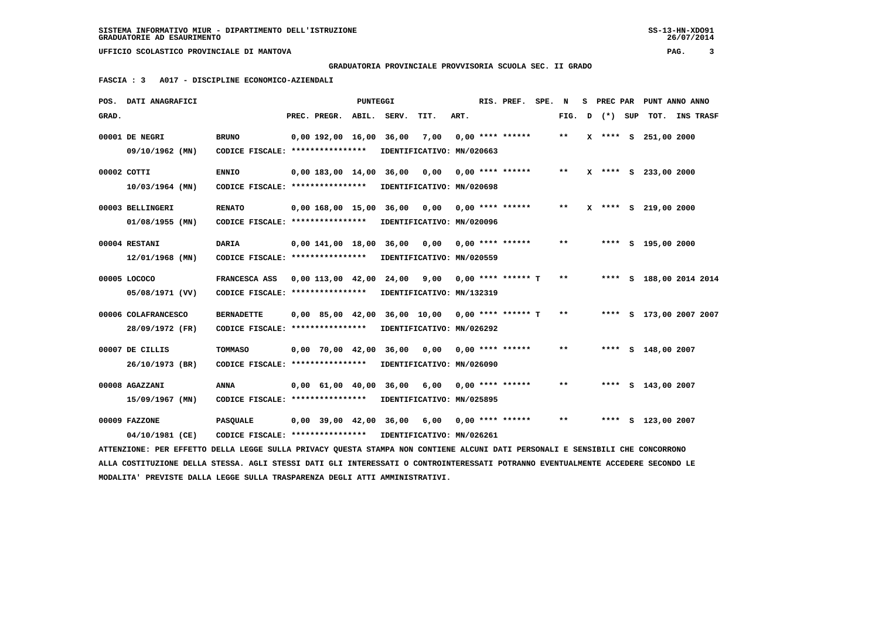**GRADUATORIA PROVINCIALE PROVVISORIA SCUOLA SEC. II GRADO**

 **FASCIA : 3 A017 - DISCIPLINE ECONOMICO-AZIENDALI**

|       | POS. DATI ANAGRAFICI                                                                                                            |                                   |                           | PUNTEGGI |                             |                           |      | RIS. PREF.           | SPE. | N     | s | PREC PAR |     |                      | PUNT ANNO ANNO          |  |
|-------|---------------------------------------------------------------------------------------------------------------------------------|-----------------------------------|---------------------------|----------|-----------------------------|---------------------------|------|----------------------|------|-------|---|----------|-----|----------------------|-------------------------|--|
| GRAD. |                                                                                                                                 |                                   | PREC. PREGR.              | ABIL.    | SERV.                       | TIT.                      | ART. |                      |      | FIG.  | D | $(*)$    | SUP | тот.                 | <b>INS TRASF</b>        |  |
|       | 00001 DE NEGRI                                                                                                                  | <b>BRUNO</b>                      | $0.00$ 192.00 16.00 36.00 |          |                             | 7,00                      |      | $0.00$ **** ******   |      | $***$ |   |          |     | X **** S 251,00 2000 |                         |  |
|       | 09/10/1962 (MN)                                                                                                                 | CODICE FISCALE: ****************  |                           |          |                             | IDENTIFICATIVO: MN/020663 |      |                      |      |       |   |          |     |                      |                         |  |
|       | 00002 COTTI                                                                                                                     | <b>ENNIO</b>                      | $0.00$ 183,00 14,00 36,00 |          |                             | 0.00                      |      | $0.00$ **** ******   |      | $***$ |   |          |     | X **** S 233,00 2000 |                         |  |
|       | $10/03/1964$ (MN)                                                                                                               | CODICE FISCALE: ****************  |                           |          |                             | IDENTIFICATIVO: MN/020698 |      |                      |      |       |   |          |     |                      |                         |  |
|       | 00003 BELLINGERI                                                                                                                | <b>RENATO</b>                     |                           |          | 0,00 168,00 15,00 36,00     | 0,00                      |      | $0.00$ **** ******   |      | $***$ |   |          |     | X **** S 219,00 2000 |                         |  |
|       | $01/08/1955$ (MN)                                                                                                               | CODICE FISCALE: ****************  |                           |          |                             | IDENTIFICATIVO: MN/020096 |      |                      |      |       |   |          |     |                      |                         |  |
|       | 00004 RESTANI                                                                                                                   | DARIA                             | $0,00$ $141,00$ $18,00$   |          | 36,00                       | 0,00                      |      | $0.00$ **** ******   |      | $**$  |   |          |     | **** S 195,00 2000   |                         |  |
|       | $12/01/1968$ (MN)                                                                                                               | CODICE FISCALE: ****************  |                           |          |                             | IDENTIFICATIVO: MN/020559 |      |                      |      |       |   |          |     |                      |                         |  |
|       | 00005 LOCOCO                                                                                                                    | FRANCESCA ASS                     | 0.00 113.00 42.00 24.00   |          |                             | 9,00                      |      | $0.00$ **** ****** T |      | $* *$ |   |          |     |                      | **** S 188,00 2014 2014 |  |
|       | 05/08/1971 (VV)                                                                                                                 | CODICE FISCALE: ****************  |                           |          |                             | IDENTIFICATIVO: MN/132319 |      |                      |      |       |   |          |     |                      |                         |  |
|       | 00006 COLAFRANCESCO                                                                                                             | <b>BERNADETTE</b>                 | 0,00 85,00 42,00          |          |                             | 36,00 10,00               |      | $0.00$ **** ****** T |      | $* *$ |   |          |     |                      | **** S 173,00 2007 2007 |  |
|       | 28/09/1972 (FR)                                                                                                                 | CODICE FISCALE: ***************** |                           |          |                             | IDENTIFICATIVO: MN/026292 |      |                      |      |       |   |          |     |                      |                         |  |
|       | 00007 DE CILLIS                                                                                                                 | TOMMASO                           | 0,00 70,00 42,00          |          | 36,00                       | 0,00                      |      | $0.00$ **** ******   |      | $***$ |   |          |     | **** S 148,00 2007   |                         |  |
|       | 26/10/1973 (BR)                                                                                                                 | CODICE FISCALE: ****************  |                           |          |                             | IDENTIFICATIVO: MN/026090 |      |                      |      |       |   |          |     |                      |                         |  |
|       | 00008 AGAZZANI                                                                                                                  | ANNA                              |                           |          | 0,00 61,00 40,00 36,00 6,00 |                           |      | $0.00$ **** ******   |      | $* *$ |   |          |     | **** S 143,00 2007   |                         |  |
|       | 15/09/1967 (MN)                                                                                                                 | CODICE FISCALE: ****************  |                           |          |                             | IDENTIFICATIVO: MN/025895 |      |                      |      |       |   |          |     |                      |                         |  |
|       | 00009 FAZZONE                                                                                                                   | <b>PASQUALE</b>                   |                           |          | 0,00 39,00 42,00 36,00      | 6,00                      |      | $0.00$ **** ******   |      | $***$ |   |          |     | **** S 123,00 2007   |                         |  |
|       | 04/10/1981 (CE)                                                                                                                 | CODICE FISCALE: ****************  |                           |          | IDENTIFICATIVO: MN/026261   |                           |      |                      |      |       |   |          |     |                      |                         |  |
|       | ATTENZIONE: PER EFFETTO DELLA LEGGE SULLA PRIVACY QUESTA STAMPA NON CONTIENE ALCUNI DATI PERSONALI E SENSIBILI CHE CONCORRONO   |                                   |                           |          |                             |                           |      |                      |      |       |   |          |     |                      |                         |  |
|       | ALLA COSTITUZIONE DELLA STESSA. AGLI STESSI DATI GLI INTERESSATI O CONTROINTERESSATI POTRANNO EVENTUALMENTE ACCEDERE SECONDO LE |                                   |                           |          |                             |                           |      |                      |      |       |   |          |     |                      |                         |  |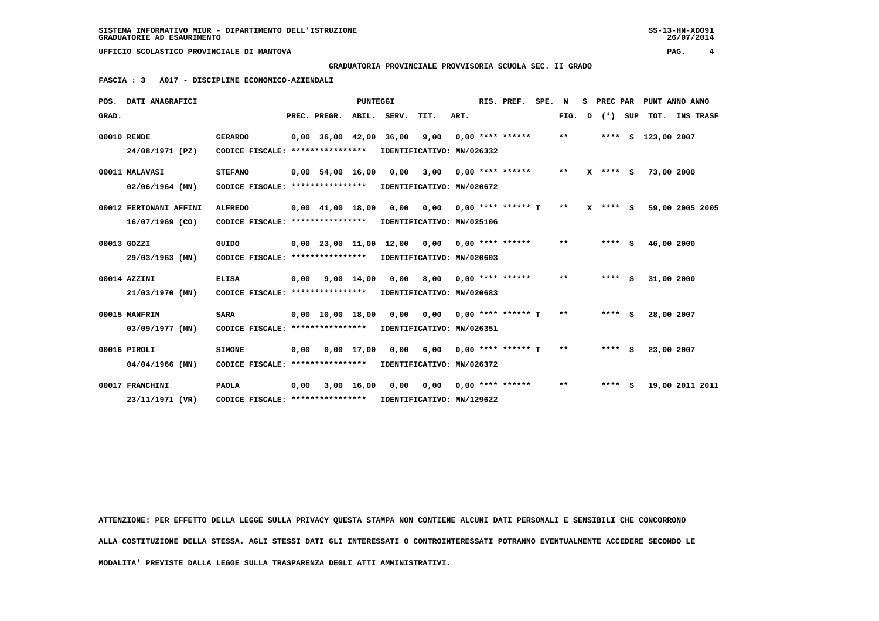**GRADUATORIA PROVINCIALE PROVVISORIA SCUOLA SEC. II GRADO**

 **FASCIA : 3 A017 - DISCIPLINE ECONOMICO-AZIENDALI**

|       | POS. DATI ANAGRAFICI                        |                                                     |      |                                | PUNTEGGI     |                                                |                                        |      | RIS. PREF.                 | SPE. | N     | s | PREC PAR   |                    | PUNT ANNO ANNO  |  |
|-------|---------------------------------------------|-----------------------------------------------------|------|--------------------------------|--------------|------------------------------------------------|----------------------------------------|------|----------------------------|------|-------|---|------------|--------------------|-----------------|--|
| GRAD. |                                             |                                                     |      | PREC. PREGR.                   | ABIL.        | SERV.                                          | TIT.                                   | ART. |                            |      | FIG.  | D | (*) SUP    |                    | TOT. INS TRASF  |  |
|       | 00010 RENDE<br>24/08/1971 (PZ)              | <b>GERARDO</b><br>CODICE FISCALE: ***************** |      |                                |              | 0,00 36,00 42,00 36,00 9,00                    | IDENTIFICATIVO: MN/026332              |      | $0.00$ **** ******         |      | $* *$ |   |            | **** S 123,00 2007 |                 |  |
|       | 00011 MALAVASI<br>$02/06/1964$ (MN)         | <b>STEFANO</b><br>CODICE FISCALE: ***************** |      | 0,00 54,00 16,00               |              | 0,00                                           | IDENTIFICATIVO: MN/020672              |      | $3,00$ 0,00 **** ****** ** |      |       |   | $X$ **** S | 73,00 2000         |                 |  |
|       | 00012 FERTONANI AFFINI<br>$16/07/1969$ (CO) | <b>ALFREDO</b><br>CODICE FISCALE: ****************  |      | $0.00 \quad 41.00 \quad 18.00$ |              | 0,00                                           | 0,00<br>IDENTIFICATIVO: MN/025106      |      | $0,00$ **** ****** T       |      | $* *$ |   | $X$ **** S |                    | 59,00 2005 2005 |  |
|       | 00013 GOZZI<br>29/03/1963 (MN)              | GUIDO<br>CODICE FISCALE: ****************           |      |                                |              | $0,00$ 23,00 11,00 12,00 0,00 0,00 **** ****** | IDENTIFICATIVO: MN/020603              |      |                            |      | $* *$ |   | $***$ S    | 46,00 2000         |                 |  |
|       | 00014 AZZINI<br>21/03/1970 (MN)             | <b>ELISA</b><br>CODICE FISCALE: *****************   |      | $0,00$ $9,00$ $14,00$          |              |                                                | 0,00 8,00<br>IDENTIFICATIVO: MN/020683 |      | $0.00$ **** ******         |      | $***$ |   | $***$ S    | 31,00 2000         |                 |  |
|       | 00015 MANFRIN<br>$03/09/1977$ (MN)          | <b>SARA</b><br>CODICE FISCALE: ****************     |      | $0.00 \quad 10.00 \quad 18.00$ |              | 0,00                                           | 0,00<br>IDENTIFICATIVO: MN/026351      |      | $0.00$ **** ****** T       |      | **    |   | $***$ S    | 28,00 2007         |                 |  |
|       | 00016 PIROLI<br>04/04/1966 (MN)             | <b>SIMONE</b><br>CODICE FISCALE: ****************   | 0.00 | 0,00 17,00                     |              |                                                | 0,00 6,00<br>IDENTIFICATIVO: MN/026372 |      | $0.00$ **** ****** T       |      | $***$ |   | $***$ S    | 23,00 2007         |                 |  |
|       | 00017 FRANCHINI<br>23/11/1971 (VR)          | <b>PAOLA</b><br>CODICE FISCALE: ****************    | 0.00 |                                | $3,00$ 16,00 |                                                | 0,00 0,00<br>IDENTIFICATIVO: MN/129622 |      | $0.00$ **** ******         |      | **    |   | **** S     |                    | 19,00 2011 2011 |  |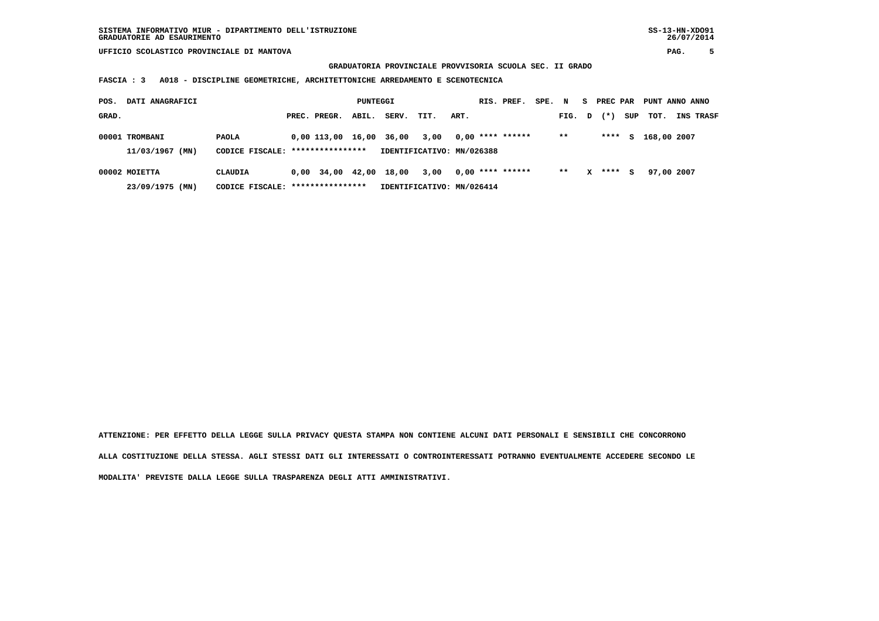**GRADUATORIA PROVINCIALE PROVVISORIA SCUOLA SEC. II GRADO**

 **FASCIA : 3 A018 - DISCIPLINE GEOMETRICHE, ARCHITETTONICHE ARREDAMENTO E SCENOTECNICA**

| POS.  | DATI ANAGRAFICI |                                   |                          | PUNTEGGI |       |                           |      | RIS. PREF.         | SPE. | N     | s. | PREC PAR |     | PUNT ANNO ANNO |                  |
|-------|-----------------|-----------------------------------|--------------------------|----------|-------|---------------------------|------|--------------------|------|-------|----|----------|-----|----------------|------------------|
| GRAD. |                 |                                   | PREC. PREGR.             | ABIL.    | SERV. | TIT.                      | ART. |                    |      | FIG.  | D  | $(* )$   | SUP | тот.           | <b>INS TRASF</b> |
|       | 00001 TROMBANI  | <b>PAOLA</b>                      | $0,00$ 113,00 16,00      |          | 36,00 | 3,00                      |      | $0.00$ **** ****** |      | $* *$ |    | ****     | S.  | 168,00 2007    |                  |
|       | 11/03/1967 (MN) | CODICE FISCALE: ****************  |                          |          |       | IDENTIFICATIVO: MN/026388 |      |                    |      |       |    |          |     |                |                  |
|       | 00002 MOIETTA   | <b>CLAUDIA</b>                    | $0,00$ 34,00 42,00 18,00 |          |       | 3,00                      |      | $0,00$ **** ****** |      | $* *$ | x  | ****     | s   | 97,00 2007     |                  |
|       | 23/09/1975 (MN) | CODICE FISCALE: ***************** |                          |          |       | IDENTIFICATIVO: MN/026414 |      |                    |      |       |    |          |     |                |                  |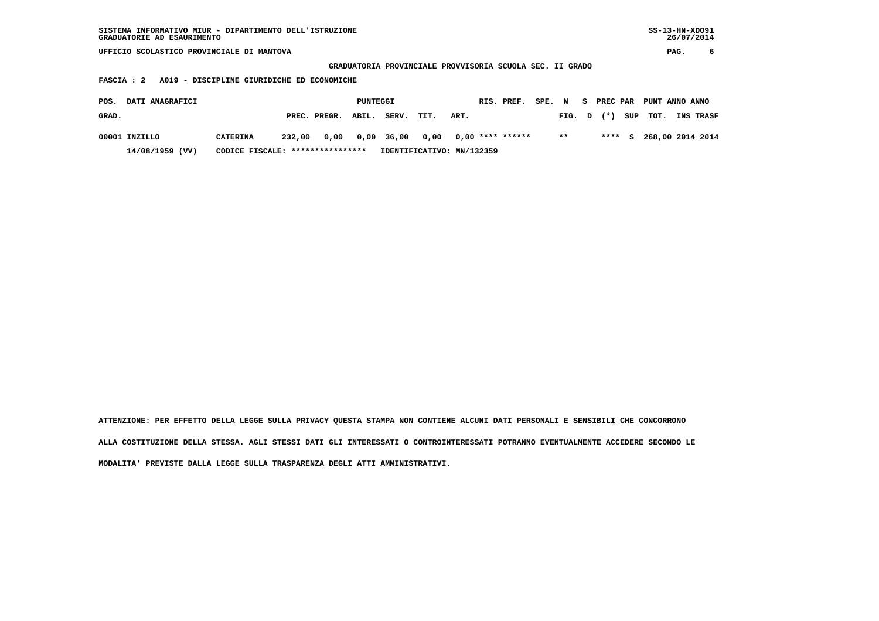**GRADUATORIA PROVINCIALE PROVVISORIA SCUOLA SEC. II GRADO**

 **FASCIA : 2 A019 - DISCIPLINE GIURIDICHE ED ECONOMICHE**

| POS.  | <b>DATI ANAGRAFICI</b> |                                  |        |              | PUNTEGGI |                           |      |      | RIS. PREF.       | SPE. N |        | - SI | PREC PAR | PUNT ANNO ANNO |                         |
|-------|------------------------|----------------------------------|--------|--------------|----------|---------------------------|------|------|------------------|--------|--------|------|----------|----------------|-------------------------|
| GRAD. |                        |                                  |        | PREC. PREGR. | ABIL.    | SERV.                     | TIT. | ART. |                  |        | FIG. D |      | $(*)$    | SUP TOT.       | <b>INS TRASF</b>        |
|       | 00001 INZILLO          | <b>CATERINA</b>                  | 232,00 |              |          | 0,00 0,00 36,00 0,00      |      |      | 0,00 **** ****** |        | $* *$  |      |          |                | **** S 268,00 2014 2014 |
|       | 14/08/1959 (VV)        | CODICE FISCALE: **************** |        |              |          | IDENTIFICATIVO: MN/132359 |      |      |                  |        |        |      |          |                |                         |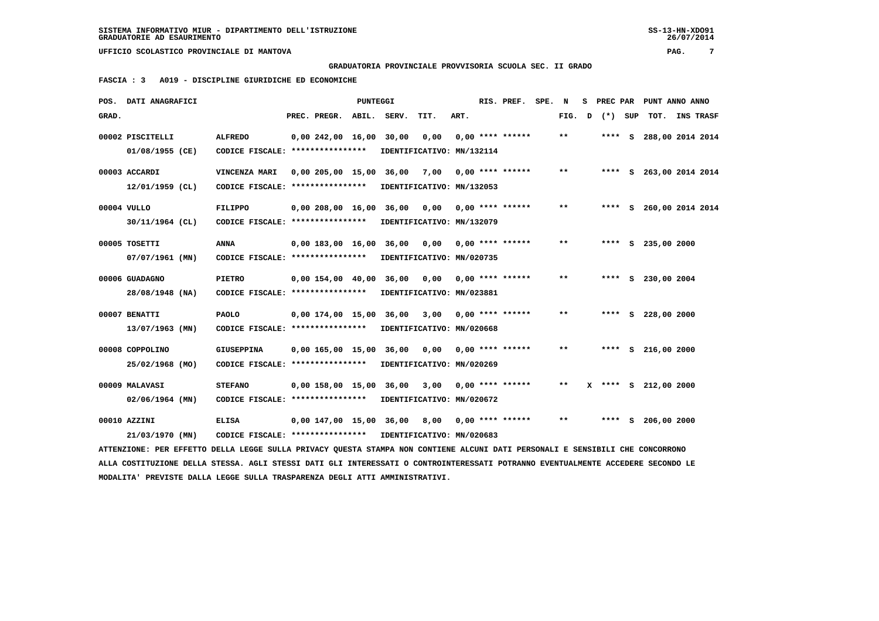## **GRADUATORIA PROVINCIALE PROVVISORIA SCUOLA SEC. II GRADO**

 **FASCIA : 3 A019 - DISCIPLINE GIURIDICHE ED ECONOMICHE**

|       | POS. DATI ANAGRAFICI                                                                                                          |                                   |                         | PUNTEGGI |       |                           |      | RIS. PREF.         | SPE. | N     | s | PREC PAR |     |                    | PUNT ANNO ANNO          |  |
|-------|-------------------------------------------------------------------------------------------------------------------------------|-----------------------------------|-------------------------|----------|-------|---------------------------|------|--------------------|------|-------|---|----------|-----|--------------------|-------------------------|--|
| GRAD. |                                                                                                                               |                                   | PREC. PREGR.            | ABIL.    | SERV. | TIT.                      | ART. |                    |      | FIG.  | D | $(*)$    | SUP | тот.               | <b>INS TRASF</b>        |  |
|       | 00002 PISCITELLI                                                                                                              | <b>ALFREDO</b>                    | 0,00 242,00 16,00 30,00 |          |       | 0,00                      |      | $0.00$ **** ****** |      | $* *$ |   | ****     |     |                    | S 288,00 2014 2014      |  |
|       | 01/08/1955 (CE)                                                                                                               | CODICE FISCALE: ****************  |                         |          |       | IDENTIFICATIVO: MN/132114 |      |                    |      |       |   |          |     |                    |                         |  |
|       | 00003 ACCARDI                                                                                                                 | VINCENZA MARI                     | 0,00 205,00 15,00       |          | 36,00 | 7,00                      |      | $0,00$ **** ****** |      | $***$ |   | ****     |     |                    | S 263,00 2014 2014      |  |
|       | $12/01/1959$ (CL)                                                                                                             | CODICE FISCALE: ****************  |                         |          |       | IDENTIFICATIVO: MN/132053 |      |                    |      |       |   |          |     |                    |                         |  |
|       | 00004 VULLO                                                                                                                   | <b>FILIPPO</b>                    | 0,00 208,00 16,00 36,00 |          |       | 0,00                      |      | $0,00$ **** ****** |      | $* *$ |   |          |     |                    | **** S 260,00 2014 2014 |  |
|       | 30/11/1964 (CL)                                                                                                               | CODICE FISCALE: ****************  |                         |          |       | IDENTIFICATIVO: MN/132079 |      |                    |      |       |   |          |     |                    |                         |  |
|       | 00005 TOSETTI                                                                                                                 | <b>ANNA</b>                       | 0,00 183,00 16,00       |          | 36,00 | 0,00                      |      | $0.00$ **** ****** |      | $**$  |   |          |     | **** S 235,00 2000 |                         |  |
|       | 07/07/1961 (MN)                                                                                                               | CODICE FISCALE: ****************  |                         |          |       | IDENTIFICATIVO: MN/020735 |      |                    |      |       |   |          |     |                    |                         |  |
|       | 00006 GUADAGNO                                                                                                                | PIETRO                            | 0.00154.0040.00         |          | 36,00 | 0.00                      |      | $0.00$ **** ****** |      | $* *$ |   | ****     |     | S 230,00 2004      |                         |  |
|       | 28/08/1948 (NA)                                                                                                               | CODICE FISCALE: ****************  |                         |          |       | IDENTIFICATIVO: MN/023881 |      |                    |      |       |   |          |     |                    |                         |  |
|       | 00007 BENATTI                                                                                                                 | <b>PAOLO</b>                      | 0,00 174,00 15,00 36,00 |          |       | 3,00                      |      | $0,00$ **** ****** |      | $* *$ |   |          |     | **** S 228,00 2000 |                         |  |
|       | 13/07/1963 (MN)                                                                                                               | CODICE FISCALE: ****************  |                         |          |       | IDENTIFICATIVO: MN/020668 |      |                    |      |       |   |          |     |                    |                         |  |
|       | 00008 COPPOLINO                                                                                                               | <b>GIUSEPPINA</b>                 | 0,00 165,00 15,00       |          | 36,00 | 0,00                      |      | $0.00$ **** ****** |      | **    |   |          |     | **** S 216,00 2000 |                         |  |
|       | 25/02/1968 (MO)                                                                                                               | CODICE FISCALE: ***************** |                         |          |       | IDENTIFICATIVO: MN/020269 |      |                    |      |       |   |          |     |                    |                         |  |
|       | 00009 MALAVASI                                                                                                                | <b>STEFANO</b>                    | 0,00 158,00 15,00       |          | 36,00 | 3,00                      |      | $0,00$ **** ****** |      | $* *$ | x | ****     |     | $S$ 212,00 2000    |                         |  |
|       | $02/06/1964$ (MN)                                                                                                             | CODICE FISCALE: ****************  |                         |          |       | IDENTIFICATIVO: MN/020672 |      |                    |      |       |   |          |     |                    |                         |  |
|       | 00010 AZZINI                                                                                                                  | <b>ELISA</b>                      | 0,00 147,00 15,00 36,00 |          |       | 8,00                      |      | $0,00$ **** ****** |      | $* *$ |   |          |     | **** S 206,00 2000 |                         |  |
|       | 21/03/1970 (MN)                                                                                                               | CODICE FISCALE: ****************  |                         |          |       | IDENTIFICATIVO: MN/020683 |      |                    |      |       |   |          |     |                    |                         |  |
|       | ATTENZIONE: PER EFFETTO DELLA LEGGE SULLA PRIVACY QUESTA STAMPA NON CONTIENE ALCUNI DATI PERSONALI E SENSIBILI CHE CONCORRONO |                                   |                         |          |       |                           |      |                    |      |       |   |          |     |                    |                         |  |

 **ALLA COSTITUZIONE DELLA STESSA. AGLI STESSI DATI GLI INTERESSATI O CONTROINTERESSATI POTRANNO EVENTUALMENTE ACCEDERE SECONDO LE MODALITA' PREVISTE DALLA LEGGE SULLA TRASPARENZA DEGLI ATTI AMMINISTRATIVI.**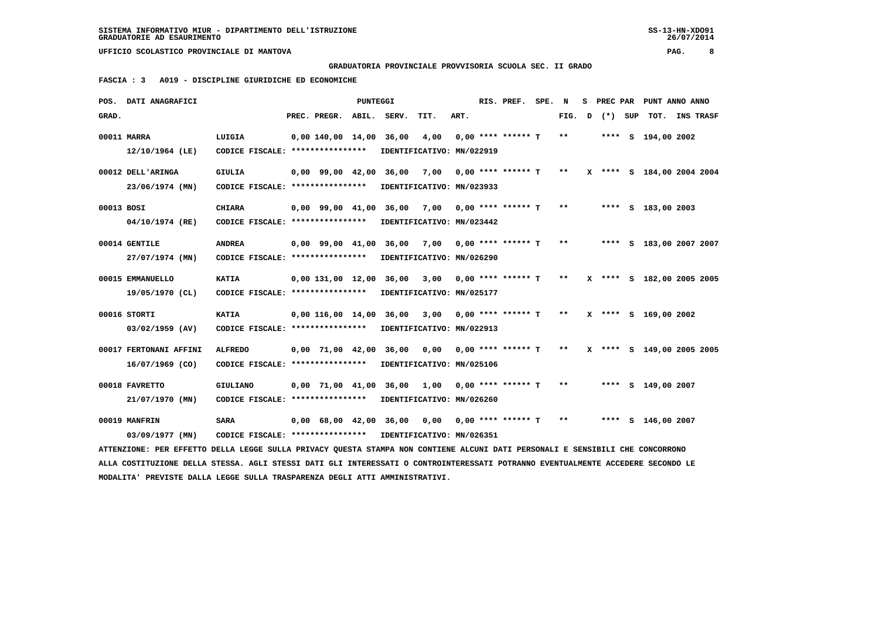**GRADUATORIA PROVINCIALE PROVVISORIA SCUOLA SEC. II GRADO**

 **FASCIA : 3 A019 - DISCIPLINE GIURIDICHE ED ECONOMICHE**

|            | POS. DATI ANAGRAFICI                                                                                                            |                                                            |                          | PUNTEGGI |                                                      |      |      | RIS. PREF. SPE. N           |        |  |                      | S PREC PAR PUNT ANNO ANNO |
|------------|---------------------------------------------------------------------------------------------------------------------------------|------------------------------------------------------------|--------------------------|----------|------------------------------------------------------|------|------|-----------------------------|--------|--|----------------------|---------------------------|
| GRAD.      |                                                                                                                                 |                                                            | PREC. PREGR. ABIL. SERV. |          |                                                      | TIT. | ART. |                             | FIG. D |  |                      | (*) SUP TOT. INS TRASF    |
|            | 00011 MARRA                                                                                                                     | LUIGIA                                                     |                          |          | $0.00$ 140.00 14.00 36.00 4.00 0.00 **** ****** T    |      |      |                             | $***$  |  | **** S 194,00 2002   |                           |
|            | 12/10/1964 (LE)                                                                                                                 | CODICE FISCALE: *****************                          |                          |          | IDENTIFICATIVO: MN/022919                            |      |      |                             |        |  |                      |                           |
|            | 00012 DELL'ARINGA                                                                                                               | <b>GIULIA</b>                                              |                          |          | 0,00 99,00 42,00 36,00 7,00 0,00 **** ****** T **    |      |      |                             |        |  |                      | X **** S 184,00 2004 2004 |
|            | 23/06/1974 (MN)                                                                                                                 | CODICE FISCALE: **************** IDENTIFICATIVO: MN/023933 |                          |          |                                                      |      |      |                             |        |  |                      |                           |
| 00013 BOSI |                                                                                                                                 | <b>CHIARA</b>                                              |                          |          | 0,00 99,00 41,00 36,00 7,00 0,00 **** ****** T       |      |      |                             | $* *$  |  | **** S 183,00 2003   |                           |
|            | 04/10/1974 (RE)                                                                                                                 | CODICE FISCALE: *****************                          |                          |          | IDENTIFICATIVO: MN/023442                            |      |      |                             |        |  |                      |                           |
|            | 00014 GENTILE                                                                                                                   | <b>ANDREA</b>                                              |                          |          | 0,00 99,00 41,00 36,00 7,00 0,00 **** ****** T **    |      |      |                             |        |  |                      | **** S 183,00 2007 2007   |
|            | 27/07/1974 (MN)                                                                                                                 | CODICE FISCALE: *****************                          |                          |          | IDENTIFICATIVO: MN/026290                            |      |      |                             |        |  |                      |                           |
|            | 00015 EMMANUELLO                                                                                                                | <b>KATIA</b>                                               |                          |          | $0.00$ 131.00 12.00 36.00 3.00 0.00 **** ****** T ** |      |      |                             |        |  |                      | X **** S 182,00 2005 2005 |
|            | 19/05/1970 (CL)                                                                                                                 | CODICE FISCALE: *****************                          |                          |          | IDENTIFICATIVO: MN/025177                            |      |      |                             |        |  |                      |                           |
|            | 00016 STORTI                                                                                                                    | <b>KATIA</b>                                               |                          |          | $0,00$ 116,00 14,00 36,00 3,00 0,00 **** ****** T ** |      |      |                             |        |  | X **** S 169,00 2002 |                           |
|            | $03/02/1959$ (AV)                                                                                                               | CODICE FISCALE: *****************                          |                          |          | IDENTIFICATIVO: MN/022913                            |      |      |                             |        |  |                      |                           |
|            | 00017 FERTONANI AFFINI                                                                                                          | <b>ALFREDO</b>                                             |                          |          | 0,00 71,00 42,00 36,00                               |      |      | $0,00$ $0,00$ **** ****** T | $***$  |  |                      | X **** S 149,00 2005 2005 |
|            | $16/07/1969$ (CO)                                                                                                               | CODICE FISCALE: **************** IDENTIFICATIVO: MN/025106 |                          |          |                                                      |      |      |                             |        |  |                      |                           |
|            | 00018 FAVRETTO                                                                                                                  | <b>GIULIANO</b>                                            |                          |          | 0,00 71,00 41,00 36,00 1,00 0,00 **** ****** T **    |      |      |                             |        |  | **** S 149,00 2007   |                           |
|            | 21/07/1970 (MN)                                                                                                                 | CODICE FISCALE: *****************                          |                          |          | IDENTIFICATIVO: MN/026260                            |      |      |                             |        |  |                      |                           |
|            | 00019 MANFRIN                                                                                                                   | <b>SARA</b>                                                |                          |          | 0,00 68,00 42,00 36,00 0,00 0,00 **** ****** T **    |      |      |                             |        |  | **** S 146,00 2007   |                           |
|            | 03/09/1977 (MN)                                                                                                                 | CODICE FISCALE: ****************                           |                          |          | IDENTIFICATIVO: MN/026351                            |      |      |                             |        |  |                      |                           |
|            | ATTENZIONE: PER EFFETTO DELLA LEGGE SULLA PRIVACY QUESTA STAMPA NON CONTIENE ALCUNI DATI PERSONALI E SENSIBILI CHE CONCORRONO   |                                                            |                          |          |                                                      |      |      |                             |        |  |                      |                           |
|            | ALLA COSTITUZIONE DELLA STESSA. AGLI STESSI DATI GLI INTERESSATI O CONTROINTERESSATI POTRANNO EVENTUALMENTE ACCEDERE SECONDO LE |                                                            |                          |          |                                                      |      |      |                             |        |  |                      |                           |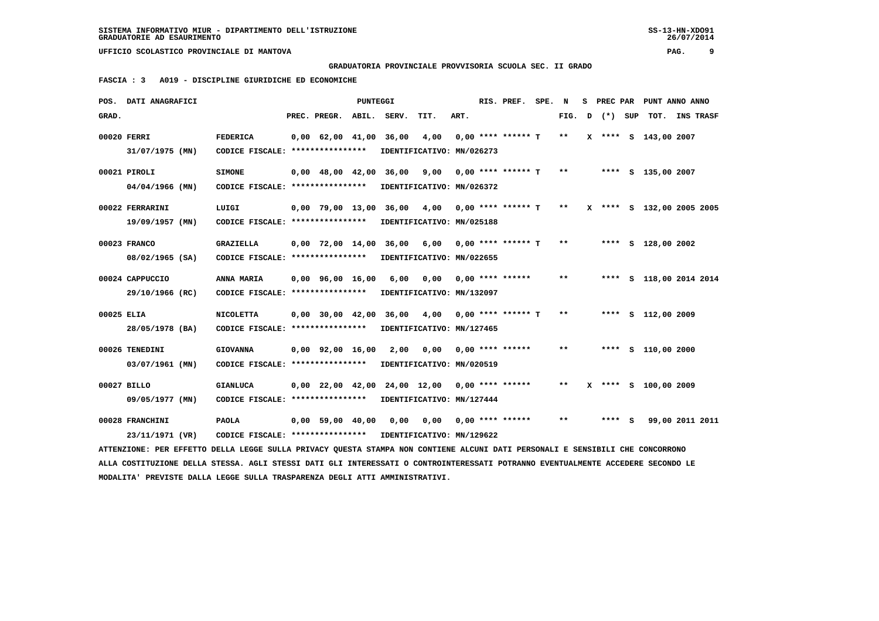**GRADUATORIA PROVINCIALE PROVVISORIA SCUOLA SEC. II GRADO**

 **FASCIA : 3 A019 - DISCIPLINE GIURIDICHE ED ECONOMICHE**

|             | POS. DATI ANAGRAFICI                                                                                                            |                                                            |                                | PUNTEGGI |                                                  |                           |      | RIS. PREF. SPE. N         |       |   | S PREC PAR |     | PUNT ANNO ANNO            |                 |  |
|-------------|---------------------------------------------------------------------------------------------------------------------------------|------------------------------------------------------------|--------------------------------|----------|--------------------------------------------------|---------------------------|------|---------------------------|-------|---|------------|-----|---------------------------|-----------------|--|
| GRAD.       |                                                                                                                                 |                                                            | PREC. PREGR.                   |          | ABIL. SERV.                                      | TIT.                      | ART. |                           | FIG.  | D | $(\star)$  | SUP |                           | TOT. INS TRASF  |  |
| 00020 FERRI |                                                                                                                                 | <b>FEDERICA</b>                                            | $0.00 \quad 62.00 \quad 41.00$ |          | 36,00                                            | 4,00                      |      | $0.00$ **** ****** T      | $* *$ |   |            |     | X **** S 143,00 2007      |                 |  |
|             | 31/07/1975 (MN)                                                                                                                 | CODICE FISCALE: ****************                           |                                |          | IDENTIFICATIVO: MN/026273                        |                           |      |                           |       |   |            |     |                           |                 |  |
|             |                                                                                                                                 |                                                            |                                |          |                                                  |                           |      |                           |       |   |            |     |                           |                 |  |
|             | 00021 PIROLI                                                                                                                    | <b>SIMONE</b>                                              | $0,00$ 48,00 42,00 36,00       |          |                                                  | 9,00                      |      | $0.00$ **** ****** T      | $* *$ |   |            |     | **** S 135,00 2007        |                 |  |
|             | $04/04/1966$ (MN)                                                                                                               | CODICE FISCALE: ****************                           |                                |          | IDENTIFICATIVO: MN/026372                        |                           |      |                           |       |   |            |     |                           |                 |  |
|             | 00022 FERRARINI                                                                                                                 | LUIGI                                                      | 0,00 79,00 13,00               |          |                                                  | 36,00 4,00                |      | $0.00$ **** ****** T      | $***$ |   |            |     | X **** S 132,00 2005 2005 |                 |  |
|             | 19/09/1957 (MN)                                                                                                                 | CODICE FISCALE: ****************                           |                                |          | IDENTIFICATIVO: MN/025188                        |                           |      |                           |       |   |            |     |                           |                 |  |
|             |                                                                                                                                 |                                                            |                                |          |                                                  |                           |      |                           |       |   |            |     |                           |                 |  |
|             | 00023 FRANCO                                                                                                                    | <b>GRAZIELLA</b>                                           | $0.00$ 72.00 14.00 36.00       |          |                                                  | 6,00 0,00 **** ****** T   |      |                           | $* *$ |   |            |     | **** S 128,00 2002        |                 |  |
|             | 08/02/1965 (SA)                                                                                                                 | CODICE FISCALE: ****************                           |                                |          |                                                  | IDENTIFICATIVO: MN/022655 |      |                           |       |   |            |     |                           |                 |  |
|             | 00024 CAPPUCCIO                                                                                                                 | ANNA MARIA                                                 | $0.00$ $96.00$ $16.00$         |          | 6,00                                             | 0,00                      |      | $0.00$ **** ******        | **    |   |            |     | **** S 118,00 2014 2014   |                 |  |
|             |                                                                                                                                 | CODICE FISCALE: *****************                          |                                |          |                                                  | IDENTIFICATIVO: MN/132097 |      |                           |       |   |            |     |                           |                 |  |
|             | 29/10/1966 (RC)                                                                                                                 |                                                            |                                |          |                                                  |                           |      |                           |       |   |            |     |                           |                 |  |
| 00025 ELIA  |                                                                                                                                 | <b>NICOLETTA</b>                                           |                                |          | $0,00$ 30,00 42,00 36,00 4,00 0,00 **** ****** T |                           |      |                           | $* *$ |   |            |     | **** S 112,00 2009        |                 |  |
|             | 28/05/1978 (BA)                                                                                                                 | CODICE FISCALE: ****************                           |                                |          |                                                  | IDENTIFICATIVO: MN/127465 |      |                           |       |   |            |     |                           |                 |  |
|             |                                                                                                                                 |                                                            |                                |          |                                                  |                           |      |                           |       |   |            |     |                           |                 |  |
|             | 00026 TENEDINI                                                                                                                  | <b>GIOVANNA</b>                                            | 0,00 92,00 16,00               |          | 2,00                                             | 0,00                      |      | $0.00$ **** ******        | $* *$ |   |            |     | **** S 110,00 2000        |                 |  |
|             | 03/07/1961 (MN)                                                                                                                 | CODICE FISCALE: ****************                           |                                |          |                                                  | IDENTIFICATIVO: MN/020519 |      |                           |       |   |            |     |                           |                 |  |
|             | 00027 BILLO                                                                                                                     | <b>GIANLUCA</b>                                            |                                |          | 0,00 22,00 42,00 24,00 12,00                     |                           |      | $0.00$ **** ******        | $**$  |   |            |     | X **** S 100,00 2009      |                 |  |
|             | 09/05/1977 (MN)                                                                                                                 | CODICE FISCALE: ****************                           |                                |          |                                                  | IDENTIFICATIVO: MN/127444 |      |                           |       |   |            |     |                           |                 |  |
|             |                                                                                                                                 |                                                            |                                |          |                                                  |                           |      |                           |       |   |            |     |                           |                 |  |
|             | 00028 FRANCHINI                                                                                                                 | <b>PAOLA</b>                                               | 0,00 59,00 40,00               |          | 0,00                                             |                           |      | $0,00$ $0,00$ **** ****** | $* *$ |   | **** S     |     |                           | 99,00 2011 2011 |  |
|             | 23/11/1971 (VR)                                                                                                                 | CODICE FISCALE: **************** IDENTIFICATIVO: MN/129622 |                                |          |                                                  |                           |      |                           |       |   |            |     |                           |                 |  |
|             | ATTENZIONE: PER EFFETTO DELLA LEGGE SULLA PRIVACY QUESTA STAMPA NON CONTIENE ALCUNI DATI PERSONALI E SENSIBILI CHE CONCORRONO   |                                                            |                                |          |                                                  |                           |      |                           |       |   |            |     |                           |                 |  |
|             | ALLA COSTITUZIONE DELLA STESSA. AGLI STESSI DATI GLI INTERESSATI O CONTROINTERESSATI POTRANNO EVENTUALMENTE ACCEDERE SECONDO LE |                                                            |                                |          |                                                  |                           |      |                           |       |   |            |     |                           |                 |  |
|             | MODALITA' PREVISTE DALLA LEGGE SULLA TRASPARENZA DEGLI ATTI AMMINISTRATIVI.                                                     |                                                            |                                |          |                                                  |                           |      |                           |       |   |            |     |                           |                 |  |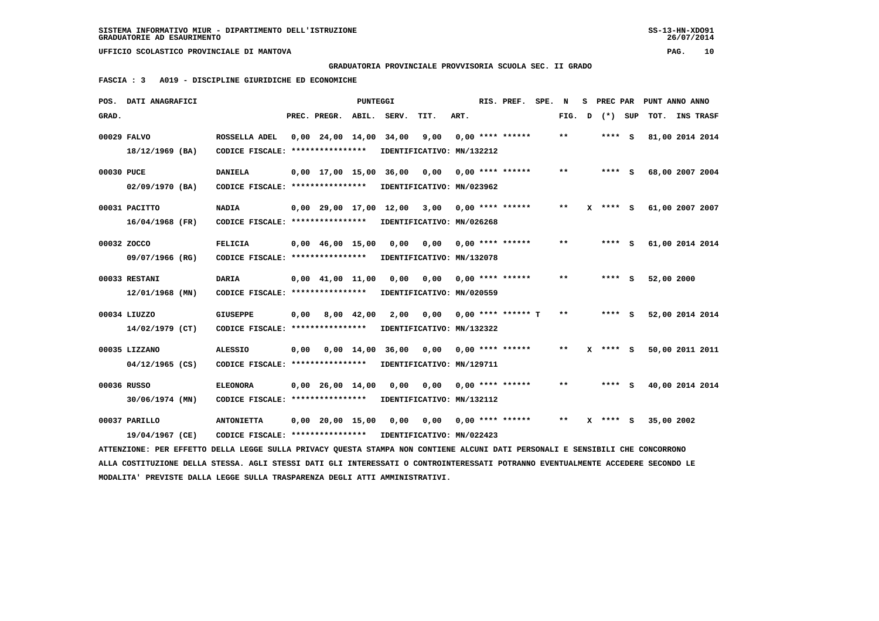# **GRADUATORIA PROVINCIALE PROVVISORIA SCUOLA SEC. II GRADO**

 **FASCIA : 3 A019 - DISCIPLINE GIURIDICHE ED ECONOMICHE**

|            | POS. DATI ANAGRAFICI                                                                                                            |                                                            |      |                                | <b>PUNTEGGI</b> |                                                    |                           |      | RIS. PREF.                | SPE. N |        | s | PREC PAR   | PUNT ANNO ANNO  |  |
|------------|---------------------------------------------------------------------------------------------------------------------------------|------------------------------------------------------------|------|--------------------------------|-----------------|----------------------------------------------------|---------------------------|------|---------------------------|--------|--------|---|------------|-----------------|--|
| GRAD.      |                                                                                                                                 |                                                            |      | PREC. PREGR.                   |                 | ABIL. SERV.                                        | TIT.                      | ART. |                           |        | FIG. D |   | (*) SUP    | TOT. INS TRASF  |  |
|            | 00029 FALVO                                                                                                                     | ROSSELLA ADEL                                              |      |                                |                 | 0,00 24,00 14,00 34,00                             | 9,00                      |      | $0.00$ **** ******        |        | $* *$  |   | **** S     | 81,00 2014 2014 |  |
|            | 18/12/1969 (BA)                                                                                                                 | CODICE FISCALE: ****************                           |      |                                |                 |                                                    | IDENTIFICATIVO: MN/132212 |      |                           |        |        |   |            |                 |  |
| 00030 PUCE |                                                                                                                                 | <b>DANIELA</b>                                             |      |                                |                 | 0,00 17,00 15,00 36,00                             | 0,00                      |      | $0,00$ **** ******        |        | $***$  |   | $***$ S    | 68,00 2007 2004 |  |
|            | 02/09/1970 (BA)                                                                                                                 | CODICE FISCALE: ****************                           |      |                                |                 |                                                    | IDENTIFICATIVO: MN/023962 |      |                           |        |        |   |            |                 |  |
|            | 00031 PACITTO                                                                                                                   | <b>NADIA</b>                                               |      |                                |                 | $0,00$ 29,00 17,00 12,00 3,00 0,00 **** ******     |                           |      |                           |        | $* *$  |   | **** S     | 61,00 2007 2007 |  |
|            | $16/04/1968$ (FR)                                                                                                               | CODICE FISCALE: ****************                           |      |                                |                 |                                                    | IDENTIFICATIVO: MN/026268 |      |                           |        |        |   |            |                 |  |
|            | 00032 ZOCCO                                                                                                                     | <b>FELICIA</b>                                             |      | $0,00$ 46,00 15,00 0,00        |                 |                                                    | 0,00                      |      | $0.00$ **** ******        |        | $***$  |   | $***$ S    | 61,00 2014 2014 |  |
|            | 09/07/1966 (RG)                                                                                                                 | CODICE FISCALE: *****************                          |      |                                |                 |                                                    | IDENTIFICATIVO: MN/132078 |      |                           |        |        |   |            |                 |  |
|            | 00033 RESTANI                                                                                                                   | <b>DARIA</b>                                               |      | $0,00$ $41,00$ $11,00$         |                 | 0,00                                               |                           |      | $0,00$ $0,00$ **** ****** |        | $***$  |   | $***$ S    | 52,00 2000      |  |
|            | 12/01/1968 (MN)                                                                                                                 | CODICE FISCALE: ****************                           |      |                                |                 |                                                    | IDENTIFICATIVO: MN/020559 |      |                           |        |        |   |            |                 |  |
|            | 00034 LIUZZO                                                                                                                    | <b>GIUSEPPE</b>                                            | 0,00 | 8,00 42,00                     |                 | 2,00                                               | 0.00                      |      | $0.00$ **** ****** T      |        | $***$  |   | $***$ S    | 52,00 2014 2014 |  |
|            | 14/02/1979 (CT)                                                                                                                 | CODICE FISCALE: ****************                           |      |                                |                 |                                                    | IDENTIFICATIVO: MN/132322 |      |                           |        |        |   |            |                 |  |
|            | 00035 LIZZANO                                                                                                                   | <b>ALESSIO</b>                                             |      |                                |                 | 0,00  0,00  14,00  36,00  0,00  0,00  ****  ****** |                           |      |                           |        | $* *$  |   | $X$ **** S | 50,00 2011 2011 |  |
|            | $04/12/1965$ (CS)                                                                                                               | CODICE FISCALE: ****************                           |      |                                |                 |                                                    | IDENTIFICATIVO: MN/129711 |      |                           |        |        |   |            |                 |  |
|            | 00036 RUSSO                                                                                                                     | <b>ELEONORA</b>                                            |      | $0.00 \quad 26.00 \quad 14.00$ |                 | 0,00                                               | 0.00                      |      | $0,00$ **** ******        |        | $***$  |   | **** S     | 40,00 2014 2014 |  |
|            | 30/06/1974 (MN)                                                                                                                 | CODICE FISCALE: *****************                          |      |                                |                 |                                                    | IDENTIFICATIVO: MN/132112 |      |                           |        |        |   |            |                 |  |
|            | 00037 PARILLO                                                                                                                   | <b>ANTONIETTA</b>                                          |      |                                |                 | $0,00$ 20,00 15,00 0,00 0,00 0,00 **** ******      |                           |      |                           |        | $* *$  |   | $X$ **** S | 35,00 2002      |  |
|            | 19/04/1967 (CE)                                                                                                                 | CODICE FISCALE: **************** IDENTIFICATIVO: MN/022423 |      |                                |                 |                                                    |                           |      |                           |        |        |   |            |                 |  |
|            | ATTENZIONE: PER EFFETTO DELLA LEGGE SULLA PRIVACY QUESTA STAMPA NON CONTIENE ALCUNI DATI PERSONALI E SENSIBILI CHE CONCORRONO   |                                                            |      |                                |                 |                                                    |                           |      |                           |        |        |   |            |                 |  |
|            | ALLA COSTITUZIONE DELLA STESSA. AGLI STESSI DATI GLI INTERESSATI O CONTROINTERESSATI POTRANNO EVENTUALMENTE ACCEDERE SECONDO LE |                                                            |      |                                |                 |                                                    |                           |      |                           |        |        |   |            |                 |  |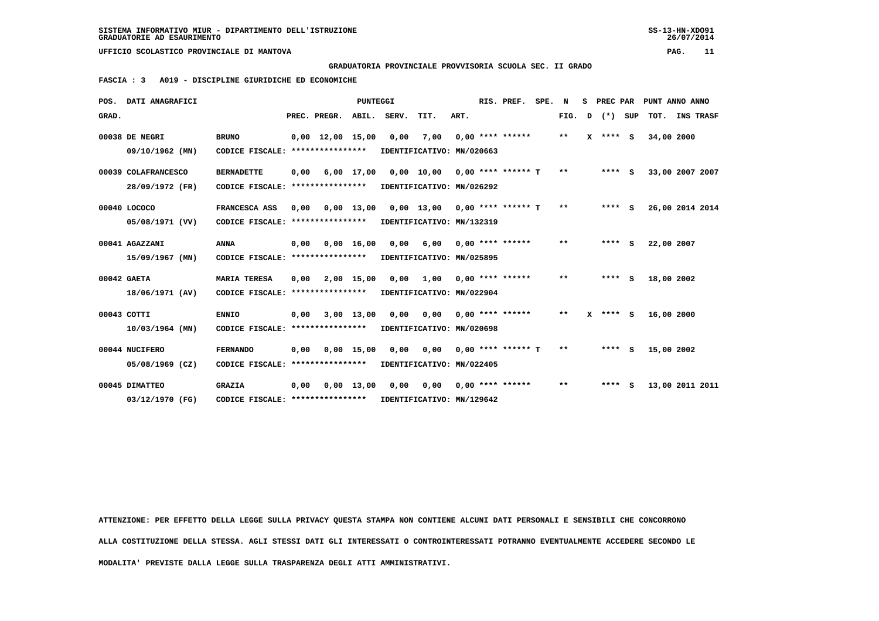**GRADUATORIA PROVINCIALE PROVVISORIA SCUOLA SEC. II GRADO**

 **FASCIA : 3 A019 - DISCIPLINE GIURIDICHE ED ECONOMICHE**

| POS.        | DATI ANAGRAFICI                                      |                                                                                     |      |                                | <b>PUNTEGGI</b> |      |                                                                                        |      | RIS. PREF.         | SPE. | N             | s | PREC PAR     |            | PUNT ANNO ANNO  |
|-------------|------------------------------------------------------|-------------------------------------------------------------------------------------|------|--------------------------------|-----------------|------|----------------------------------------------------------------------------------------|------|--------------------|------|---------------|---|--------------|------------|-----------------|
| GRAD.       |                                                      |                                                                                     |      | PREC. PREGR. ABIL. SERV.       |                 |      | TIT.                                                                                   | ART. |                    |      | FIG.          | D | (*) SUP      | TOT.       | INS TRASF       |
|             | 00038 DE NEGRI<br>09/10/1962 (MN)                    | <b>BRUNO</b><br>CODICE FISCALE: *****************                                   |      | $0.00 \quad 12.00 \quad 15.00$ |                 | 0,00 | 7,00<br>IDENTIFICATIVO: MN/020663                                                      |      | $0.00$ **** ****** |      | $***$         |   | $X$ **** $S$ | 34,00 2000 |                 |
|             | 00039 COLAFRANCESCO                                  | <b>BERNADETTE</b>                                                                   | 0,00 |                                | $6,00$ 17,00    |      | $0,00$ 10,00 0,00 **** ****** T                                                        |      |                    |      | $\star \star$ |   | $***$ S      |            | 33,00 2007 2007 |
|             | 28/09/1972 (FR)<br>00040 LOCOCO                      | CODICE FISCALE: ****************<br>FRANCESCA ASS                                   | 0,00 |                                | $0,00$ 13,00    |      | IDENTIFICATIVO: MN/026292<br>$0,00$ 13,00 0,00 **** ****** T                           |      |                    |      | **            |   | $***$ S      |            | 26,00 2014 2014 |
|             | 05/08/1971 (VV)<br>00041 AGAZZANI<br>15/09/1967 (MN) | CODICE FISCALE: ****************<br><b>ANNA</b><br>CODICE FISCALE: **************** | 0,00 |                                | 0.00 16.00      |      | IDENTIFICATIVO: MN/132319<br>$0.00$ 6.00 0.00 **** ******<br>IDENTIFICATIVO: MN/025895 |      |                    |      | $***$         |   | $***$ S      | 22,00 2007 |                 |
| 00042 GAETA | 18/06/1971 (AV)                                      | <b>MARIA TERESA</b><br>CODICE FISCALE: ****************                             | 0,00 |                                | 2,00 15,00      | 0,00 | 1,00 0,00 **** ******<br>IDENTIFICATIVO: MN/022904                                     |      |                    |      | $* *$         |   | $***$ S      | 18,00 2002 |                 |
| 00043 COTTI | $10/03/1964$ (MN)                                    | <b>ENNIO</b><br>CODICE FISCALE: ****************                                    | 0.00 |                                | $3,00$ 13,00    | 0,00 | 0,00<br>IDENTIFICATIVO: MN/020698                                                      |      | $0,00$ **** ****** |      | $***$         |   | $X$ **** S   | 16,00 2000 |                 |
|             | 00044 NUCIFERO<br>05/08/1969 (CZ)                    | <b>FERNANDO</b><br>CODICE FISCALE: ****************                                 | 0.00 |                                | $0,00$ 15,00    |      | 0,00 0,00 0,00 **** ****** T<br>IDENTIFICATIVO: MN/022405                              |      |                    |      | $* *$         |   | $***$ S      | 15,00 2002 |                 |
|             | 00045 DIMATTEO<br>03/12/1970 (FG)                    | <b>GRAZIA</b><br>CODICE FISCALE: ****************                                   | 0.00 |                                | $0.00$ 13.00    | 0,00 | 0,00<br>IDENTIFICATIVO: MN/129642                                                      |      | $0.00$ **** ****** |      | $* *$         |   | $***$ S      |            | 13,00 2011 2011 |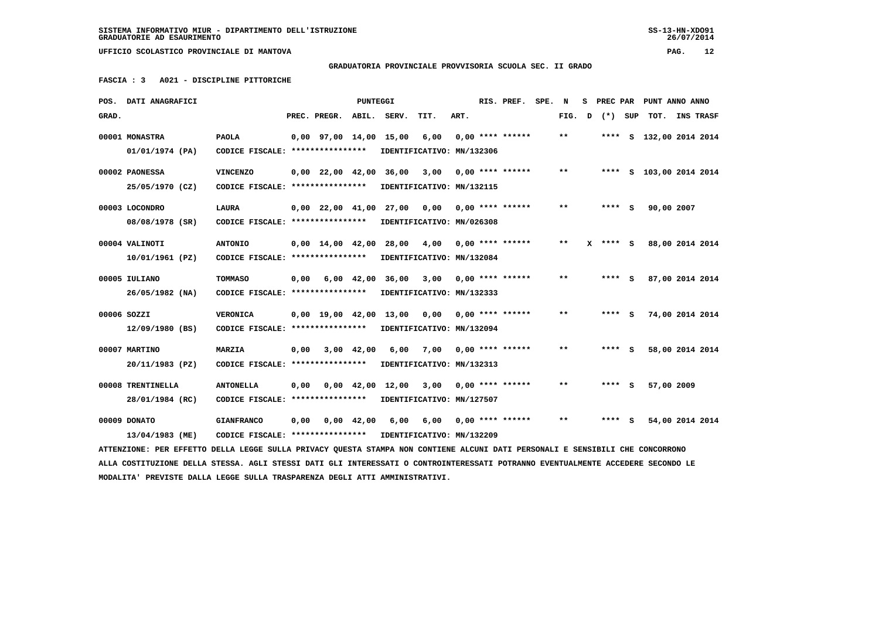### **GRADUATORIA PROVINCIALE PROVVISORIA SCUOLA SEC. II GRADO**

 **FASCIA : 3 A021 - DISCIPLINE PITTORICHE**

|       | POS. DATI ANAGRAFICI                                                                                                            |                                                            |      |                                | PUNTEGGI |                                   |                                        |      | RIS. PREF.              | SPE. | N            | s | PREC PAR |     | PUNT ANNO ANNO          |  |
|-------|---------------------------------------------------------------------------------------------------------------------------------|------------------------------------------------------------|------|--------------------------------|----------|-----------------------------------|----------------------------------------|------|-------------------------|------|--------------|---|----------|-----|-------------------------|--|
| GRAD. |                                                                                                                                 |                                                            |      | PREC. PREGR. ABIL.             |          | SERV.                             | TIT.                                   | ART. |                         |      | FIG.         | D | $(*)$    | SUP | TOT. INS TRASF          |  |
|       | 00001 MONASTRA                                                                                                                  | <b>PAOLA</b>                                               |      |                                |          | 0,00 97,00 14,00 15,00            | 6,00                                   |      | $0.00$ **** ******      |      | $***$        |   |          |     | **** S 132,00 2014 2014 |  |
|       | 01/01/1974 (PA)                                                                                                                 | CODICE FISCALE: ****************                           |      |                                |          | IDENTIFICATIVO: MN/132306         |                                        |      |                         |      |              |   |          |     |                         |  |
|       | 00002 PAONESSA                                                                                                                  | <b>VINCENZO</b>                                            |      |                                |          | $0,00$ 22,00 42,00 36,00          | 3,00                                   |      | $0.00$ **** ******      |      | $\star\star$ |   |          |     | **** S 103,00 2014 2014 |  |
|       | 25/05/1970 (CZ)                                                                                                                 | CODICE FISCALE: ****************                           |      |                                |          | IDENTIFICATIVO: MN/132115         |                                        |      |                         |      |              |   |          |     |                         |  |
|       | 00003 LOCONDRO                                                                                                                  | <b>LAURA</b>                                               |      | $0,00$ $22,00$ $41,00$         |          |                                   | $27,00$ 0,00 0,00 **** ******          |      |                         |      | $***$        |   | $***$ S  |     | 90,00 2007              |  |
|       | 08/08/1978 (SR)                                                                                                                 | CODICE FISCALE: ****************                           |      |                                |          | IDENTIFICATIVO: MN/026308         |                                        |      |                         |      |              |   |          |     |                         |  |
|       | 00004 VALINOTI                                                                                                                  | <b>ANTONIO</b>                                             |      | $0,00 \quad 14,00 \quad 42,00$ |          | 28,00                             | 4,00                                   |      | $0.00$ **** ******      |      | $* *$        |   | $***$ S  |     | 88,00 2014 2014         |  |
|       | 10/01/1961 (PZ)                                                                                                                 | CODICE FISCALE: ****************                           |      |                                |          | IDENTIFICATIVO: MN/132084         |                                        |      |                         |      |              |   |          |     |                         |  |
|       | 00005 IULIANO                                                                                                                   | TOMMASO                                                    | 0,00 | 6,00 42,00                     |          | 36,00                             | 3,00                                   |      | $0.00$ **** ******      |      | $* *$        |   | $***$ S  |     | 87,00 2014 2014         |  |
|       | 26/05/1982 (NA)                                                                                                                 | CODICE FISCALE: *****************                          |      |                                |          | IDENTIFICATIVO: MN/132333         |                                        |      |                         |      |              |   |          |     |                         |  |
|       | 00006 SOZZI                                                                                                                     | <b>VERONICA</b>                                            |      |                                |          | 0,00 19,00 42,00 13,00            | 0.00                                   |      | $0.00$ **** ******      |      | $**$         |   | **** S   |     | 74,00 2014 2014         |  |
|       | 12/09/1980 (BS)                                                                                                                 | CODICE FISCALE: ****************                           |      |                                |          | IDENTIFICATIVO: MN/132094         |                                        |      |                         |      |              |   |          |     |                         |  |
|       |                                                                                                                                 |                                                            |      |                                |          |                                   |                                        |      |                         |      |              |   |          |     |                         |  |
|       | 00007 MARTINO<br>20/11/1983 (PZ)                                                                                                | <b>MARZIA</b><br>CODICE FISCALE: ****************          | 0.00 | 3,00 42,00                     |          | 6,00<br>IDENTIFICATIVO: MN/132313 |                                        |      | $7.00$ 0.00 **** ****** |      | $* *$        |   | **** S   |     | 58,00 2014 2014         |  |
|       |                                                                                                                                 |                                                            |      |                                |          |                                   |                                        |      |                         |      |              |   |          |     |                         |  |
|       | 00008 TRENTINELLA                                                                                                               | <b>ANTONELLA</b>                                           | 0.00 |                                |          | 0,00 42,00 12,00                  | 3,00                                   |      | $0.00$ **** ******      |      | $**$         |   | **** S   |     | 57,00 2009              |  |
|       | 28/01/1984 (RC)                                                                                                                 | CODICE FISCALE: *****************                          |      |                                |          | IDENTIFICATIVO: MN/127507         |                                        |      |                         |      |              |   |          |     |                         |  |
|       | 00009 DONATO                                                                                                                    | <b>GIANFRANCO</b>                                          | 0,00 | 0,00 42,00                     |          |                                   | $6,00$ $6,00$ $0,00$ $***$ **** ****** |      |                         |      | $**$         |   | **** S   |     | 54,00 2014 2014         |  |
|       | 13/04/1983 (ME)                                                                                                                 | CODICE FISCALE: **************** IDENTIFICATIVO: MN/132209 |      |                                |          |                                   |                                        |      |                         |      |              |   |          |     |                         |  |
|       | ATTENZIONE: PER EFFETTO DELLA LEGGE SULLA PRIVACY QUESTA STAMPA NON CONTIENE ALCUNI DATI PERSONALI E SENSIBILI CHE CONCORRONO   |                                                            |      |                                |          |                                   |                                        |      |                         |      |              |   |          |     |                         |  |
|       | ALLA COSTITUZIONE DELLA STESSA. AGLI STESSI DATI GLI INTERESSATI O CONTROINTERESSATI POTRANNO EVENTUALMENTE ACCEDERE SECONDO LE |                                                            |      |                                |          |                                   |                                        |      |                         |      |              |   |          |     |                         |  |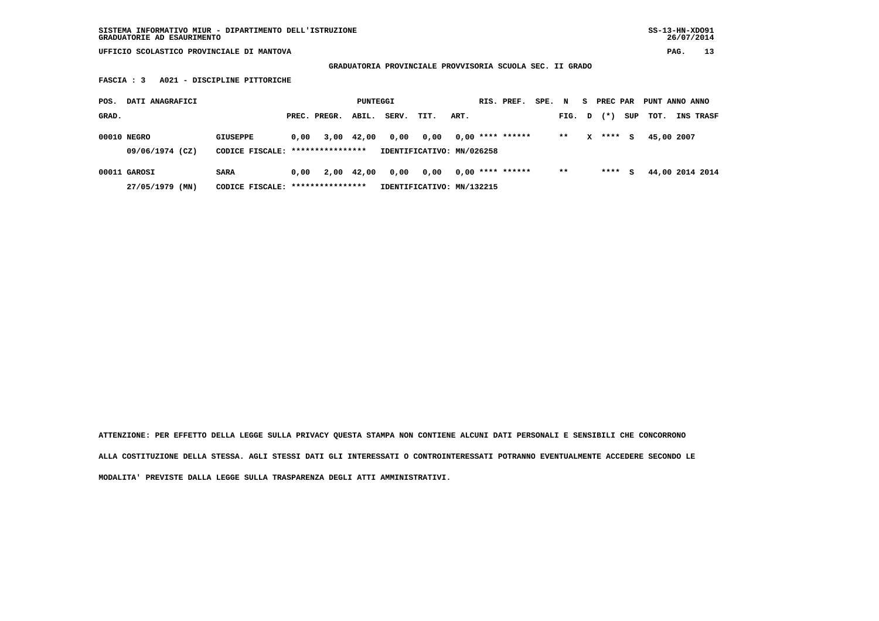**SISTEMA INFORMATIVO MIUR - DIPARTIMENTO DELL'ISTRUZIONE SS-13-HN-XDO91 GRADUATORIE AD ESAURIMENTO 26/07/2014**

 **UFFICIO SCOLASTICO PROVINCIALE DI MANTOVA PAG. 13**

 **GRADUATORIA PROVINCIALE PROVVISORIA SCUOLA SEC. II GRADO**

 **FASCIA : 3 A021 - DISCIPLINE PITTORICHE**

| DATI ANAGRAFICI<br>POS.         |                                                  |      |              | PUNTEGGI   |       |                                   |      | RIS. PREF.         | SPE. | N      | s | PREC PAR |     | PUNT ANNO ANNO |                 |
|---------------------------------|--------------------------------------------------|------|--------------|------------|-------|-----------------------------------|------|--------------------|------|--------|---|----------|-----|----------------|-----------------|
| GRAD.                           |                                                  |      | PREC. PREGR. | ABIL.      | SERV. | TIT.                              | ART. |                    |      | FIG. D |   | $(* )$   | SUP | тот.           | INS TRASF       |
| 00010 NEGRO<br>09/06/1974 (CZ)  | GIUSEPPE<br>CODICE FISCALE: ****************     | 0.00 |              | 3,00 42,00 | 0,00  | 0,00<br>IDENTIFICATIVO: MN/026258 |      | $0.00$ **** ****** |      | $* *$  | x | ****     | s   | 45,00 2007     |                 |
| 00011 GAROSI<br>27/05/1979 (MN) | <b>SARA</b><br>CODICE FISCALE: ***************** | 0,00 |              | 2,00 42,00 | 0,00  | 0,00<br>IDENTIFICATIVO: MN/132215 |      | $0.00$ **** ****** |      | $* *$  |   | ****     | s   |                | 44,00 2014 2014 |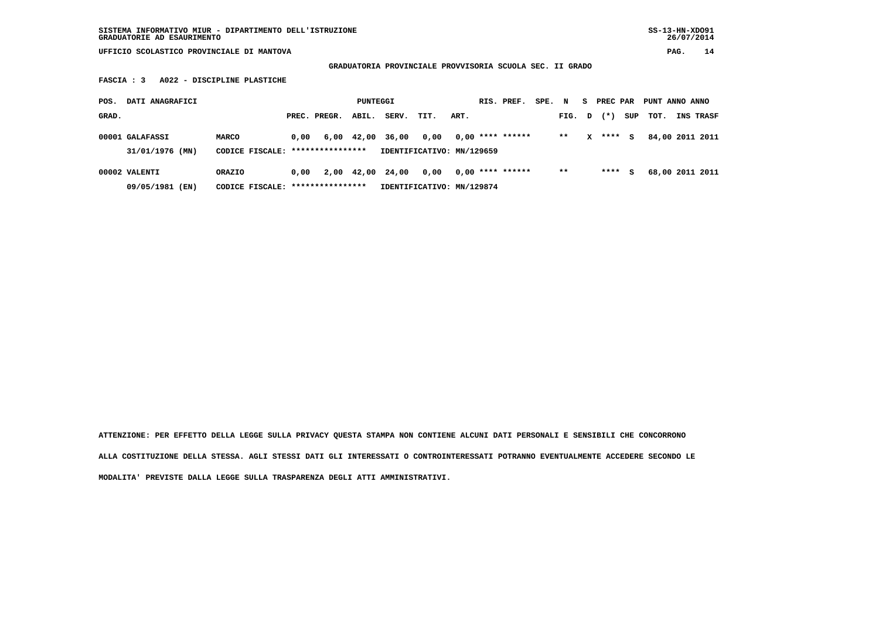**SISTEMA INFORMATIVO MIUR - DIPARTIMENTO DELL'ISTRUZIONE SS-13-HN-XDO91 GRADUATORIE AD ESAURIMENTO 26/07/2014**

 **UFFICIO SCOLASTICO PROVINCIALE DI MANTOVA PAG. 14**

 **GRADUATORIA PROVINCIALE PROVVISORIA SCUOLA SEC. II GRADO**

 **FASCIA : 3 A022 - DISCIPLINE PLASTICHE**

| POS.  | DATI ANAGRAFICI                    |                                             |      |              | PUNTEGGI   |                  |                                   |      | RIS. PREF.         | SPE. | $\mathbf N$ | S. | PREC PAR |     | PUNT ANNO ANNO |                 |
|-------|------------------------------------|---------------------------------------------|------|--------------|------------|------------------|-----------------------------------|------|--------------------|------|-------------|----|----------|-----|----------------|-----------------|
| GRAD. |                                    |                                             |      | PREC. PREGR. | ABIL.      | SERV.            | TIT.                              | ART. |                    |      | FIG. D      |    | $(*)$    | SUP | тот.           | INS TRASF       |
|       | 00001 GALAFASSI<br>31/01/1976 (MN) | MARCO<br>CODICE FISCALE: ****************   | 0.00 |              | 6,00 42,00 | 36,00            | 0.00<br>IDENTIFICATIVO: MN/129659 |      | $0.00$ **** ****** |      | $* *$       | x  | ****     | s   |                | 84,00 2011 2011 |
|       | 00002 VALENTI<br>09/05/1981 (EN)   | ORAZIO<br>CODICE FISCALE: ***************** | 0.00 |              |            | 2,00 42,00 24,00 | 0.00<br>IDENTIFICATIVO: MN/129874 |      | $0.00$ **** ****** |      | $***$       |    | ****     | s   |                | 68,00 2011 2011 |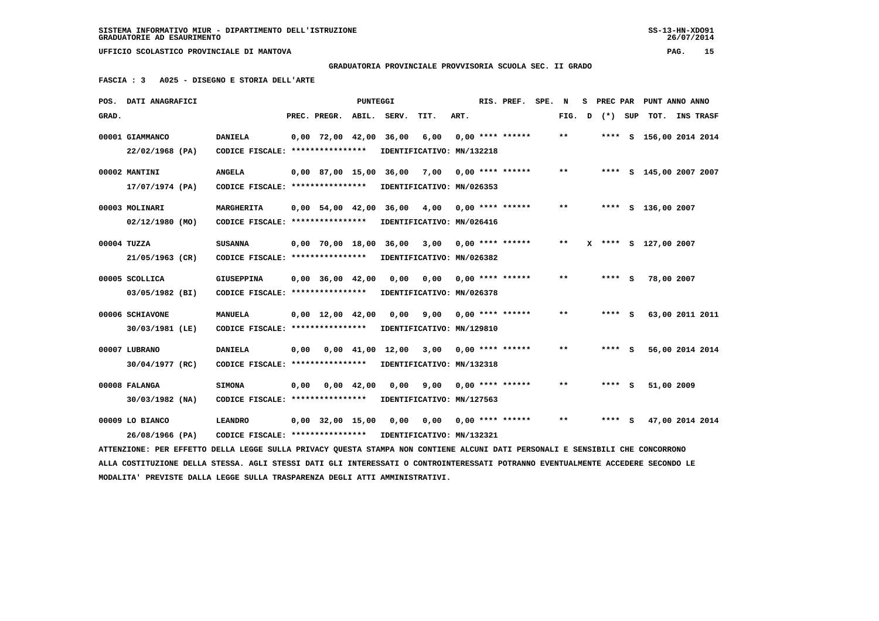**GRADUATORIA PROVINCIALE PROVVISORIA SCUOLA SEC. II GRADO**

 **FASCIA : 3 A025 - DISEGNO E STORIA DELL'ARTE**

|       | POS. DATI ANAGRAFICI                                                                                                            |                                                            |      |                                | PUNTEGGI |                                                |      |      | RIS. PREF.                      | SPE. | N      | s | PREC PAR | PUNT ANNO ANNO          |  |
|-------|---------------------------------------------------------------------------------------------------------------------------------|------------------------------------------------------------|------|--------------------------------|----------|------------------------------------------------|------|------|---------------------------------|------|--------|---|----------|-------------------------|--|
| GRAD. |                                                                                                                                 |                                                            |      | PREC. PREGR.                   | ABIL.    | SERV.                                          | TIT. | ART. |                                 |      | FIG. D |   | (*) SUP  | TOT. INS TRASF          |  |
|       | 00001 GIAMMANCO                                                                                                                 | <b>DANIELA</b>                                             |      | $0,00$ 72,00 42,00             |          | 36,00                                          | 6,00 |      | $0,00$ **** ******              |      | $* *$  |   |          | **** S 156,00 2014 2014 |  |
|       | 22/02/1968 (PA)                                                                                                                 | CODICE FISCALE: ****************                           |      |                                |          | IDENTIFICATIVO: MN/132218                      |      |      |                                 |      |        |   |          |                         |  |
|       | 00002 MANTINI                                                                                                                   | <b>ANGELA</b>                                              |      |                                |          | 0,00 87,00 15,00 36,00 7,00                    |      |      | $0.00$ **** ******              |      | $***$  |   |          | **** S 145,00 2007 2007 |  |
|       | 17/07/1974 (PA)                                                                                                                 | CODICE FISCALE: ****************                           |      |                                |          | IDENTIFICATIVO: MN/026353                      |      |      |                                 |      |        |   |          |                         |  |
|       | 00003 MOLINARI                                                                                                                  | MARGHERITA                                                 |      |                                |          | $0,00$ 54,00 42,00 36,00 4,00 0,00 **** ****** |      |      |                                 |      | $***$  |   |          | **** S 136,00 2007      |  |
|       | $02/12/1980$ (MO)                                                                                                               | CODICE FISCALE: ****************                           |      |                                |          | IDENTIFICATIVO: MN/026416                      |      |      |                                 |      |        |   |          |                         |  |
|       | 00004 TUZZA                                                                                                                     | <b>SUSANNA</b>                                             |      |                                |          | 0,00 70,00 18,00 36,00                         | 3,00 |      | $0.00$ **** ******              |      | $* *$  |   |          | X **** S 127,00 2007    |  |
|       | 21/05/1963 (CR)                                                                                                                 | CODICE FISCALE: ****************                           |      |                                |          | IDENTIFICATIVO: MN/026382                      |      |      |                                 |      |        |   |          |                         |  |
|       | 00005 SCOLLICA                                                                                                                  | <b>GIUSEPPINA</b>                                          |      | $0,00$ 36,00 42,00             |          | 0,00                                           |      |      | $0.00$ $0.00$ $***$ **** ****** |      | $* *$  |   | $***$ S  | 78,00 2007              |  |
|       | 03/05/1982 (BI)                                                                                                                 | CODICE FISCALE: ****************                           |      |                                |          | IDENTIFICATIVO: MN/026378                      |      |      |                                 |      |        |   |          |                         |  |
|       | 00006 SCHIAVONE                                                                                                                 | <b>MANUELA</b>                                             |      | $0,00 \quad 12,00 \quad 42,00$ |          | 0.00                                           | 9,00 |      | $0,00$ **** ******              |      | $* *$  |   | $***$ S  | 63,00 2011 2011         |  |
|       | 30/03/1981 (LE)                                                                                                                 | CODICE FISCALE: ****************                           |      |                                |          | IDENTIFICATIVO: MN/129810                      |      |      |                                 |      |        |   |          |                         |  |
|       | 00007 LUBRANO                                                                                                                   | <b>DANIELA</b>                                             | 0,00 |                                |          | 0,00 41,00 12,00                               |      |      | $3,00$ 0,00 **** ******         |      | $* *$  |   | $***$ S  | 56,00 2014 2014         |  |
|       | $30/04/1977$ (RC)                                                                                                               | CODICE FISCALE: ****************                           |      |                                |          | IDENTIFICATIVO: MN/132318                      |      |      |                                 |      |        |   |          |                         |  |
|       | 00008 FALANGA                                                                                                                   | <b>SIMONA</b>                                              | 0,00 | 0,00 42,00                     |          | 0,00                                           | 9,00 |      | $0.00$ **** ******              |      | $***$  |   | **** S   | 51,00 2009              |  |
|       | 30/03/1982 (NA)                                                                                                                 | CODICE FISCALE: *****************                          |      |                                |          | IDENTIFICATIVO: MN/127563                      |      |      |                                 |      |        |   |          |                         |  |
|       |                                                                                                                                 |                                                            |      |                                |          |                                                |      |      |                                 |      | $* *$  |   |          |                         |  |
|       | 00009 LO BIANCO                                                                                                                 | <b>LEANDRO</b>                                             |      |                                |          | $0,00$ 32,00 15,00 0,00 0,00 0,00 **** ******  |      |      |                                 |      |        |   | $***$ S  | 47,00 2014 2014         |  |
|       | 26/08/1966 (PA)                                                                                                                 | CODICE FISCALE: **************** IDENTIFICATIVO: MN/132321 |      |                                |          |                                                |      |      |                                 |      |        |   |          |                         |  |
|       | ATTENZIONE: PER EFFETTO DELLA LEGGE SULLA PRIVACY OUESTA STAMPA NON CONTIENE ALCUNI DATI PERSONALI E SENSIBILI CHE CONCORRONO   |                                                            |      |                                |          |                                                |      |      |                                 |      |        |   |          |                         |  |
|       | ALLA COSTITUZIONE DELLA STESSA. AGLI STESSI DATI GLI INTERESSATI O CONTROINTERESSATI POTRANNO EVENTUALMENTE ACCEDERE SECONDO LE |                                                            |      |                                |          |                                                |      |      |                                 |      |        |   |          |                         |  |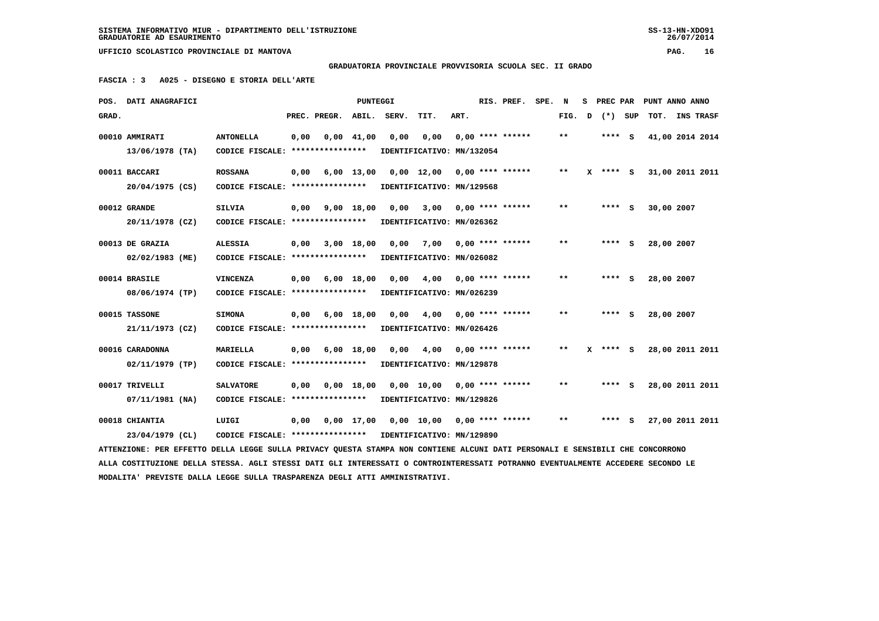**GRADUATORIA PROVINCIALE PROVVISORIA SCUOLA SEC. II GRADO**

 **FASCIA : 3 A025 - DISEGNO E STORIA DELL'ARTE**

|       | POS. DATI ANAGRAFICI                                                                                                            |                                                            |      |              | <b>PUNTEGGI</b> |       |                               |      | RIS. PREF.              | SPE. | N            | s            | PREC PAR   | PUNT ANNO ANNO  |                  |  |
|-------|---------------------------------------------------------------------------------------------------------------------------------|------------------------------------------------------------|------|--------------|-----------------|-------|-------------------------------|------|-------------------------|------|--------------|--------------|------------|-----------------|------------------|--|
| GRAD. |                                                                                                                                 |                                                            |      | PREC. PREGR. | ABIL.           | SERV. | TIT.                          | ART. |                         |      | FIG.         | $\mathbf{D}$ | (*) SUP    | TOT.            | <b>INS TRASF</b> |  |
|       | 00010 AMMIRATI                                                                                                                  | <b>ANTONELLA</b>                                           | 0,00 |              | $0,00$ 41,00    | 0,00  | 0,00                          |      | $0.00$ **** ******      |      | $***$        |              | $***$ S    | 41,00 2014 2014 |                  |  |
|       | 13/06/1978 (TA)                                                                                                                 | CODICE FISCALE: ****************                           |      |              |                 |       | IDENTIFICATIVO: MN/132054     |      |                         |      |              |              |            |                 |                  |  |
|       | 00011 BACCARI                                                                                                                   | <b>ROSSANA</b>                                             | 0,00 |              | $6,00$ 13,00    |       | 0,00 12,00 0,00 **** ******   |      |                         |      | $\star\star$ |              | $X$ **** S | 31,00 2011 2011 |                  |  |
|       | $20/04/1975$ (CS)                                                                                                               | CODICE FISCALE: ****************                           |      |              |                 |       | IDENTIFICATIVO: MN/129568     |      |                         |      |              |              |            |                 |                  |  |
|       | 00012 GRANDE                                                                                                                    | <b>SILVIA</b>                                              | 0,00 |              | 9,00 18,00      | 0,00  |                               |      | $3,00$ 0,00 **** ****** |      | **           |              | **** S     | 30,00 2007      |                  |  |
|       | 20/11/1978 (CZ)                                                                                                                 | CODICE FISCALE: ****************                           |      |              |                 |       | IDENTIFICATIVO: MN/026362     |      |                         |      |              |              |            |                 |                  |  |
|       | 00013 DE GRAZIA                                                                                                                 | <b>ALESSIA</b>                                             | 0,00 |              | 3,00 18,00      | 0,00  | 7,00                          |      | $0,00$ **** ******      |      | $* *$        |              | $***$ S    | 28,00 2007      |                  |  |
|       | 02/02/1983 (ME)                                                                                                                 | CODICE FISCALE: *****************                          |      |              |                 |       | IDENTIFICATIVO: MN/026082     |      |                         |      |              |              |            |                 |                  |  |
|       | 00014 BRASILE                                                                                                                   | <b>VINCENZA</b>                                            | 0,00 |              | $6,00$ 18,00    | 0.00  |                               |      | $4,00$ 0,00 **** ****** |      | $* *$        |              | $***$ S    | 28,00 2007      |                  |  |
|       | 08/06/1974 (TP)                                                                                                                 | CODICE FISCALE: ****************                           |      |              |                 |       | IDENTIFICATIVO: MN/026239     |      |                         |      |              |              |            |                 |                  |  |
|       | 00015 TASSONE                                                                                                                   | <b>SIMONA</b>                                              | 0,00 |              | $6,00$ 18,00    | 0.00  | 4,00                          |      | $0.00$ **** ******      |      | $* *$        |              | **** S     | 28,00 2007      |                  |  |
|       | 21/11/1973 (CZ)                                                                                                                 | CODICE FISCALE: ****************                           |      |              |                 |       | IDENTIFICATIVO: MN/026426     |      |                         |      |              |              |            |                 |                  |  |
|       | 00016 CARADONNA                                                                                                                 | <b>MARIELLA</b>                                            | 0,00 |              | $6,00$ 18,00    | 0,00  |                               |      | $4,00$ 0,00 **** ****** |      | $**$         |              | $X$ **** S | 28,00 2011 2011 |                  |  |
|       | $02/11/1979$ (TP)                                                                                                               | CODICE FISCALE: ****************                           |      |              |                 |       | IDENTIFICATIVO: MN/129878     |      |                         |      |              |              |            |                 |                  |  |
|       | 00017 TRIVELLI                                                                                                                  | <b>SALVATORE</b>                                           | 0,00 |              | $0,00$ 18,00    |       | $0,00$ 10,00 0,00 **** ****** |      |                         |      | $***$        |              | $***$ S    | 28,00 2011 2011 |                  |  |
|       | 07/11/1981 (NA)                                                                                                                 | CODICE FISCALE: *****************                          |      |              |                 |       | IDENTIFICATIVO: MN/129826     |      |                         |      |              |              |            |                 |                  |  |
|       | 00018 CHIANTIA                                                                                                                  | LUIGI                                                      | 0,00 |              | $0,00$ 17,00    |       | 0,00 10,00 0,00 **** ******   |      |                         |      | $***$        |              | $***$ S    | 27,00 2011 2011 |                  |  |
|       | 23/04/1979 (CL)                                                                                                                 | CODICE FISCALE: **************** IDENTIFICATIVO: MN/129890 |      |              |                 |       |                               |      |                         |      |              |              |            |                 |                  |  |
|       | ATTENZIONE: PER EFFETTO DELLA LEGGE SULLA PRIVACY QUESTA STAMPA NON CONTIENE ALCUNI DATI PERSONALI E SENSIBILI CHE CONCORRONO   |                                                            |      |              |                 |       |                               |      |                         |      |              |              |            |                 |                  |  |
|       | ALLA COSTITUZIONE DELLA STESSA. AGLI STESSI DATI GLI INTERESSATI O CONTROINTERESSATI POTRANNO EVENTUALMENTE ACCEDERE SECONDO LE |                                                            |      |              |                 |       |                               |      |                         |      |              |              |            |                 |                  |  |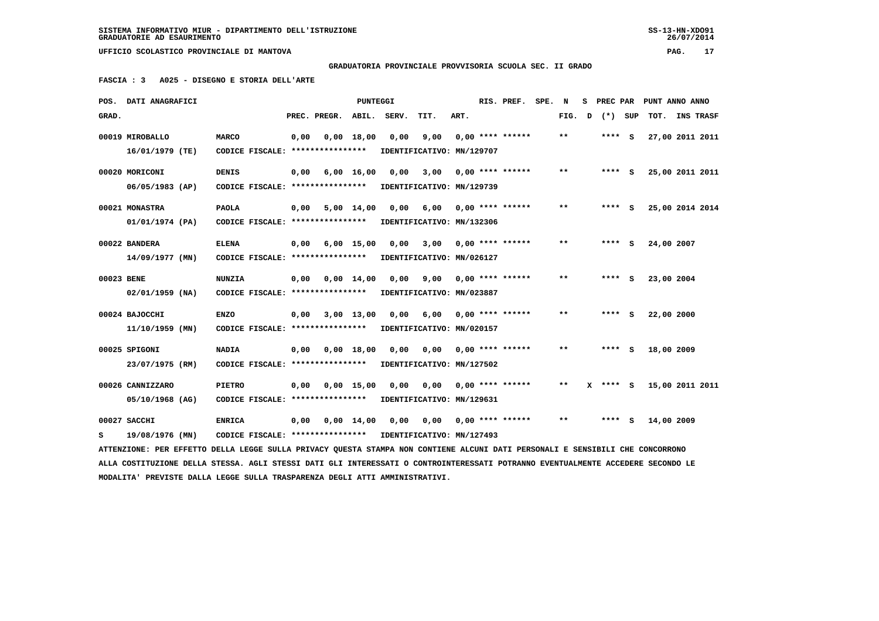## **GRADUATORIA PROVINCIALE PROVVISORIA SCUOLA SEC. II GRADO**

 **FASCIA : 3 A025 - DISEGNO E STORIA DELL'ARTE**

|            | POS. DATI ANAGRAFICI                                                                                                            |                                                            |      |                       | PUNTEGGI           |       |                           |      | RIS. PREF.                | SPE. | N      | s | PREC PAR |            | PUNT ANNO ANNO           |  |
|------------|---------------------------------------------------------------------------------------------------------------------------------|------------------------------------------------------------|------|-----------------------|--------------------|-------|---------------------------|------|---------------------------|------|--------|---|----------|------------|--------------------------|--|
| GRAD.      |                                                                                                                                 |                                                            |      | PREC. PREGR.          | ABIL.              | SERV. | TIT.                      | ART. |                           |      | FIG. D |   | (*) SUP  | TOT.       | INS TRASF                |  |
|            | 00019 MIROBALLO                                                                                                                 | <b>MARCO</b>                                               | 0,00 |                       | $0,00$ 18,00       | 0,00  | 9,00                      |      | $0.00$ **** ******        |      | $***$  |   | **** S   |            | 27,00 2011 2011          |  |
|            | 16/01/1979 (TE)                                                                                                                 | CODICE FISCALE: ****************                           |      |                       |                    |       | IDENTIFICATIVO: MN/129707 |      |                           |      |        |   |          |            |                          |  |
|            |                                                                                                                                 |                                                            |      |                       |                    |       |                           |      |                           |      |        |   |          |            |                          |  |
|            | 00020 MORICONI                                                                                                                  | <b>DENIS</b>                                               | 0,00 |                       | $6,00 \quad 16,00$ | 0.00  | 3,00                      |      | $0.00$ **** ******        |      | $**$   |   | $***$ S  |            | 25,00 2011 2011          |  |
|            | 06/05/1983 (AP)                                                                                                                 | CODICE FISCALE: *****************                          |      |                       |                    |       | IDENTIFICATIVO: MN/129739 |      |                           |      |        |   |          |            |                          |  |
|            | 00021 MONASTRA                                                                                                                  | <b>PAOLA</b>                                               | 0.00 |                       | $5,00$ 14,00       | 0.00  | 6,00                      |      | $0.00$ **** ******        |      | $* *$  |   | $***$ S  |            | 25,00 2014 2014          |  |
|            | 01/01/1974 (PA)                                                                                                                 | CODICE FISCALE: ****************                           |      |                       |                    |       | IDENTIFICATIVO: MN/132306 |      |                           |      |        |   |          |            |                          |  |
|            | 00022 BANDERA                                                                                                                   | <b>ELENA</b>                                               | 0,00 |                       | 6,00 15,00         | 0,00  |                           |      | $3,00$ 0,00 **** ******   |      | $* *$  |   | $***$ S  | 24,00 2007 |                          |  |
|            | $14/09/1977$ (MN)                                                                                                               | CODICE FISCALE: ****************                           |      |                       |                    |       | IDENTIFICATIVO: MN/026127 |      |                           |      |        |   |          |            |                          |  |
|            |                                                                                                                                 |                                                            |      |                       |                    |       |                           |      |                           |      |        |   |          |            |                          |  |
| 00023 BENE |                                                                                                                                 | <b>NUNZIA</b>                                              | 0,00 |                       | $0,00$ 14,00       | 0.00  |                           |      | $9,00$ 0,00 **** ******   |      | $**$   |   | **** S   | 23,00 2004 |                          |  |
|            | $02/01/1959$ (NA)                                                                                                               | CODICE FISCALE: ****************                           |      |                       |                    |       | IDENTIFICATIVO: MN/023887 |      |                           |      |        |   |          |            |                          |  |
|            | 00024 BAJOCCHI                                                                                                                  | <b>ENZO</b>                                                | 0,00 | 3,00 13,00            |                    | 0,00  | 6,00 0,00 **** ******     |      |                           |      | $* *$  |   | **** S   | 22,00 2000 |                          |  |
|            | $11/10/1959$ (MN)                                                                                                               | CODICE FISCALE: ****************                           |      |                       |                    |       | IDENTIFICATIVO: MN/020157 |      |                           |      |        |   |          |            |                          |  |
|            |                                                                                                                                 |                                                            |      |                       |                    |       |                           |      |                           |      |        |   |          |            |                          |  |
|            | 00025 SPIGONI                                                                                                                   | <b>NADIA</b>                                               | 0,00 |                       | 0.00 18.00         | 0.00  | 0,00                      |      | $0.00$ **** ******        |      | $* *$  |   | $***$ S  | 18,00 2009 |                          |  |
|            | 23/07/1975 (RM)                                                                                                                 | CODICE FISCALE: ****************                           |      |                       |                    |       | IDENTIFICATIVO: MN/127502 |      |                           |      |        |   |          |            |                          |  |
|            | 00026 CANNIZZARO                                                                                                                | <b>PIETRO</b>                                              | 0.00 |                       | 0.00 15.00         | 0.00  | 0,00                      |      | $0.00$ **** ******        |      | $***$  |   |          |            | X **** S 15,00 2011 2011 |  |
|            | 05/10/1968 (AG)                                                                                                                 | CODICE FISCALE: ****************                           |      |                       |                    |       | IDENTIFICATIVO: MN/129631 |      |                           |      |        |   |          |            |                          |  |
|            |                                                                                                                                 |                                                            |      |                       |                    |       |                           |      |                           |      |        |   |          |            |                          |  |
|            | 00027 SACCHI                                                                                                                    | <b>ENRICA</b>                                              |      | $0,00$ $0,00$ $14,00$ |                    | 0,00  |                           |      | $0,00$ $0,00$ **** ****** |      | $**$   |   | $***$ S  | 14,00 2009 |                          |  |
| s          | 19/08/1976 (MN)                                                                                                                 | CODICE FISCALE: **************** IDENTIFICATIVO: MN/127493 |      |                       |                    |       |                           |      |                           |      |        |   |          |            |                          |  |
|            | ATTENZIONE: PER EFFETTO DELLA LEGGE SULLA PRIVACY QUESTA STAMPA NON CONTIENE ALCUNI DATI PERSONALI E SENSIBILI CHE CONCORRONO   |                                                            |      |                       |                    |       |                           |      |                           |      |        |   |          |            |                          |  |
|            | ALLA COSTITUZIONE DELLA STESSA. AGLI STESSI DATI GLI INTERESSATI O CONTROINTERESSATI POTRANNO EVENTUALMENTE ACCEDERE SECONDO LE |                                                            |      |                       |                    |       |                           |      |                           |      |        |   |          |            |                          |  |
|            | MODALITA' PREVISTE DALLA LEGGE SULLA TRASPARENZA DEGLI ATTI AMMINISTRATIVI.                                                     |                                                            |      |                       |                    |       |                           |      |                           |      |        |   |          |            |                          |  |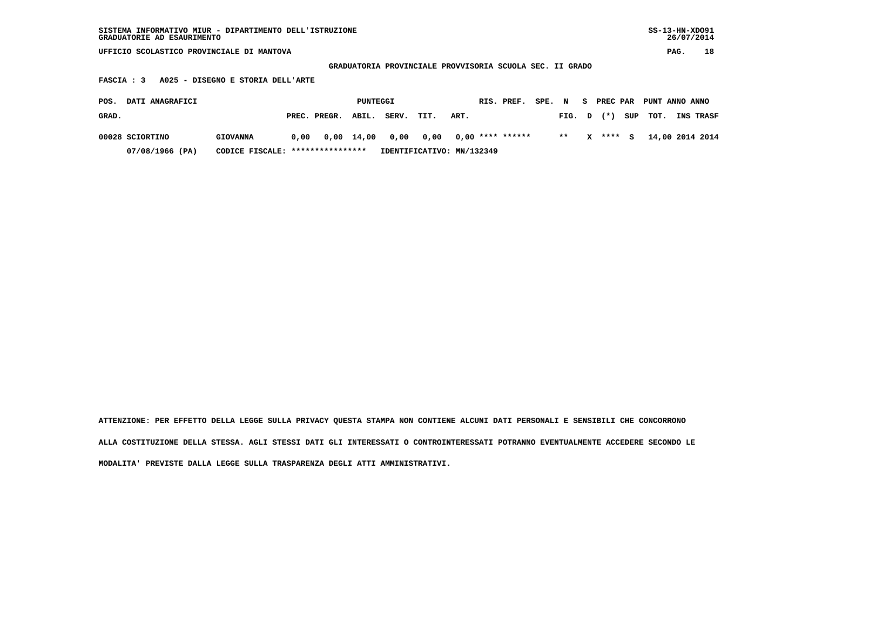| SISTEMA INFORMATIVO MIUR - DIPARTIMENTO DELL'ISTRUZIONE | SS-13-HN-XD091 |
|---------------------------------------------------------|----------------|
| GRADUATORIE AD ESAURIMENTO                              | 26/07/2014     |

 **GRADUATORIA PROVINCIALE PROVVISORIA SCUOLA SEC. II GRADO**

 **FASCIA : 3 A025 - DISEGNO E STORIA DELL'ARTE**

| POS.  | <b>DATI ANAGRAFICI</b> |                                  |      |                    | PUNTEGGI |                                       |                           |      | RIS. PREF. | SPE. | $\mathbf N$ | - S | PREC PAR |     | PUNT ANNO ANNO |                  |
|-------|------------------------|----------------------------------|------|--------------------|----------|---------------------------------------|---------------------------|------|------------|------|-------------|-----|----------|-----|----------------|------------------|
| GRAD. |                        |                                  |      | PREC. PREGR. ABIL. |          | SERV.                                 | TIT.                      | ART. |            |      | FIG. D      |     | $(*)$    | SUP | тот.           | <b>INS TRASF</b> |
|       | 00028 SCIORTINO        | <b>GIOVANNA</b>                  | 0,00 |                    |          | 0,00 14,00 0,00 0,00 0,00 **** ****** |                           |      |            |      | $**$        | x   | **** S   |     |                | 14,00 2014 2014  |
|       | 07/08/1966 (PA)        | CODICE FISCALE: **************** |      |                    |          |                                       | IDENTIFICATIVO: MN/132349 |      |            |      |             |     |          |     |                |                  |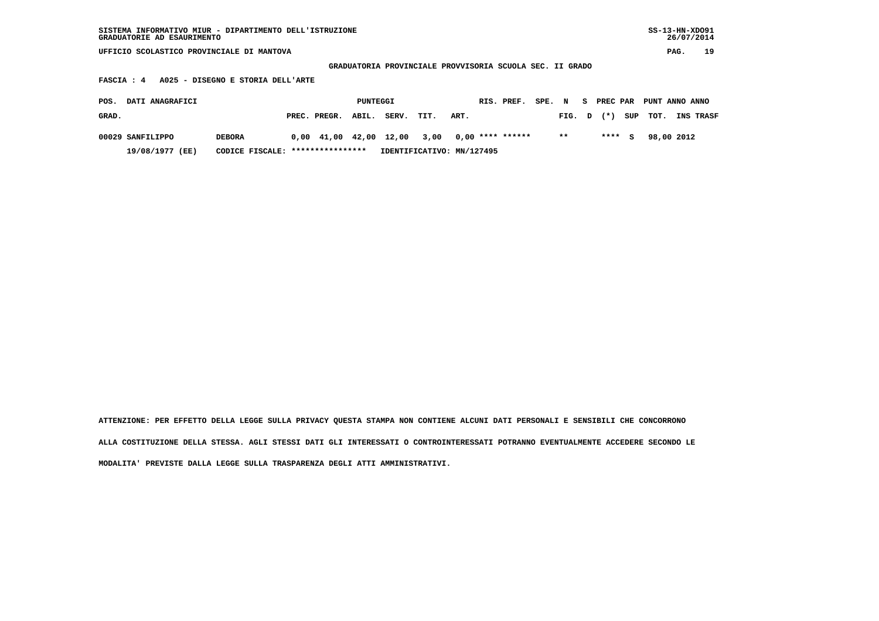| SISTEMA INFORMATIVO MIUR - DIPARTIMENTO DELL'ISTRUZIONE<br>GRADUATORIE AD ESAURIMENTO |              |          |       |      |                                                          |            |        |        |   |          |     |      | $SS-13-HN-XDO91$<br>26/07/2014 |          |
|---------------------------------------------------------------------------------------|--------------|----------|-------|------|----------------------------------------------------------|------------|--------|--------|---|----------|-----|------|--------------------------------|----------|
| UFFICIO SCOLASTICO PROVINCIALE DI MANTOVA                                             |              |          |       |      |                                                          |            |        |        |   |          |     |      | PAG.                           | 19       |
|                                                                                       |              |          |       |      | GRADUATORIA PROVINCIALE PROVVISORIA SCUOLA SEC. II GRADO |            |        |        |   |          |     |      |                                |          |
| A025 - DISEGNO E STORIA DELL'ARTE<br>FASCIA : 4                                       |              |          |       |      |                                                          |            |        |        |   |          |     |      |                                |          |
| DATI ANAGRAFICI<br>POS.                                                               |              | PUNTEGGI |       |      |                                                          | RIS. PREF. | SPE. N |        | s | PREC PAR |     |      | PUNT ANNO ANNO                 |          |
| GRAD.                                                                                 | PREC. PREGR. | ABIL.    | SERV. | TIT. | ART.                                                     |            |        | FIG. D |   | (*)      | SUP | TOT. |                                | INS TRAS |

 **00029 SANFILIPPO DEBORA 0,00 41,00 42,00 12,00 3,00 0,00 \*\*\*\* \*\*\*\*\*\* \*\* \*\*\*\* S 98,00 2012**

 **19/08/1977 (EE) CODICE FISCALE: \*\*\*\*\*\*\*\*\*\*\*\*\*\*\*\* IDENTIFICATIVO: MN/127495**

 **ATTENZIONE: PER EFFETTO DELLA LEGGE SULLA PRIVACY QUESTA STAMPA NON CONTIENE ALCUNI DATI PERSONALI E SENSIBILI CHE CONCORRONO ALLA COSTITUZIONE DELLA STESSA. AGLI STESSI DATI GLI INTERESSATI O CONTROINTERESSATI POTRANNO EVENTUALMENTE ACCEDERE SECONDO LE MODALITA' PREVISTE DALLA LEGGE SULLA TRASPARENZA DEGLI ATTI AMMINISTRATIVI.**

TOT. INS TRASF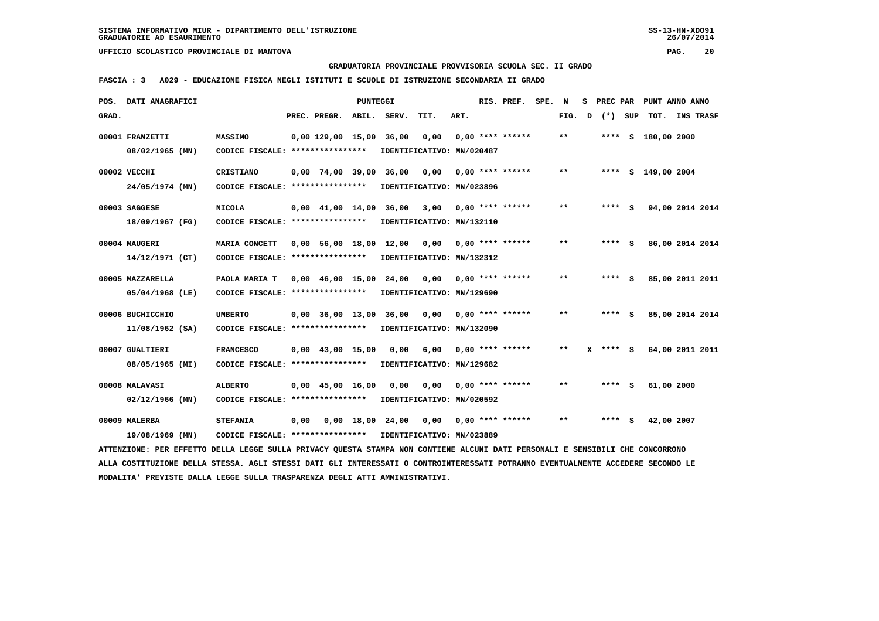**GRADUATORIA PROVINCIALE PROVVISORIA SCUOLA SEC. II GRADO**

 **FASCIA : 3 A029 - EDUCAZIONE FISICA NEGLI ISTITUTI E SCUOLE DI ISTRUZIONE SECONDARIA II GRADO**

| POS.  | DATI ANAGRAFICI                                                                                                                 |                                   |                                  | <b>PUNTEGGI</b> |                           |                           |      | RIS. PREF.         | SPE. | N     | s | PREC PAR |     |                    | PUNT ANNO ANNO  |
|-------|---------------------------------------------------------------------------------------------------------------------------------|-----------------------------------|----------------------------------|-----------------|---------------------------|---------------------------|------|--------------------|------|-------|---|----------|-----|--------------------|-----------------|
| GRAD. |                                                                                                                                 |                                   | PREC. PREGR.                     | ABIL.           | SERV.                     | TIT.                      | ART. |                    |      | FIG.  | D | $(*)$    | SUP | тот.               | INS TRASF       |
|       | 00001 FRANZETTI                                                                                                                 | <b>MASSIMO</b>                    | $0.00$ 129.00 15.00              |                 | 36,00                     | 0,00                      |      | $0.00$ **** ****** |      | $* *$ |   |          |     | **** S 180,00 2000 |                 |
|       | 08/02/1965 (MN)                                                                                                                 | CODICE FISCALE: ****************  |                                  |                 |                           | IDENTIFICATIVO: MN/020487 |      |                    |      |       |   |          |     |                    |                 |
|       | 00002 VECCHI                                                                                                                    | CRISTIANO                         | $0.00$ 74,00 39,00 36,00         |                 |                           | 0.00                      |      | $0.00$ **** ****** |      | $* *$ |   |          |     | **** S 149,00 2004 |                 |
|       | 24/05/1974 (MN)                                                                                                                 | CODICE FISCALE: ****************  |                                  |                 | IDENTIFICATIVO: MN/023896 |                           |      |                    |      |       |   |          |     |                    |                 |
|       | 00003 SAGGESE                                                                                                                   | <b>NICOLA</b>                     | 0,00 41,00 14,00 36,00           |                 |                           | 3,00                      |      | $0.00$ **** ****** |      | $* *$ |   | **** S   |     |                    | 94,00 2014 2014 |
|       | 18/09/1967 (FG)                                                                                                                 | CODICE FISCALE: ****************  |                                  |                 |                           | IDENTIFICATIVO: MN/132110 |      |                    |      |       |   |          |     |                    |                 |
|       | 00004 MAUGERI                                                                                                                   | MARIA CONCETT                     | 0,00 56,00 18,00 12,00           |                 |                           | 0,00                      |      | $0.00$ **** ****** |      | $***$ |   | $***$ S  |     |                    | 86,00 2014 2014 |
|       | 14/12/1971 (CT)                                                                                                                 | CODICE FISCALE: ****************  |                                  |                 | IDENTIFICATIVO: MN/132312 |                           |      |                    |      |       |   |          |     |                    |                 |
|       | 00005 MAZZARELLA                                                                                                                | PAOLA MARIA T                     | $0,00$ 46,00 15,00 24,00         |                 |                           | 0,00                      |      | 0,00 **** ******   |      | $***$ |   | $***$ S  |     |                    | 85,00 2011 2011 |
|       | 05/04/1968 (LE)                                                                                                                 | CODICE FISCALE: ****************  |                                  |                 | IDENTIFICATIVO: MN/129690 |                           |      |                    |      |       |   |          |     |                    |                 |
|       | 00006 BUCHICCHIO                                                                                                                | <b>UMBERTO</b>                    | $0,00$ 36,00 13,00               |                 | 36,00                     | 0,00                      |      | $0.00$ **** ****** |      | $***$ |   | **** S   |     |                    | 85,00 2014 2014 |
|       | $11/08/1962$ (SA)                                                                                                               | CODICE FISCALE: ***************** |                                  |                 | IDENTIFICATIVO: MN/132090 |                           |      |                    |      |       |   |          |     |                    |                 |
|       | 00007 GUALTIERI                                                                                                                 | <b>FRANCESCO</b>                  | $0,00$ 43,00 15,00               |                 | 0,00                      | 6,00                      |      | $0.00$ **** ****** |      | $**$  | x | $***$ S  |     |                    | 64,00 2011 2011 |
|       | 08/05/1965 (MI)                                                                                                                 | CODICE FISCALE: ****************  |                                  |                 | IDENTIFICATIVO: MN/129682 |                           |      |                    |      |       |   |          |     |                    |                 |
|       | 00008 MALAVASI                                                                                                                  | <b>ALBERTO</b>                    | $0.00 \quad 45.00 \quad 16.00$   |                 | 0,00                      | 0,00                      |      | $0.00$ **** ****** |      | $* *$ |   | **** S   |     | 61,00 2000         |                 |
|       | $02/12/1966$ (MN)                                                                                                               | CODICE FISCALE: ****************  |                                  |                 | IDENTIFICATIVO: MN/020592 |                           |      |                    |      |       |   |          |     |                    |                 |
|       | 00009 MALERBA                                                                                                                   | <b>STEFANIA</b>                   | $0.00 \t 0.00 \t 18.00 \t 24.00$ |                 |                           | 0.00                      |      | $0,00$ **** ****** |      | $* *$ |   | **** S   |     | 42,00 2007         |                 |
|       | 19/08/1969 (MN)                                                                                                                 | CODICE FISCALE: ****************  |                                  |                 | IDENTIFICATIVO: MN/023889 |                           |      |                    |      |       |   |          |     |                    |                 |
|       | ATTENZIONE: PER EFFETTO DELLA LEGGE SULLA PRIVACY QUESTA STAMPA NON CONTIENE ALCUNI DATI PERSONALI E SENSIBILI CHE CONCORRONO   |                                   |                                  |                 |                           |                           |      |                    |      |       |   |          |     |                    |                 |
|       | ALLA COSTITUZIONE DELLA STESSA. AGLI STESSI DATI GLI INTERESSATI O CONTROINTERESSATI POTRANNO EVENTUALMENTE ACCEDERE SECONDO LE |                                   |                                  |                 |                           |                           |      |                    |      |       |   |          |     |                    |                 |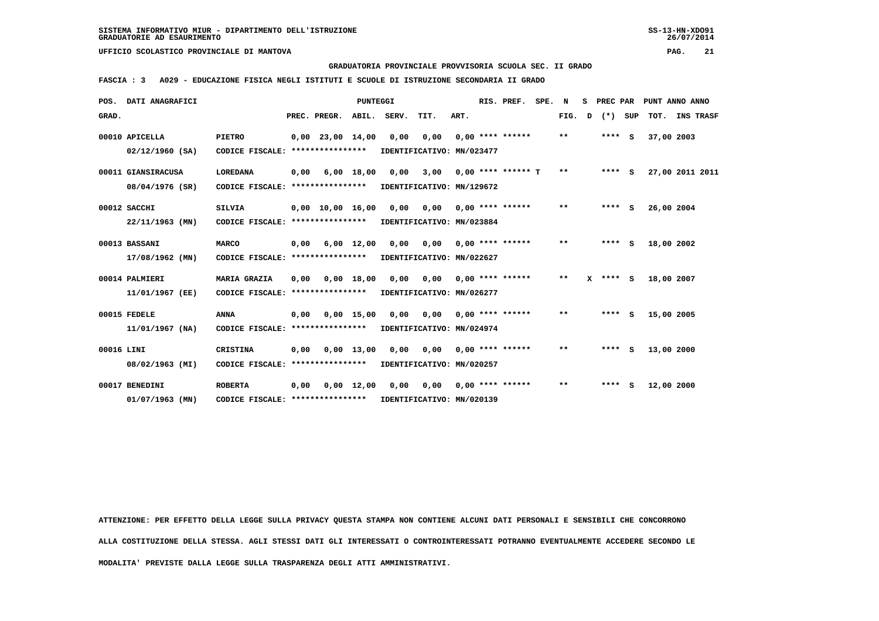#### **GRADUATORIA PROVINCIALE PROVVISORIA SCUOLA SEC. II GRADO**

 **FASCIA : 3 A029 - EDUCAZIONE FISICA NEGLI ISTITUTI E SCUOLE DI ISTRUZIONE SECONDARIA II GRADO**

|            | POS. DATI ANAGRAFICI                  |                                                      |      |                        | PUNTEGGI           |             |                                                         |      | RIS. PREF.         | SPE. | N            | s | PREC PAR     |     |            | PUNT ANNO ANNO   |
|------------|---------------------------------------|------------------------------------------------------|------|------------------------|--------------------|-------------|---------------------------------------------------------|------|--------------------|------|--------------|---|--------------|-----|------------|------------------|
| GRAD.      |                                       |                                                      |      | PREC. PREGR.           |                    | ABIL. SERV. | TIT.                                                    | ART. |                    |      | FIG.         | D | $(*)$        | SUP | тот.       | <b>INS TRASF</b> |
|            | 00010 APICELLA<br>$02/12/1960$ (SA)   | <b>PIETRO</b><br>CODICE FISCALE: ****************    |      | $0.00$ 23.00 14.00     |                    | 0,00        | 0,00<br>IDENTIFICATIVO: MN/023477                       |      | $0.00$ **** ****** |      | $\star\star$ |   | $***$ S      |     | 37,00 2003 |                  |
|            | 00011 GIANSIRACUSA<br>08/04/1976 (SR) | <b>LOREDANA</b><br>CODICE FISCALE: ****************  | 0,00 |                        | $6,00$ 18,00       | 0,00        | 3,00 0,00 **** ****** T<br>IDENTIFICATIVO: MN/129672    |      |                    |      | $***$        |   | $***$ S      |     |            | 27,00 2011 2011  |
|            | 00012 SACCHI<br>$22/11/1963$ (MN)     | <b>SILVIA</b><br>CODICE FISCALE: ****************    |      | $0,00$ $10,00$ $16,00$ |                    | 0,00        | 0,00<br>IDENTIFICATIVO: MN/023884                       |      | $0,00$ **** ****** |      | $**$         |   | $***$ S      |     | 26,00 2004 |                  |
|            | 00013 BASSANI<br>17/08/1962 (MN)      | <b>MARCO</b><br>CODICE FISCALE: ****************     | 0,00 |                        | $6,00$ 12,00       |             | 0,00 0,00 0,00 **** ******<br>IDENTIFICATIVO: MN/022627 |      |                    |      | $* *$        |   | $***$ S      |     | 18,00 2002 |                  |
|            | 00014 PALMIERI<br>11/01/1967 (EE)     | MARIA GRAZIA<br>CODICE FISCALE:                      | 0.00 | ****************       | 0.00 18.00         | 0,00        | IDENTIFICATIVO: MN/026277                               |      |                    |      | $* *$        |   | $X$ **** $S$ |     | 18,00 2007 |                  |
|            | 00015 FEDELE<br>$11/01/1967$ (NA)     | <b>ANNA</b><br>CODICE FISCALE: ****************      | 0,00 |                        | $0,00$ 15,00       | 0,00        | 0,00<br>IDENTIFICATIVO: MN/024974                       |      | $0,00$ **** ****** |      | $* *$        |   | $***$ S      |     | 15,00 2005 |                  |
| 00016 LINI | 08/02/1963 (MI)                       | <b>CRISTINA</b><br>CODICE FISCALE: ***************** | 0,00 |                        | $0,00$ 13,00       |             | 0,00 0,00 0,00 **** ******<br>IDENTIFICATIVO: MN/020257 |      |                    |      | $* *$        |   | $***$ S      |     | 13,00 2000 |                  |
|            | 00017 BENEDINI<br>$01/07/1963$ (MN)   | <b>ROBERTA</b><br>CODICE FISCALE: *****************  | 0,00 |                        | $0,00 \quad 12,00$ | 0,00        | 0,00<br>IDENTIFICATIVO: MN/020139                       |      | $0.00$ **** ****** |      | $* *$        |   | $***$ S      |     | 12,00 2000 |                  |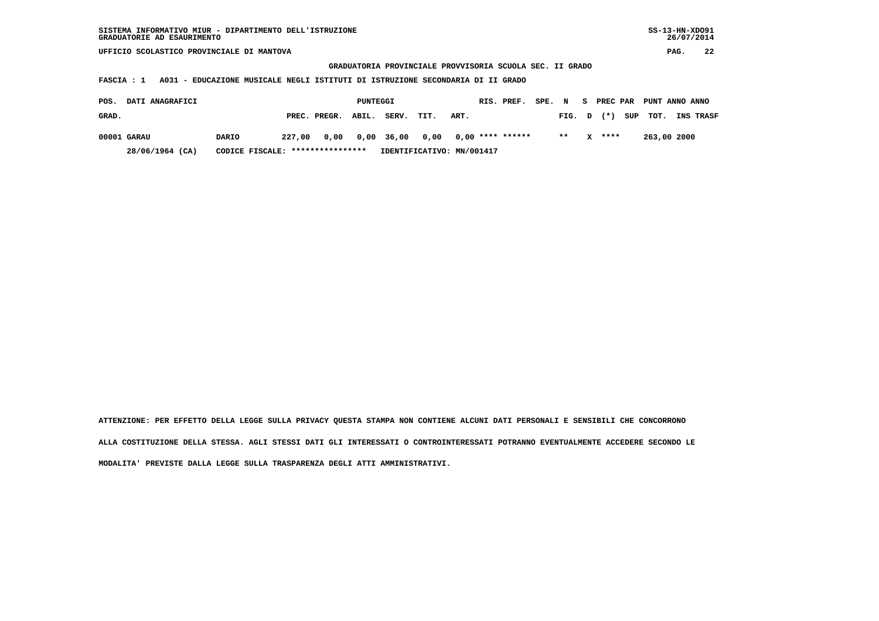**GRADUATORIA PROVINCIALE PROVVISORIA SCUOLA SEC. II GRADO**

 **FASCIA : 1 A031 - EDUCAZIONE MUSICALE NEGLI ISTITUTI DI ISTRUZIONE SECONDARIA DI II GRADO**

| POS.  | <b>DATI ANAGRAFICI</b> |                                  |        |              | PUNTEGGI |                 |                           |                  | RIS. PREF. | SPE. N |        | - S | PREC PAR |     | PUNT ANNO ANNO |                  |
|-------|------------------------|----------------------------------|--------|--------------|----------|-----------------|---------------------------|------------------|------------|--------|--------|-----|----------|-----|----------------|------------------|
| GRAD. |                        |                                  |        | PREC. PREGR. | ABIL.    | SERV.           | TIT.                      | ART.             |            |        | FIG. D |     | $(* )$   | SUP | тот.           | <b>INS TRASF</b> |
|       | 00001 GARAU            | DARIO                            | 227,00 |              |          | 0,00 0,00 36,00 | 0.00                      | 0,00 **** ****** |            |        | $* *$  |     | $X$ **** |     | 263,00 2000    |                  |
|       | 28/06/1964 (CA)        | CODICE FISCALE: **************** |        |              |          |                 | IDENTIFICATIVO: MN/001417 |                  |            |        |        |     |          |     |                |                  |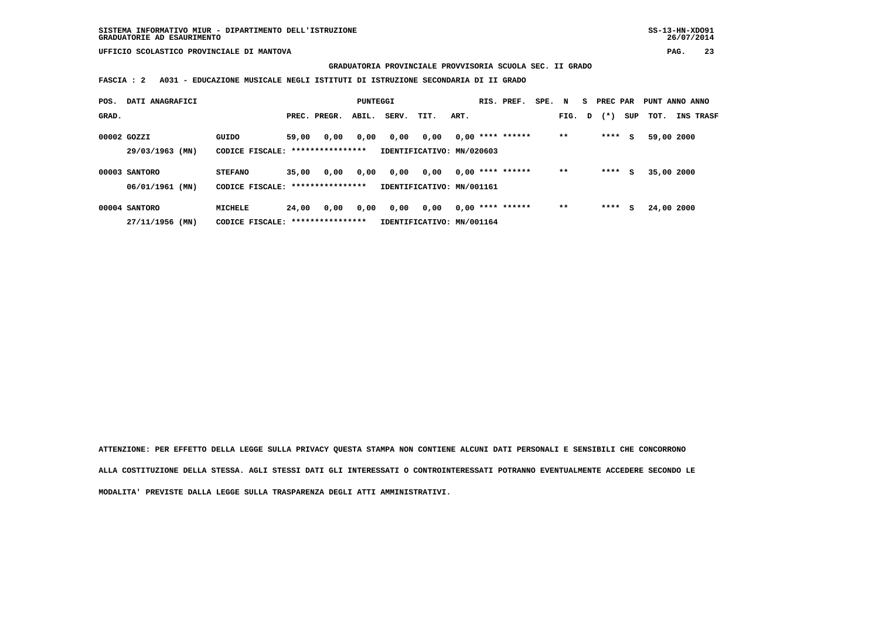**GRADUATORIA PROVINCIALE PROVVISORIA SCUOLA SEC. II GRADO**

 **FASCIA : 2 A031 - EDUCAZIONE MUSICALE NEGLI ISTITUTI DI ISTRUZIONE SECONDARIA DI II GRADO**

| POS.  | DATI ANAGRAFICI                     |                                                     |       |              | PUNTEGGI |       |                                   |      | RIS. PREF.         | SPE. N |       |   | PREC PAR |     | PUNT ANNO ANNO |                  |
|-------|-------------------------------------|-----------------------------------------------------|-------|--------------|----------|-------|-----------------------------------|------|--------------------|--------|-------|---|----------|-----|----------------|------------------|
| GRAD. |                                     |                                                     |       | PREC. PREGR. | ABIL.    | SERV. | TIT.                              | ART. |                    |        | FIG.  | D | $(*)$    | SUP | TOT.           | <b>INS TRASF</b> |
|       | 00002 GOZZI<br>29/03/1963 (MN)      | GUIDO<br>CODICE FISCALE: *****************          | 59,00 | 0,00         | 0,00     | 0,00  | 0,00<br>IDENTIFICATIVO: MN/020603 |      | $0,00$ **** ****** |        | $* *$ |   | ****     | s   | 59,00 2000     |                  |
|       | 00003 SANTORO<br>06/01/1961 (MN)    | <b>STEFANO</b><br>CODICE FISCALE: ***************** | 35,00 | 0,00         | 0,00     | 0,00  | 0,00<br>IDENTIFICATIVO: MN/001161 |      | $0.00$ **** ****** |        | $* *$ |   | ****     | s   | 35,00 2000     |                  |
|       | 00004 SANTORO<br>27/11/1956<br>(MN) | <b>MICHELE</b><br>CODICE FISCALE: ****************  | 24,00 | 0,00         | 0,00     | 0,00  | 0,00<br>IDENTIFICATIVO: MN/001164 |      | $0.00$ **** ****** |        | $* *$ |   | ****     | s   | 24,00 2000     |                  |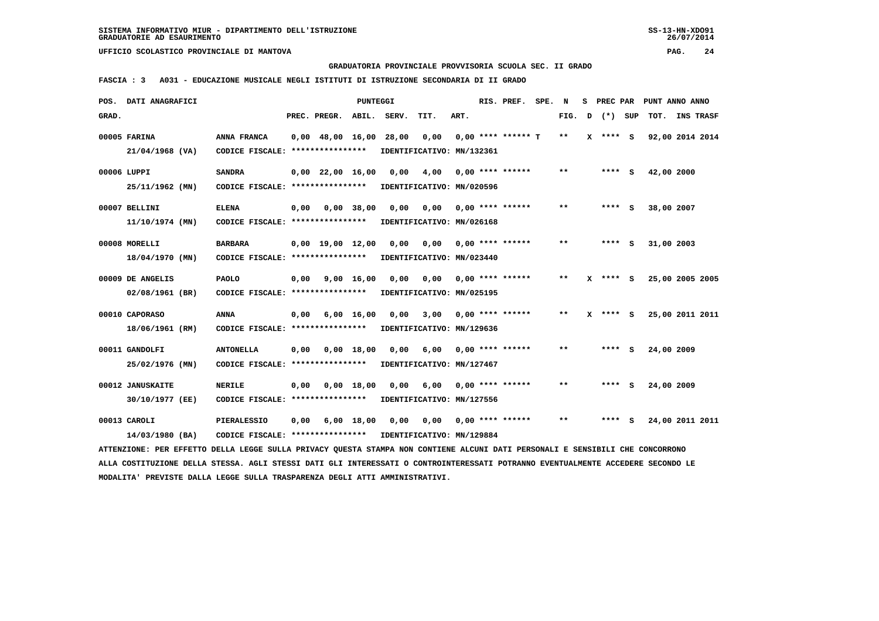**GRADUATORIA PROVINCIALE PROVVISORIA SCUOLA SEC. II GRADO**

 **FASCIA : 3 A031 - EDUCAZIONE MUSICALE NEGLI ISTITUTI DI ISTRUZIONE SECONDARIA DI II GRADO**

| POS.  | DATI ANAGRAFICI                                                                                                                 |                                                            |      |                                | PUNTEGGI           |                       |                           |      | RIS. PREF.                | SPE. N |              |   | S PREC PAR   |     | PUNT ANNO ANNO  |  |
|-------|---------------------------------------------------------------------------------------------------------------------------------|------------------------------------------------------------|------|--------------------------------|--------------------|-----------------------|---------------------------|------|---------------------------|--------|--------------|---|--------------|-----|-----------------|--|
| GRAD. |                                                                                                                                 |                                                            |      | PREC. PREGR. ABIL.             |                    | SERV.                 | TIT.                      | ART. |                           |        | FIG.         | D | $(\star)$    | SUP | TOT. INS TRASF  |  |
|       | 00005 FARINA                                                                                                                    | ANNA FRANCA                                                |      | $0,00$ 48,00 16,00             |                    | 28,00                 | 0,00                      |      | $0,00$ **** ****** T      |        | **           |   | $X$ **** $S$ |     | 92,00 2014 2014 |  |
|       | 21/04/1968 (VA)                                                                                                                 | CODICE FISCALE: ****************                           |      |                                |                    |                       | IDENTIFICATIVO: MN/132361 |      |                           |        |              |   |              |     |                 |  |
|       |                                                                                                                                 |                                                            |      |                                |                    |                       |                           |      |                           |        |              |   |              |     |                 |  |
|       | 00006 LUPPI                                                                                                                     | <b>SANDRA</b>                                              |      |                                |                    | 0,00 22,00 16,00 0,00 |                           |      | $4,00$ 0,00 **** ******   |        | $***$        |   | $***$ S      |     | 42,00 2000      |  |
|       | 25/11/1962 (MN)                                                                                                                 | CODICE FISCALE: *****************                          |      |                                |                    |                       | IDENTIFICATIVO: MN/020596 |      |                           |        |              |   |              |     |                 |  |
|       |                                                                                                                                 |                                                            |      |                                |                    |                       |                           |      |                           |        |              |   |              |     |                 |  |
|       | 00007 BELLINI                                                                                                                   | <b>ELENA</b>                                               | 0,00 |                                | 0,00 38,00         | 0.00                  | 0.00                      |      | $0.00$ **** ******        |        | $* *$        |   | **** S       |     | 38,00 2007      |  |
|       | 11/10/1974 (MN)                                                                                                                 | CODICE FISCALE: ****************                           |      |                                |                    |                       | IDENTIFICATIVO: MN/026168 |      |                           |        |              |   |              |     |                 |  |
|       | 00008 MORELLI                                                                                                                   | <b>BARBARA</b>                                             |      | $0,00 \quad 19,00 \quad 12,00$ |                    | 0,00                  |                           |      | $0,00$ $0,00$ **** ****** |        | $* *$        |   | **** S       |     | 31,00 2003      |  |
|       | 18/04/1970 (MN)                                                                                                                 | CODICE FISCALE: ****************                           |      |                                |                    |                       | IDENTIFICATIVO: MN/023440 |      |                           |        |              |   |              |     |                 |  |
|       |                                                                                                                                 |                                                            |      |                                |                    |                       |                           |      |                           |        |              |   |              |     |                 |  |
|       | 00009 DE ANGELIS                                                                                                                | PAOLO                                                      | 0,00 | 9,00 16,00                     |                    | 0,00                  | 0,00                      |      | $0,00$ **** ******        |        | $* *$        |   | $X$ **** S   |     | 25,00 2005 2005 |  |
|       | 02/08/1961 (BR)                                                                                                                 | CODICE FISCALE: ****************                           |      |                                |                    |                       | IDENTIFICATIVO: MN/025195 |      |                           |        |              |   |              |     |                 |  |
|       | 00010 CAPORASO                                                                                                                  | <b>ANNA</b>                                                | 0,00 |                                | $6,00 \quad 16,00$ | 0,00                  | 3,00                      |      | $0.00$ **** ******        |        | $* *$        |   | $X$ **** S   |     | 25,00 2011 2011 |  |
|       | 18/06/1961 (RM)                                                                                                                 | CODICE FISCALE: ****************                           |      |                                |                    |                       | IDENTIFICATIVO: MN/129636 |      |                           |        |              |   |              |     |                 |  |
|       |                                                                                                                                 |                                                            |      |                                |                    |                       |                           |      |                           |        |              |   |              |     |                 |  |
|       | 00011 GANDOLFI                                                                                                                  | <b>ANTONELLA</b>                                           |      | $0,00$ $0,00$ $18,00$          |                    | 0,00                  | 6,00                      |      | $0.00$ **** ******        |        | **           |   | $***$ S      |     | 24,00 2009      |  |
|       | 25/02/1976 (MN)                                                                                                                 | CODICE FISCALE: ****************                           |      |                                |                    |                       | IDENTIFICATIVO: MN/127467 |      |                           |        |              |   |              |     |                 |  |
|       |                                                                                                                                 |                                                            |      |                                |                    |                       |                           |      |                           |        |              |   |              |     |                 |  |
|       | 00012 JANUSKAITE                                                                                                                | <b>NERILE</b>                                              | 0,00 |                                | $0,00$ 18,00       | 0,00                  | 6,00                      |      | $0.00$ **** ******        |        | $\star\star$ |   | **** S       |     | 24,00 2009      |  |
|       | 30/10/1977 (EE)                                                                                                                 | CODICE FISCALE: ****************                           |      |                                |                    |                       | IDENTIFICATIVO: MN/127556 |      |                           |        |              |   |              |     |                 |  |
|       | 00013 CAROLI                                                                                                                    | PIERALESSIO                                                | 0,00 |                                |                    | 6,00 18,00 0,00       |                           |      | $0,00$ $0,00$ **** ****** |        | $***$        |   | **** S       |     | 24,00 2011 2011 |  |
|       | 14/03/1980 (BA)                                                                                                                 | CODICE FISCALE: **************** IDENTIFICATIVO: MN/129884 |      |                                |                    |                       |                           |      |                           |        |              |   |              |     |                 |  |
|       | ATTENZIONE: PER EFFETTO DELLA LEGGE SULLA PRIVACY OUESTA STAMPA NON CONTIENE ALCUNI DATI PERSONALI E SENSIBILI CHE CONCORRONO   |                                                            |      |                                |                    |                       |                           |      |                           |        |              |   |              |     |                 |  |
|       | ALLA COSTITUZIONE DELLA STESSA. AGLI STESSI DATI GLI INTERESSATI O CONTROINTERESSATI POTRANNO EVENTUALMENTE ACCEDERE SECONDO LE |                                                            |      |                                |                    |                       |                           |      |                           |        |              |   |              |     |                 |  |
|       | MODALITA' PREVISTE DALLA LEGGE SULLA TRASPARENZA DEGLI ATTI AMMINISTRATIVI.                                                     |                                                            |      |                                |                    |                       |                           |      |                           |        |              |   |              |     |                 |  |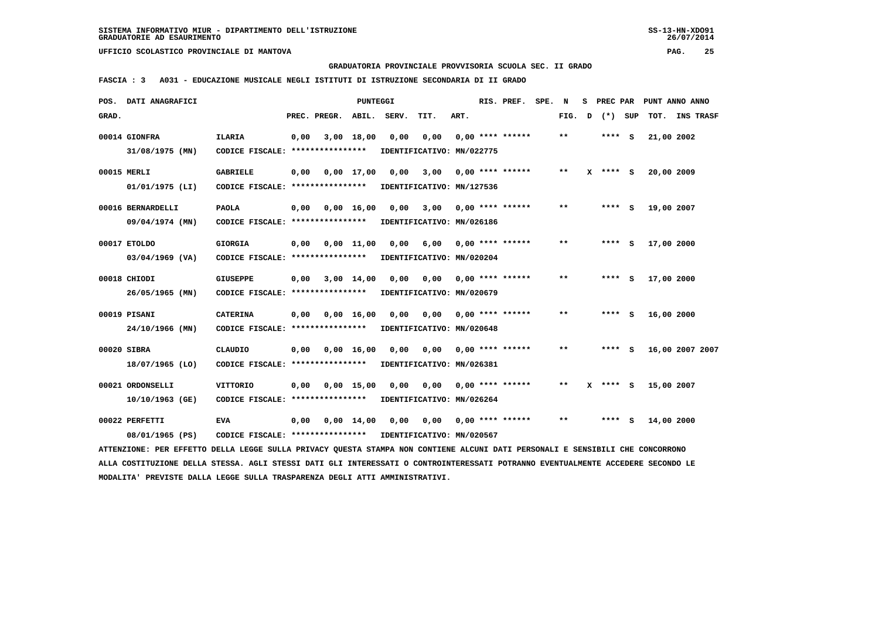**GRADUATORIA PROVINCIALE PROVVISORIA SCUOLA SEC. II GRADO**

 **FASCIA : 3 A031 - EDUCAZIONE MUSICALE NEGLI ISTITUTI DI ISTRUZIONE SECONDARIA DI II GRADO**

|       | POS. DATI ANAGRAFICI                                                                                                            |                                                            |      |                       | <b>PUNTEGGI</b> |           |                                       |      | RIS. PREF. SPE.       | N     | s | PREC PAR     |        |            | PUNT ANNO ANNO  |
|-------|---------------------------------------------------------------------------------------------------------------------------------|------------------------------------------------------------|------|-----------------------|-----------------|-----------|---------------------------------------|------|-----------------------|-------|---|--------------|--------|------------|-----------------|
| GRAD. |                                                                                                                                 |                                                            |      | PREC. PREGR. ABIL.    |                 | SERV.     | TIT.                                  | ART. |                       | FIG.  |   | D (*) SUP    |        |            | TOT. INS TRASF  |
|       | 00014 GIONFRA                                                                                                                   | <b>ILARIA</b>                                              | 0,00 |                       | 3,00 18,00      | 0,00      | 0,00                                  |      | $0,00$ **** ******    | $* *$ |   | $***$ S      |        | 21,00 2002 |                 |
|       | 31/08/1975 (MN)                                                                                                                 | CODICE FISCALE: ****************                           |      |                       |                 |           | IDENTIFICATIVO: MN/022775             |      |                       |       |   |              |        |            |                 |
|       | 00015 MERLI                                                                                                                     | <b>GABRIELE</b>                                            | 0,00 |                       | 0,00 17,00      | 0,00 3,00 |                                       |      | $0,00$ **** ******    | $* *$ |   | $X$ **** $S$ |        | 20,00 2009 |                 |
|       | $01/01/1975$ (LI)                                                                                                               | CODICE FISCALE: *****************                          |      |                       |                 |           | IDENTIFICATIVO: MN/127536             |      |                       |       |   |              |        |            |                 |
|       | 00016 BERNARDELLI                                                                                                               | <b>PAOLA</b>                                               |      | $0,00$ $0,00$ $16,00$ |                 |           | 0,00 3,00 0,00 **** ******            |      |                       | $* *$ |   | **** S       |        | 19,00 2007 |                 |
|       | 09/04/1974 (MN)                                                                                                                 | CODICE FISCALE: ****************                           |      |                       |                 |           | IDENTIFICATIVO: MN/026186             |      |                       |       |   |              |        |            |                 |
|       | 00017 ETOLDO                                                                                                                    | <b>GIORGIA</b>                                             | 0,00 | 0,00 11,00            |                 | 0,00      | 6,00 0,00 **** ******                 |      |                       | $* *$ |   | **** S       |        | 17,00 2000 |                 |
|       | $03/04/1969$ (VA)                                                                                                               | CODICE FISCALE: *****************                          |      |                       |                 |           | IDENTIFICATIVO: MN/020204             |      |                       |       |   |              |        |            |                 |
|       | 00018 CHIODI                                                                                                                    | <b>GIUSEPPE</b>                                            |      | $0,00$ $3,00$ $14,00$ |                 |           | 0,00 0,00 0,00 **** ******            |      |                       | $* *$ |   | $***$ S      |        | 17,00 2000 |                 |
|       | 26/05/1965 (MN)                                                                                                                 | CODICE FISCALE: ****************                           |      |                       |                 |           | IDENTIFICATIVO: MN/020679             |      |                       |       |   |              |        |            |                 |
|       | 00019 PISANI                                                                                                                    | <b>CATERINA</b>                                            | 0,00 |                       | 0.00 16.00      | 0,00      |                                       |      |                       | $* *$ |   | **** S       |        | 16,00 2000 |                 |
|       | 24/10/1966 (MN)                                                                                                                 | CODICE FISCALE: ****************                           |      |                       |                 |           | IDENTIFICATIVO: MN/020648             |      |                       |       |   |              |        |            |                 |
|       | 00020 SIBRA                                                                                                                     | CLAUDIO                                                    |      | $0,00$ $0,00$ $16,00$ |                 |           | 0,00 0,00 0,00 **** ******            |      |                       | $**$  |   |              | **** S |            | 16,00 2007 2007 |
|       | 18/07/1965 (LO)                                                                                                                 | CODICE FISCALE: ****************                           |      |                       |                 |           | IDENTIFICATIVO: MN/026381             |      |                       |       |   |              |        |            |                 |
|       | 00021 ORDONSELLI                                                                                                                | <b>VITTORIO</b>                                            | 0,00 |                       | $0,00$ 15,00    | 0,00      |                                       |      | 0,00 0,00 **** ****** | $***$ |   | $X$ **** $S$ |        | 15,00 2007 |                 |
|       | 10/10/1963 (GE)                                                                                                                 | CODICE FISCALE: *****************                          |      |                       |                 |           | IDENTIFICATIVO: MN/026264             |      |                       |       |   |              |        |            |                 |
|       | 00022 PERFETTI                                                                                                                  | <b>EVA</b>                                                 | 0,00 |                       |                 |           | 0,00 14,00 0,00 0,00 0,00 **** ****** |      |                       | $***$ |   | $***$ S      |        | 14,00 2000 |                 |
|       | 08/01/1965 (PS)                                                                                                                 | CODICE FISCALE: **************** IDENTIFICATIVO: MN/020567 |      |                       |                 |           |                                       |      |                       |       |   |              |        |            |                 |
|       | ATTENZIONE: PER EFFETTO DELLA LEGGE SULLA PRIVACY QUESTA STAMPA NON CONTIENE ALCUNI DATI PERSONALI E SENSIBILI CHE CONCORRONO   |                                                            |      |                       |                 |           |                                       |      |                       |       |   |              |        |            |                 |
|       | ALLA COSTITUZIONE DELLA STESSA. AGLI STESSI DATI GLI INTERESSATI O CONTROINTERESSATI POTRANNO EVENTUALMENTE ACCEDERE SECONDO LE |                                                            |      |                       |                 |           |                                       |      |                       |       |   |              |        |            |                 |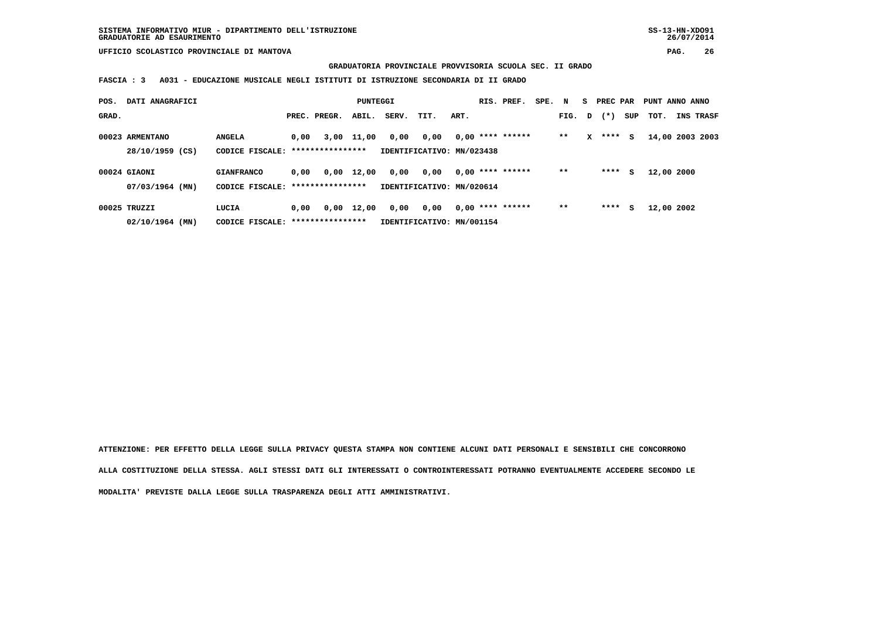**GRADUATORIA PROVINCIALE PROVVISORIA SCUOLA SEC. II GRADO**

 **FASCIA : 3 A031 - EDUCAZIONE MUSICALE NEGLI ISTITUTI DI ISTRUZIONE SECONDARIA DI II GRADO**

| POS.  | DATI ANAGRAFICI                     |                                                        |      |              | PUNTEGGI   |       |                                   |      | RIS. PREF.         | SPE. N |        |   | PREC PAR  |     | PUNT ANNO ANNO |                  |
|-------|-------------------------------------|--------------------------------------------------------|------|--------------|------------|-------|-----------------------------------|------|--------------------|--------|--------|---|-----------|-----|----------------|------------------|
| GRAD. |                                     |                                                        |      | PREC. PREGR. | ABIL.      | SERV. | TIT.                              | ART. |                    |        | FIG. D |   | $(\star)$ | SUP | тот.           | <b>INS TRASF</b> |
|       | 00023 ARMENTANO<br>28/10/1959 (CS)  | <b>ANGELA</b><br>CODICE FISCALE: ****************      | 0,00 |              | 3,00 11,00 | 0,00  | 0,00<br>IDENTIFICATIVO: MN/023438 |      | $0,00$ **** ****** |        | $**$   | x | ****      | s   |                | 14,00 2003 2003  |
|       | 00024 GIAONI<br>$07/03/1964$ (MN)   | <b>GIANFRANCO</b><br>CODICE FISCALE: ***************** | 0,00 | 0,00         | 12,00      | 0,00  | 0,00<br>IDENTIFICATIVO: MN/020614 |      | $0.00$ **** ****** |        | $* *$  |   | ****      | s   | 12,00 2000     |                  |
|       | $00025$ TRUZZI<br>$02/10/1964$ (MN) | LUCIA<br>CODICE FISCALE: ****************              | 0.00 | 0,00         | 12,00      | 0,00  | 0,00<br>IDENTIFICATIVO: MN/001154 |      | $0.00$ **** ****** |        | $* *$  |   | ****      | s   | 12,00 2002     |                  |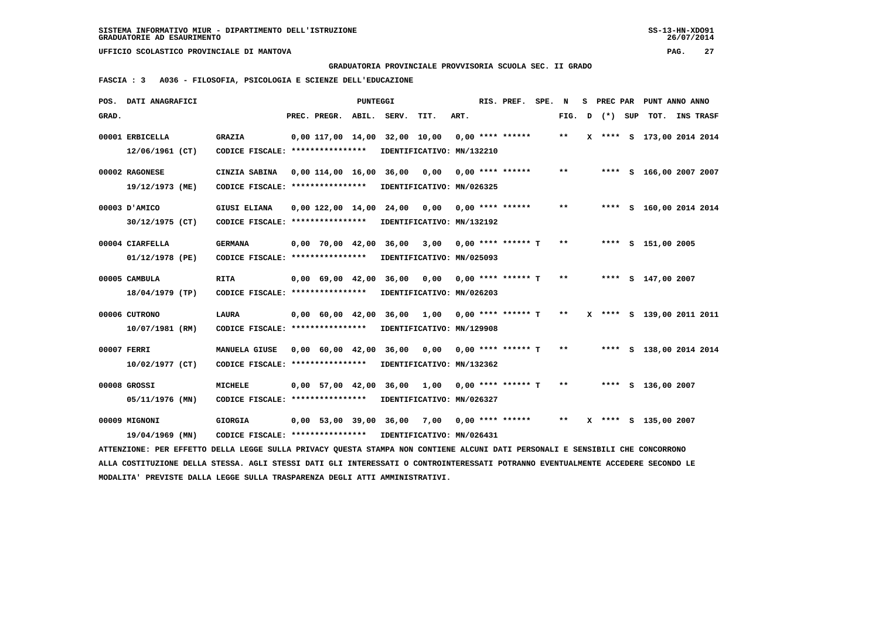**GRADUATORIA PROVINCIALE PROVVISORIA SCUOLA SEC. II GRADO**

 **FASCIA : 3 A036 - FILOSOFIA, PSICOLOGIA E SCIENZE DELL'EDUCAZIONE**

|       | POS. DATI ANAGRAFICI                                                                                                            |                                                            |                    | PUNTEGGI |                                                  |      |      | RIS. PREF.           | SPE. | N            |         | S PREC PAR PUNT ANNO ANNO |  |
|-------|---------------------------------------------------------------------------------------------------------------------------------|------------------------------------------------------------|--------------------|----------|--------------------------------------------------|------|------|----------------------|------|--------------|---------|---------------------------|--|
| GRAD. |                                                                                                                                 |                                                            | PREC. PREGR. ABIL. |          | SERV.                                            | TIT. | ART. |                      |      | FIG. D       | (*) SUP | TOT. INS TRASF            |  |
|       | 00001 ERBICELLA                                                                                                                 | <b>GRAZIA</b>                                              |                    |          | 0,00 117,00 14,00 32,00 10,00                    |      |      | $0,00$ **** ******   |      | $***$        |         | X **** S 173,00 2014 2014 |  |
|       | 12/06/1961 (CT)                                                                                                                 | CODICE FISCALE: ****************                           |                    |          | IDENTIFICATIVO: MN/132210                        |      |      |                      |      |              |         |                           |  |
|       | 00002 RAGONESE                                                                                                                  | CINZIA SABINA                                              |                    |          | 0,00 114,00 16,00 36,00                          | 0,00 |      | $0.00$ **** ******   |      | $* *$        |         | **** S 166,00 2007 2007   |  |
|       | 19/12/1973 (ME)                                                                                                                 | CODICE FISCALE: *****************                          |                    |          | IDENTIFICATIVO: MN/026325                        |      |      |                      |      |              |         |                           |  |
|       | 00003 D'AMICO                                                                                                                   | <b>GIUSI ELIANA</b>                                        |                    |          | $0,00$ 122,00 14,00 24,00 0,00 0,00 **** ******  |      |      |                      |      | $***$        |         | **** S 160,00 2014 2014   |  |
|       | 30/12/1975 (CT)                                                                                                                 | CODICE FISCALE: ****************                           |                    |          | IDENTIFICATIVO: MN/132192                        |      |      |                      |      |              |         |                           |  |
|       | 00004 CIARFELLA                                                                                                                 | <b>GERMANA</b>                                             |                    |          | 0,00 70,00 42,00 36,00                           | 3,00 |      | $0,00$ **** ****** T |      | $***$        |         | **** S 151,00 2005        |  |
|       | 01/12/1978 (PE)                                                                                                                 | CODICE FISCALE: *****************                          |                    |          | IDENTIFICATIVO: MN/025093                        |      |      |                      |      |              |         |                           |  |
|       | 00005 CAMBULA                                                                                                                   | <b>RITA</b>                                                |                    |          | $0,00$ 69,00 42,00 36,00 0,00 0,00 **** ****** T |      |      |                      |      | $***$        |         | **** S 147,00 2007        |  |
|       | 18/04/1979 (TP)                                                                                                                 | CODICE FISCALE: ****************                           |                    |          | IDENTIFICATIVO: MN/026203                        |      |      |                      |      |              |         |                           |  |
|       | 00006 CUTRONO                                                                                                                   | LAURA                                                      |                    |          | 0,00 60,00 42,00 36,00 1,00                      |      |      | 0,00 **** ****** T   |      | $***$        |         | X **** S 139,00 2011 2011 |  |
|       | 10/07/1981 (RM)                                                                                                                 | CODICE FISCALE: ****************                           |                    |          | IDENTIFICATIVO: MN/129908                        |      |      |                      |      |              |         |                           |  |
|       | 00007 FERRI                                                                                                                     | MANUELA GIUSE                                              |                    |          | $0,00$ 60,00 42,00 36,00 0,00 0,00 **** ****** T |      |      |                      |      | $***$        |         | **** S 138,00 2014 2014   |  |
|       | 10/02/1977 (CT)                                                                                                                 | CODICE FISCALE: ****************                           |                    |          | IDENTIFICATIVO: MN/132362                        |      |      |                      |      |              |         |                           |  |
|       | 00008 GROSSI                                                                                                                    | <b>MICHELE</b>                                             |                    |          | 0,00 57,00 42,00 36,00 1,00                      |      |      | 0,00 **** ****** T   |      | $***$        |         | **** S 136,00 2007        |  |
|       | 05/11/1976 (MN)                                                                                                                 | CODICE FISCALE: ****************                           |                    |          | IDENTIFICATIVO: MN/026327                        |      |      |                      |      |              |         |                           |  |
|       | 00009 MIGNONI                                                                                                                   | <b>GIORGIA</b>                                             |                    |          | $0,00$ 53,00 39,00 36,00 7,00 0,00 **** ******   |      |      |                      |      | $\star\star$ |         | X **** S 135,00 2007      |  |
|       | 19/04/1969 (MN)                                                                                                                 | CODICE FISCALE: **************** IDENTIFICATIVO: MN/026431 |                    |          |                                                  |      |      |                      |      |              |         |                           |  |
|       | ATTENZIONE: PER EFFETTO DELLA LEGGE SULLA PRIVACY QUESTA STAMPA NON CONTIENE ALCUNI DATI PERSONALI E SENSIBILI CHE CONCORRONO   |                                                            |                    |          |                                                  |      |      |                      |      |              |         |                           |  |
|       | ALLA COSTITUZIONE DELLA STESSA. AGLI STESSI DATI GLI INTERESSATI O CONTROINTERESSATI POTRANNO EVENTUALMENTE ACCEDERE SECONDO LE |                                                            |                    |          |                                                  |      |      |                      |      |              |         |                           |  |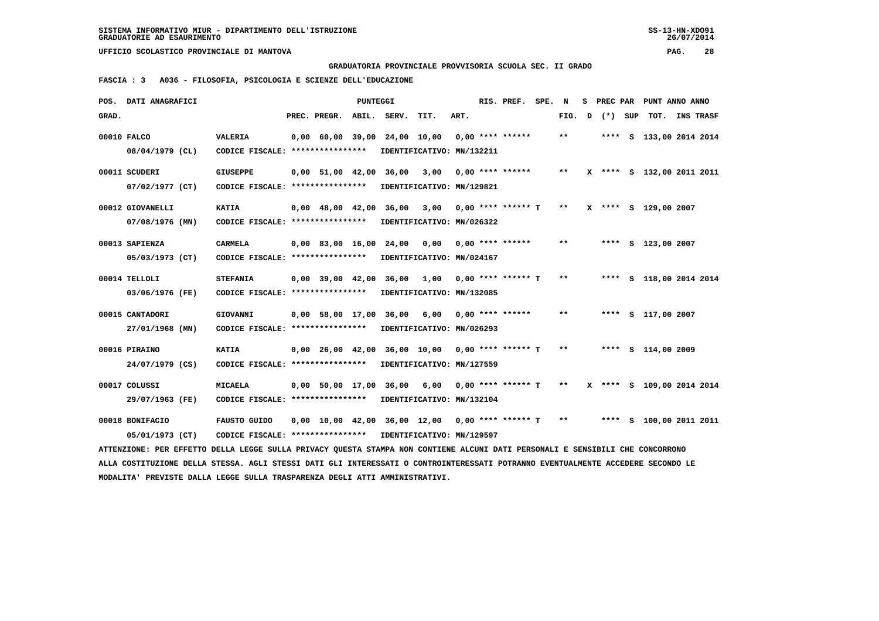**GRADUATORIA PROVINCIALE PROVVISORIA SCUOLA SEC. II GRADO**

 **FASCIA : 3 A036 - FILOSOFIA, PSICOLOGIA E SCIENZE DELL'EDUCAZIONE**

|       | POS. DATI ANAGRAFICI                                                                                                            |                                   |                    | PUNTEGGI |                                                   |                           |      | RIS. PREF.              | SPE. | N      | s | PREC PAR |         | PUNT ANNO ANNO            |                  |  |
|-------|---------------------------------------------------------------------------------------------------------------------------------|-----------------------------------|--------------------|----------|---------------------------------------------------|---------------------------|------|-------------------------|------|--------|---|----------|---------|---------------------------|------------------|--|
| GRAD. |                                                                                                                                 |                                   | PREC. PREGR.       | ABIL.    | SERV.                                             | TIT.                      | ART. |                         |      | FIG. D |   |          | (*) SUP | TOT.                      | <b>INS TRASF</b> |  |
|       | 00010 FALCO                                                                                                                     | <b>VALERIA</b>                    |                    |          | 0,00 60,00 39,00 24,00 10,00                      |                           |      | $0.00$ **** ******      |      | $***$  |   |          |         | **** S 133,00 2014 2014   |                  |  |
|       | 08/04/1979 (CL)                                                                                                                 | CODICE FISCALE: ****************  |                    |          |                                                   | IDENTIFICATIVO: MN/132211 |      |                         |      |        |   |          |         |                           |                  |  |
|       | 00011 SCUDERI                                                                                                                   | <b>GIUSEPPE</b>                   |                    |          | 0,00 51,00 42,00 36,00                            | 3,00                      |      | $0.00$ **** ******      |      | $***$  |   |          |         | X **** S 132,00 2011 2011 |                  |  |
|       | $07/02/1977$ (CT)                                                                                                               | CODICE FISCALE: ****************  |                    |          |                                                   | IDENTIFICATIVO: MN/129821 |      |                         |      |        |   |          |         |                           |                  |  |
|       |                                                                                                                                 |                                   |                    |          |                                                   |                           |      |                         |      |        |   |          |         |                           |                  |  |
|       | 00012 GIOVANELLI                                                                                                                | <b>KATIA</b>                      | $0,00$ 48,00 42,00 |          | 36,00                                             | 3,00                      |      | $0,00$ **** ****** T ** |      |        |   |          |         | X **** S 129,00 2007      |                  |  |
|       | 07/08/1976 (MN)                                                                                                                 | CODICE FISCALE: ****************  |                    |          |                                                   | IDENTIFICATIVO: MN/026322 |      |                         |      |        |   |          |         |                           |                  |  |
|       | 00013 SAPIENZA                                                                                                                  | <b>CARMELA</b>                    |                    |          | 0,00 83,00 16,00 24,00 0,00                       |                           |      | $0.00$ **** ******      |      | $**$   |   |          |         | **** S 123,00 2007        |                  |  |
|       | 05/03/1973 (CT)                                                                                                                 | CODICE FISCALE: ****************  |                    |          |                                                   | IDENTIFICATIVO: MN/024167 |      |                         |      |        |   |          |         |                           |                  |  |
|       |                                                                                                                                 |                                   |                    |          |                                                   |                           |      |                         |      |        |   |          |         |                           |                  |  |
|       | 00014 TELLOLI                                                                                                                   | <b>STEFANIA</b>                   |                    |          | $0.00$ 39.00 42.00 36.00                          | 1,00                      |      | $0.00$ **** ****** T    |      | $***$  |   |          |         | **** S 118,00 2014 2014   |                  |  |
|       | 03/06/1976 (FE)                                                                                                                 | CODICE FISCALE: ***************** |                    |          |                                                   | IDENTIFICATIVO: MN/132085 |      |                         |      |        |   |          |         |                           |                  |  |
|       | 00015 CANTADORI                                                                                                                 | <b>GIOVANNI</b>                   |                    |          | 0,00 58,00 17,00 36,00 6,00                       |                           |      | $0.00$ **** ******      |      | $***$  |   |          |         | **** S 117,00 2007        |                  |  |
|       | 27/01/1968 (MN)                                                                                                                 | CODICE FISCALE: ****************  |                    |          |                                                   | IDENTIFICATIVO: MN/026293 |      |                         |      |        |   |          |         |                           |                  |  |
|       |                                                                                                                                 |                                   |                    |          |                                                   |                           |      |                         |      |        |   |          |         |                           |                  |  |
|       | 00016 PIRAINO                                                                                                                   | <b>KATIA</b>                      |                    |          | 0,00 26,00 42,00 36,00 10,00                      |                           |      | $0,00$ **** ****** T    |      | $***$  |   |          |         | **** S 114,00 2009        |                  |  |
|       | 24/07/1979 (CS)                                                                                                                 | CODICE FISCALE: ***************** |                    |          |                                                   | IDENTIFICATIVO: MN/127559 |      |                         |      |        |   |          |         |                           |                  |  |
|       | 00017 COLUSSI                                                                                                                   | <b>MICAELA</b>                    |                    |          | 0,00 50,00 17,00 36,00 6,00                       |                           |      | $0.00$ **** ****** T    |      | $***$  |   |          |         | X **** S 109,00 2014 2014 |                  |  |
|       | 29/07/1963 (FE)                                                                                                                 | CODICE FISCALE: ***************** |                    |          |                                                   | IDENTIFICATIVO: MN/132104 |      |                         |      |        |   |          |         |                           |                  |  |
|       |                                                                                                                                 |                                   |                    |          |                                                   |                           |      |                         |      |        |   |          |         |                           |                  |  |
|       | 00018 BONIFACIO                                                                                                                 | <b>FAUSTO GUIDO</b>               |                    |          | $0,00$ 10,00 42,00 36,00 12,00 0,00 **** ****** T |                           |      |                         |      | $***$  |   |          |         | **** S 100,00 2011 2011   |                  |  |
|       | 05/01/1973 (CT)                                                                                                                 | CODICE FISCALE: ****************  |                    |          |                                                   | IDENTIFICATIVO: MN/129597 |      |                         |      |        |   |          |         |                           |                  |  |
|       | ATTENZIONE: PER EFFETTO DELLA LEGGE SULLA PRIVACY QUESTA STAMPA NON CONTIENE ALCUNI DATI PERSONALI E SENSIBILI CHE CONCORRONO   |                                   |                    |          |                                                   |                           |      |                         |      |        |   |          |         |                           |                  |  |
|       | ALLA COSTITUZIONE DELLA STESSA. AGLI STESSI DATI GLI INTERESSATI O CONTROINTERESSATI POTRANNO EVENTUALMENTE ACCEDERE SECONDO LE |                                   |                    |          |                                                   |                           |      |                         |      |        |   |          |         |                           |                  |  |
|       | MODALITA' PREVISTE DALLA LEGGE SULLA TRASPARENZA DEGLI ATTI AMMINISTRATIVI.                                                     |                                   |                    |          |                                                   |                           |      |                         |      |        |   |          |         |                           |                  |  |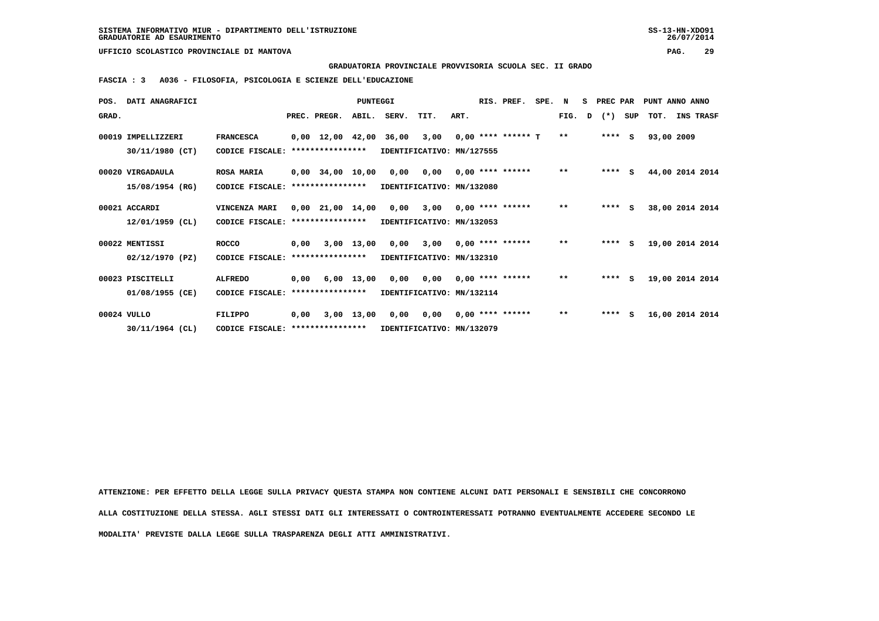**GRADUATORIA PROVINCIALE PROVVISORIA SCUOLA SEC. II GRADO**

 **FASCIA : 3 A036 - FILOSOFIA, PSICOLOGIA E SCIENZE DELL'EDUCAZIONE**

| POS.  | DATI ANAGRAFICI    |                                   |      |                                | <b>PUNTEGGI</b> |                           |      |      | RIS. PREF.           | SPE. | N            | s | PREC PAR |     | PUNT ANNO ANNO  |           |  |
|-------|--------------------|-----------------------------------|------|--------------------------------|-----------------|---------------------------|------|------|----------------------|------|--------------|---|----------|-----|-----------------|-----------|--|
| GRAD. |                    |                                   |      | PREC. PREGR.                   | ABIL.           | SERV.                     | TIT. | ART. |                      |      | FIG.         | D | $(*)$    | SUP | TOT.            | INS TRASF |  |
|       | 00019 IMPELLIZZERI | <b>FRANCESCA</b>                  |      | $0,00 \quad 12,00 \quad 42,00$ |                 | 36,00                     | 3,00 |      | $0.00$ **** ****** T |      | $**$         |   | $***$ S  |     | 93,00 2009      |           |  |
|       | 30/11/1980 (CT)    | CODICE FISCALE:                   |      | ****************               |                 | IDENTIFICATIVO: MN/127555 |      |      |                      |      |              |   |          |     |                 |           |  |
|       | 00020 VIRGADAULA   | <b>ROSA MARIA</b>                 |      | $0,00$ 34,00 10,00             |                 | 0,00                      | 0,00 |      | $0.00$ **** ******   |      | $***$        |   | $***$ S  |     | 44,00 2014 2014 |           |  |
|       | 15/08/1954 (RG)    | CODICE FISCALE:                   |      | ****************               |                 | IDENTIFICATIVO: MN/132080 |      |      |                      |      |              |   |          |     |                 |           |  |
|       | 00021 ACCARDI      | VINCENZA MARI                     |      | $0,00$ $21,00$ $14,00$         |                 | 0,00                      | 3,00 |      | $0,00$ **** ******   |      | $***$        |   | $***$ S  |     | 38,00 2014 2014 |           |  |
|       | 12/01/1959 (CL)    | CODICE FISCALE:                   |      | ****************               |                 | IDENTIFICATIVO: MN/132053 |      |      |                      |      |              |   |          |     |                 |           |  |
|       | 00022 MENTISSI     | <b>ROCCO</b>                      | 0,00 |                                | $3,00$ 13,00    | 0,00                      | 3,00 |      | $0.00$ **** ******   |      | $**$         |   | $***$ S  |     | 19,00 2014 2014 |           |  |
|       | $02/12/1970$ (PZ)  | CODICE FISCALE:                   |      | ****************               |                 | IDENTIFICATIVO: MN/132310 |      |      |                      |      |              |   |          |     |                 |           |  |
|       | 00023 PISCITELLI   | <b>ALFREDO</b>                    |      | $0,00$ 6,00 13,00              |                 | 0,00                      | 0,00 |      | $0.00$ **** ******   |      | $\star\star$ |   | $***$ S  |     | 19,00 2014 2014 |           |  |
|       | 01/08/1955 (CE)    | CODICE FISCALE:                   |      | ****************               |                 | IDENTIFICATIVO: MN/132114 |      |      |                      |      |              |   |          |     |                 |           |  |
|       | 00024 VULLO        | <b>FILIPPO</b>                    | 0.00 |                                | 3,00 13,00      | 0,00                      | 0,00 |      | $0,00$ **** ******   |      | $***$        |   | $***$ S  |     | 16,00 2014 2014 |           |  |
|       | 30/11/1964 (CL)    | CODICE FISCALE: ***************** |      |                                |                 | IDENTIFICATIVO: MN/132079 |      |      |                      |      |              |   |          |     |                 |           |  |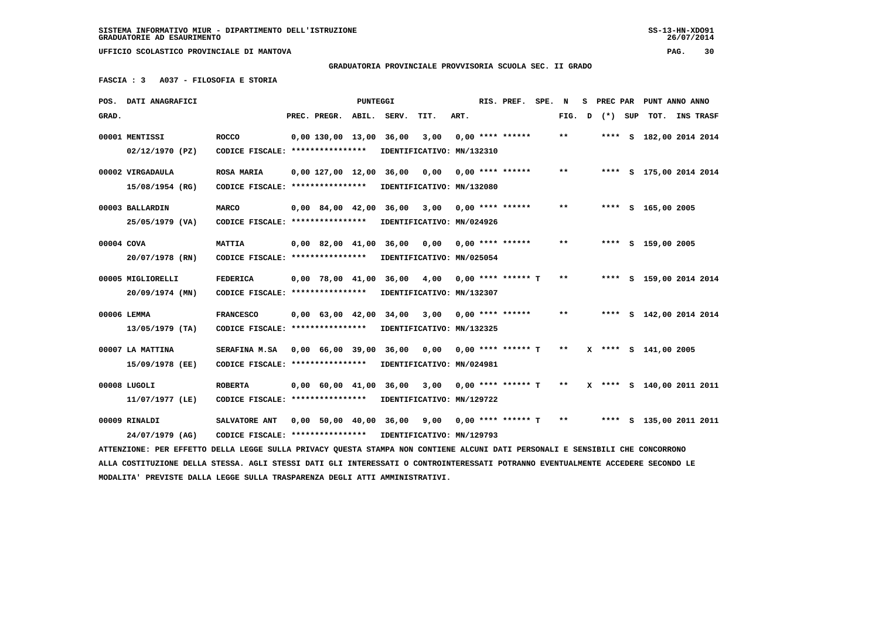### **GRADUATORIA PROVINCIALE PROVVISORIA SCUOLA SEC. II GRADO**

 **FASCIA : 3 A037 - FILOSOFIA E STORIA**

|            | POS. DATI ANAGRAFICI                                                                                                            |                                   |                                | PUNTEGGI |                             |                           |      | RIS. PREF.           | SPE. | N     | s | PREC PAR |     | PUNT ANNO ANNO            |           |
|------------|---------------------------------------------------------------------------------------------------------------------------------|-----------------------------------|--------------------------------|----------|-----------------------------|---------------------------|------|----------------------|------|-------|---|----------|-----|---------------------------|-----------|
| GRAD.      |                                                                                                                                 |                                   | PREC. PREGR.                   | ABIL.    | SERV.                       | TIT.                      | ART. |                      |      | FIG.  | D | $(* )$   | SUP | TOT.                      | INS TRASF |
|            | 00001 MENTISSI                                                                                                                  | <b>ROCCO</b>                      | $0.00$ 130.00 13.00            |          | 36,00                       | 3,00                      |      | $0.00$ **** ******   |      | $* *$ |   |          |     | **** S 182,00 2014 2014   |           |
|            | $02/12/1970$ (PZ)                                                                                                               | CODICE FISCALE: ****************  |                                |          |                             | IDENTIFICATIVO: MN/132310 |      |                      |      |       |   |          |     |                           |           |
|            |                                                                                                                                 |                                   |                                |          |                             |                           |      |                      |      | $* *$ |   |          |     |                           |           |
|            | 00002 VIRGADAULA                                                                                                                | <b>ROSA MARIA</b>                 | 0,00 127,00 12,00 36,00        |          |                             | 0,00                      |      | $0.00$ **** ******   |      |       |   |          |     | **** S 175,00 2014 2014   |           |
|            | 15/08/1954 (RG)                                                                                                                 | CODICE FISCALE: ****************  |                                |          | IDENTIFICATIVO: MN/132080   |                           |      |                      |      |       |   |          |     |                           |           |
|            | 00003 BALLARDIN                                                                                                                 | <b>MARCO</b>                      | $0.00 \quad 84.00 \quad 42.00$ |          | 36,00                       | 3,00                      |      | $0.00$ **** ******   |      | $* *$ |   |          |     | **** S 165,00 2005        |           |
|            | 25/05/1979 (VA)                                                                                                                 | CODICE FISCALE: ****************  |                                |          |                             | IDENTIFICATIVO: MN/024926 |      |                      |      |       |   |          |     |                           |           |
| 00004 COVA |                                                                                                                                 | <b>MATTIA</b>                     |                                |          | 0,00 82,00 41,00 36,00 0,00 |                           |      | $0.00$ **** ******   |      | $* *$ |   |          |     | **** S 159,00 2005        |           |
|            | 20/07/1978 (RN)                                                                                                                 | CODICE FISCALE: ****************  |                                |          |                             | IDENTIFICATIVO: MN/025054 |      |                      |      |       |   |          |     |                           |           |
|            |                                                                                                                                 |                                   |                                |          |                             |                           |      |                      |      |       |   |          |     |                           |           |
|            | 00005 MIGLIORELLI                                                                                                               | <b>FEDERICA</b>                   | $0.00$ 78,00 41,00 36,00       |          |                             | 4,00                      |      | $0.00$ **** ****** T |      | $* *$ |   |          |     | **** S 159,00 2014 2014   |           |
|            | 20/09/1974 (MN)                                                                                                                 | CODICE FISCALE: ****************  |                                |          | IDENTIFICATIVO: MN/132307   |                           |      |                      |      |       |   |          |     |                           |           |
|            | 00006 LEMMA                                                                                                                     | <b>FRANCESCO</b>                  | $0,00$ 63,00 42,00 34,00       |          |                             | 3,00                      |      | $0.00$ **** ******   |      | $* *$ |   |          |     | **** S 142,00 2014 2014   |           |
|            | $13/05/1979$ (TA)                                                                                                               | CODICE FISCALE: ****************  |                                |          |                             | IDENTIFICATIVO: MN/132325 |      |                      |      |       |   |          |     |                           |           |
|            |                                                                                                                                 |                                   |                                |          |                             |                           |      |                      |      |       |   |          |     |                           |           |
|            | 00007 LA MATTINA                                                                                                                | SERAFINA M.SA                     |                                |          | 0,00 66,00 39,00 36,00      | 0,00                      |      | 0,00 **** ****** T   |      | $***$ |   |          |     | X **** S 141,00 2005      |           |
|            | 15/09/1978 (EE)                                                                                                                 | CODICE FISCALE: ****************  |                                |          |                             | IDENTIFICATIVO: MN/024981 |      |                      |      |       |   |          |     |                           |           |
|            | 00008 LUGOLI                                                                                                                    | <b>ROBERTA</b>                    | $0,00$ 60,00 41,00             |          | 36,00                       | 3,00                      |      | $0.00$ **** ****** T |      | $***$ |   |          |     | X **** S 140,00 2011 2011 |           |
|            | 11/07/1977 (LE)                                                                                                                 | CODICE FISCALE: ***************** |                                |          |                             | IDENTIFICATIVO: MN/129722 |      |                      |      |       |   |          |     |                           |           |
|            |                                                                                                                                 |                                   |                                |          |                             |                           |      |                      |      |       |   |          |     |                           |           |
|            | 00009 RINALDI                                                                                                                   | SALVATORE ANT                     |                                |          | 0,00 50,00 40,00 36,00      | 9,00                      |      | $0,00$ **** ****** T |      | $* *$ |   |          |     | **** S 135,00 2011 2011   |           |
|            | 24/07/1979 (AG)                                                                                                                 | CODICE FISCALE: ****************  |                                |          | IDENTIFICATIVO: MN/129793   |                           |      |                      |      |       |   |          |     |                           |           |
|            | ATTENZIONE: PER EFFETTO DELLA LEGGE SULLA PRIVACY QUESTA STAMPA NON CONTIENE ALCUNI DATI PERSONALI E SENSIBILI CHE CONCORRONO   |                                   |                                |          |                             |                           |      |                      |      |       |   |          |     |                           |           |
|            | ALLA COSTITUZIONE DELLA STESSA. AGLI STESSI DATI GLI INTERESSATI O CONTROINTERESSATI POTRANNO EVENTUALMENTE ACCEDERE SECONDO LE |                                   |                                |          |                             |                           |      |                      |      |       |   |          |     |                           |           |
|            | MODALITA' PREVISTE DALLA LEGGE SULLA TRASPARENZA DEGLI ATTI AMMINISTRATIVI.                                                     |                                   |                                |          |                             |                           |      |                      |      |       |   |          |     |                           |           |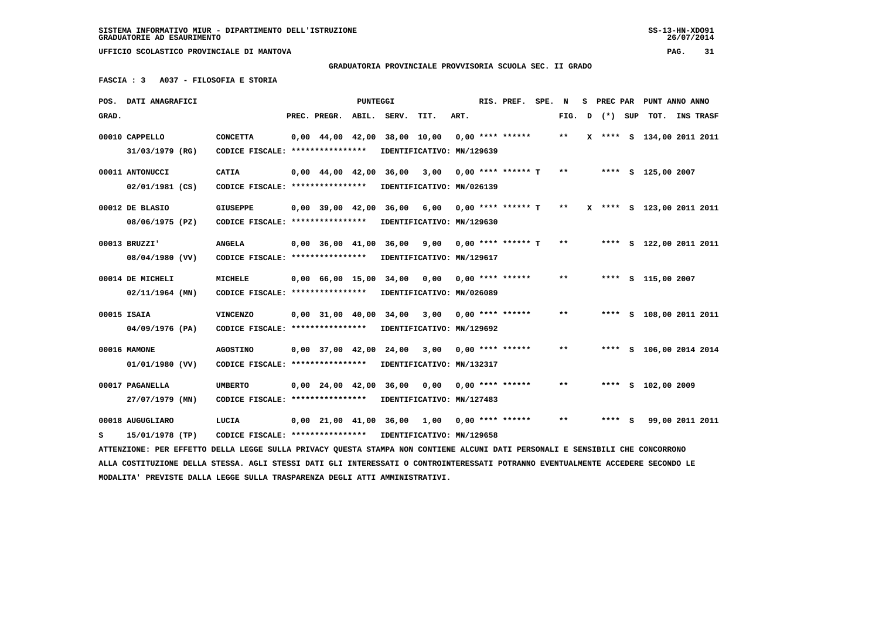### **GRADUATORIA PROVINCIALE PROVVISORIA SCUOLA SEC. II GRADO**

 **FASCIA : 3 A037 - FILOSOFIA E STORIA**

|       | POS. DATI ANAGRAFICI                                                                                                            |                                                            |                                            | <b>PUNTEGGI</b> |                                                  |                           |      | RIS. PREF.              | SPE. N |       |   | S PREC PAR |     | PUNT ANNO ANNO            |                  |  |
|-------|---------------------------------------------------------------------------------------------------------------------------------|------------------------------------------------------------|--------------------------------------------|-----------------|--------------------------------------------------|---------------------------|------|-------------------------|--------|-------|---|------------|-----|---------------------------|------------------|--|
| GRAD. |                                                                                                                                 |                                                            | PREC. PREGR.                               | ABIL.           | SERV.                                            | TIT.                      | ART. |                         |        | FIG.  | D | $(*)$      | SUP | тот.                      | <b>INS TRASF</b> |  |
|       | 00010 CAPPELLO                                                                                                                  | <b>CONCETTA</b>                                            |                                            |                 | 0,00 44,00 42,00 38,00 10,00                     |                           |      | $0,00$ **** ******      |        | $* *$ |   |            |     | X **** S 134,00 2011 2011 |                  |  |
|       | 31/03/1979 (RG)                                                                                                                 | CODICE FISCALE: ****************                           |                                            |                 |                                                  | IDENTIFICATIVO: MN/129639 |      |                         |        |       |   |            |     |                           |                  |  |
|       | 00011 ANTONUCCI                                                                                                                 | <b>CATIA</b>                                               |                                            |                 | $0,00$ 44,00 42,00 36,00                         | 3,00                      |      | $0,00$ **** ****** T    |        | $***$ |   |            |     | **** S 125,00 2007        |                  |  |
|       | 02/01/1981 (CS)                                                                                                                 | CODICE FISCALE: ****************                           |                                            |                 |                                                  | IDENTIFICATIVO: MN/026139 |      |                         |        |       |   |            |     |                           |                  |  |
|       | 00012 DE BLASIO                                                                                                                 | <b>GIUSEPPE</b>                                            | $0,00$ 39,00 42,00                         |                 |                                                  | 36,00 6,00                |      | $0,00$ **** ****** T ** |        |       |   |            |     | X **** S 123,00 2011 2011 |                  |  |
|       | 08/06/1975 (PZ)                                                                                                                 | CODICE FISCALE: ****************                           |                                            |                 | IDENTIFICATIVO: MN/129630                        |                           |      |                         |        |       |   |            |     |                           |                  |  |
|       | 00013 BRUZZI'                                                                                                                   | <b>ANGELA</b>                                              |                                            |                 | $0,00$ 36,00 41,00 36,00 9,00 0,00 **** ****** T |                           |      |                         |        | $***$ |   |            |     | **** S 122,00 2011 2011   |                  |  |
|       | 08/04/1980 (VV)                                                                                                                 | CODICE FISCALE: ****************                           |                                            |                 |                                                  | IDENTIFICATIVO: MN/129617 |      |                         |        |       |   |            |     |                           |                  |  |
|       | 00014 DE MICHELI                                                                                                                | <b>MICHELE</b>                                             | $0.00 \quad 66.00 \quad 15.00 \quad 34.00$ |                 |                                                  | 0.00                      |      | $0.00$ **** ******      |        | $***$ |   |            |     | **** S 115,00 2007        |                  |  |
|       | 02/11/1964 (MN)                                                                                                                 | CODICE FISCALE: *****************                          |                                            |                 |                                                  | IDENTIFICATIVO: MN/026089 |      |                         |        |       |   |            |     |                           |                  |  |
|       | 00015 ISAIA                                                                                                                     | <b>VINCENZO</b>                                            |                                            |                 | 0,00 31,00 40,00 34,00                           | 3,00                      |      | $0,00$ **** ******      |        | $***$ |   |            |     | **** S 108,00 2011 2011   |                  |  |
|       | 04/09/1976 (PA)                                                                                                                 | CODICE FISCALE: ****************                           |                                            |                 |                                                  | IDENTIFICATIVO: MN/129692 |      |                         |        |       |   |            |     |                           |                  |  |
|       | 00016 MAMONE                                                                                                                    | <b>AGOSTINO</b>                                            | $0,00$ 37,00 42,00 24,00                   |                 |                                                  | 3,00                      |      | $0.00$ **** ******      |        | $***$ |   |            |     | **** S 106,00 2014 2014   |                  |  |
|       | 01/01/1980 (VV)                                                                                                                 | CODICE FISCALE: *****************                          |                                            |                 |                                                  | IDENTIFICATIVO: MN/132317 |      |                         |        |       |   |            |     |                           |                  |  |
|       | 00017 PAGANELLA                                                                                                                 | <b>UMBERTO</b>                                             | $0,00$ $24,00$ $42,00$                     |                 | 36,00                                            | 0.00                      |      | $0.00$ **** ******      |        | **    |   |            |     | **** S 102,00 2009        |                  |  |
|       | 27/07/1979 (MN)                                                                                                                 | CODICE FISCALE: *****************                          |                                            |                 |                                                  | IDENTIFICATIVO: MN/127483 |      |                         |        |       |   |            |     |                           |                  |  |
|       | 00018 AUGUGLIARO                                                                                                                | LUCIA                                                      |                                            |                 | $0,00$ 21,00 41,00 36,00 1,00 0,00 **** ******   |                           |      |                         |        | $* *$ |   | $***$ S    |     | 99,00 2011 2011           |                  |  |
| s     | 15/01/1978 (TP)                                                                                                                 | CODICE FISCALE: **************** IDENTIFICATIVO: MN/129658 |                                            |                 |                                                  |                           |      |                         |        |       |   |            |     |                           |                  |  |
|       | ATTENZIONE: PER EFFETTO DELLA LEGGE SULLA PRIVACY QUESTA STAMPA NON CONTIENE ALCUNI DATI PERSONALI E SENSIBILI CHE CONCORRONO   |                                                            |                                            |                 |                                                  |                           |      |                         |        |       |   |            |     |                           |                  |  |
|       | ALLA COSTITUZIONE DELLA STESSA. AGLI STESSI DATI GLI INTERESSATI O CONTROINTERESSATI POTRANNO EVENTUALMENTE ACCEDERE SECONDO LE |                                                            |                                            |                 |                                                  |                           |      |                         |        |       |   |            |     |                           |                  |  |
|       | MODALITA' PREVISTE DALLA LEGGE SULLA TRASPARENZA DEGLI ATTI AMMINISTRATIVI.                                                     |                                                            |                                            |                 |                                                  |                           |      |                         |        |       |   |            |     |                           |                  |  |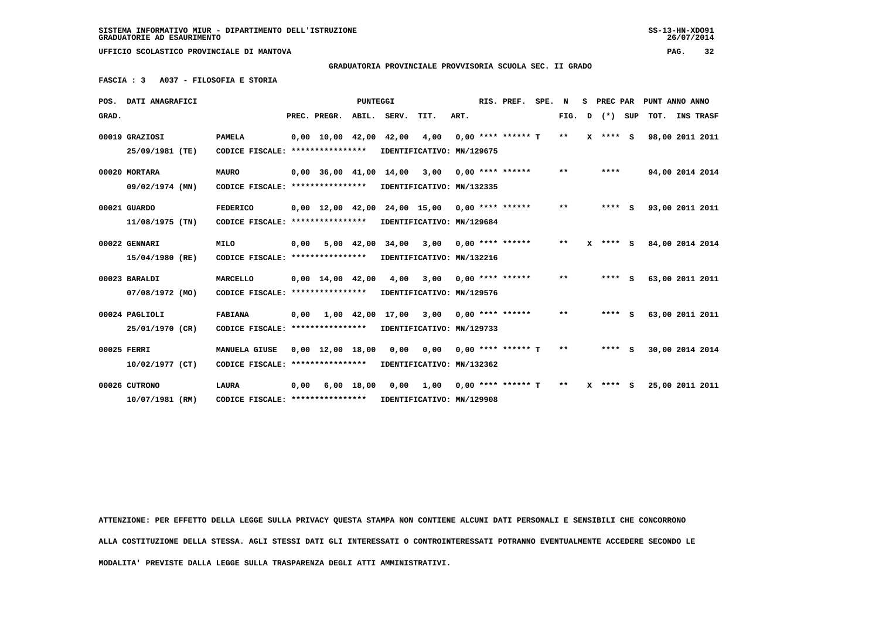**GRADUATORIA PROVINCIALE PROVVISORIA SCUOLA SEC. II GRADO**

 **FASCIA : 3 A037 - FILOSOFIA E STORIA**

|             | POS. DATI ANAGRAFICI |                                                            |      | <b>PUNTEGGI</b> |                                                     |      | RIS. PREF.         | SPE. N |              |              |  | S PREC PAR PUNT ANNO ANNO     |
|-------------|----------------------|------------------------------------------------------------|------|-----------------|-----------------------------------------------------|------|--------------------|--------|--------------|--------------|--|-------------------------------|
| GRAD.       |                      |                                                            |      |                 | PREC. PREGR. ABIL. SERV. TIT.                       | ART. |                    |        |              |              |  | FIG. D (*) SUP TOT. INS TRASF |
|             | 00019 GRAZIOSI       | <b>PAMELA</b>                                              |      |                 | $0,00$ 10,00 42,00 42,00 4,00 0,00 **** ****** T ** |      |                    |        |              | $X$ **** $S$ |  | 98,00 2011 2011               |
|             | 25/09/1981 (TE)      | CODICE FISCALE: ****************                           |      |                 | IDENTIFICATIVO: MN/129675                           |      |                    |        |              |              |  |                               |
|             | 00020 MORTARA        | <b>MAURO</b>                                               |      |                 | $0,00$ 36,00 41,00 14,00 3,00 0,00 **** ******      |      |                    |        | $* *$        | ****         |  | 94,00 2014 2014               |
|             | 09/02/1974 (MN)      | CODICE FISCALE: **************** IDENTIFICATIVO: MN/132335 |      |                 |                                                     |      |                    |        |              |              |  |                               |
|             | 00021 GUARDO         | <b>FEDERICO</b>                                            |      |                 | $0,00$ 12,00 42,00 24,00 15,00 0,00 **** ******     |      |                    |        | $\star\star$ | $***$ S      |  | 93,00 2011 2011               |
|             | 11/08/1975 (TN)      | CODICE FISCALE: **************** IDENTIFICATIVO: MN/129684 |      |                 |                                                     |      |                    |        |              |              |  |                               |
|             | 00022 GENNARI        | MILO                                                       |      |                 | $0,00$ 5,00 42,00 34,00 3,00 0,00 **** ******       |      |                    |        | $***$        | $X$ **** S   |  | 84,00 2014 2014               |
|             | 15/04/1980 (RE)      | CODICE FISCALE: **************** IDENTIFICATIVO: MN/132216 |      |                 |                                                     |      |                    |        |              |              |  |                               |
|             | 00023 BARALDI        | MARCELLO                                                   |      |                 | $0.00$ 14.00 42.00 4.00 3.00 0.00 **** ****** **    |      |                    |        |              | $***$ S      |  | 63,00 2011 2011               |
|             | 07/08/1972 (MO)      | CODICE FISCALE: **************** IDENTIFICATIVO: MN/129576 |      |                 |                                                     |      |                    |        |              |              |  |                               |
|             | 00024 PAGLIOLI       | <b>FABIANA</b>                                             |      |                 | $0,00$ $1,00$ $42,00$ $17,00$ $3,00$                |      | $0.00$ **** ****** |        | $***$        | $***$ S      |  | 63,00 2011 2011               |
|             | 25/01/1970 (CR)      | CODICE FISCALE: ****************                           |      |                 | IDENTIFICATIVO: MN/129733                           |      |                    |        |              |              |  |                               |
| 00025 FERRI |                      | MANUELA GIUSE                                              |      |                 | $0,00$ 12,00 18,00 0,00 0,00 0,00 **** ****** T     |      |                    |        | $***$        | $***$ S      |  | 30,00 2014 2014               |
|             | 10/02/1977 (CT)      | CODICE FISCALE: *****************                          |      |                 | IDENTIFICATIVO: MN/132362                           |      |                    |        |              |              |  |                               |
|             | 00026 CUTRONO        | LAURA                                                      | 0.00 |                 | 6,00 18,00 0,00 1,00 0,00 **** ****** T             |      |                    |        | $* *$        | $X$ **** S   |  | 25,00 2011 2011               |
|             | 10/07/1981 (RM)      | CODICE FISCALE: **************** IDENTIFICATIVO: MN/129908 |      |                 |                                                     |      |                    |        |              |              |  |                               |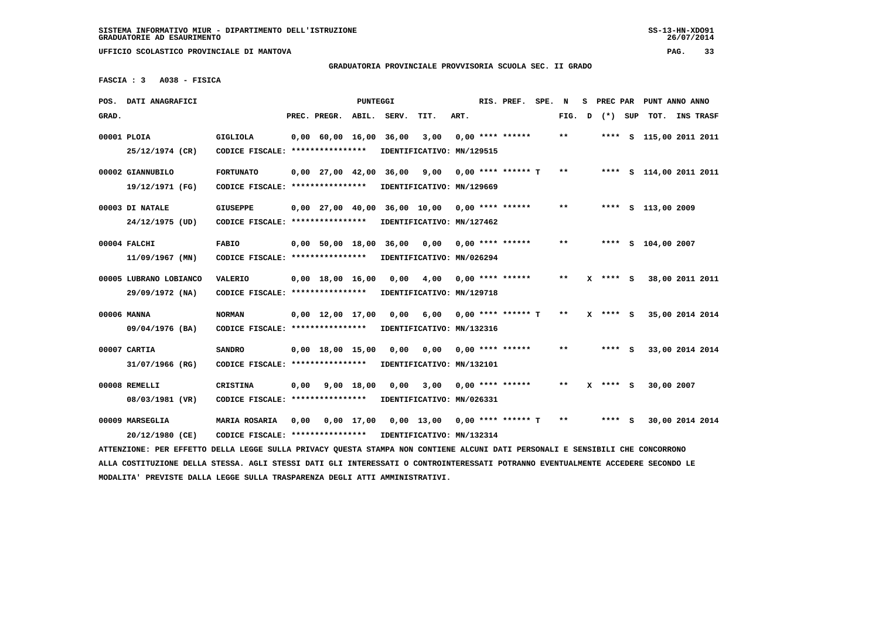### **GRADUATORIA PROVINCIALE PROVVISORIA SCUOLA SEC. II GRADO**

 **FASCIA : 3 A038 - FISICA**

|             | POS. DATI ANAGRAFICI                                                                                                            |                                                            |      |                                | PUNTEGGI   |                                          |                           |      | RIS. PREF.           | SPE. | N      | s | PREC PAR   | PUNT ANNO ANNO          |                  |  |
|-------------|---------------------------------------------------------------------------------------------------------------------------------|------------------------------------------------------------|------|--------------------------------|------------|------------------------------------------|---------------------------|------|----------------------|------|--------|---|------------|-------------------------|------------------|--|
| GRAD.       |                                                                                                                                 |                                                            |      | PREC. PREGR.                   | ABIL.      | SERV.                                    | TIT.                      | ART. |                      |      | FIG. D |   | (*) SUP    | TOT.                    | <b>INS TRASF</b> |  |
| 00001 PLOIA |                                                                                                                                 | <b>GIGLIOLA</b>                                            |      | $0,00$ 60,00 16,00             |            | 36,00                                    | 3,00                      |      | $0.00$ **** ******   |      | $* *$  |   |            | **** S 115,00 2011 2011 |                  |  |
|             | 25/12/1974 (CR)                                                                                                                 | CODICE FISCALE: ****************                           |      |                                |            |                                          | IDENTIFICATIVO: MN/129515 |      |                      |      |        |   |            |                         |                  |  |
|             |                                                                                                                                 |                                                            |      |                                |            |                                          |                           |      |                      |      |        |   |            |                         |                  |  |
|             | 00002 GIANNUBILO                                                                                                                | <b>FORTUNATO</b>                                           |      |                                |            | 0,00 27,00 42,00 36,00                   | 9,00                      |      | $0.00$ **** ****** T |      | **     |   |            | **** S 114,00 2011 2011 |                  |  |
|             | 19/12/1971 (FG)                                                                                                                 | CODICE FISCALE: ****************                           |      |                                |            |                                          | IDENTIFICATIVO: MN/129669 |      |                      |      |        |   |            |                         |                  |  |
|             | 00003 DI NATALE                                                                                                                 | <b>GIUSEPPE</b>                                            |      |                                |            | 0,00 27,00 40,00 36,00 10,00             |                           |      | $0.00$ **** ******   |      | $***$  |   |            | **** S 113,00 2009      |                  |  |
|             | 24/12/1975 (UD)                                                                                                                 | CODICE FISCALE: ****************                           |      |                                |            |                                          | IDENTIFICATIVO: MN/127462 |      |                      |      |        |   |            |                         |                  |  |
|             |                                                                                                                                 |                                                            |      |                                |            |                                          |                           |      |                      |      | **     |   |            |                         |                  |  |
|             | 00004 FALCHI                                                                                                                    | <b>FABIO</b>                                               |      |                                |            | 0,00 50,00 18,00 36,00                   | 0,00                      |      | $0.00$ **** ******   |      |        |   |            | **** S 104,00 2007      |                  |  |
|             | $11/09/1967$ (MN)                                                                                                               | CODICE FISCALE: ****************                           |      |                                |            |                                          | IDENTIFICATIVO: MN/026294 |      |                      |      |        |   |            |                         |                  |  |
|             | 00005 LUBRANO LOBIANCO                                                                                                          | <b>VALERIO</b>                                             |      | $0.00 \quad 18.00 \quad 16.00$ |            | 0.00                                     | 4,00                      |      | $0.00$ **** ******   |      | $* *$  |   | **** S     | 38,00 2011 2011         |                  |  |
|             | 29/09/1972 (NA)                                                                                                                 | CODICE FISCALE: ****************                           |      |                                |            |                                          | IDENTIFICATIVO: MN/129718 |      |                      |      |        |   |            |                         |                  |  |
|             |                                                                                                                                 |                                                            |      |                                |            |                                          |                           |      |                      |      |        |   |            |                         |                  |  |
| 00006 MANNA |                                                                                                                                 | <b>NORMAN</b>                                              |      | $0,00 \quad 12,00 \quad 17,00$ |            | 0,00                                     | 6,00                      |      | $0,00$ **** ****** T |      | $***$  |   | $X$ **** S | 35,00 2014 2014         |                  |  |
|             | 09/04/1976 (BA)                                                                                                                 | CODICE FISCALE: ****************                           |      |                                |            |                                          | IDENTIFICATIVO: MN/132316 |      |                      |      |        |   |            |                         |                  |  |
|             | 00007 CARTIA                                                                                                                    | <b>SANDRO</b>                                              |      | $0,00$ 18,00 15,00             |            | 0,00                                     | 0,00                      |      | $0.00$ **** ******   |      | $***$  |   | $***$ S    | 33,00 2014 2014         |                  |  |
|             | 31/07/1966 (RG)                                                                                                                 | CODICE FISCALE: ****************                           |      |                                |            |                                          | IDENTIFICATIVO: MN/132101 |      |                      |      |        |   |            |                         |                  |  |
|             |                                                                                                                                 |                                                            |      |                                |            |                                          |                           |      |                      |      |        |   |            |                         |                  |  |
|             | 00008 REMELLI                                                                                                                   | <b>CRISTINA</b>                                            | 0,00 |                                | 9,00 18,00 | 0,00                                     | 3,00                      |      | $0.00$ **** ******   |      | $* *$  | x | **** S     | 30,00 2007              |                  |  |
|             | 08/03/1981 (VR)                                                                                                                 | CODICE FISCALE: *****************                          |      |                                |            |                                          | IDENTIFICATIVO: MN/026331 |      |                      |      |        |   |            |                         |                  |  |
|             | 00009 MARSEGLIA                                                                                                                 | MARIA ROSARIA                                              | 0,00 |                                |            | 0,00 17,00 0,00 13,00 0,00 **** ****** T |                           |      |                      |      | $* *$  |   | **** S     | 30,00 2014 2014         |                  |  |
|             | 20/12/1980 (CE)                                                                                                                 | CODICE FISCALE: **************** IDENTIFICATIVO: MN/132314 |      |                                |            |                                          |                           |      |                      |      |        |   |            |                         |                  |  |
|             | ATTENZIONE: PER EFFETTO DELLA LEGGE SULLA PRIVACY QUESTA STAMPA NON CONTIENE ALCUNI DATI PERSONALI E SENSIBILI CHE CONCORRONO   |                                                            |      |                                |            |                                          |                           |      |                      |      |        |   |            |                         |                  |  |
|             | ALLA COSTITUZIONE DELLA STESSA. AGLI STESSI DATI GLI INTERESSATI O CONTROINTERESSATI POTRANNO EVENTUALMENTE ACCEDERE SECONDO LE |                                                            |      |                                |            |                                          |                           |      |                      |      |        |   |            |                         |                  |  |
|             | MODALITA' PREVISTE DALLA LEGGE SULLA TRASPARENZA DEGLI ATTI AMMINISTRATIVI.                                                     |                                                            |      |                                |            |                                          |                           |      |                      |      |        |   |            |                         |                  |  |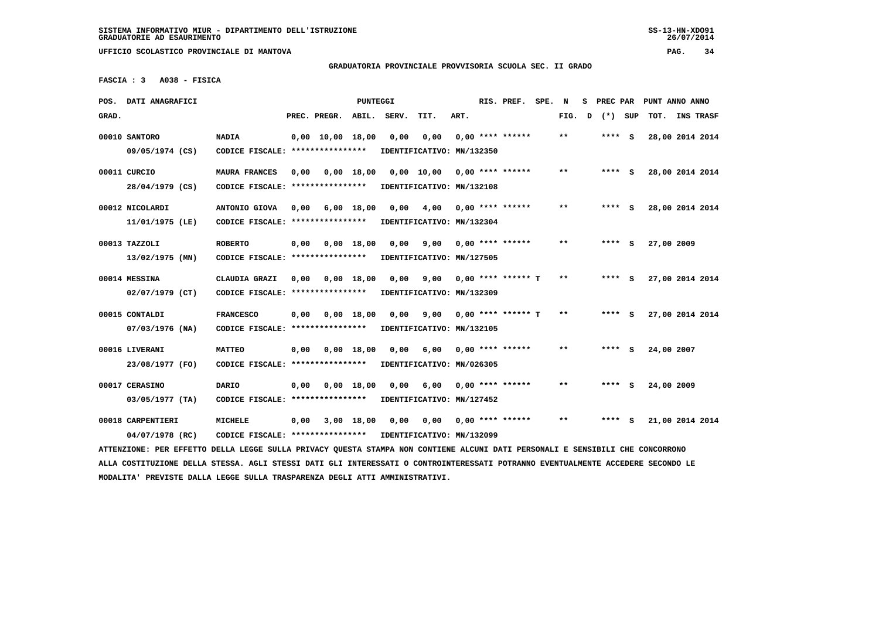### **GRADUATORIA PROVINCIALE PROVVISORIA SCUOLA SEC. II GRADO**

 **FASCIA : 3 A038 - FISICA**

| POS. DATI ANAGRAFICI                                                                                                            |                                                            |      |                                | PUNTEGGI     |       |                           |      | RIS. PREF.                | SPE. | N      | s | PREC PAR |     | PUNT ANNO ANNO  |           |  |
|---------------------------------------------------------------------------------------------------------------------------------|------------------------------------------------------------|------|--------------------------------|--------------|-------|---------------------------|------|---------------------------|------|--------|---|----------|-----|-----------------|-----------|--|
| GRAD.                                                                                                                           |                                                            |      | PREC. PREGR.                   | ABIL.        | SERV. | TIT.                      | ART. |                           |      | FIG. D |   | (*) SUP  |     | TOT.            | INS TRASF |  |
| 00010 SANTORO                                                                                                                   | <b>NADIA</b>                                               |      | $0.00 \quad 10.00 \quad 18.00$ |              | 0,00  | 0,00                      |      | $0.00$ **** ******        |      | * *    |   | **** S   |     | 28,00 2014 2014 |           |  |
| 09/05/1974 (CS)                                                                                                                 | CODICE FISCALE: ****************                           |      |                                |              |       | IDENTIFICATIVO: MN/132350 |      |                           |      |        |   |          |     |                 |           |  |
|                                                                                                                                 |                                                            |      |                                |              |       |                           |      |                           |      |        |   |          |     |                 |           |  |
| 00011 CURCIO                                                                                                                    | <b>MAURA FRANCES</b>                                       | 0,00 | 0,00 18,00                     |              |       | $0,00$ 10,00              |      | 0,00 **** ******          |      | $* *$  |   | **** S   |     | 28,00 2014 2014 |           |  |
| 28/04/1979 (CS)                                                                                                                 | CODICE FISCALE: ****************                           |      |                                |              |       | IDENTIFICATIVO: MN/132108 |      |                           |      |        |   |          |     |                 |           |  |
| 00012 NICOLARDI                                                                                                                 | ANTONIO GIOVA                                              | 0.00 |                                | $6,00$ 18,00 | 0.00  | 4,00                      |      | $0.00$ **** ******        |      | $**$   |   | **** S   |     | 28,00 2014 2014 |           |  |
| 11/01/1975 (LE)                                                                                                                 | CODICE FISCALE: *****************                          |      |                                |              |       | IDENTIFICATIVO: MN/132304 |      |                           |      |        |   |          |     |                 |           |  |
|                                                                                                                                 |                                                            |      |                                |              |       |                           |      |                           |      |        |   |          |     |                 |           |  |
| 00013 TAZZOLI                                                                                                                   | <b>ROBERTO</b>                                             | 0,00 | 0,00 18,00                     |              | 0.00  | 9,00                      |      | 0,00 **** ******          |      | $* *$  |   | $***$ S  |     | 27,00 2009      |           |  |
| 13/02/1975 (MN)                                                                                                                 | CODICE FISCALE: ****************                           |      |                                |              |       | IDENTIFICATIVO: MN/127505 |      |                           |      |        |   |          |     |                 |           |  |
| 00014 MESSINA                                                                                                                   | CLAUDIA GRAZI                                              | 0.00 |                                | 0,00 18,00   | 0.00  | 9,00                      |      | 0,00 **** ****** T        |      | $* *$  |   | ****     | - S | 27,00 2014 2014 |           |  |
|                                                                                                                                 |                                                            |      |                                |              |       |                           |      |                           |      |        |   |          |     |                 |           |  |
| $02/07/1979$ (CT)                                                                                                               | CODICE FISCALE: ****************                           |      |                                |              |       | IDENTIFICATIVO: MN/132309 |      |                           |      |        |   |          |     |                 |           |  |
| 00015 CONTALDI                                                                                                                  | <b>FRANCESCO</b>                                           | 0,00 |                                | 0,00 18,00   | 0,00  |                           |      | $9,00$ 0,00 **** ****** T |      | **     |   | $***$ S  |     | 27,00 2014 2014 |           |  |
| 07/03/1976 (NA)                                                                                                                 | CODICE FISCALE: ****************                           |      |                                |              |       | IDENTIFICATIVO: MN/132105 |      |                           |      |        |   |          |     |                 |           |  |
|                                                                                                                                 |                                                            |      |                                |              |       |                           |      |                           |      |        |   |          |     |                 |           |  |
| 00016 LIVERANI                                                                                                                  | <b>MATTEO</b>                                              | 0,00 |                                | 0,00 18,00   | 0.00  | 6,00                      |      | $0.00$ **** ******        |      | $**$   |   | **** S   |     | 24,00 2007      |           |  |
| 23/08/1977 (FO)                                                                                                                 | CODICE FISCALE: ****************                           |      |                                |              |       | IDENTIFICATIVO: MN/026305 |      |                           |      |        |   |          |     |                 |           |  |
| 00017 CERASINO                                                                                                                  | <b>DARIO</b>                                               | 0,00 |                                | $0,00$ 18,00 | 0,00  | 6,00                      |      | $0.00$ **** ******        |      | $**$   |   | **** S   |     | 24,00 2009      |           |  |
| 03/05/1977 (TA)                                                                                                                 | CODICE FISCALE: ****************                           |      |                                |              |       | IDENTIFICATIVO: MN/127452 |      |                           |      |        |   |          |     |                 |           |  |
|                                                                                                                                 |                                                            |      |                                |              |       |                           |      |                           |      |        |   |          |     |                 |           |  |
| 00018 CARPENTIERI                                                                                                               | <b>MICHELE</b>                                             |      | $0,00$ $3,00$ $18,00$          |              | 0,00  | 0,00                      |      | $0.00$ **** ******        |      | $* *$  |   | $***$ S  |     | 21,00 2014 2014 |           |  |
| 04/07/1978 (RC)                                                                                                                 | CODICE FISCALE: **************** IDENTIFICATIVO: MN/132099 |      |                                |              |       |                           |      |                           |      |        |   |          |     |                 |           |  |
| ATTENZIONE: PER EFFETTO DELLA LEGGE SULLA PRIVACY QUESTA STAMPA NON CONTIENE ALCUNI DATI PERSONALI E SENSIBILI CHE CONCORRONO   |                                                            |      |                                |              |       |                           |      |                           |      |        |   |          |     |                 |           |  |
| ALLA COSTITUZIONE DELLA STESSA. AGLI STESSI DATI GLI INTERESSATI O CONTROINTERESSATI POTRANNO EVENTUALMENTE ACCEDERE SECONDO LE |                                                            |      |                                |              |       |                           |      |                           |      |        |   |          |     |                 |           |  |
| MODALITA' PREVISTE DALLA LEGGE SULLA TRASPARENZA DEGLI ATTI AMMINISTRATIVI.                                                     |                                                            |      |                                |              |       |                           |      |                           |      |        |   |          |     |                 |           |  |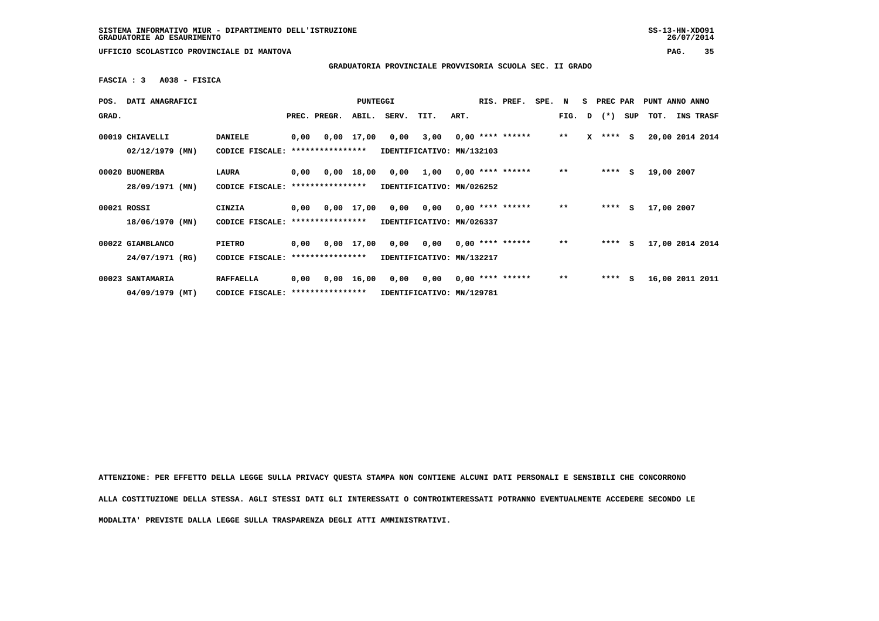**GRADUATORIA PROVINCIALE PROVVISORIA SCUOLA SEC. II GRADO**

 **FASCIA : 3 A038 - FISICA**

| POS.        | DATI ANAGRAFICI   |                                   |      |                       | PUNTEGGI           |                           |           |      | RIS. PREF.         | SPE. | N            | S. | <b>PREC PAR</b> |     | PUNT ANNO ANNO  |           |  |
|-------------|-------------------|-----------------------------------|------|-----------------------|--------------------|---------------------------|-----------|------|--------------------|------|--------------|----|-----------------|-----|-----------------|-----------|--|
| GRAD.       |                   |                                   |      | PREC. PREGR.          | ABIL.              | SERV.                     | TIT.      | ART. |                    |      | FIG. D       |    | $(*)$           | SUP | тот.            | INS TRASF |  |
|             | 00019 CHIAVELLI   | <b>DANIELE</b>                    | 0,00 |                       | 0,00 17,00         | 0,00                      | 3,00      |      | $0,00$ **** ****** |      | $***$        | x  | $***$ S         |     | 20,00 2014 2014 |           |  |
|             | $02/12/1979$ (MN) | CODICE FISCALE:                   |      | ****************      |                    | IDENTIFICATIVO: MN/132103 |           |      |                    |      |              |    |                 |     |                 |           |  |
|             | 00020 BUONERBA    | LAURA                             | 0,00 |                       | 0,00 18,00         | 0,00                      | 1,00      |      | $0,00$ **** ****** |      | $***$        |    | ****            | S   | 19,00 2007      |           |  |
|             | 28/09/1971 (MN)   | CODICE FISCALE:                   |      | ****************      |                    | IDENTIFICATIVO: MN/026252 |           |      |                    |      |              |    |                 |     |                 |           |  |
| 00021 ROSSI |                   | CINZIA                            | 0,00 |                       | 0,00 17,00         |                           | 0,00 0,00 |      | $0.00$ **** ****** |      | $***$        |    | ****            | s   | 17,00 2007      |           |  |
|             | 18/06/1970 (MN)   | CODICE FISCALE:                   |      | ****************      |                    | IDENTIFICATIVO: MN/026337 |           |      |                    |      |              |    |                 |     |                 |           |  |
|             | 00022 GIAMBLANCO  | <b>PIETRO</b>                     |      | $0,00$ $0,00$ $17,00$ |                    |                           | 0,00 0,00 |      | $0,00$ **** ****** |      | $\star\star$ |    | ****            | s   | 17,00 2014 2014 |           |  |
|             | 24/07/1971 (RG)   | CODICE FISCALE:                   |      | ****************      |                    | IDENTIFICATIVO: MN/132217 |           |      |                    |      |              |    |                 |     |                 |           |  |
|             | 00023 SANTAMARIA  | <b>RAFFAELLA</b>                  | 0,00 |                       | $0,00 \quad 16,00$ | 0,00                      | 0,00      |      | $0.00$ **** ****** |      | $***$        |    | ****            | S.  | 16,00 2011 2011 |           |  |
|             | $04/09/1979$ (MT) | CODICE FISCALE: ***************** |      |                       |                    | IDENTIFICATIVO: MN/129781 |           |      |                    |      |              |    |                 |     |                 |           |  |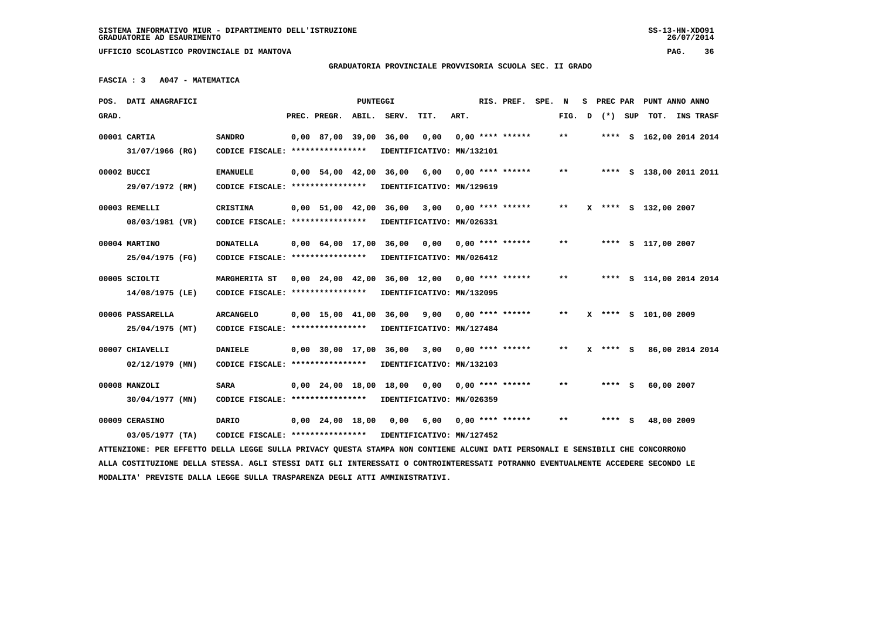### **GRADUATORIA PROVINCIALE PROVVISORIA SCUOLA SEC. II GRADO**

 **FASCIA : 3 A047 - MATEMATICA**

|       | POS. DATI ANAGRAFICI                                                                                                            |                                                            | PUNTEGGI |                                |       |                               |                                                |      | RIS. PREF. |                       |  | SPE. N<br>s |  |              |  | PREC PAR PUNT ANNO ANNO |  |           |
|-------|---------------------------------------------------------------------------------------------------------------------------------|------------------------------------------------------------|----------|--------------------------------|-------|-------------------------------|------------------------------------------------|------|------------|-----------------------|--|-------------|--|--------------|--|-------------------------|--|-----------|
| GRAD. |                                                                                                                                 |                                                            |          | PREC. PREGR.                   | ABIL. | SERV.                         | TIT.                                           | ART. |            |                       |  | FIG. D      |  | (*) SUP      |  | тот.                    |  | INS TRASF |
|       | 00001 CARTIA                                                                                                                    | <b>SANDRO</b>                                              |          | 0,00 87,00 39,00 36,00         |       |                               | 0,00                                           |      |            | $0.00$ **** ******    |  | $***$       |  |              |  | **** S 162,00 2014 2014 |  |           |
|       | 31/07/1966 (RG)                                                                                                                 | CODICE FISCALE: ****************                           |          |                                |       |                               | IDENTIFICATIVO: MN/132101                      |      |            |                       |  |             |  |              |  |                         |  |           |
|       | 00002 BUCCI                                                                                                                     | <b>EMANUELE</b>                                            |          |                                |       | $0,00$ 54,00 42,00 36,00 6,00 |                                                |      |            | 0,00 **** ******      |  | $***$       |  |              |  | **** S 138,00 2011 2011 |  |           |
|       | 29/07/1972 (RM)                                                                                                                 | CODICE FISCALE: ****************                           |          |                                |       |                               | IDENTIFICATIVO: MN/129619                      |      |            |                       |  |             |  |              |  |                         |  |           |
|       | 00003 REMELLI                                                                                                                   | <b>CRISTINA</b>                                            |          |                                |       |                               | 0,00 51,00 42,00 36,00 3,00 0,00 **** ******   |      |            |                       |  | **          |  |              |  | X **** S 132,00 2007    |  |           |
|       | 08/03/1981 (VR)                                                                                                                 | CODICE FISCALE: ****************                           |          |                                |       |                               | IDENTIFICATIVO: MN/026331                      |      |            |                       |  |             |  |              |  |                         |  |           |
|       | 00004 MARTINO                                                                                                                   | <b>DONATELLA</b>                                           |          | $0,00$ $64,00$ $17,00$         |       | 36,00                         | 0,00                                           |      |            | 0,00 **** ******      |  | $***$       |  |              |  | **** S 117,00 2007      |  |           |
|       | 25/04/1975 (FG)                                                                                                                 | CODICE FISCALE: *****************                          |          |                                |       |                               | IDENTIFICATIVO: MN/026412                      |      |            |                       |  |             |  |              |  |                         |  |           |
|       | 00005 SCIOLTI                                                                                                                   | MARGHERITA ST                                              |          |                                |       |                               | 0,00 24,00 42,00 36,00 12,00 0,00 **** ******  |      |            |                       |  | $***$       |  |              |  | **** S 114,00 2014 2014 |  |           |
|       | 14/08/1975 (LE)                                                                                                                 | CODICE FISCALE: *****************                          |          |                                |       |                               | IDENTIFICATIVO: MN/132095                      |      |            |                       |  |             |  |              |  |                         |  |           |
|       | 00006 PASSARELLA                                                                                                                | <b>ARCANGELO</b>                                           |          | $0.00 \quad 15.00 \quad 41.00$ |       |                               | 36,00 9,00 0,00 **** ******                    |      |            |                       |  | $* *$       |  |              |  | X **** S 101,00 2009    |  |           |
|       | 25/04/1975 (MT)                                                                                                                 | CODICE FISCALE: *****************                          |          |                                |       |                               | IDENTIFICATIVO: MN/127484                      |      |            |                       |  |             |  |              |  |                         |  |           |
|       | 00007 CHIAVELLI                                                                                                                 | <b>DANIELE</b>                                             |          |                                |       |                               | $0,00$ 30,00 17,00 36,00 3,00 0,00 **** ****** |      |            |                       |  | $* *$       |  | $X$ **** $S$ |  | 86,00 2014 2014         |  |           |
|       | $02/12/1979$ (MN)                                                                                                               | CODICE FISCALE: ****************                           |          |                                |       |                               | IDENTIFICATIVO: MN/132103                      |      |            |                       |  |             |  |              |  |                         |  |           |
|       | 00008 MANZOLI                                                                                                                   | <b>SARA</b>                                                |          |                                |       |                               | $0,00$ 24,00 18,00 18,00 0,00 0,00 **** ****** |      |            |                       |  | $* *$       |  | $***$ S      |  | 60,00 2007              |  |           |
|       | $30/04/1977$ (MN)                                                                                                               | CODICE FISCALE: *****************                          |          |                                |       |                               | IDENTIFICATIVO: MN/026359                      |      |            |                       |  |             |  |              |  |                         |  |           |
|       | 00009 CERASINO                                                                                                                  | DARIO                                                      |          |                                |       | 0,00 24,00 18,00 0,00         |                                                |      |            | 6,00 0,00 **** ****** |  | $* *$       |  | $***$ S      |  | 48,00 2009              |  |           |
|       | $03/05/1977$ (TA)                                                                                                               | CODICE FISCALE: **************** IDENTIFICATIVO: MN/127452 |          |                                |       |                               |                                                |      |            |                       |  |             |  |              |  |                         |  |           |
|       | ATTENZIONE: PER EFFETTO DELLA LEGGE SULLA PRIVACY QUESTA STAMPA NON CONTIENE ALCUNI DATI PERSONALI E SENSIBILI CHE CONCORRONO   |                                                            |          |                                |       |                               |                                                |      |            |                       |  |             |  |              |  |                         |  |           |
|       | ALLA COSTITUZIONE DELLA STESSA. AGLI STESSI DATI GLI INTERESSATI O CONTROINTERESSATI POTRANNO EVENTUALMENTE ACCEDERE SECONDO LE |                                                            |          |                                |       |                               |                                                |      |            |                       |  |             |  |              |  |                         |  |           |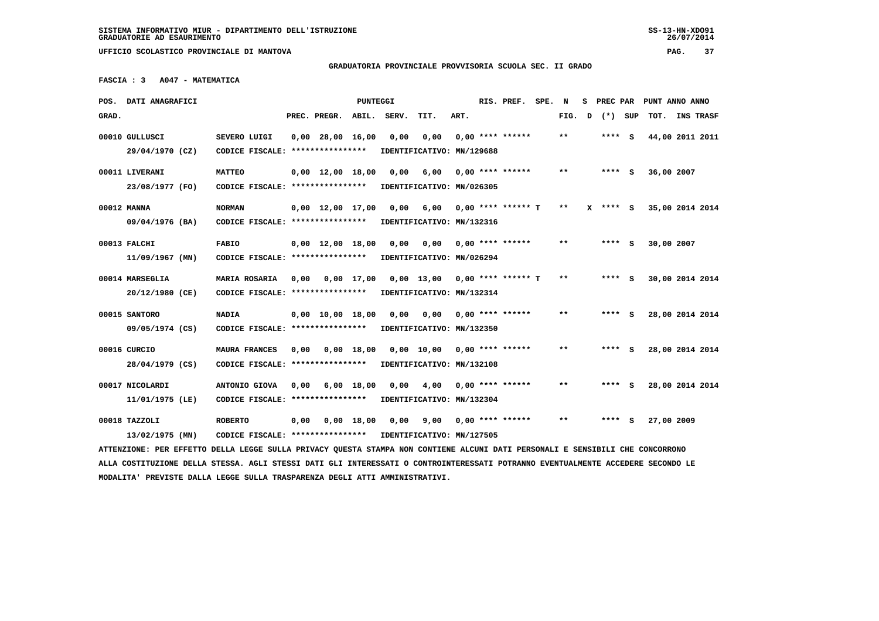# **GRADUATORIA PROVINCIALE PROVVISORIA SCUOLA SEC. II GRADO**

 **FASCIA : 3 A047 - MATEMATICA**

|       | POS. DATI ANAGRAFICI                                                                                                            |                                                            |      |                                | PUNTEGGI     |       |                               |      | RIS. PREF.              | SPE. | N     | s | PREC PAR |     |            | PUNT ANNO ANNO  |
|-------|---------------------------------------------------------------------------------------------------------------------------------|------------------------------------------------------------|------|--------------------------------|--------------|-------|-------------------------------|------|-------------------------|------|-------|---|----------|-----|------------|-----------------|
| GRAD. |                                                                                                                                 |                                                            |      | PREC. PREGR.                   | ABIL.        | SERV. | TIT.                          | ART. |                         |      | FIG.  | D | $(*)$    | SUP | TOT.       | INS TRASF       |
|       | 00010 GULLUSCI                                                                                                                  | SEVERO LUIGI                                               |      | $0,00$ 28,00 16,00             |              | 0,00  | 0,00                          |      | $0,00$ **** ******      |      | $* *$ |   | $***$ S  |     |            | 44,00 2011 2011 |
|       | 29/04/1970 (CZ)                                                                                                                 | CODICE FISCALE: ****************                           |      |                                |              |       | IDENTIFICATIVO: MN/129688     |      |                         |      |       |   |          |     |            |                 |
|       |                                                                                                                                 |                                                            |      |                                |              |       |                               |      |                         |      |       |   |          |     |            |                 |
|       | 00011 LIVERANI                                                                                                                  | <b>MATTEO</b>                                              |      | $0,00 \quad 12,00 \quad 18,00$ |              | 0,00  | 6,00                          |      | 0,00 **** ******        |      | $* *$ |   | **** S   |     | 36,00 2007 |                 |
|       | 23/08/1977 (FO)                                                                                                                 | CODICE FISCALE: *****************                          |      |                                |              |       | IDENTIFICATIVO: MN/026305     |      |                         |      |       |   |          |     |            |                 |
|       | 00012 MANNA                                                                                                                     | <b>NORMAN</b>                                              |      | $0,00$ 12,00 17,00             |              |       | 0,00 6,00 0,00 **** ****** T  |      |                         |      | $***$ |   | X **** S |     |            | 35,00 2014 2014 |
|       | 09/04/1976 (BA)                                                                                                                 | CODICE FISCALE: ****************                           |      |                                |              |       | IDENTIFICATIVO: MN/132316     |      |                         |      |       |   |          |     |            |                 |
|       |                                                                                                                                 |                                                            |      |                                |              |       |                               |      |                         |      | $***$ |   |          |     |            |                 |
|       | 00013 FALCHI                                                                                                                    | <b>FABIO</b>                                               |      | $0,00 \quad 12,00 \quad 18,00$ |              | 0,00  | 0.00                          |      | $0,00$ **** ******      |      |       |   | $***$ S  |     | 30,00 2007 |                 |
|       | $11/09/1967$ (MN)                                                                                                               | CODICE FISCALE: ****************                           |      |                                |              |       | IDENTIFICATIVO: MN/026294     |      |                         |      |       |   |          |     |            |                 |
|       | 00014 MARSEGLIA                                                                                                                 | MARIA ROSARIA                                              | 0,00 | 0,00 17,00                     |              |       | 0,00 13,00 0,00 **** ****** T |      |                         |      | $* *$ |   | $***$ S  |     |            | 30,00 2014 2014 |
|       | 20/12/1980 (CE)                                                                                                                 | CODICE FISCALE: *****************                          |      |                                |              |       | IDENTIFICATIVO: MN/132314     |      |                         |      |       |   |          |     |            |                 |
|       |                                                                                                                                 |                                                            |      |                                |              |       |                               |      |                         |      |       |   |          |     |            |                 |
|       | 00015 SANTORO                                                                                                                   | <b>NADIA</b>                                               |      | $0,00 \quad 10,00 \quad 18,00$ |              | 0,00  | 0,00                          |      | $0,00$ **** ******      |      | $* *$ |   | $***$ S  |     |            | 28,00 2014 2014 |
|       | 09/05/1974 (CS)                                                                                                                 | CODICE FISCALE: ****************                           |      |                                |              |       | IDENTIFICATIVO: MN/132350     |      |                         |      |       |   |          |     |            |                 |
|       | 00016 CURCIO                                                                                                                    | <b>MAURA FRANCES</b>                                       | 0,00 | 0,00 18,00                     |              |       | 0,00 10,00 0,00 **** ******   |      |                         |      | **    |   | **** S   |     |            | 28,00 2014 2014 |
|       | 28/04/1979 (CS)                                                                                                                 | CODICE FISCALE: *****************                          |      |                                |              |       | IDENTIFICATIVO: MN/132108     |      |                         |      |       |   |          |     |            |                 |
|       |                                                                                                                                 |                                                            |      |                                |              |       |                               |      |                         |      |       |   |          |     |            |                 |
|       | 00017 NICOLARDI                                                                                                                 | ANTONIO GIOVA                                              | 0,00 |                                | 6,00 18,00   | 0.00  | 4,00                          |      | $0.00$ **** ******      |      | $**$  |   | **** S   |     |            | 28,00 2014 2014 |
|       | 11/01/1975 (LE)                                                                                                                 | CODICE FISCALE: ****************                           |      |                                |              |       | IDENTIFICATIVO: MN/132304     |      |                         |      |       |   |          |     |            |                 |
|       | 00018 TAZZOLI                                                                                                                   | <b>ROBERTO</b>                                             | 0,00 |                                | $0,00$ 18,00 | 0,00  |                               |      | $9,00$ 0,00 **** ****** |      | $**$  |   | **** S   |     | 27,00 2009 |                 |
|       | 13/02/1975 (MN)                                                                                                                 | CODICE FISCALE: **************** IDENTIFICATIVO: MN/127505 |      |                                |              |       |                               |      |                         |      |       |   |          |     |            |                 |
|       | ATTENZIONE: PER EFFETTO DELLA LEGGE SULLA PRIVACY QUESTA STAMPA NON CONTIENE ALCUNI DATI PERSONALI E SENSIBILI CHE CONCORRONO   |                                                            |      |                                |              |       |                               |      |                         |      |       |   |          |     |            |                 |
|       | ALLA COSTITUZIONE DELLA STESSA. AGLI STESSI DATI GLI INTERESSATI O CONTROINTERESSATI POTRANNO EVENTUALMENTE ACCEDERE SECONDO LE |                                                            |      |                                |              |       |                               |      |                         |      |       |   |          |     |            |                 |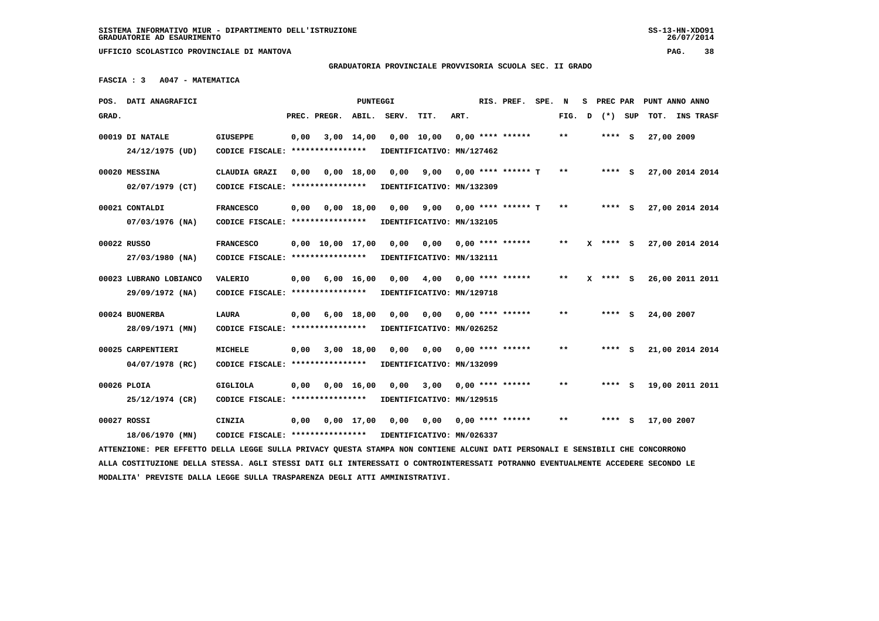## **GRADUATORIA PROVINCIALE PROVVISORIA SCUOLA SEC. II GRADO**

 **FASCIA : 3 A047 - MATEMATICA**

|       | POS. DATI ANAGRAFICI                                                                                                            |                                   |      |                                | <b>PUNTEGGI</b>    |       |                           |      | RIS. PREF.                | SPE. | N     | s | PREC PAR   |     | PUNT ANNO ANNO  |           |  |
|-------|---------------------------------------------------------------------------------------------------------------------------------|-----------------------------------|------|--------------------------------|--------------------|-------|---------------------------|------|---------------------------|------|-------|---|------------|-----|-----------------|-----------|--|
| GRAD. |                                                                                                                                 |                                   |      | PREC. PREGR.                   | ABIL.              | SERV. | TIT.                      | ART. |                           |      | FIG.  | D | $(*)$      | SUP | TOT.            | INS TRASF |  |
|       | 00019 DI NATALE                                                                                                                 | <b>GIUSEPPE</b>                   | 0,00 |                                | $3,00$ 14,00       |       | $0,00$ 10,00              |      | $0.00$ **** ******        |      | **    |   | **** S     |     | 27,00 2009      |           |  |
|       | 24/12/1975 (UD)                                                                                                                 | CODICE FISCALE: ****************  |      |                                |                    |       | IDENTIFICATIVO: MN/127462 |      |                           |      |       |   |            |     |                 |           |  |
|       | 00020 MESSINA                                                                                                                   | CLAUDIA GRAZI                     | 0.00 |                                | 0.00 18.00         | 0.00  | 9,00                      |      | $0.00$ **** ****** T      |      | **    |   | $***$ S    |     | 27,00 2014 2014 |           |  |
|       | $02/07/1979$ (CT)                                                                                                               | CODICE FISCALE: ****************  |      |                                |                    |       | IDENTIFICATIVO: MN/132309 |      |                           |      |       |   |            |     |                 |           |  |
|       | 00021 CONTALDI                                                                                                                  | <b>FRANCESCO</b>                  | 0,00 |                                | $0,00$ 18,00       | 0,00  |                           |      | $9,00$ 0,00 **** ****** T |      | $* *$ |   | $***$ S    |     | 27,00 2014 2014 |           |  |
|       | $07/03/1976$ (NA)                                                                                                               | CODICE FISCALE: ****************  |      |                                |                    |       | IDENTIFICATIVO: MN/132105 |      |                           |      |       |   |            |     |                 |           |  |
|       | 00022 RUSSO                                                                                                                     | <b>FRANCESCO</b>                  |      | $0,00 \quad 10,00 \quad 17,00$ |                    | 0,00  | 0,00                      |      | $0.00$ **** ******        |      | **    |   | **** S     |     | 27,00 2014 2014 |           |  |
|       | 27/03/1980 (NA)                                                                                                                 | CODICE FISCALE: ****************  |      |                                |                    |       | IDENTIFICATIVO: MN/132111 |      |                           |      |       |   |            |     |                 |           |  |
|       | 00023 LUBRANO LOBIANCO                                                                                                          | <b>VALERIO</b>                    | 0,00 |                                | $6,00 \quad 16,00$ | 0,00  | 4,00                      |      | $0.00$ **** ******        |      | $* *$ |   | $X$ **** S |     | 26,00 2011 2011 |           |  |
|       | 29/09/1972 (NA)                                                                                                                 | CODICE FISCALE: ****************  |      |                                |                    |       | IDENTIFICATIVO: MN/129718 |      |                           |      |       |   |            |     |                 |           |  |
|       | 00024 BUONERBA                                                                                                                  | <b>LAURA</b>                      | 0,00 |                                | $6,00$ 18,00       | 0,00  | 0,00                      |      | $0.00$ **** ******        |      | $***$ |   | **** S     |     | 24,00 2007      |           |  |
|       | 28/09/1971 (MN)                                                                                                                 | CODICE FISCALE: ****************  |      |                                |                    |       | IDENTIFICATIVO: MN/026252 |      |                           |      |       |   |            |     |                 |           |  |
|       | 00025 CARPENTIERI                                                                                                               | <b>MICHELE</b>                    | 0,00 |                                | 3,00 18,00         | 0,00  | 0,00                      |      | $0.00$ **** ******        |      | **    |   | **** S     |     | 21,00 2014 2014 |           |  |
|       | 04/07/1978 (RC)                                                                                                                 | CODICE FISCALE: ****************  |      |                                |                    |       | IDENTIFICATIVO: MN/132099 |      |                           |      |       |   |            |     |                 |           |  |
|       | 00026 PLOIA                                                                                                                     | GIGLIOLA                          | 0,00 |                                | 0.00 16.00         | 0.00  | 3,00                      |      | $0.00$ **** ******        |      | **    |   | **** S     |     | 19,00 2011 2011 |           |  |
|       | 25/12/1974 (CR)                                                                                                                 | CODICE FISCALE: ****************  |      |                                |                    |       | IDENTIFICATIVO: MN/129515 |      |                           |      |       |   |            |     |                 |           |  |
|       | 00027 ROSSI                                                                                                                     | CINZIA                            | 0,00 |                                | $0,00$ 17,00       | 0.00  | 0.00                      |      | $0.00$ **** ******        |      | $* *$ |   |            | s   | 17,00 2007      |           |  |
|       | 18/06/1970 (MN)                                                                                                                 | CODICE FISCALE: ***************** |      |                                |                    |       | IDENTIFICATIVO: MN/026337 |      |                           |      |       |   |            |     |                 |           |  |
|       | ATTENZIONE: PER EFFETTO DELLA LEGGE SULLA PRIVACY QUESTA STAMPA NON CONTIENE ALCUNI DATI PERSONALI E SENSIBILI CHE CONCORRONO   |                                   |      |                                |                    |       |                           |      |                           |      |       |   |            |     |                 |           |  |
|       | ALLA COSTITUZIONE DELLA STESSA. AGLI STESSI DATI GLI INTERESSATI O CONTROINTERESSATI POTRANNO EVENTUALMENTE ACCEDERE SECONDO LE |                                   |      |                                |                    |       |                           |      |                           |      |       |   |            |     |                 |           |  |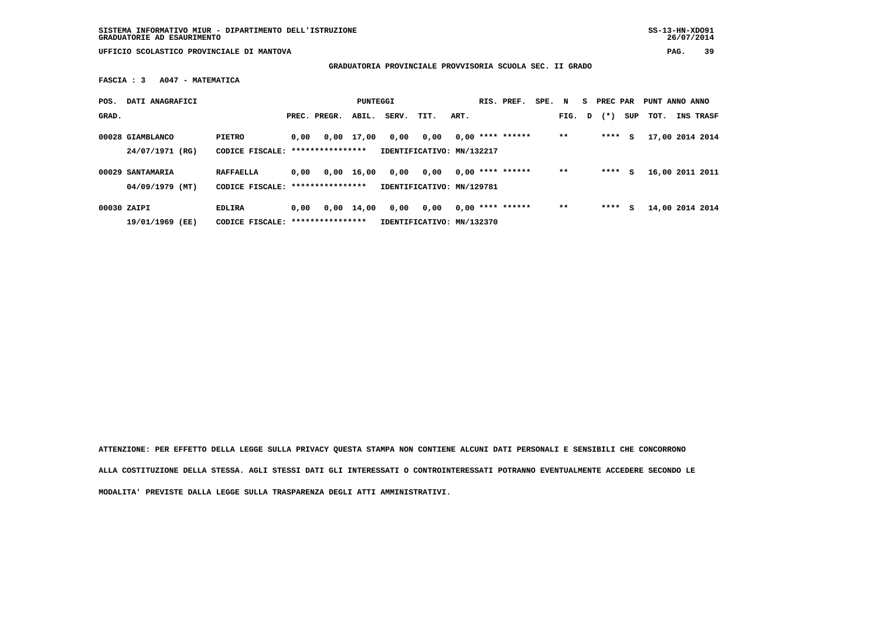**SISTEMA INFORMATIVO MIUR - DIPARTIMENTO DELL'ISTRUZIONE SS-13-HN-XDO91 GRADUATORIE AD ESAURIMENTO 26/07/2014**

 $26/07/2014$ 

 **UFFICIO SCOLASTICO PROVINCIALE DI MANTOVA PAG. 39**

 **GRADUATORIA PROVINCIALE PROVVISORIA SCUOLA SEC. II GRADO**

 **FASCIA : 3 A047 - MATEMATICA**

| POS.  | DATI ANAGRAFICI                       |                                             |      |                  | PUNTEGGI           |       |                                   |      | RIS. PREF.         | SPE. | N     | S. | PREC PAR |     | PUNT ANNO ANNO  |                 |
|-------|---------------------------------------|---------------------------------------------|------|------------------|--------------------|-------|-----------------------------------|------|--------------------|------|-------|----|----------|-----|-----------------|-----------------|
| GRAD. |                                       |                                             |      | PREC. PREGR.     | ABIL.              | SERV. | TIT.                              | ART. |                    |      | FIG.  | D  | $(* )$   | SUP | тот.            | INS TRASF       |
|       | 00028 GIAMBLANCO<br>24/07/1971 (RG)   | PIETRO<br>CODICE FISCALE: ***************** | 0,00 |                  | $0.00$ 17.00       | 0,00  | 0,00<br>IDENTIFICATIVO: MN/132217 |      | $0.00$ **** ****** |      | $* *$ |    | ****     | s   | 17,00 2014 2014 |                 |
|       | 00029 SANTAMARIA<br>$04/09/1979$ (MT) | <b>RAFFAELLA</b><br>CODICE FISCALE:         | 0.00 | **************** | $0,00$ 16,00       | 0,00  | 0,00<br>IDENTIFICATIVO: MN/129781 |      | $0.00$ **** ****** |      | $* *$ |    | ****     | s   |                 | 16,00 2011 2011 |
|       | 00030 ZAIPI<br>19/01/1969<br>(EE)     | EDLIRA<br>CODICE FISCALE:                   | 0,00 | **************** | $0,00 \quad 14,00$ | 0,00  | 0,00<br>IDENTIFICATIVO: MN/132370 |      | $0.00$ **** ****** |      | $* *$ |    | ****     | s   | 14,00 2014 2014 |                 |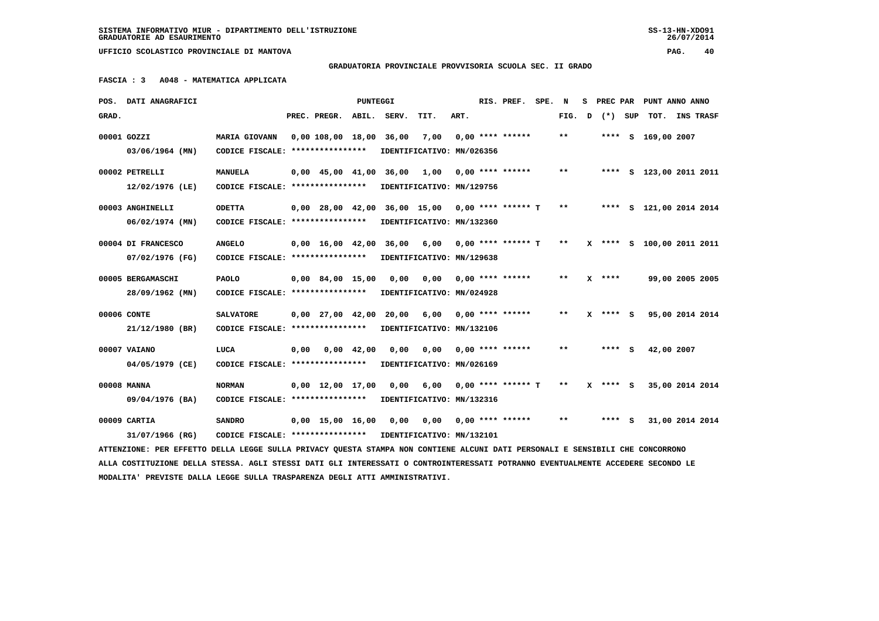**GRADUATORIA PROVINCIALE PROVVISORIA SCUOLA SEC. II GRADO**

 **FASCIA : 3 A048 - MATEMATICA APPLICATA**

|             | POS. DATI ANAGRAFICI                                                                                                            |                                                            |      |                          | PUNTEGGI |                                                       |                           |      | RIS. PREF.                | SPE. N |        |          | S PREC PAR PUNT ANNO ANNO |  |
|-------------|---------------------------------------------------------------------------------------------------------------------------------|------------------------------------------------------------|------|--------------------------|----------|-------------------------------------------------------|---------------------------|------|---------------------------|--------|--------|----------|---------------------------|--|
| GRAD.       |                                                                                                                                 |                                                            |      | PREC. PREGR. ABIL. SERV. |          |                                                       | TIT.                      | ART. |                           |        | FIG. D | (*) SUP  | TOT. INS TRASF            |  |
| 00001 GOZZI |                                                                                                                                 | <b>MARIA GIOVANN</b>                                       |      | 0,00 108,00 18,00 36,00  |          |                                                       | 7,00                      |      | $0,00$ **** ******        |        | $***$  |          | **** S 169,00 2007        |  |
|             | 03/06/1964 (MN)                                                                                                                 | CODICE FISCALE: ****************                           |      |                          |          |                                                       | IDENTIFICATIVO: MN/026356 |      |                           |        |        |          |                           |  |
|             | 00002 PETRELLI                                                                                                                  | <b>MANUELA</b>                                             |      |                          |          | $0.00 \quad 45.00 \quad 41.00 \quad 36.00 \quad 1.00$ |                           |      | $0.00$ **** ******        |        | $***$  |          | **** S 123,00 2011 2011   |  |
|             | 12/02/1976 (LE)                                                                                                                 | CODICE FISCALE: ****************                           |      |                          |          |                                                       | IDENTIFICATIVO: MN/129756 |      |                           |        |        |          |                           |  |
|             | 00003 ANGHINELLI                                                                                                                | <b>ODETTA</b>                                              |      |                          |          | $0.00$ 28.00 42.00 36.00 15.00 0.00 **** ****** T     |                           |      |                           |        | $* *$  |          | **** S 121,00 2014 2014   |  |
|             | $06/02/1974$ (MN)                                                                                                               | CODICE FISCALE: ****************                           |      |                          |          |                                                       | IDENTIFICATIVO: MN/132360 |      |                           |        |        |          |                           |  |
|             | 00004 DI FRANCESCO                                                                                                              | <b>ANGELO</b>                                              |      |                          |          | 0,00 16,00 42,00 36,00 6,00                           |                           |      | 0,00 **** ****** T        |        | $***$  |          | X **** S 100,00 2011 2011 |  |
|             | 07/02/1976 (FG)                                                                                                                 | CODICE FISCALE: ****************                           |      |                          |          |                                                       | IDENTIFICATIVO: MN/129638 |      |                           |        |        |          |                           |  |
|             | 00005 BERGAMASCHI                                                                                                               | <b>PAOLO</b>                                               |      | $0,00$ 84,00 15,00       |          | 0,00                                                  |                           |      | $0,00$ $0,00$ **** ****** |        | $* *$  | $X$ **** | 99,00 2005 2005           |  |
|             | 28/09/1962 (MN)                                                                                                                 | CODICE FISCALE: ****************                           |      |                          |          |                                                       | IDENTIFICATIVO: MN/024928 |      |                           |        |        |          |                           |  |
|             | 00006 CONTE                                                                                                                     | <b>SALVATORE</b>                                           |      | $0,00$ $27,00$ $42,00$   |          |                                                       | 20,00 6,00                |      | $0,00$ **** ******        |        | $***$  | X **** S | 95,00 2014 2014           |  |
|             | 21/12/1980 (BR)                                                                                                                 | CODICE FISCALE: ****************                           |      |                          |          |                                                       | IDENTIFICATIVO: MN/132106 |      |                           |        |        |          |                           |  |
|             | 00007 VAIANO                                                                                                                    | LUCA                                                       | 0,00 | 0,00 42,00               |          | 0,00                                                  | 0,00                      |      | $0,00$ **** ******        |        | $* *$  | **** S   | 42,00 2007                |  |
|             | 04/05/1979 (CE)                                                                                                                 | CODICE FISCALE: ****************                           |      |                          |          |                                                       | IDENTIFICATIVO: MN/026169 |      |                           |        |        |          |                           |  |
|             | 00008 MANNA                                                                                                                     | <b>NORMAN</b>                                              |      | $0,00$ 12,00 17,00 0,00  |          |                                                       | 6,00                      |      | $0.00$ **** ****** T      |        | $***$  | $***$ S  | 35,00 2014 2014           |  |
|             | 09/04/1976 (BA)                                                                                                                 | CODICE FISCALE: ****************                           |      |                          |          | IDENTIFICATIVO: MN/132316                             |                           |      |                           |        |        |          |                           |  |
|             | 00009 CARTIA                                                                                                                    | <b>SANDRO</b>                                              |      | $0.00$ 15.00 16.00       |          | 0.00                                                  |                           |      | $0.00$ $0.00$ **** ****** |        | $* *$  | $***$ S  | 31,00 2014 2014           |  |
|             | 31/07/1966 (RG)                                                                                                                 | CODICE FISCALE: **************** IDENTIFICATIVO: MN/132101 |      |                          |          |                                                       |                           |      |                           |        |        |          |                           |  |
|             | ATTENZIONE: PER EFFETTO DELLA LEGGE SULLA PRIVACY QUESTA STAMPA NON CONTIENE ALCUNI DATI PERSONALI E SENSIBILI CHE CONCORRONO   |                                                            |      |                          |          |                                                       |                           |      |                           |        |        |          |                           |  |
|             | ALLA COSTITUZIONE DELLA STESSA. AGLI STESSI DATI GLI INTERESSATI O CONTROINTERESSATI POTRANNO EVENTUALMENTE ACCEDERE SECONDO LE |                                                            |      |                          |          |                                                       |                           |      |                           |        |        |          |                           |  |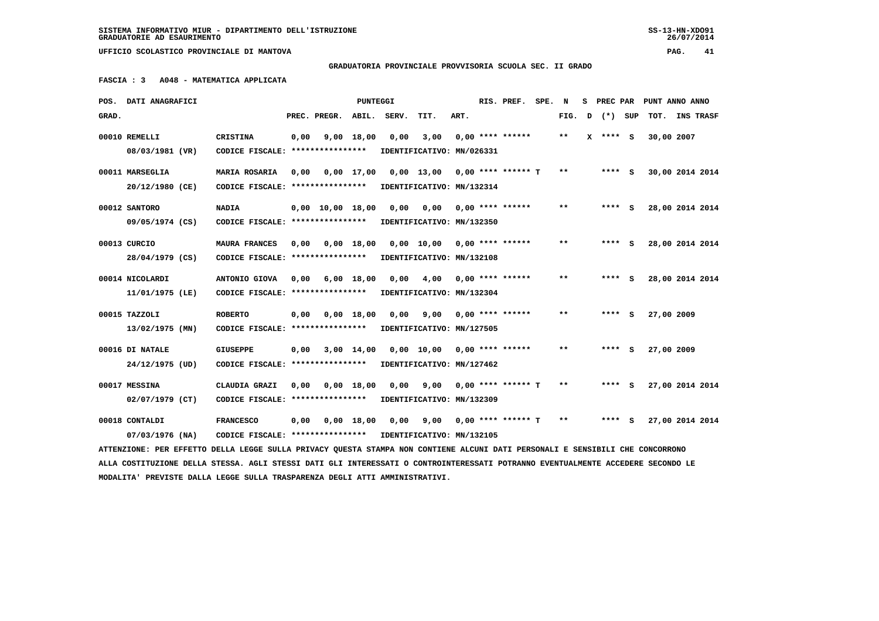**SISTEMA INFORMATIVO MIUR - DIPARTIMENTO DELL'ISTRUZIONE SS-13-HN-XDO91 GRADUATORIE AD ESAURIMENTO 26/07/2014**

26/07/2014

 **UFFICIO SCOLASTICO PROVINCIALE DI MANTOVA PAG. 41**

# **GRADUATORIA PROVINCIALE PROVVISORIA SCUOLA SEC. II GRADO**

 **FASCIA : 3 A048 - MATEMATICA APPLICATA**

|       | POS. DATI ANAGRAFICI                                                                                                            |                                   |      |                                | PUNTEGGI     |       |                               |      | RIS. PREF.           | SPE. | N            | s | PREC PAR |     | PUNT ANNO ANNO  |           |  |
|-------|---------------------------------------------------------------------------------------------------------------------------------|-----------------------------------|------|--------------------------------|--------------|-------|-------------------------------|------|----------------------|------|--------------|---|----------|-----|-----------------|-----------|--|
| GRAD. |                                                                                                                                 |                                   |      | PREC. PREGR.                   | ABIL.        | SERV. | TIT.                          | ART. |                      |      | FIG.         | D | $(*)$    | SUP | TOT.            | INS TRASF |  |
|       | 00010 REMELLI                                                                                                                   | <b>CRISTINA</b>                   | 0,00 |                                | 9,00 18,00   | 0,00  | 3,00                          |      | $0.00$ **** ******   |      | $* *$        |   | X **** S |     | 30,00 2007      |           |  |
|       | 08/03/1981 (VR)                                                                                                                 | CODICE FISCALE: ****************  |      |                                |              |       | IDENTIFICATIVO: MN/026331     |      |                      |      |              |   |          |     |                 |           |  |
|       |                                                                                                                                 |                                   |      |                                |              |       |                               |      |                      |      |              |   |          |     |                 |           |  |
|       | 00011 MARSEGLIA                                                                                                                 | MARIA ROSARIA                     | 0,00 |                                |              |       | 0,00 17,00 0,00 13,00         |      | $0.00$ **** ****** T |      | $* *$        |   | $***$ S  |     | 30,00 2014 2014 |           |  |
|       | 20/12/1980 (CE)                                                                                                                 | CODICE FISCALE: ***************** |      |                                |              |       | IDENTIFICATIVO: MN/132314     |      |                      |      |              |   |          |     |                 |           |  |
|       | 00012 SANTORO                                                                                                                   | <b>NADIA</b>                      |      | $0.00 \quad 10.00 \quad 18.00$ |              | 0.00  | 0.00                          |      | $0.00$ **** ******   |      | $\star\star$ |   |          | s   | 28,00 2014 2014 |           |  |
|       | 09/05/1974 (CS)                                                                                                                 | CODICE FISCALE: ****************  |      |                                |              |       | IDENTIFICATIVO: MN/132350     |      |                      |      |              |   |          |     |                 |           |  |
|       |                                                                                                                                 |                                   |      |                                |              |       |                               |      |                      |      |              |   |          |     |                 |           |  |
|       | 00013 CURCIO                                                                                                                    | <b>MAURA FRANCES</b>              | 0,00 |                                | 0.00 18.00   |       | $0.00$ 10.00 0.00 **** ****** |      |                      |      | $\star\star$ |   | $***$ S  |     | 28,00 2014 2014 |           |  |
|       | 28/04/1979 (CS)                                                                                                                 | CODICE FISCALE: ****************  |      |                                |              |       | IDENTIFICATIVO: MN/132108     |      |                      |      |              |   |          |     |                 |           |  |
|       | 00014 NICOLARDI                                                                                                                 | ANTONIO GIOVA                     | 0.00 |                                | $6,00$ 18,00 | 0.00  | 4,00                          |      | $0.00$ **** ******   |      | $**$         |   | $***$ S  |     | 28,00 2014 2014 |           |  |
|       | 11/01/1975 (LE)                                                                                                                 | CODICE FISCALE: ****************  |      |                                |              |       | IDENTIFICATIVO: MN/132304     |      |                      |      |              |   |          |     |                 |           |  |
|       | 00015 TAZZOLI                                                                                                                   | <b>ROBERTO</b>                    |      |                                |              |       |                               |      | $0.00$ **** ******   |      | * *          |   | **** S   |     |                 |           |  |
|       |                                                                                                                                 |                                   | 0,00 |                                | $0,00$ 18,00 | 0,00  | 9,00                          |      |                      |      |              |   |          |     | 27,00 2009      |           |  |
|       | $13/02/1975$ (MN)                                                                                                               | CODICE FISCALE: ****************  |      |                                |              |       | IDENTIFICATIVO: MN/127505     |      |                      |      |              |   |          |     |                 |           |  |
|       | 00016 DI NATALE                                                                                                                 | <b>GIUSEPPE</b>                   | 0,00 |                                | 3,00 14,00   |       | 0,00 10,00                    |      | $0.00$ **** ******   |      | $* *$        |   | **** S   |     | 27,00 2009      |           |  |
|       | 24/12/1975 (UD)                                                                                                                 | CODICE FISCALE: ****************  |      |                                |              |       | IDENTIFICATIVO: MN/127462     |      |                      |      |              |   |          |     |                 |           |  |
|       |                                                                                                                                 |                                   |      |                                |              |       |                               |      |                      |      |              |   |          |     |                 |           |  |
|       | 00017 MESSINA                                                                                                                   | CLAUDIA GRAZI                     | 0,00 |                                | $0,00$ 18,00 | 0,00  | 9,00                          |      | $0.00$ **** ****** T |      | $***$        |   | $***$ S  |     | 27,00 2014 2014 |           |  |
|       | 02/07/1979 (CT)                                                                                                                 | CODICE FISCALE: ****************  |      |                                |              |       | IDENTIFICATIVO: MN/132309     |      |                      |      |              |   |          |     |                 |           |  |
|       | 00018 CONTALDI                                                                                                                  | <b>FRANCESCO</b>                  | 0,00 |                                | $0,00$ 18,00 | 0,00  | 9,00                          |      | $0.00$ **** ****** T |      | $* *$        |   | $***$ S  |     | 27,00 2014 2014 |           |  |
|       | 07/03/1976 (NA)                                                                                                                 | CODICE FISCALE: ****************  |      |                                |              |       | IDENTIFICATIVO: MN/132105     |      |                      |      |              |   |          |     |                 |           |  |
|       | ATTENZIONE: PER EFFETTO DELLA LEGGE SULLA PRIVACY QUESTA STAMPA NON CONTIENE ALCUNI DATI PERSONALI E SENSIBILI CHE CONCORRONO   |                                   |      |                                |              |       |                               |      |                      |      |              |   |          |     |                 |           |  |
|       | ALLA COSTITUZIONE DELLA STESSA. AGLI STESSI DATI GLI INTERESSATI O CONTROINTERESSATI POTRANNO EVENTUALMENTE ACCEDERE SECONDO LE |                                   |      |                                |              |       |                               |      |                      |      |              |   |          |     |                 |           |  |
|       | MODALITA' PREVISTE DALLA LEGGE SULLA TRASPARENZA DEGLI ATTI AMMINISTRATIVI.                                                     |                                   |      |                                |              |       |                               |      |                      |      |              |   |          |     |                 |           |  |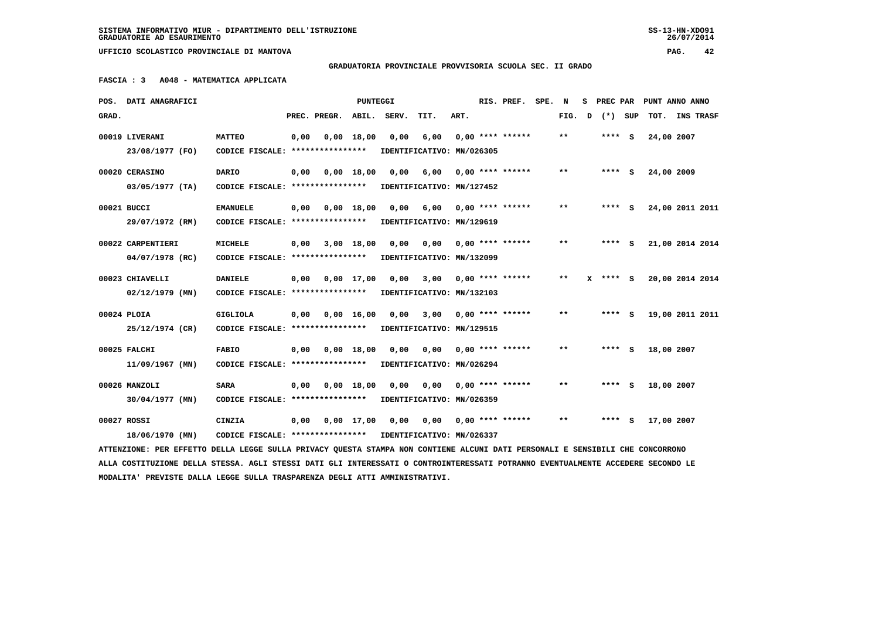## **GRADUATORIA PROVINCIALE PROVVISORIA SCUOLA SEC. II GRADO**

 **FASCIA : 3 A048 - MATEMATICA APPLICATA**

|       | POS. DATI ANAGRAFICI                                                                                                            |                                   |      |                    | <b>PUNTEGGI</b> |       |                                  |      | RIS. PREF.              | SPE. N |       | s | <b>PREC PAR</b> |            | PUNT ANNO ANNO  |
|-------|---------------------------------------------------------------------------------------------------------------------------------|-----------------------------------|------|--------------------|-----------------|-------|----------------------------------|------|-------------------------|--------|-------|---|-----------------|------------|-----------------|
| GRAD. |                                                                                                                                 |                                   |      | PREC. PREGR. ABIL. |                 | SERV. | TIT.                             | ART. |                         |        | FIG.  | D | (*) SUP         |            | TOT. INS TRASF  |
|       | 00019 LIVERANI                                                                                                                  | <b>MATTEO</b>                     | 0,00 |                    | $0,00$ 18,00    | 0,00  | 6,00                             |      | $0.00$ **** ******      |        | $***$ |   | $***$ S         | 24,00 2007 |                 |
|       | 23/08/1977 (FO)                                                                                                                 | CODICE FISCALE: ****************  |      |                    |                 |       | IDENTIFICATIVO: MN/026305        |      |                         |        |       |   |                 |            |                 |
|       | 00020 CERASINO                                                                                                                  | <b>DARIO</b>                      | 0,00 |                    | $0,00$ 18,00    | 0,00  | 6,00                             |      | $0.00$ **** ******      |        | $***$ |   | $***$ S         | 24,00 2009 |                 |
|       | $03/05/1977$ (TA)                                                                                                               | CODICE FISCALE: ***************** |      |                    |                 |       | IDENTIFICATIVO: MN/127452        |      |                         |        |       |   |                 |            |                 |
|       | 00021 BUCCI                                                                                                                     | <b>EMANUELE</b>                   | 0,00 |                    | $0,00$ 18,00    |       | 0,00 6,00 0,00 **** ******       |      |                         |        | **    |   | $***$ S         |            | 24,00 2011 2011 |
|       | 29/07/1972 (RM)                                                                                                                 | CODICE FISCALE: ****************  |      |                    |                 |       | IDENTIFICATIVO: MN/129619        |      |                         |        |       |   |                 |            |                 |
|       | 00022 CARPENTIERI                                                                                                               | MICHELE                           | 0,00 |                    | $3,00$ 18,00    | 0.00  | 0.00                             |      | $0.00$ **** ******      |        | $***$ |   | $***$ S         |            | 21,00 2014 2014 |
|       | 04/07/1978 (RC)                                                                                                                 | CODICE FISCALE: ****************  |      |                    |                 |       | IDENTIFICATIVO: MN/132099        |      |                         |        |       |   |                 |            |                 |
|       | 00023 CHIAVELLI                                                                                                                 | <b>DANIELE</b>                    | 0,00 |                    | $0.00$ 17.00    | 0,00  |                                  |      | $3,00$ 0,00 **** ****** |        | $* *$ |   | $X$ **** S      |            | 20,00 2014 2014 |
|       | $02/12/1979$ (MN)                                                                                                               | CODICE FISCALE: ****************  |      |                    |                 |       | IDENTIFICATIVO: MN/132103        |      |                         |        |       |   |                 |            |                 |
|       | 00024 PLOIA                                                                                                                     | <b>GIGLIOLA</b>                   | 0,00 |                    | $0,00$ 16,00    |       | $0,00$ $3,00$ $0,00$ **** ****** |      |                         |        | $***$ |   | **** S          |            | 19,00 2011 2011 |
|       | 25/12/1974 (CR)                                                                                                                 | CODICE FISCALE: ****************  |      |                    |                 |       | IDENTIFICATIVO: MN/129515        |      |                         |        |       |   |                 |            |                 |
|       | 00025 FALCHI                                                                                                                    | <b>FABIO</b>                      | 0,00 |                    | $0,00$ 18,00    | 0,00  |                                  |      | $0,00$ 0,00 **** ****** |        | **    |   | $***$ S         | 18,00 2007 |                 |
|       | 11/09/1967 (MN)                                                                                                                 | CODICE FISCALE: ****************  |      |                    |                 |       | IDENTIFICATIVO: MN/026294        |      |                         |        |       |   |                 |            |                 |
|       | 00026 MANZOLI                                                                                                                   | <b>SARA</b>                       | 0,00 |                    | $0,00$ 18,00    | 0,00  | 0,00                             |      | $0.00$ **** ******      |        | $* *$ |   | **** S          | 18,00 2007 |                 |
|       | 30/04/1977 (MN)                                                                                                                 | CODICE FISCALE: ****************  |      |                    |                 |       | IDENTIFICATIVO: MN/026359        |      |                         |        |       |   |                 |            |                 |
|       | 00027 ROSSI                                                                                                                     | CINZIA                            | 0,00 |                    | $0,00$ 17,00    | 0,00  | 0,00                             |      | 0,00 **** ******        |        | $***$ |   | $***$ S         | 17,00 2007 |                 |
|       | 18/06/1970 (MN)                                                                                                                 | CODICE FISCALE: ****************  |      |                    |                 |       | IDENTIFICATIVO: MN/026337        |      |                         |        |       |   |                 |            |                 |
|       | ATTENZIONE: PER EFFETTO DELLA LEGGE SULLA PRIVACY OUESTA STAMPA NON CONTIENE ALCUNI DATI PERSONALI E SENSIBILI CHE CONCORRONO   |                                   |      |                    |                 |       |                                  |      |                         |        |       |   |                 |            |                 |
|       | ALLA COSTITUZIONE DELLA STESSA. AGLI STESSI DATI GLI INTERESSATI O CONTROINTERESSATI POTRANNO EVENTUALMENTE ACCEDERE SECONDO LE |                                   |      |                    |                 |       |                                  |      |                         |        |       |   |                 |            |                 |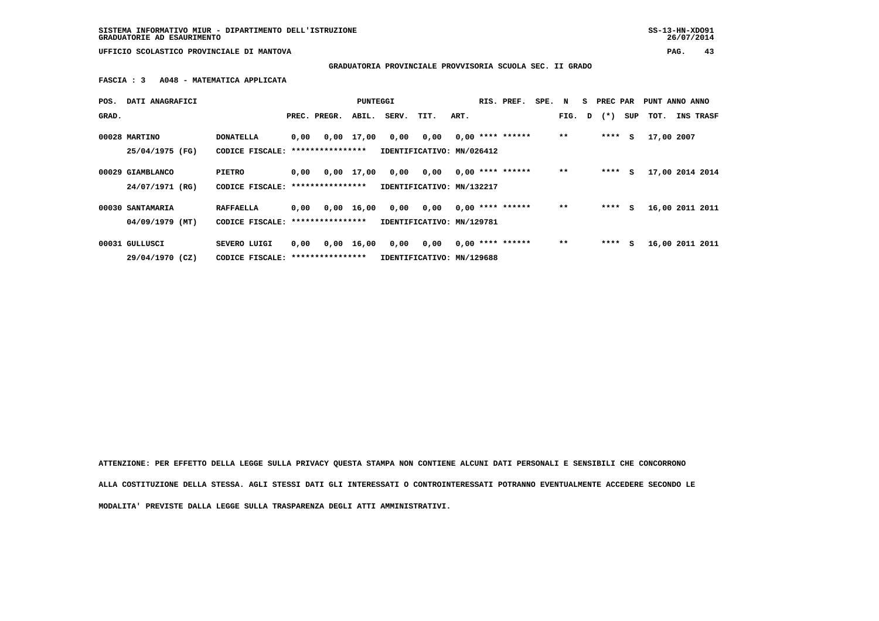**SISTEMA INFORMATIVO MIUR - DIPARTIMENTO DELL'ISTRUZIONE SS-13-HN-XDO91 GRADUATORIE AD ESAURIMENTO 26/07/2014**

26/07/2014

 **UFFICIO SCOLASTICO PROVINCIALE DI MANTOVA PAG. 43**

 **GRADUATORIA PROVINCIALE PROVVISORIA SCUOLA SEC. II GRADO**

 **FASCIA : 3 A048 - MATEMATICA APPLICATA**

| POS.  | DATI ANAGRAFICI  |                                   |      |                  | PUNTEGGI           |       |                           |      | RIS. PREF.         | SPE. N |        | S. | PREC PAR  |     | PUNT ANNO ANNO  |           |
|-------|------------------|-----------------------------------|------|------------------|--------------------|-------|---------------------------|------|--------------------|--------|--------|----|-----------|-----|-----------------|-----------|
| GRAD. |                  |                                   |      | PREC. PREGR.     | ABIL.              | SERV. | TIT.                      | ART. |                    |        | FIG. D |    | $(\star)$ | SUP | тот.            | INS TRASF |
|       |                  |                                   |      |                  |                    |       |                           |      |                    |        |        |    |           |     |                 |           |
|       | 00028 MARTINO    | <b>DONATELLA</b>                  | 0,00 |                  | 0,00 17,00         | 0,00  | 0,00                      |      | $0,00$ **** ****** |        | $* *$  |    | ****      | s   | 17,00 2007      |           |
|       | 25/04/1975 (FG)  | CODICE FISCALE:                   |      | **************** |                    |       | IDENTIFICATIVO: MN/026412 |      |                    |        |        |    |           |     |                 |           |
|       |                  |                                   |      |                  |                    |       |                           |      |                    |        |        |    |           |     |                 |           |
|       | 00029 GIAMBLANCO | <b>PIETRO</b>                     | 0,00 |                  | 0,00 17,00         | 0,00  | 0,00                      |      | $0.00$ **** ****** |        | $* *$  |    | ****      | S   | 17,00 2014 2014 |           |
|       | 24/07/1971 (RG)  | CODICE FISCALE:                   |      | **************** |                    |       | IDENTIFICATIVO: MN/132217 |      |                    |        |        |    |           |     |                 |           |
|       |                  |                                   |      |                  |                    |       |                           |      |                    |        |        |    |           |     |                 |           |
|       | 00030 SANTAMARIA | <b>RAFFAELLA</b>                  | 0.00 |                  | $0.00$ 16.00       | 0,00  | 0,00                      |      | $0.00$ **** ****** |        | $* *$  |    | ****      | s   | 16,00 2011 2011 |           |
|       | 04/09/1979 (MT)  | CODICE FISCALE: ***************** |      |                  |                    |       | IDENTIFICATIVO: MN/129781 |      |                    |        |        |    |           |     |                 |           |
|       |                  |                                   |      |                  |                    |       |                           |      |                    |        |        |    |           |     |                 |           |
|       | 00031 GULLUSCI   | SEVERO LUIGI                      | 0.00 |                  | $0,00 \quad 16,00$ | 0,00  | 0,00                      |      | $0.00$ **** ****** |        | $* *$  |    | ****      | s   | 16,00 2011 2011 |           |
|       | 29/04/1970 (CZ)  | CODICE FISCALE: ****************  |      |                  |                    |       | IDENTIFICATIVO: MN/129688 |      |                    |        |        |    |           |     |                 |           |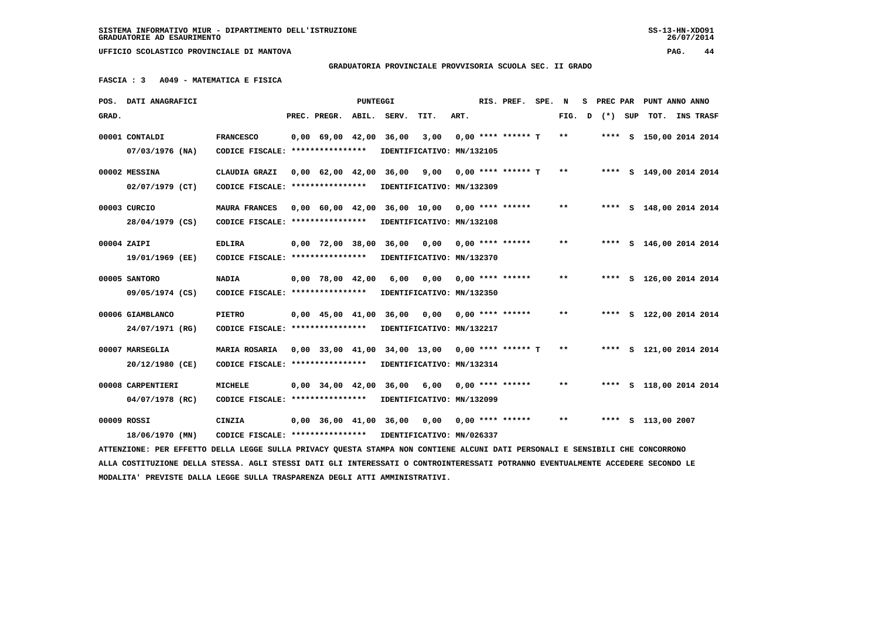## **GRADUATORIA PROVINCIALE PROVVISORIA SCUOLA SEC. II GRADO**

 **FASCIA : 3 A049 - MATEMATICA E FISICA**

|       | POS. DATI ANAGRAFICI                                                                                                            |                                  |                                            | PUNTEGGI |             |                                                   |      | RIS. PREF.           | SPE. N |       | s | PREC PAR |     | PUNT ANNO ANNO          |           |  |
|-------|---------------------------------------------------------------------------------------------------------------------------------|----------------------------------|--------------------------------------------|----------|-------------|---------------------------------------------------|------|----------------------|--------|-------|---|----------|-----|-------------------------|-----------|--|
| GRAD. |                                                                                                                                 |                                  | PREC. PREGR.                               |          | ABIL. SERV. | TIT.                                              | ART. |                      |        | FIG.  | D | $(*)$    | SUP | TOT.                    | INS TRASF |  |
|       | 00001 CONTALDI                                                                                                                  | <b>FRANCESCO</b>                 | $0,00$ 69,00 42,00 36,00                   |          |             | 3,00                                              |      | $0.00$ **** ****** T |        | $* *$ |   |          |     | **** S 150,00 2014 2014 |           |  |
|       | 07/03/1976 (NA)                                                                                                                 | CODICE FISCALE: **************** |                                            |          |             | IDENTIFICATIVO: MN/132105                         |      |                      |        |       |   |          |     |                         |           |  |
|       | 00002 MESSINA                                                                                                                   | CLAUDIA GRAZI                    | $0.00 \quad 62.00 \quad 42.00$             |          | 36,00       | 9,00                                              |      | $0.00$ **** ****** T |        | $***$ |   |          |     | **** S 149,00 2014 2014 |           |  |
|       | $02/07/1979$ (CT)                                                                                                               | CODICE FISCALE: **************** |                                            |          |             | IDENTIFICATIVO: MN/132309                         |      |                      |        |       |   |          |     |                         |           |  |
|       | 00003 CURCIO                                                                                                                    | MAURA FRANCES                    |                                            |          |             | 0,00 60,00 42,00 36,00 10,00 0,00 **** ******     |      |                      |        | $***$ |   |          |     | **** S 148,00 2014 2014 |           |  |
|       | 28/04/1979 (CS)                                                                                                                 | CODICE FISCALE: **************** |                                            |          |             | IDENTIFICATIVO: MN/132108                         |      |                      |        |       |   |          |     |                         |           |  |
|       | 00004 ZAIPI                                                                                                                     | <b>EDLIRA</b>                    | $0,00$ $72,00$ $38,00$                     |          | 36,00       | 0.00                                              |      | 0,00 **** ******     |        | $* *$ |   |          |     | **** S 146,00 2014 2014 |           |  |
|       | 19/01/1969 (EE)                                                                                                                 | CODICE FISCALE: **************** |                                            |          |             | IDENTIFICATIVO: MN/132370                         |      |                      |        |       |   |          |     |                         |           |  |
|       | 00005 SANTORO                                                                                                                   | <b>NADIA</b>                     | $0,00$ 78,00 42,00                         |          | 6,00        | 0,00                                              |      | $0.00$ **** ******   |        | **    |   |          |     | **** S 126,00 2014 2014 |           |  |
|       | 09/05/1974 (CS)                                                                                                                 | CODICE FISCALE: **************** |                                            |          |             | IDENTIFICATIVO: MN/132350                         |      |                      |        |       |   |          |     |                         |           |  |
|       | 00006 GIAMBLANCO                                                                                                                | <b>PIETRO</b>                    | $0.00 \quad 45.00 \quad 41.00$             |          | 36,00       | 0.00                                              |      | $0.00$ **** ******   |        | $* *$ |   |          |     | **** S 122,00 2014 2014 |           |  |
|       | 24/07/1971 (RG)                                                                                                                 | CODICE FISCALE: **************** |                                            |          |             | IDENTIFICATIVO: MN/132217                         |      |                      |        |       |   |          |     |                         |           |  |
|       | 00007 MARSEGLIA                                                                                                                 | MARIA ROSARIA                    |                                            |          |             | $0.00$ 33.00 41.00 34.00 13.00 0.00 **** ****** T |      |                      |        | **    |   |          |     | **** S 121,00 2014 2014 |           |  |
|       | 20/12/1980 (CE)                                                                                                                 | CODICE FISCALE: **************** |                                            |          |             | IDENTIFICATIVO: MN/132314                         |      |                      |        |       |   |          |     |                         |           |  |
|       | 00008 CARPENTIERI                                                                                                               | <b>MICHELE</b>                   |                                            |          |             | $0,00$ 34,00 42,00 36,00 6,00                     |      | $0.00$ **** ******   |        | **    |   |          |     | **** S 118,00 2014 2014 |           |  |
|       | 04/07/1978 (RC)                                                                                                                 | CODICE FISCALE: **************** |                                            |          |             | IDENTIFICATIVO: MN/132099                         |      |                      |        |       |   |          |     |                         |           |  |
|       | 00009 ROSSI                                                                                                                     | CINZIA                           | $0.00 \quad 36.00 \quad 41.00 \quad 36.00$ |          |             | 0.00                                              |      | $0.00$ **** ******   |        | $***$ |   |          |     | **** S 113,00 2007      |           |  |
|       | 18/06/1970 (MN)                                                                                                                 | CODICE FISCALE: **************** |                                            |          |             | IDENTIFICATIVO: MN/026337                         |      |                      |        |       |   |          |     |                         |           |  |
|       | ATTENZIONE: PER EFFETTO DELLA LEGGE SULLA PRIVACY QUESTA STAMPA NON CONTIENE ALCUNI DATI PERSONALI E SENSIBILI CHE CONCORRONO   |                                  |                                            |          |             |                                                   |      |                      |        |       |   |          |     |                         |           |  |
|       | ALLA COSTITUZIONE DELLA STESSA. AGLI STESSI DATI GLI INTERESSATI O CONTROINTERESSATI POTRANNO EVENTUALMENTE ACCEDERE SECONDO LE |                                  |                                            |          |             |                                                   |      |                      |        |       |   |          |     |                         |           |  |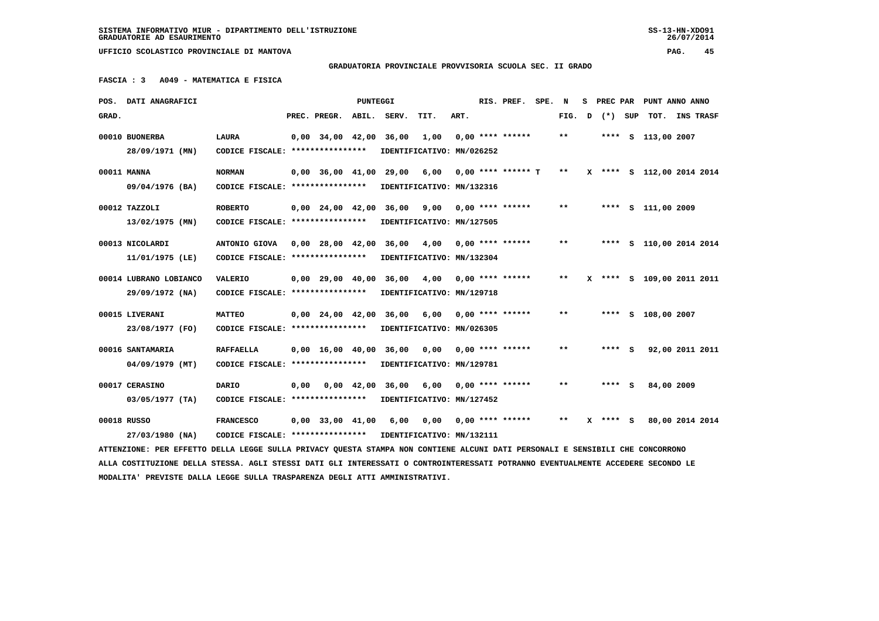## **GRADUATORIA PROVINCIALE PROVVISORIA SCUOLA SEC. II GRADO**

 **FASCIA : 3 A049 - MATEMATICA E FISICA**

|               | POS. DATI ANAGRAFICI                                                                                                            |                                                            |      |                                | PUNTEGGI |                             |      |      | RIS. PREF.           | SPE. | N      | s |            | PREC PAR PUNT ANNO ANNO   |  |
|---------------|---------------------------------------------------------------------------------------------------------------------------------|------------------------------------------------------------|------|--------------------------------|----------|-----------------------------|------|------|----------------------|------|--------|---|------------|---------------------------|--|
| GRAD.         |                                                                                                                                 |                                                            |      | PREC. PREGR.                   | ABIL.    | SERV.                       | TIT. | ART. |                      |      | FIG. D |   | (*) SUP    | TOT. INS TRASF            |  |
|               | 00010 BUONERBA                                                                                                                  | <b>LAURA</b>                                               |      | $0,00$ 34,00 42,00             |          | 36,00                       | 1,00 |      | $0.00$ **** ******   |      | **     |   |            | **** S 113,00 2007        |  |
|               | 28/09/1971 (MN)                                                                                                                 | CODICE FISCALE: ****************                           |      |                                |          | IDENTIFICATIVO: MN/026252   |      |      |                      |      |        |   |            |                           |  |
|               |                                                                                                                                 |                                                            |      |                                |          |                             |      |      |                      |      |        |   |            |                           |  |
| 00011 MANNA   |                                                                                                                                 | <b>NORMAN</b>                                              |      |                                |          | 0,00 36,00 41,00 29,00      | 6,00 |      | $0.00$ **** ****** T |      | $* *$  |   |            | X **** S 112,00 2014 2014 |  |
|               | 09/04/1976 (BA)                                                                                                                 | CODICE FISCALE: *****************                          |      |                                |          | IDENTIFICATIVO: MN/132316   |      |      |                      |      |        |   |            |                           |  |
| 00012 TAZZOLI |                                                                                                                                 | <b>ROBERTO</b>                                             |      | $0.00 \quad 24.00 \quad 42.00$ |          | 36,00                       | 9,00 |      | $0.00$ **** ******   |      | $***$  |   |            | **** S 111,00 2009        |  |
|               | 13/02/1975 (MN)                                                                                                                 | CODICE FISCALE: *****************                          |      |                                |          | IDENTIFICATIVO: MN/127505   |      |      |                      |      |        |   |            |                           |  |
|               |                                                                                                                                 |                                                            |      |                                |          |                             |      |      |                      |      | $* *$  |   |            |                           |  |
|               | 00013 NICOLARDI                                                                                                                 | ANTONIO GIOVA                                              |      |                                |          | 0,00 28,00 42,00 36,00      | 4,00 |      | $0.00$ **** ******   |      |        |   |            | **** S 110,00 2014 2014   |  |
|               | 11/01/1975 (LE)                                                                                                                 | CODICE FISCALE: ****************                           |      |                                |          | IDENTIFICATIVO: MN/132304   |      |      |                      |      |        |   |            |                           |  |
|               | 00014 LUBRANO LOBIANCO                                                                                                          | <b>VALERIO</b>                                             |      |                                |          | 0,00 29,00 40,00 36,00      | 4,00 |      | $0.00$ **** ******   |      | $* *$  |   |            | **** S 109,00 2011 2011   |  |
|               | 29/09/1972 (NA)                                                                                                                 | CODICE FISCALE: *****************                          |      |                                |          | IDENTIFICATIVO: MN/129718   |      |      |                      |      |        |   |            |                           |  |
|               |                                                                                                                                 |                                                            |      |                                |          |                             |      |      |                      |      |        |   |            |                           |  |
|               | 00015 LIVERANI                                                                                                                  | <b>MATTEO</b>                                              |      |                                |          | 0,00 24,00 42,00 36,00 6,00 |      |      | $0.00$ **** ******   |      | $***$  |   |            | **** S 108,00 2007        |  |
|               | 23/08/1977 (FO)                                                                                                                 | CODICE FISCALE: ****************                           |      |                                |          | IDENTIFICATIVO: MN/026305   |      |      |                      |      |        |   |            |                           |  |
|               | 00016 SANTAMARIA                                                                                                                | <b>RAFFAELLA</b>                                           |      |                                |          | 0,00 16,00 40,00 36,00      | 0,00 |      | $0.00$ **** ******   |      | $***$  |   | **** S     | 92,00 2011 2011           |  |
|               | 04/09/1979 (MT)                                                                                                                 | CODICE FISCALE: *****************                          |      |                                |          | IDENTIFICATIVO: MN/129781   |      |      |                      |      |        |   |            |                           |  |
|               |                                                                                                                                 |                                                            |      |                                |          |                             |      |      |                      |      |        |   |            |                           |  |
|               | 00017 CERASINO                                                                                                                  | <b>DARIO</b>                                               | 0,00 | 0,00 42,00                     |          | 36,00                       | 6,00 |      | $0.00$ **** ******   |      | $* *$  |   | **** S     | 84,00 2009                |  |
|               | 03/05/1977 (TA)                                                                                                                 | CODICE FISCALE: ****************                           |      |                                |          | IDENTIFICATIVO: MN/127452   |      |      |                      |      |        |   |            |                           |  |
| 00018 RUSSO   |                                                                                                                                 | <b>FRANCESCO</b>                                           |      |                                |          | 0,00 33,00 41,00 6,00       | 0,00 |      | $0.00$ **** ******   |      | $* *$  |   | $X$ **** S | 80,00 2014 2014           |  |
|               | 27/03/1980 (NA)                                                                                                                 | CODICE FISCALE: **************** IDENTIFICATIVO: MN/132111 |      |                                |          |                             |      |      |                      |      |        |   |            |                           |  |
|               | ATTENZIONE: PER EFFETTO DELLA LEGGE SULLA PRIVACY QUESTA STAMPA NON CONTIENE ALCUNI DATI PERSONALI E SENSIBILI CHE CONCORRONO   |                                                            |      |                                |          |                             |      |      |                      |      |        |   |            |                           |  |
|               | ALLA COSTITUZIONE DELLA STESSA. AGLI STESSI DATI GLI INTERESSATI O CONTROINTERESSATI POTRANNO EVENTUALMENTE ACCEDERE SECONDO LE |                                                            |      |                                |          |                             |      |      |                      |      |        |   |            |                           |  |
|               | MODALITA' PREVISTE DALLA LEGGE SULLA TRASPARENZA DEGLI ATTI AMMINISTRATIVI.                                                     |                                                            |      |                                |          |                             |      |      |                      |      |        |   |            |                           |  |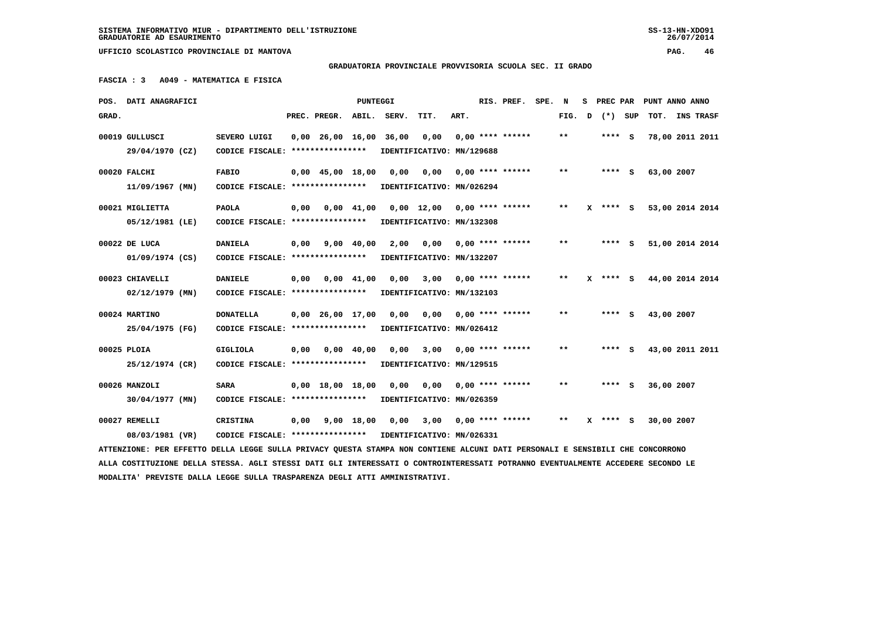26/07/2014

 **UFFICIO SCOLASTICO PROVINCIALE DI MANTOVA PAG. 46**

 **GRADUATORIA PROVINCIALE PROVVISORIA SCUOLA SEC. II GRADO**

 **FASCIA : 3 A049 - MATEMATICA E FISICA**

|       | POS. DATI ANAGRAFICI                                                                                                            |                                   |      |                                | <b>PUNTEGGI</b>    |       |                               |      | RIS. PREF.         | SPE. | N     | s | PREC PAR |     | PUNT ANNO ANNO  |           |
|-------|---------------------------------------------------------------------------------------------------------------------------------|-----------------------------------|------|--------------------------------|--------------------|-------|-------------------------------|------|--------------------|------|-------|---|----------|-----|-----------------|-----------|
| GRAD. |                                                                                                                                 |                                   |      | PREC. PREGR.                   | ABIL.              | SERV. | TIT.                          | ART. |                    |      | FIG.  | D | $(* )$   | SUP | TOT.            | INS TRASF |
|       | 00019 GULLUSCI                                                                                                                  | SEVERO LUIGI                      |      | $0,00$ $26,00$ $16,00$ $36,00$ |                    |       | 0,00                          |      | $0,00$ **** ****** |      | **    |   | **** S   |     | 78,00 2011 2011 |           |
|       | 29/04/1970 (CZ)                                                                                                                 | CODICE FISCALE: ****************  |      |                                |                    |       | IDENTIFICATIVO: MN/129688     |      |                    |      |       |   |          |     |                 |           |
|       | 00020 FALCHI                                                                                                                    | <b>FABIO</b>                      |      | $0,00$ 45,00 18,00             |                    | 0.00  | 0,00                          |      | $0.00$ **** ****** |      | $* *$ |   | $***$ S  |     | 63,00 2007      |           |
|       | 11/09/1967 (MN)                                                                                                                 | CODICE FISCALE: ***************** |      |                                |                    |       | IDENTIFICATIVO: MN/026294     |      |                    |      |       |   |          |     |                 |           |
|       | 00021 MIGLIETTA                                                                                                                 | <b>PAOLA</b>                      | 0,00 |                                | $0,00$ 41,00       |       | $0,00$ 12,00 0,00 **** ****** |      |                    |      | $* *$ |   | X **** S |     | 53,00 2014 2014 |           |
|       | 05/12/1981 (LE)                                                                                                                 | CODICE FISCALE: ***************** |      |                                |                    |       | IDENTIFICATIVO: MN/132308     |      |                    |      |       |   |          |     |                 |           |
|       | 00022 DE LUCA                                                                                                                   | <b>DANIELA</b>                    | 0,00 |                                | 9,00 40,00         | 2,00  | 0,00                          |      | $0,00$ **** ****** |      | $* *$ |   | **** S   |     | 51,00 2014 2014 |           |
|       | 01/09/1974 (CS)                                                                                                                 | CODICE FISCALE: ****************  |      |                                |                    |       | IDENTIFICATIVO: MN/132207     |      |                    |      |       |   |          |     |                 |           |
|       | 00023 CHIAVELLI                                                                                                                 | <b>DANIELE</b>                    | 0,00 |                                | $0.00 \quad 41.00$ | 0,00  | 3,00                          |      | $0.00$ **** ****** |      | $***$ |   | X **** S |     | 44,00 2014 2014 |           |
|       | $02/12/1979$ (MN)                                                                                                               | CODICE FISCALE: ****************  |      |                                |                    |       | IDENTIFICATIVO: MN/132103     |      |                    |      |       |   |          |     |                 |           |
|       | 00024 MARTINO                                                                                                                   | <b>DONATELLA</b>                  |      | $0.00 \quad 26.00 \quad 17.00$ |                    | 0,00  | 0,00                          |      | $0,00$ **** ****** |      | $* *$ |   | **** S   |     | 43,00 2007      |           |
|       | 25/04/1975 (FG)                                                                                                                 | CODICE FISCALE: ****************  |      |                                |                    |       | IDENTIFICATIVO: MN/026412     |      |                    |      |       |   |          |     |                 |           |
|       | 00025 PLOIA                                                                                                                     | <b>GIGLIOLA</b>                   | 0,00 |                                | $0.00 \quad 40.00$ | 0.00  | 3,00                          |      | $0,00$ **** ****** |      | $* *$ |   | $***$ S  |     | 43,00 2011 2011 |           |
|       | 25/12/1974 (CR)                                                                                                                 | CODICE FISCALE: ****************  |      |                                |                    |       | IDENTIFICATIVO: MN/129515     |      |                    |      |       |   |          |     |                 |           |
|       | 00026 MANZOLI                                                                                                                   | <b>SARA</b>                       |      | $0,00$ 18,00 18,00             |                    | 0,00  | 0,00                          |      | $0.00$ **** ****** |      | $* *$ |   | **** S   |     | 36,00 2007      |           |
|       | 30/04/1977 (MN)                                                                                                                 | CODICE FISCALE: ****************  |      |                                |                    |       | IDENTIFICATIVO: MN/026359     |      |                    |      |       |   |          |     |                 |           |
|       | 00027 REMELLI                                                                                                                   | CRISTINA                          | 0,00 |                                | $9,00$ 18,00       | 0.00  | 3,00                          |      | $0.00$ **** ****** |      | $* *$ |   | **** S   |     | 30,00 2007      |           |
|       | 08/03/1981 (VR)                                                                                                                 | CODICE FISCALE: ****************  |      |                                |                    |       | IDENTIFICATIVO: MN/026331     |      |                    |      |       |   |          |     |                 |           |
|       | ATTENZIONE: PER EFFETTO DELLA LEGGE SULLA PRIVACY QUESTA STAMPA NON CONTIENE ALCUNI DATI PERSONALI E SENSIBILI CHE CONCORRONO   |                                   |      |                                |                    |       |                               |      |                    |      |       |   |          |     |                 |           |
|       | ALLA COSTITUZIONE DELLA STESSA. AGLI STESSI DATI GLI INTERESSATI O CONTROINTERESSATI POTRANNO EVENTUALMENTE ACCEDERE SECONDO LE |                                   |      |                                |                    |       |                               |      |                    |      |       |   |          |     |                 |           |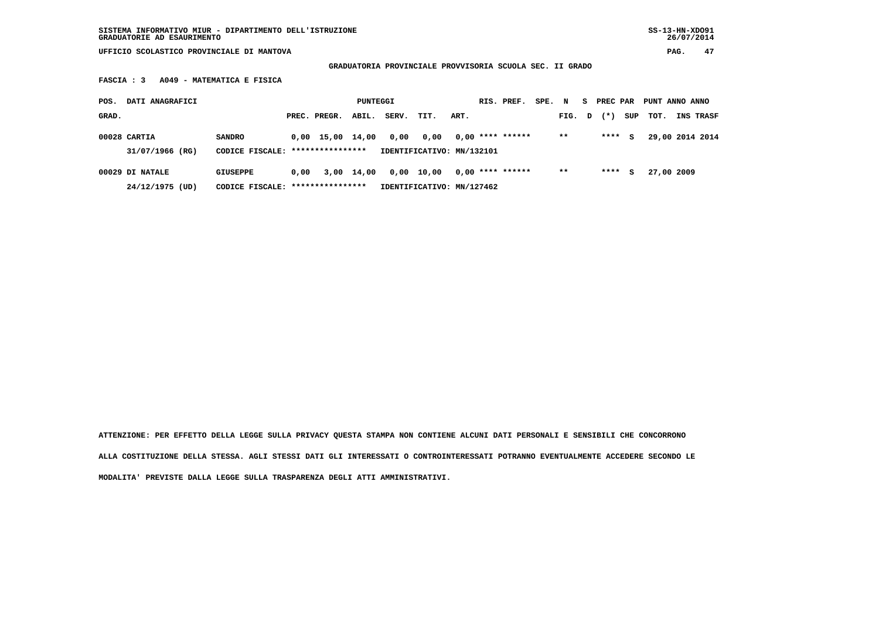**SISTEMA INFORMATIVO MIUR - DIPARTIMENTO DELL'ISTRUZIONE SS-13-HN-XDO91 GRADUATORIE AD ESAURIMENTO 26/07/2014**

 **UFFICIO SCOLASTICO PROVINCIALE DI MANTOVA PAG. 47**

 **GRADUATORIA PROVINCIALE PROVVISORIA SCUOLA SEC. II GRADO**

 **FASCIA : 3 A049 - MATEMATICA E FISICA**

| POS.  | DATI ANAGRAFICI                 |                                                   |      |                    | PUNTEGGI   |       |                                   |      | RIS. PREF.         | SPE. N |        | S. | PREC PAR |     | PUNT ANNO ANNO |                  |
|-------|---------------------------------|---------------------------------------------------|------|--------------------|------------|-------|-----------------------------------|------|--------------------|--------|--------|----|----------|-----|----------------|------------------|
| GRAD. |                                 |                                                   |      | PREC. PREGR.       | ABIL.      | SERV. | TIT.                              | ART. |                    |        | FIG. D |    | $(* )$   | SUP | TOT.           | <b>INS TRASF</b> |
|       | 00028 CARTIA<br>31/07/1966 (RG) | <b>SANDRO</b><br>CODICE FISCALE: **************** |      | $0,00$ 15,00 14,00 |            | 0,00  | 0.00<br>IDENTIFICATIVO: MN/132101 |      | $0,00$ **** ****** |        | $***$  |    | ****     | s   |                | 29,00 2014 2014  |
|       | 00029 DI NATALE                 | GIUSEPPE                                          | 0.00 |                    | 3,00 14,00 |       | 0,00 10,00                        |      | $0,00$ **** ****** |        | $* *$  |    | ****     | s   | 27,00 2009     |                  |
|       | 24/12/1975 (UD)                 | CODICE FISCALE: *****************                 |      |                    |            |       | IDENTIFICATIVO: MN/127462         |      |                    |        |        |    |          |     |                |                  |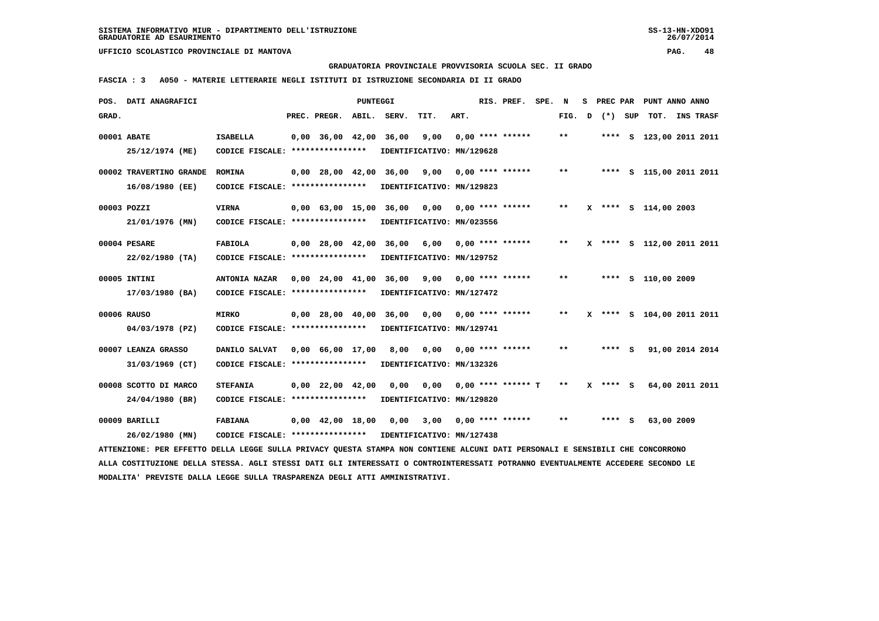**GRADUATORIA PROVINCIALE PROVVISORIA SCUOLA SEC. II GRADO**

 **FASCIA : 3 A050 - MATERIE LETTERARIE NEGLI ISTITUTI DI ISTRUZIONE SECONDARIA DI II GRADO**

|       | POS. DATI ANAGRAFICI                                                                                                            |                                                            |                                | PUNTEGGI |                                                |                           |      | RIS. PREF.           | SPE. N |              | s | PREC PAR | PUNT ANNO ANNO            |  |
|-------|---------------------------------------------------------------------------------------------------------------------------------|------------------------------------------------------------|--------------------------------|----------|------------------------------------------------|---------------------------|------|----------------------|--------|--------------|---|----------|---------------------------|--|
| GRAD. |                                                                                                                                 |                                                            | PREC. PREGR.                   | ABIL.    | SERV.                                          | TIT.                      | ART. |                      |        | FIG. D       |   | (*) SUP  | TOT. INS TRASF            |  |
|       | 00001 ABATE                                                                                                                     | <b>ISABELLA</b>                                            | $0,00$ 36,00 42,00             |          | 36,00                                          | 9,00                      |      | $0.00$ **** ******   |        | $* *$        |   |          | **** S 123,00 2011 2011   |  |
|       | 25/12/1974 (ME)                                                                                                                 | CODICE FISCALE: ****************                           |                                |          |                                                | IDENTIFICATIVO: MN/129628 |      |                      |        |              |   |          |                           |  |
|       |                                                                                                                                 |                                                            |                                |          |                                                |                           |      |                      |        |              |   |          |                           |  |
|       | 00002 TRAVERTINO GRANDE                                                                                                         | <b>ROMINA</b>                                              |                                |          | 0,00 28,00 42,00 36,00                         | 9,00                      |      | $0.00$ **** ******   |        | $* *$        |   |          | **** S 115,00 2011 2011   |  |
|       | 16/08/1980 (EE)                                                                                                                 | CODICE FISCALE: *****************                          |                                |          |                                                | IDENTIFICATIVO: MN/129823 |      |                      |        |              |   |          |                           |  |
|       |                                                                                                                                 |                                                            |                                |          |                                                |                           |      |                      |        |              |   |          |                           |  |
|       | 00003 POZZI                                                                                                                     | VIRNA                                                      |                                |          | 0,00 63,00 15,00 36,00 0,00                    |                           |      | $0.00$ **** ******   |        | $\star\star$ |   |          | X **** S 114,00 2003      |  |
|       | 21/01/1976 (MN)                                                                                                                 | CODICE FISCALE: *****************                          |                                |          |                                                | IDENTIFICATIVO: MN/023556 |      |                      |        |              |   |          |                           |  |
|       | 00004 PESARE                                                                                                                    | <b>FABIOLA</b>                                             |                                |          | $0,00$ 28,00 42,00 36,00 6,00 0,00 **** ****** |                           |      |                      |        | **           |   |          | X **** S 112,00 2011 2011 |  |
|       | $22/02/1980$ (TA)                                                                                                               | CODICE FISCALE: ****************                           |                                |          |                                                | IDENTIFICATIVO: MN/129752 |      |                      |        |              |   |          |                           |  |
|       |                                                                                                                                 |                                                            |                                |          |                                                |                           |      |                      |        |              |   |          |                           |  |
|       | 00005 INTINI                                                                                                                    | <b>ANTONIA NAZAR</b>                                       |                                |          | 0,00 24,00 41,00 36,00 9,00                    |                           |      | $0.00$ **** ******   |        | $***$        |   |          | **** S 110,00 2009        |  |
|       | 17/03/1980 (BA)                                                                                                                 | CODICE FISCALE: ****************                           |                                |          |                                                | IDENTIFICATIVO: MN/127472 |      |                      |        |              |   |          |                           |  |
|       |                                                                                                                                 |                                                            |                                |          |                                                |                           |      |                      |        |              |   |          |                           |  |
|       | 00006 RAUSO                                                                                                                     | <b>MIRKO</b>                                               |                                |          | $0.00$ $28.00$ $40.00$ $36.00$ $0.00$          |                           |      | $0.00$ **** ******   |        | **           |   |          | X **** S 104,00 2011 2011 |  |
|       | 04/03/1978 (PZ)                                                                                                                 | CODICE FISCALE: ****************                           |                                |          |                                                | IDENTIFICATIVO: MN/129741 |      |                      |        |              |   |          |                           |  |
|       | 00007 LEANZA GRASSO                                                                                                             | DANILO SALVAT                                              | $0.00 \quad 66.00 \quad 17.00$ |          | 8,00                                           | 0.00                      |      | $0.00$ **** ******   |        | **           |   | $***$ S  | 91,00 2014 2014           |  |
|       | 31/03/1969 (CT)                                                                                                                 | CODICE FISCALE: ****************                           |                                |          |                                                | IDENTIFICATIVO: MN/132326 |      |                      |        |              |   |          |                           |  |
|       |                                                                                                                                 |                                                            |                                |          |                                                |                           |      |                      |        |              |   |          |                           |  |
|       | 00008 SCOTTO DI MARCO                                                                                                           | <b>STEFANIA</b>                                            | $0,00$ 22,00 42,00             |          | 0,00                                           | 0.00                      |      | $0.00$ **** ****** T |        | $***$        |   | X **** S | 64,00 2011 2011           |  |
|       | 24/04/1980 (BR)                                                                                                                 | CODICE FISCALE: ****************                           |                                |          |                                                | IDENTIFICATIVO: MN/129820 |      |                      |        |              |   |          |                           |  |
|       |                                                                                                                                 |                                                            |                                |          |                                                |                           |      |                      |        |              |   |          |                           |  |
|       | 00009 BARILLI                                                                                                                   | <b>FABIANA</b>                                             | $0,00$ 42,00 18,00             |          | 0,00                                           | 3,00                      |      | $0.00$ **** ******   |        | $***$        |   | $***$ S  | 63,00 2009                |  |
|       | 26/02/1980 (MN)                                                                                                                 | CODICE FISCALE: **************** IDENTIFICATIVO: MN/127438 |                                |          |                                                |                           |      |                      |        |              |   |          |                           |  |
|       | ATTENZIONE: PER EFFETTO DELLA LEGGE SULLA PRIVACY QUESTA STAMPA NON CONTIENE ALCUNI DATI PERSONALI E SENSIBILI CHE CONCORRONO   |                                                            |                                |          |                                                |                           |      |                      |        |              |   |          |                           |  |
|       | ALLA COSTITUZIONE DELLA STESSA. AGLI STESSI DATI GLI INTERESSATI O CONTROINTERESSATI POTRANNO EVENTUALMENTE ACCEDERE SECONDO LE |                                                            |                                |          |                                                |                           |      |                      |        |              |   |          |                           |  |
|       | MODALITA' PREVISTE DALLA LEGGE SULLA TRASPARENZA DEGLI ATTI AMMINISTRATIVI.                                                     |                                                            |                                |          |                                                |                           |      |                      |        |              |   |          |                           |  |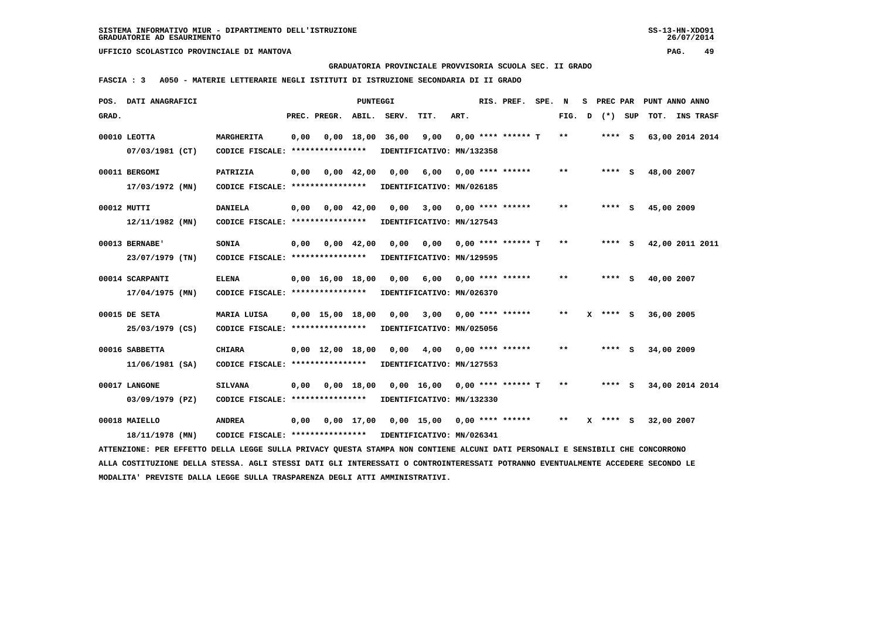**GRADUATORIA PROVINCIALE PROVVISORIA SCUOLA SEC. II GRADO**

 **FASCIA : 3 A050 - MATERIE LETTERARIE NEGLI ISTITUTI DI ISTRUZIONE SECONDARIA DI II GRADO**

| POS.  | DATI ANAGRAFICI                                                                                                                 |                                                            |      |                                | PUNTEGGI           |       |                                          |      | RIS. PREF.           | SPE. N |       | s | <b>PREC PAR</b> |            | PUNT ANNO ANNO  |
|-------|---------------------------------------------------------------------------------------------------------------------------------|------------------------------------------------------------|------|--------------------------------|--------------------|-------|------------------------------------------|------|----------------------|--------|-------|---|-----------------|------------|-----------------|
| GRAD. |                                                                                                                                 |                                                            |      | PREC. PREGR.                   | ABIL.              | SERV. | TIT.                                     | ART. |                      |        | FIG.  | D | (*) SUP         | TOT.       | INS TRASF       |
|       | 00010 LEOTTA                                                                                                                    | <b>MARGHERITA</b>                                          | 0,00 |                                | $0,00$ 18,00       | 36,00 | 9,00                                     |      | $0.00$ **** ****** T |        | $***$ |   | $***$ S         |            | 63,00 2014 2014 |
|       | 07/03/1981 (CT)                                                                                                                 | CODICE FISCALE: ****************                           |      |                                |                    |       | IDENTIFICATIVO: MN/132358                |      |                      |        |       |   |                 |            |                 |
|       | 00011 BERGOMI                                                                                                                   | PATRIZIA                                                   | 0,00 |                                | $0,00 \quad 42,00$ | 0,00  | 6,00                                     |      | $0,00$ **** ******   |        | $**$  |   | $***$ S         | 48,00 2007 |                 |
|       | 17/03/1972 (MN)                                                                                                                 | CODICE FISCALE: *****************                          |      |                                |                    |       | IDENTIFICATIVO: MN/026185                |      |                      |        |       |   |                 |            |                 |
|       | 00012 MUTTI                                                                                                                     | <b>DANIELA</b>                                             | 0,00 |                                | $0,00$ 42,00       | 0,00  | 3,00                                     |      | 0,00 **** ******     |        | $* *$ |   | $***$ S         | 45,00 2009 |                 |
|       | 12/11/1982 (MN)                                                                                                                 | CODICE FISCALE: ****************                           |      |                                |                    |       | IDENTIFICATIVO: MN/127543                |      |                      |        |       |   |                 |            |                 |
|       | 00013 BERNABE'                                                                                                                  | SONIA                                                      | 0,00 |                                | $0,00$ 42,00       | 0,00  | 0,00                                     |      | $0,00$ **** ****** T |        | $***$ |   | $***$ S         |            | 42,00 2011 2011 |
|       | 23/07/1979 (TN)                                                                                                                 | CODICE FISCALE: ****************                           |      |                                |                    |       | IDENTIFICATIVO: MN/129595                |      |                      |        |       |   |                 |            |                 |
|       | 00014 SCARPANTI                                                                                                                 | <b>ELENA</b>                                               |      | $0,00 \quad 16,00 \quad 18,00$ |                    | 0,00  | 6,00                                     |      | $0.00$ **** ******   |        | $**$  |   | $***$ S         | 40,00 2007 |                 |
|       | $17/04/1975$ (MN)                                                                                                               | CODICE FISCALE: *****************                          |      |                                |                    |       | IDENTIFICATIVO: MN/026370                |      |                      |        |       |   |                 |            |                 |
|       | 00015 DE SETA                                                                                                                   | MARIA LUISA                                                |      | $0,00 \quad 15,00 \quad 18,00$ |                    | 0,00  | 3,00                                     |      | $0,00$ **** ******   |        | $* *$ |   | $X$ **** S      | 36,00 2005 |                 |
|       | 25/03/1979 (CS)                                                                                                                 | CODICE FISCALE: ****************                           |      |                                |                    |       | IDENTIFICATIVO: MN/025056                |      |                      |        |       |   |                 |            |                 |
|       | 00016 SABBETTA                                                                                                                  | <b>CHIARA</b>                                              |      | $0,00 \quad 12,00 \quad 18,00$ |                    | 0.00  | 4,00                                     |      | $0.00$ **** ******   |        | $**$  |   | $***$ S         | 34,00 2009 |                 |
|       | 11/06/1981 (SA)                                                                                                                 | CODICE FISCALE: *****************                          |      |                                |                    |       | IDENTIFICATIVO: MN/127553                |      |                      |        |       |   |                 |            |                 |
|       | 00017 LANGONE                                                                                                                   | <b>SILVANA</b>                                             | 0,00 |                                | $0,00$ 18,00       |       | $0,00$ 16,00 0,00 **** ****** T          |      |                      |        | $***$ |   | $***$ S         |            | 34,00 2014 2014 |
|       | 03/09/1979 (PZ)                                                                                                                 | CODICE FISCALE: ****************                           |      |                                |                    |       | IDENTIFICATIVO: MN/132330                |      |                      |        |       |   |                 |            |                 |
|       | 00018 MAIELLO                                                                                                                   | <b>ANDREA</b>                                              | 0,00 |                                |                    |       | $0,00$ 17,00 0,00 15,00 0,00 **** ****** |      |                      |        | $***$ |   | $X$ **** $S$    | 32,00 2007 |                 |
|       | 18/11/1978 (MN)                                                                                                                 | CODICE FISCALE: **************** IDENTIFICATIVO: MN/026341 |      |                                |                    |       |                                          |      |                      |        |       |   |                 |            |                 |
|       | ATTENZIONE: PER EFFETTO DELLA LEGGE SULLA PRIVACY QUESTA STAMPA NON CONTIENE ALCUNI DATI PERSONALI E SENSIBILI CHE CONCORRONO   |                                                            |      |                                |                    |       |                                          |      |                      |        |       |   |                 |            |                 |
|       | ALLA COSTITUZIONE DELLA STESSA. AGLI STESSI DATI GLI INTERESSATI O CONTROINTERESSATI POTRANNO EVENTUALMENTE ACCEDERE SECONDO LE |                                                            |      |                                |                    |       |                                          |      |                      |        |       |   |                 |            |                 |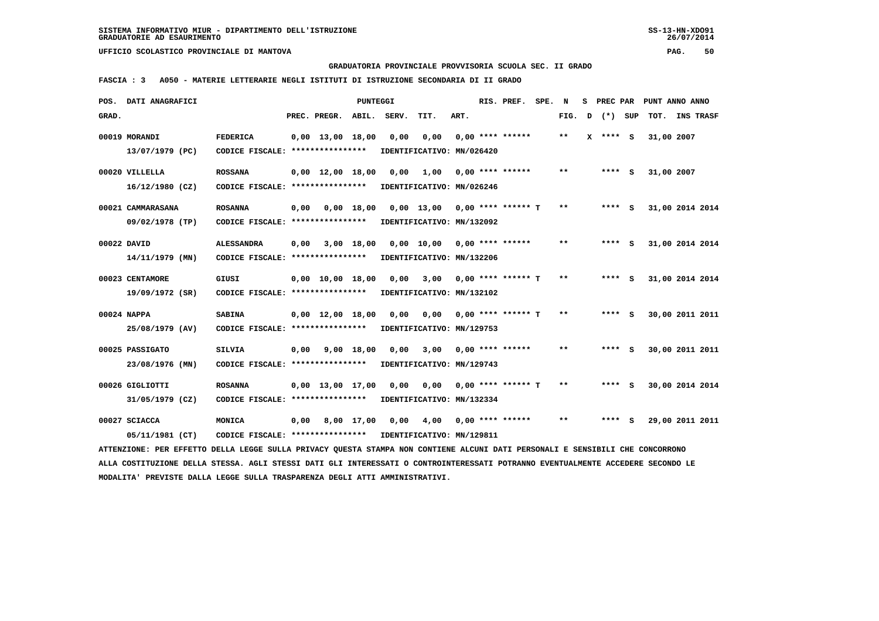**GRADUATORIA PROVINCIALE PROVVISORIA SCUOLA SEC. II GRADO**

 **FASCIA : 3 A050 - MATERIE LETTERARIE NEGLI ISTITUTI DI ISTRUZIONE SECONDARIA DI II GRADO**

|       | POS. DATI ANAGRAFICI                                                                                                            |                                                            |      |                                | <b>PUNTEGGI</b> |                           |                             |      | RIS. PREF. SPE. N    |        |            | S PREC PAR PUNT ANNO ANNO |                 |  |
|-------|---------------------------------------------------------------------------------------------------------------------------------|------------------------------------------------------------|------|--------------------------------|-----------------|---------------------------|-----------------------------|------|----------------------|--------|------------|---------------------------|-----------------|--|
| GRAD. |                                                                                                                                 |                                                            |      | PREC. PREGR. ABIL. SERV.       |                 |                           | TIT.                        | ART. |                      | FIG. D | (*) SUP    | TOT. INS TRASF            |                 |  |
|       | 00019 MORANDI                                                                                                                   | <b>FEDERICA</b>                                            |      | $0.00 \quad 13.00 \quad 18.00$ |                 | 0,00                      | 0,00                        |      | $0.00$ **** ******   | $* *$  | $X$ **** S | 31,00 2007                |                 |  |
|       | 13/07/1979 (PC)                                                                                                                 | CODICE FISCALE: *****************                          |      |                                |                 | IDENTIFICATIVO: MN/026420 |                             |      |                      |        |            |                           |                 |  |
|       |                                                                                                                                 |                                                            |      |                                |                 |                           |                             |      |                      |        |            |                           |                 |  |
|       | 00020 VILLELLA                                                                                                                  | <b>ROSSANA</b>                                             |      | $0,00$ $12,00$ $18,00$         |                 | 0,00                      | 1,00                        |      | $0.00$ **** ******   | $* *$  | **** S     | 31,00 2007                |                 |  |
|       | $16/12/1980$ (CZ)                                                                                                               | CODICE FISCALE: ****************                           |      |                                |                 | IDENTIFICATIVO: MN/026246 |                             |      |                      |        |            |                           |                 |  |
|       |                                                                                                                                 |                                                            |      |                                |                 |                           |                             |      |                      |        |            |                           |                 |  |
|       | 00021 CAMMARASANA                                                                                                               | <b>ROSANNA</b>                                             | 0,00 |                                | 0.00 18.00      |                           | $0,00$ 13,00                |      | 0,00 **** ****** T   | $***$  | $***$ S    |                           | 31,00 2014 2014 |  |
|       | 09/02/1978 (TP)                                                                                                                 | CODICE FISCALE: *****************                          |      |                                |                 | IDENTIFICATIVO: MN/132092 |                             |      |                      |        |            |                           |                 |  |
|       | 00022 DAVID                                                                                                                     | <b>ALESSANDRA</b>                                          |      | $0,00$ $3,00$ $18,00$          |                 |                           | 0,00 10,00 0,00 **** ****** |      |                      | $* *$  | $***$ S    | 31,00 2014 2014           |                 |  |
|       | 14/11/1979 (MN)                                                                                                                 | CODICE FISCALE: ****************                           |      |                                |                 | IDENTIFICATIVO: MN/132206 |                             |      |                      |        |            |                           |                 |  |
|       |                                                                                                                                 |                                                            |      |                                |                 |                           |                             |      |                      |        |            |                           |                 |  |
|       | 00023 CENTAMORE                                                                                                                 | GIUSI                                                      |      | $0.00 \quad 10.00 \quad 18.00$ |                 | 0.00                      | 3,00                        |      | $0.00$ **** ****** T | $***$  | $***$ S    |                           | 31,00 2014 2014 |  |
|       | 19/09/1972 (SR)                                                                                                                 | CODICE FISCALE: ****************                           |      |                                |                 |                           | IDENTIFICATIVO: MN/132102   |      |                      |        |            |                           |                 |  |
|       |                                                                                                                                 |                                                            |      |                                |                 |                           |                             |      |                      | $* *$  |            |                           |                 |  |
|       | 00024 NAPPA                                                                                                                     | <b>SABINA</b>                                              |      | $0.00 \quad 12.00 \quad 18.00$ |                 |                           | $0,00$ $0,00$               |      | $0.00$ **** ****** T |        | **** S     | 30,00 2011 2011           |                 |  |
|       | 25/08/1979 (AV)                                                                                                                 | CODICE FISCALE: ****************                           |      |                                |                 |                           | IDENTIFICATIVO: MN/129753   |      |                      |        |            |                           |                 |  |
|       | 00025 PASSIGATO                                                                                                                 | <b>SILVIA</b>                                              |      | $0,00$ $9,00$ $18,00$          |                 | 0.00                      | 3,00                        |      | $0.00$ **** ******   | $* *$  | $***$ S    |                           | 30,00 2011 2011 |  |
|       | 23/08/1976 (MN)                                                                                                                 | CODICE FISCALE: *****************                          |      |                                |                 | IDENTIFICATIVO: MN/129743 |                             |      |                      |        |            |                           |                 |  |
|       |                                                                                                                                 |                                                            |      |                                |                 |                           |                             |      |                      |        |            |                           |                 |  |
|       | 00026 GIGLIOTTI                                                                                                                 | <b>ROSANNA</b>                                             |      | $0,00$ 13,00 17,00             |                 | 0,00                      | 0,00                        |      | $0.00$ **** ****** T | $**$   | $***$ S    |                           | 30,00 2014 2014 |  |
|       | 31/05/1979 (CZ)                                                                                                                 | CODICE FISCALE: ****************                           |      |                                |                 | IDENTIFICATIVO: MN/132334 |                             |      |                      |        |            |                           |                 |  |
|       | 00027 SCIACCA                                                                                                                   | MONICA                                                     |      | $0.00$ $8.00$ $17.00$          |                 | 0.00                      | 4,00                        |      | 0,00 **** ******     | $* *$  | $***$ S    | 29,00 2011 2011           |                 |  |
|       |                                                                                                                                 |                                                            |      |                                |                 |                           |                             |      |                      |        |            |                           |                 |  |
|       | 05/11/1981 (CT)                                                                                                                 | CODICE FISCALE: **************** IDENTIFICATIVO: MN/129811 |      |                                |                 |                           |                             |      |                      |        |            |                           |                 |  |
|       | ATTENZIONE: PER EFFETTO DELLA LEGGE SULLA PRIVACY QUESTA STAMPA NON CONTIENE ALCUNI DATI PERSONALI E SENSIBILI CHE CONCORRONO   |                                                            |      |                                |                 |                           |                             |      |                      |        |            |                           |                 |  |
|       | ALLA COSTITUZIONE DELLA STESSA. AGLI STESSI DATI GLI INTERESSATI O CONTROINTERESSATI POTRANNO EVENTUALMENTE ACCEDERE SECONDO LE |                                                            |      |                                |                 |                           |                             |      |                      |        |            |                           |                 |  |
|       | MODALITA' PREVISTE DALLA LEGGE SULLA TRASPARENZA DEGLI ATTI AMMINISTRATIVI.                                                     |                                                            |      |                                |                 |                           |                             |      |                      |        |            |                           |                 |  |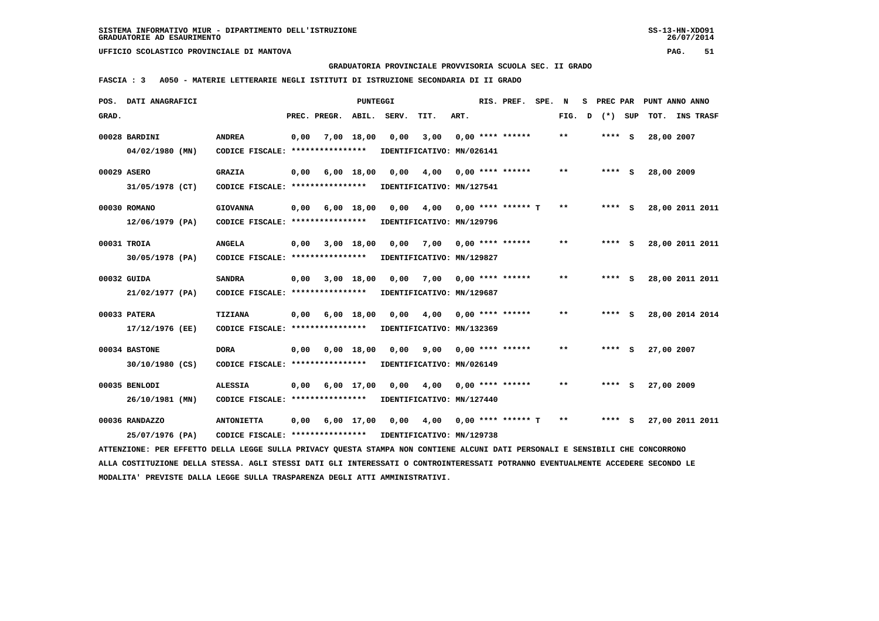**GRADUATORIA PROVINCIALE PROVVISORIA SCUOLA SEC. II GRADO**

 **FASCIA : 3 A050 - MATERIE LETTERARIE NEGLI ISTITUTI DI ISTRUZIONE SECONDARIA DI II GRADO**

| POS. DATI ANAGRAFICI<br><b>PUNTEGGI</b><br>RIS. PREF.<br>SPE. N<br>S PREC PAR                                                                                                                                  | PUNT ANNO ANNO        |
|----------------------------------------------------------------------------------------------------------------------------------------------------------------------------------------------------------------|-----------------------|
| PREC. PREGR. ABIL.<br>SERV.<br>ART.<br>$(*)$<br>GRAD.<br>TIT.<br>FIG. D                                                                                                                                        | SUP<br>TOT. INS TRASF |
| $0.00$ **** ******<br>00028 BARDINI<br><b>ANDREA</b><br>7,00 18,00<br>0,00<br>3,00<br>$* *$<br>$***$ S<br>0,00                                                                                                 | 28,00 2007            |
| CODICE FISCALE: ****************<br>04/02/1980 (MN)<br>IDENTIFICATIVO: MN/026141                                                                                                                               |                       |
|                                                                                                                                                                                                                |                       |
| 00029 ASERO<br><b>GRAZIA</b><br>6,00 18,00<br>0,00<br>4,00<br>$0.00$ **** ******<br>$* *$<br>$***$ S<br>0,00                                                                                                   | 28,00 2009            |
| 31/05/1978 (CT)<br>CODICE FISCALE: ****************<br>IDENTIFICATIVO: MN/127541                                                                                                                               |                       |
|                                                                                                                                                                                                                |                       |
| 6,00 18,00<br>0,00<br>4,00<br>$0.00$ **** ****** T<br>$***$<br>$***$ S<br>00030 ROMANO<br><b>GIOVANNA</b><br>0.00                                                                                              | 28,00 2011 2011       |
| 12/06/1979 (PA)<br>CODICE FISCALE: *****************<br>IDENTIFICATIVO: MN/129796                                                                                                                              |                       |
| 7,00 0,00 **** ******<br>$* *$<br>00031 TROIA<br><b>ANGELA</b><br>$0,00$ $3,00$ $18,00$<br>0,00<br>$***$ S                                                                                                     | 28,00 2011 2011       |
| CODICE FISCALE: ****************<br>30/05/1978 (PA)<br>IDENTIFICATIVO: MN/129827                                                                                                                               |                       |
|                                                                                                                                                                                                                |                       |
| $0,00$ $3,00$ $18,00$<br>$***$<br>00032 GUIDA<br><b>SANDRA</b><br>0.00<br>7,00<br>$0.00$ **** ******<br>$***$ S                                                                                                | 28,00 2011 2011       |
| 21/02/1977 (PA)<br>CODICE FISCALE: ****************<br>IDENTIFICATIVO: MN/129687                                                                                                                               |                       |
| 00033 PATERA<br>TIZIANA<br>$0,00$ $6,00$ $18,00$<br>$0,00$ 4,00<br>$0.00$ **** ******<br>$* *$<br>**** S                                                                                                       | 28,00 2014 2014       |
|                                                                                                                                                                                                                |                       |
| 17/12/1976 (EE)<br>CODICE FISCALE: ****************<br>IDENTIFICATIVO: MN/132369                                                                                                                               |                       |
| 00034 BASTONE<br><b>DORA</b><br>0,00 0,00 18,00<br>0,00<br>9,00<br>$0.00$ **** ******<br>$* *$<br>$***$ S                                                                                                      | 27,00 2007            |
| $30/10/1980$ (CS)<br>CODICE FISCALE: *****************<br>IDENTIFICATIVO: MN/026149                                                                                                                            |                       |
|                                                                                                                                                                                                                |                       |
| $0,00$ 6,00 17,00<br>00035 BENLODI<br><b>ALESSIA</b><br>$0,00 \t 4,00$<br>$0.00$ **** ******<br>$* *$<br>$***$ S                                                                                               | 27,00 2009            |
| CODICE FISCALE: *****************<br>26/10/1981 (MN)<br>IDENTIFICATIVO: MN/127440                                                                                                                              |                       |
| 00036 RANDAZZO<br>$0.00$ 4.00 0.00 **** ****** T<br><b>ANTONIETTA</b><br>0,00 6,00 17,00<br>$* *$<br>$***$ S                                                                                                   | 27,00 2011 2011       |
| 25/07/1976 (PA)<br>CODICE FISCALE: **************** IDENTIFICATIVO: MN/129738                                                                                                                                  |                       |
|                                                                                                                                                                                                                |                       |
| ATTENZIONE: PER EFFETTO DELLA LEGGE SULLA PRIVACY QUESTA STAMPA NON CONTIENE ALCUNI DATI PERSONALI E SENSIBILI CHE CONCORRONO                                                                                  |                       |
| ALLA COSTITUZIONE DELLA STESSA. AGLI STESSI DATI GLI INTERESSATI O CONTROINTERESSATI POTRANNO EVENTUALMENTE ACCEDERE SECONDO LE<br>MODALITA' PREVISTE DALLA LEGGE SULLA TRASPARENZA DEGLI ATTI AMMINISTRATIVI. |                       |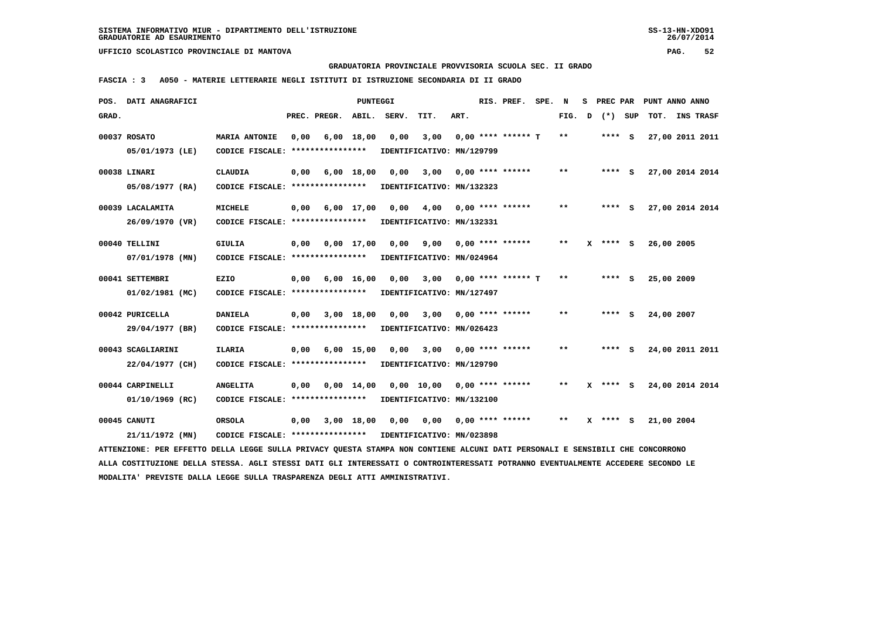**GRADUATORIA PROVINCIALE PROVVISORIA SCUOLA SEC. II GRADO**

 **FASCIA : 3 A050 - MATERIE LETTERARIE NEGLI ISTITUTI DI ISTRUZIONE SECONDARIA DI II GRADO**

|       | POS. DATI ANAGRAFICI                                                                                                            |                                                            |      |                         | PUNTEGGI     |                               |                                        |      | RIS. PREF.                | SPE. N |              |              | S PREC PAR   | PUNT ANNO ANNO  |  |
|-------|---------------------------------------------------------------------------------------------------------------------------------|------------------------------------------------------------|------|-------------------------|--------------|-------------------------------|----------------------------------------|------|---------------------------|--------|--------------|--------------|--------------|-----------------|--|
| GRAD. |                                                                                                                                 |                                                            |      | PREC. PREGR.            | ABIL.        | SERV.                         | TIT.                                   | ART. |                           |        | FIG.         | $\mathbf{D}$ | (*) SUP      | TOT. INS TRASF  |  |
|       | 00037 ROSATO                                                                                                                    | <b>MARIA ANTONIE</b>                                       | 0,00 |                         | $6,00$ 18,00 | 0,00                          | 3,00                                   |      | $0.00$ **** ****** T      |        | $***$        |              | $***$ S      | 27,00 2011 2011 |  |
|       | 05/01/1973 (LE)                                                                                                                 | CODICE FISCALE: ****************                           |      |                         |              |                               | IDENTIFICATIVO: MN/129799              |      |                           |        |              |              |              |                 |  |
|       | 00038 LINARI                                                                                                                    | <b>CLAUDIA</b>                                             | 0,00 |                         | 6,00 18,00   | 0,00                          | 3,00                                   |      | $0,00$ **** ******        |        | $* *$        |              | $***$ S      | 27,00 2014 2014 |  |
|       | 05/08/1977 (RA)                                                                                                                 | CODICE FISCALE: ****************                           |      |                         |              |                               | IDENTIFICATIVO: MN/132323              |      |                           |        |              |              |              |                 |  |
|       | 00039 LACALAMITA                                                                                                                | <b>MICHELE</b>                                             |      | $0,00 \t 6,00 \t 17,00$ |              |                               | $0,00$ $4,00$ $0,00$ $***$ **** *****  |      |                           |        | $* *$        |              | **** S       | 27,00 2014 2014 |  |
|       | 26/09/1970 (VR)                                                                                                                 | CODICE FISCALE: *****************                          |      |                         |              |                               | IDENTIFICATIVO: MN/132331              |      |                           |        |              |              |              |                 |  |
|       | 00040 TELLINI                                                                                                                   | <b>GIULIA</b>                                              | 0,00 |                         |              | $0,00 \quad 17,00 \quad 0,00$ | 9,00                                   |      | $0,00$ **** ******        |        | $***$        |              | $X$ **** $S$ | 26,00 2005      |  |
|       | 07/01/1978 (MN)                                                                                                                 | CODICE FISCALE: ****************                           |      |                         |              |                               | IDENTIFICATIVO: MN/024964              |      |                           |        |              |              |              |                 |  |
|       | 00041 SETTEMBRI                                                                                                                 | EZIO                                                       |      | $0,00$ 6,00 16,00       |              | 0,00                          |                                        |      | $3,00$ 0,00 **** ****** T |        | **           |              | **** S       | 25,00 2009      |  |
|       | 01/02/1981 (MC)                                                                                                                 | CODICE FISCALE: ****************                           |      |                         |              |                               | IDENTIFICATIVO: MN/127497              |      |                           |        |              |              |              |                 |  |
|       | 00042 PURICELLA                                                                                                                 | DANIELA                                                    | 0,00 |                         | 3,00 18,00   | 0,00                          | 3,00                                   |      | 0,00 **** ******          |        | $* *$        |              | **** S       | 24,00 2007      |  |
|       | 29/04/1977 (BR)                                                                                                                 | CODICE FISCALE: *****************                          |      |                         |              |                               | IDENTIFICATIVO: MN/026423              |      |                           |        |              |              |              |                 |  |
|       | 00043 SCAGLIARINI                                                                                                               | <b>ILARIA</b>                                              |      | $0,00$ 6,00 15,00       |              | 0.00                          |                                        |      | $3,00$ 0,00 **** ******   |        | $* *$        |              | $***$ S      | 24,00 2011 2011 |  |
|       | 22/04/1977 (CH)                                                                                                                 | CODICE FISCALE: *****************                          |      |                         |              |                               | IDENTIFICATIVO: MN/129790              |      |                           |        |              |              |              |                 |  |
|       | 00044 CARPINELLI                                                                                                                | <b>ANGELITA</b>                                            | 0,00 |                         |              |                               | 0,00 14,00 0,00 10,00 0,00 **** ****** |      |                           |        | **           |              | $X$ **** S   | 24,00 2014 2014 |  |
|       | 01/10/1969 (RC)                                                                                                                 | CODICE FISCALE: ****************                           |      |                         |              |                               | IDENTIFICATIVO: MN/132100              |      |                           |        |              |              |              |                 |  |
|       | 00045 CANUTI                                                                                                                    | ORSOLA                                                     | 0,00 |                         |              |                               |                                        |      |                           |        | $\star\star$ |              | $X$ **** S   | 21,00 2004      |  |
|       | 21/11/1972 (MN)                                                                                                                 | CODICE FISCALE: **************** IDENTIFICATIVO: MN/023898 |      |                         |              |                               |                                        |      |                           |        |              |              |              |                 |  |
|       | ATTENZIONE: PER EFFETTO DELLA LEGGE SULLA PRIVACY QUESTA STAMPA NON CONTIENE ALCUNI DATI PERSONALI E SENSIBILI CHE CONCORRONO   |                                                            |      |                         |              |                               |                                        |      |                           |        |              |              |              |                 |  |
|       | ALLA COSTITUZIONE DELLA STESSA. AGLI STESSI DATI GLI INTERESSATI O CONTROINTERESSATI POTRANNO EVENTUALMENTE ACCEDERE SECONDO LE |                                                            |      |                         |              |                               |                                        |      |                           |        |              |              |              |                 |  |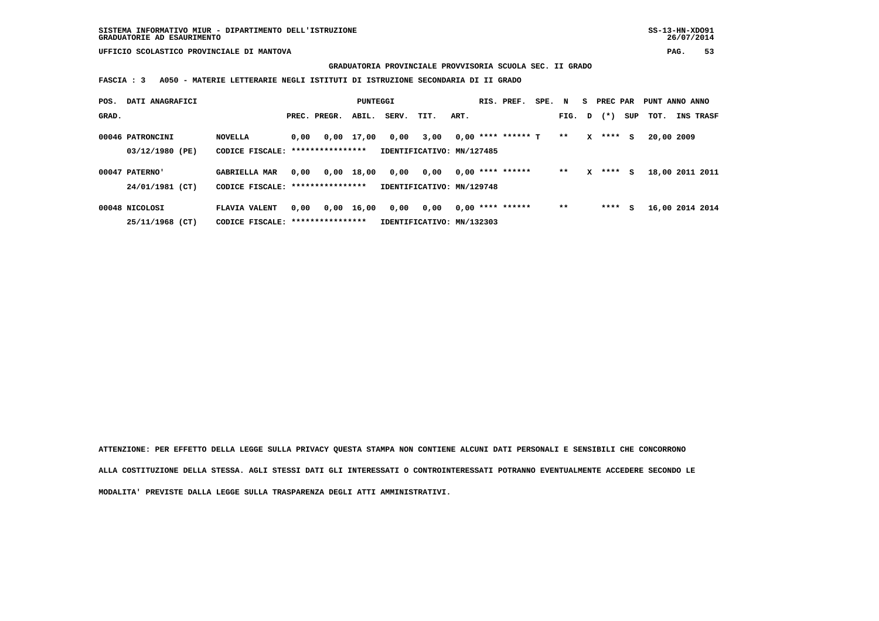**GRADUATORIA PROVINCIALE PROVVISORIA SCUOLA SEC. II GRADO**

 **FASCIA : 3 A050 - MATERIE LETTERARIE NEGLI ISTITUTI DI ISTRUZIONE SECONDARIA DI II GRADO**

| POS.  | DATI ANAGRAFICI  |                      |      |                  | PUNTEGGI   |       |                           |      | RIS. PREF.           | SPE. N |        |   | S PREC PAR |     | PUNT ANNO ANNO  |           |  |
|-------|------------------|----------------------|------|------------------|------------|-------|---------------------------|------|----------------------|--------|--------|---|------------|-----|-----------------|-----------|--|
| GRAD. |                  |                      |      | PREC. PREGR.     | ABIL.      | SERV. | TIT.                      | ART. |                      |        | FIG. D |   | $(* )$     | SUP | тот.            | INS TRASF |  |
|       | 00046 PATRONCINI | <b>NOVELLA</b>       | 0,00 |                  | 0,00 17,00 | 0.00  | 3,00                      |      | $0,00$ **** ****** T |        | $***$  | X | **** S     |     | 20,00 2009      |           |  |
|       | 03/12/1980 (PE)  | CODICE FISCALE:      |      | **************** |            |       | IDENTIFICATIVO: MN/127485 |      |                      |        |        |   |            |     |                 |           |  |
|       | 00047 PATERNO'   | <b>GABRIELLA MAR</b> | 0,00 |                  | 0,00 18,00 | 0,00  | 0,00                      |      | $0,00$ **** ******   |        | $* *$  | x | $***$ S    |     | 18,00 2011 2011 |           |  |
|       | 24/01/1981 (CT)  | CODICE FISCALE:      |      | **************** |            |       | IDENTIFICATIVO: MN/129748 |      |                      |        |        |   |            |     |                 |           |  |
|       | 00048 NICOLOSI   | FLAVIA VALENT        | 0,00 |                  | 0,00 16,00 | 0,00  | 0,00                      |      | $0.00$ **** ******   |        | $***$  |   | **** S     |     | 16,00 2014 2014 |           |  |
|       | 25/11/1968 (CT)  | CODICE FISCALE:      |      | **************** |            |       | IDENTIFICATIVO: MN/132303 |      |                      |        |        |   |            |     |                 |           |  |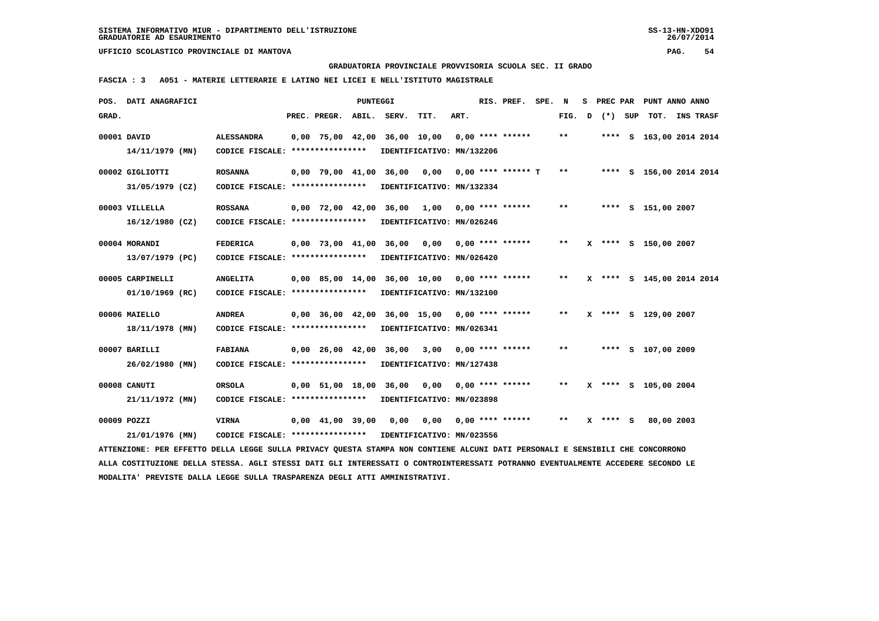**GRADUATORIA PROVINCIALE PROVVISORIA SCUOLA SEC. II GRADO**

 **FASCIA : 3 A051 - MATERIE LETTERARIE E LATINO NEI LICEI E NELL'ISTITUTO MAGISTRALE**

|       | POS. DATI ANAGRAFICI                                                                                                            |                                   |                                | PUNTEGGI |                        |                                                 |      | RIS. PREF. SPE.    | N                          | s. |              | PREC PAR PUNT ANNO ANNO   |  |
|-------|---------------------------------------------------------------------------------------------------------------------------------|-----------------------------------|--------------------------------|----------|------------------------|-------------------------------------------------|------|--------------------|----------------------------|----|--------------|---------------------------|--|
| GRAD. |                                                                                                                                 |                                   | PREC. PREGR.                   |          | ABIL. SERV.            | TIT.                                            | ART. |                    | FIG. D                     |    | (*) SUP      | TOT. INS TRASF            |  |
|       | 00001 DAVID                                                                                                                     | <b>ALESSANDRA</b>                 |                                |          |                        | $0,00$ 75,00 42,00 36,00 10,00 0,00 **** ****** |      |                    | $***$                      |    |              | **** S 163,00 2014 2014   |  |
|       | $14/11/1979$ (MN)                                                                                                               | CODICE FISCALE: ****************  |                                |          |                        | IDENTIFICATIVO: MN/132206                       |      |                    |                            |    |              |                           |  |
|       | 00002 GIGLIOTTI                                                                                                                 | <b>ROSANNA</b>                    |                                |          | 0,00 79,00 41,00 36,00 | 0.00                                            |      | 0,00 **** ****** T | $* *$                      |    |              | **** S 156,00 2014 2014   |  |
|       | 31/05/1979 (CZ)                                                                                                                 | CODICE FISCALE: ***************** |                                |          |                        | IDENTIFICATIVO: MN/132334                       |      |                    |                            |    |              |                           |  |
|       | 00003 VILLELLA                                                                                                                  | <b>ROSSANA</b>                    |                                |          |                        | $0.00$ 72,00 42,00 36,00 1,00 0,00 **** ******  |      |                    | $* *$                      |    |              | **** S 151,00 2007        |  |
|       | $16/12/1980$ (CZ)                                                                                                               | CODICE FISCALE: ****************  |                                |          |                        | IDENTIFICATIVO: MN/026246                       |      |                    |                            |    |              |                           |  |
|       | 00004 MORANDI                                                                                                                   | <b>FEDERICA</b>                   | $0.00$ 73.00 41.00             |          | 36,00 0,00             |                                                 |      | 0,00 **** ******   | $***$                      |    |              | X **** S 150,00 2007      |  |
|       | 13/07/1979 (PC)                                                                                                                 | CODICE FISCALE: ****************  |                                |          |                        | IDENTIFICATIVO: MN/026420                       |      |                    |                            |    |              |                           |  |
|       | 00005 CARPINELLI                                                                                                                | <b>ANGELITA</b>                   |                                |          |                        | 0,00 85,00 14,00 36,00 10,00 0,00 **** ******   |      |                    | $* *$                      |    |              | X **** S 145,00 2014 2014 |  |
|       | 01/10/1969 (RC)                                                                                                                 | CODICE FISCALE: ***************** |                                |          |                        | IDENTIFICATIVO: MN/132100                       |      |                    |                            |    |              |                           |  |
|       | 00006 MAIELLO                                                                                                                   | <b>ANDREA</b>                     |                                |          |                        | 0,00 36,00 42,00 36,00 15,00 0,00 **** ******   |      |                    | $***$                      |    |              | X **** S 129,00 2007      |  |
|       | 18/11/1978 (MN)                                                                                                                 | CODICE FISCALE: ****************  |                                |          |                        | IDENTIFICATIVO: MN/026341                       |      |                    |                            |    |              |                           |  |
|       | 00007 BARILLI                                                                                                                   | <b>FABIANA</b>                    |                                |          |                        | 0,00 26,00 42,00 36,00 3,00                     |      | $0.00$ **** ****** | $\pmb{\times}\pmb{\times}$ |    |              | **** S 107,00 2009        |  |
|       | 26/02/1980 (MN)                                                                                                                 | CODICE FISCALE: ****************  |                                |          |                        | IDENTIFICATIVO: MN/127438                       |      |                    |                            |    |              |                           |  |
|       | 00008 CANUTI                                                                                                                    | <b>ORSOLA</b>                     |                                |          |                        | 0,00 51,00 18,00 36,00 0,00                     |      | 0,00 **** ******   | $* *$                      |    |              | X **** S 105,00 2004      |  |
|       | 21/11/1972 (MN)                                                                                                                 | CODICE FISCALE: ****************  |                                |          |                        | IDENTIFICATIVO: MN/023898                       |      |                    |                            |    |              |                           |  |
|       | 00009 POZZI                                                                                                                     | <b>VIRNA</b>                      | $0,00 \quad 41,00 \quad 39,00$ |          | 0,00                   | 0,00                                            |      | $0,00$ **** ****** | $* *$                      |    | $X$ **** $S$ | 80,00 2003                |  |
|       | 21/01/1976 (MN)                                                                                                                 | CODICE FISCALE: ****************  |                                |          |                        | IDENTIFICATIVO: MN/023556                       |      |                    |                            |    |              |                           |  |
|       | ATTENZIONE: PER EFFETTO DELLA LEGGE SULLA PRIVACY QUESTA STAMPA NON CONTIENE ALCUNI DATI PERSONALI E SENSIBILI CHE CONCORRONO   |                                   |                                |          |                        |                                                 |      |                    |                            |    |              |                           |  |
|       | ALLA COSTITUZIONE DELLA STESSA. AGLI STESSI DATI GLI INTERESSATI O CONTROINTERESSATI POTRANNO EVENTUALMENTE ACCEDERE SECONDO LE |                                   |                                |          |                        |                                                 |      |                    |                            |    |              |                           |  |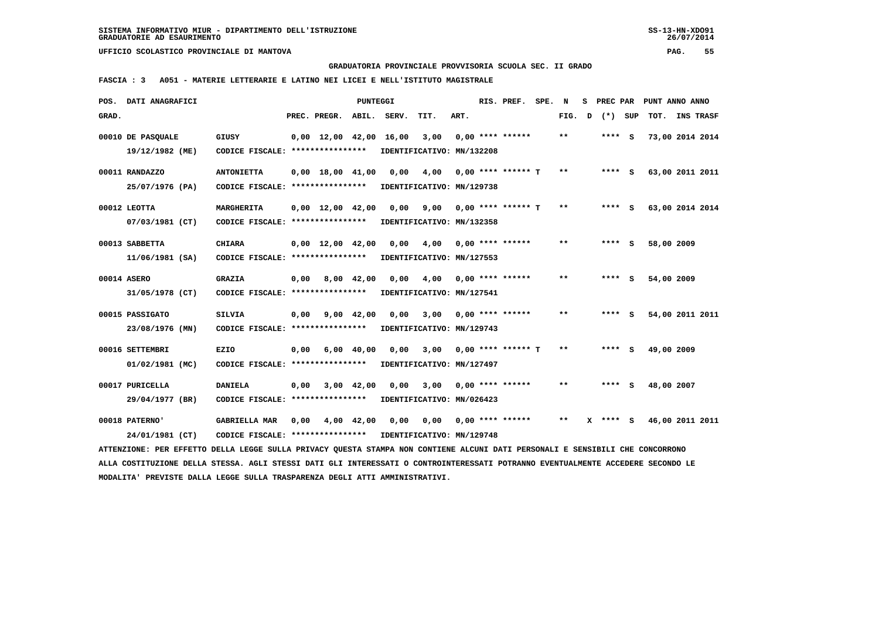**GRADUATORIA PROVINCIALE PROVVISORIA SCUOLA SEC. II GRADO**

 **FASCIA : 3 A051 - MATERIE LETTERARIE E LATINO NEI LICEI E NELL'ISTITUTO MAGISTRALE**

| POS. DATI ANAGRAFICI                                                                                                            |                                                            |      |                                            | PUNTEGGI       |                           |                           |      | RIS. PREF.           | SPE. | N     | s | PREC PAR |     | PUNT ANNO ANNO  |                  |  |
|---------------------------------------------------------------------------------------------------------------------------------|------------------------------------------------------------|------|--------------------------------------------|----------------|---------------------------|---------------------------|------|----------------------|------|-------|---|----------|-----|-----------------|------------------|--|
| GRAD.                                                                                                                           |                                                            |      | PREC. PREGR.                               | ABIL.          | SERV.                     | TIT.                      | ART. |                      |      | FIG.  | D | $(*)$    | SUP | TOT.            | <b>INS TRASF</b> |  |
| 00010 DE PASOUALE                                                                                                               | GIUSY                                                      |      | $0.00 \quad 12.00 \quad 42.00 \quad 16.00$ |                |                           | 3,00                      |      | $0,00$ **** ******   |      | * *   |   | **** S   |     | 73,00 2014 2014 |                  |  |
| 19/12/1982 (ME)                                                                                                                 | CODICE FISCALE: ****************                           |      |                                            |                |                           | IDENTIFICATIVO: MN/132208 |      |                      |      |       |   |          |     |                 |                  |  |
| 00011 RANDAZZO                                                                                                                  | <b>ANTONIETTA</b>                                          |      | $0,00 \quad 18,00 \quad 41,00$             |                | 0,00                      | 4,00                      |      | $0.00$ **** ****** T |      | $* *$ |   | $***$ S  |     | 63,00 2011 2011 |                  |  |
| 25/07/1976 (PA)                                                                                                                 | CODICE FISCALE: ****************                           |      |                                            |                | IDENTIFICATIVO: MN/129738 |                           |      |                      |      |       |   |          |     |                 |                  |  |
| 00012 LEOTTA                                                                                                                    | MARGHERITA                                                 |      | $0,00 \quad 12,00 \quad 42,00$             |                | 0,00                      | 9,00                      |      | $0,00$ **** ****** T |      | $* *$ |   | $***$ S  |     | 63,00 2014 2014 |                  |  |
| 07/03/1981 (CT)                                                                                                                 | CODICE FISCALE: ****************                           |      |                                            |                | IDENTIFICATIVO: MN/132358 |                           |      |                      |      |       |   |          |     |                 |                  |  |
| 00013 SABBETTA                                                                                                                  | <b>CHIARA</b>                                              |      | $0,00 \quad 12,00 \quad 42,00$             |                | 0,00                      | 4,00                      |      | 0,00 **** ******     |      | $**$  |   | **** S   |     | 58,00 2009      |                  |  |
| 11/06/1981 (SA)                                                                                                                 | CODICE FISCALE: ****************                           |      |                                            |                | IDENTIFICATIVO: MN/127553 |                           |      |                      |      |       |   |          |     |                 |                  |  |
|                                                                                                                                 |                                                            |      |                                            |                |                           |                           |      |                      |      |       |   |          |     |                 |                  |  |
| 00014 ASERO                                                                                                                     | <b>GRAZIA</b>                                              | 0,00 |                                            | 8,00 42,00     | 0.00                      | 4,00                      |      | $0.00$ **** ******   |      | $**$  |   | **** S   |     | 54,00 2009      |                  |  |
| 31/05/1978 (CT)                                                                                                                 | CODICE FISCALE: *****************                          |      |                                            |                | IDENTIFICATIVO: MN/127541 |                           |      |                      |      |       |   |          |     |                 |                  |  |
| 00015 PASSIGATO                                                                                                                 | <b>SILVIA</b>                                              | 0,00 | 9,00 42,00                                 |                | 0,00                      | 3,00                      |      | $0,00$ **** ******   |      | $* *$ |   | $***$ S  |     | 54,00 2011 2011 |                  |  |
| 23/08/1976 (MN)                                                                                                                 | CODICE FISCALE: ****************                           |      |                                            |                | IDENTIFICATIVO: MN/129743 |                           |      |                      |      |       |   |          |     |                 |                  |  |
| 00016 SETTEMBRI                                                                                                                 | <b>EZIO</b>                                                | 0,00 |                                            | $6,00$ $40,00$ | 0.00                      | 3,00                      |      | $0.00$ **** ****** T |      | $* *$ |   | **** S   |     | 49,00 2009      |                  |  |
| 01/02/1981 (MC)                                                                                                                 | CODICE FISCALE: ****************                           |      |                                            |                | IDENTIFICATIVO: MN/127497 |                           |      |                      |      |       |   |          |     |                 |                  |  |
| 00017 PURICELLA                                                                                                                 | <b>DANIELA</b>                                             | 0,00 |                                            | 3,00 42,00     | 0,00                      | 3,00                      |      | $0.00$ **** ******   |      | $* *$ |   | **** S   |     | 48,00 2007      |                  |  |
| 29/04/1977 (BR)                                                                                                                 | CODICE FISCALE: ****************                           |      |                                            |                | IDENTIFICATIVO: MN/026423 |                           |      |                      |      |       |   |          |     |                 |                  |  |
| 00018 PATERNO'                                                                                                                  | <b>GABRIELLA MAR</b>                                       | 0,00 | 4,00 42,00                                 |                | 0.00                      | 0.00                      |      | $0.00$ **** ******   |      | $* *$ | x | **** S   |     | 46,00 2011 2011 |                  |  |
| 24/01/1981 (CT)                                                                                                                 | CODICE FISCALE: **************** IDENTIFICATIVO: MN/129748 |      |                                            |                |                           |                           |      |                      |      |       |   |          |     |                 |                  |  |
| ATTENZIONE: PER EFFETTO DELLA LEGGE SULLA PRIVACY QUESTA STAMPA NON CONTIENE ALCUNI DATI PERSONALI E SENSIBILI CHE CONCORRONO   |                                                            |      |                                            |                |                           |                           |      |                      |      |       |   |          |     |                 |                  |  |
| ALLA COSTITUZIONE DELLA STESSA. AGLI STESSI DATI GLI INTERESSATI O CONTROINTERESSATI POTRANNO EVENTUALMENTE ACCEDERE SECONDO LE |                                                            |      |                                            |                |                           |                           |      |                      |      |       |   |          |     |                 |                  |  |
| MODALITA' PREVISTE DALLA LEGGE SULLA TRASPARENZA DEGLI ATTI AMMINISTRATIVI.                                                     |                                                            |      |                                            |                |                           |                           |      |                      |      |       |   |          |     |                 |                  |  |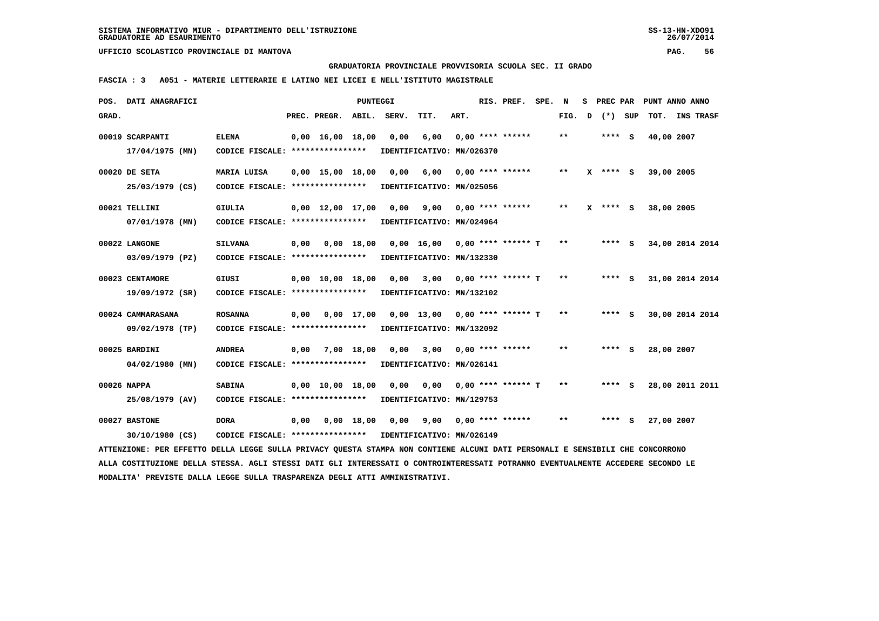**GRADUATORIA PROVINCIALE PROVVISORIA SCUOLA SEC. II GRADO**

 **FASCIA : 3 A051 - MATERIE LETTERARIE E LATINO NEI LICEI E NELL'ISTITUTO MAGISTRALE**

|       | POS. DATI ANAGRAFICI                                                                                                            |                                                            |      |                                | PUNTEGGI |                                          |                                   |      | RIS. PREF.                | SPE. N |        | S PREC PAR |            | PUNT ANNO ANNO  |  |
|-------|---------------------------------------------------------------------------------------------------------------------------------|------------------------------------------------------------|------|--------------------------------|----------|------------------------------------------|-----------------------------------|------|---------------------------|--------|--------|------------|------------|-----------------|--|
| GRAD. |                                                                                                                                 |                                                            |      | PREC. PREGR.                   | ABIL.    | SERV.                                    | TIT.                              | ART. |                           |        | FIG. D | (*) SUP    |            | TOT. INS TRASF  |  |
|       | 00019 SCARPANTI<br>$17/04/1975$ (MN)                                                                                            | <b>ELENA</b><br>CODICE FISCALE: ****************           |      | $0,00 \quad 16,00 \quad 18,00$ |          | 0,00                                     | 6,00<br>IDENTIFICATIVO: MN/026370 |      | $0,00$ **** ******        |        | $* *$  | **** S     | 40,00 2007 |                 |  |
|       |                                                                                                                                 |                                                            |      |                                |          |                                          |                                   |      |                           |        |        |            |            |                 |  |
|       | 00020 DE SETA                                                                                                                   | MARIA LUISA                                                |      | $0,00$ 15,00 18,00 0,00        |          |                                          | 6,00                              |      | 0,00 **** ******          |        | $***$  | $X$ **** S | 39,00 2005 |                 |  |
|       | 25/03/1979 (CS)                                                                                                                 | CODICE FISCALE: *****************                          |      |                                |          | IDENTIFICATIVO: MN/025056                |                                   |      |                           |        |        |            |            |                 |  |
|       | 00021 TELLINI                                                                                                                   | <b>GIULIA</b>                                              |      | $0,00$ 12,00 17,00 0,00        |          |                                          |                                   |      |                           |        | $* *$  | $X$ **** S | 38,00 2005 |                 |  |
|       | 07/01/1978 (MN)                                                                                                                 | CODICE FISCALE: ****************                           |      |                                |          | IDENTIFICATIVO: MN/024964                |                                   |      |                           |        |        |            |            |                 |  |
|       | 00022 LANGONE                                                                                                                   | <b>SILVANA</b>                                             | 0,00 |                                |          | 0,00 18,00 0,00 16,00 0,00 **** ****** T |                                   |      |                           |        | $***$  | $***$ S    |            | 34,00 2014 2014 |  |
|       | 03/09/1979 (PZ)                                                                                                                 | CODICE FISCALE: ****************                           |      |                                |          | IDENTIFICATIVO: MN/132330                |                                   |      |                           |        |        |            |            |                 |  |
|       | 00023 CENTAMORE                                                                                                                 | GIUSI                                                      |      | 0,00 10,00 18,00               |          | 0,00                                     |                                   |      | $3,00$ 0,00 **** ****** T |        | $***$  | **** S     |            | 31,00 2014 2014 |  |
|       | 19/09/1972 (SR)                                                                                                                 | CODICE FISCALE: ****************                           |      |                                |          |                                          | IDENTIFICATIVO: MN/132102         |      |                           |        |        |            |            |                 |  |
|       | 00024 CAMMARASANA                                                                                                               | <b>ROSANNA</b>                                             | 0,00 | 0,00 17,00                     |          |                                          | $0,00$ 13,00 0,00 **** ****** T   |      |                           |        | $* *$  | $***$ S    |            | 30,00 2014 2014 |  |
|       | 09/02/1978 (TP)                                                                                                                 | CODICE FISCALE: *****************                          |      |                                |          | IDENTIFICATIVO: MN/132092                |                                   |      |                           |        |        |            |            |                 |  |
|       | 00025 BARDINI                                                                                                                   | <b>ANDREA</b>                                              |      | 0,00 7,00 18,00                |          | 0.00                                     |                                   |      | $3,00$ 0,00 **** ******   |        | $**$   | **** S     | 28,00 2007 |                 |  |
|       | 04/02/1980 (MN)                                                                                                                 | CODICE FISCALE: *****************                          |      |                                |          | IDENTIFICATIVO: MN/026141                |                                   |      |                           |        |        |            |            |                 |  |
|       | 00026 NAPPA                                                                                                                     | <b>SABINA</b>                                              |      | $0.00 \quad 10.00 \quad 18.00$ |          | 0,00                                     | 0.00                              |      | $0.00$ **** ****** T      |        | $* *$  | **** S     |            | 28,00 2011 2011 |  |
|       | 25/08/1979 (AV)                                                                                                                 | CODICE FISCALE: *****************                          |      |                                |          | IDENTIFICATIVO: MN/129753                |                                   |      |                           |        |        |            |            |                 |  |
|       | 00027 BASTONE                                                                                                                   | <b>DORA</b>                                                |      | 0,00 0,00 18,00                |          | 0,00                                     |                                   |      |                           |        | $* *$  | $***$ S    | 27,00 2007 |                 |  |
|       | 30/10/1980 (CS)                                                                                                                 | CODICE FISCALE: **************** IDENTIFICATIVO: MN/026149 |      |                                |          |                                          |                                   |      |                           |        |        |            |            |                 |  |
|       | ATTENZIONE: PER EFFETTO DELLA LEGGE SULLA PRIVACY QUESTA STAMPA NON CONTIENE ALCUNI DATI PERSONALI E SENSIBILI CHE CONCORRONO   |                                                            |      |                                |          |                                          |                                   |      |                           |        |        |            |            |                 |  |
|       | ALLA COSTITUZIONE DELLA STESSA. AGLI STESSI DATI GLI INTERESSATI O CONTROINTERESSATI POTRANNO EVENTUALMENTE ACCEDERE SECONDO LE |                                                            |      |                                |          |                                          |                                   |      |                           |        |        |            |            |                 |  |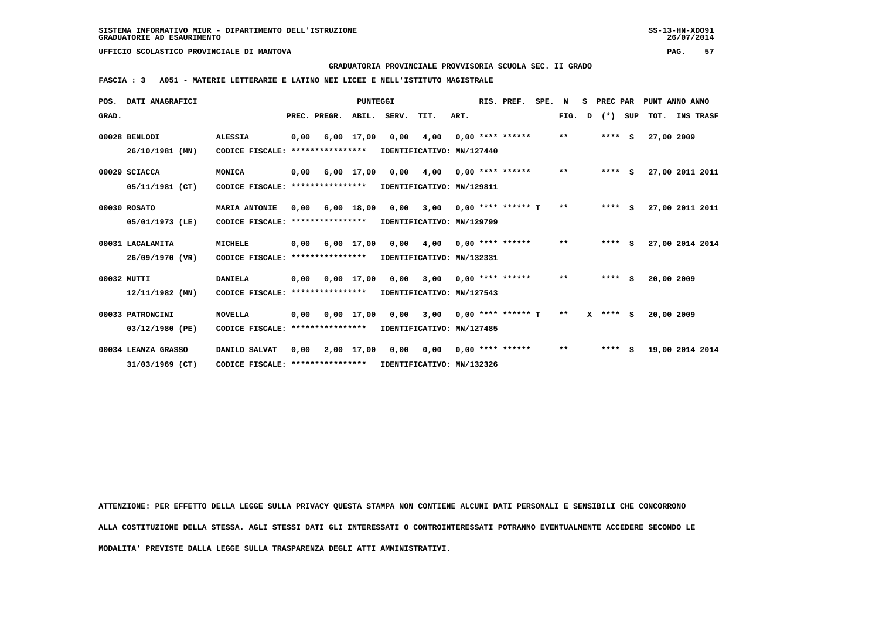**GRADUATORIA PROVINCIALE PROVVISORIA SCUOLA SEC. II GRADO**

 **FASCIA : 3 A051 - MATERIE LETTERARIE E LATINO NEI LICEI E NELL'ISTITUTO MAGISTRALE**

|       | POS. DATI ANAGRAFICI |                                  |      |                       | PUNTEGGI   |                                     |                           |      | RIS. PREF.            | SPE. N |              | S PREC PAR |     |            | PUNT ANNO ANNO  |
|-------|----------------------|----------------------------------|------|-----------------------|------------|-------------------------------------|---------------------------|------|-----------------------|--------|--------------|------------|-----|------------|-----------------|
| GRAD. |                      |                                  |      | PREC. PREGR.          |            | ABIL. SERV.                         | TIT.                      | ART. |                       |        | FIG. D       | $(*)$      | SUP |            | TOT. INS TRASF  |
|       | 00028 BENLODI        | <b>ALESSIA</b>                   | 0,00 | 6,00 17,00            |            | 0,00                                | 4,00                      |      | $0,00$ **** ******    |        | $\star\star$ | $***$ S    |     | 27,00 2009 |                 |
|       | 26/10/1981 (MN)      | CODICE FISCALE:                  |      | ****************      |            |                                     | IDENTIFICATIVO: MN/127440 |      |                       |        |              |            |     |            |                 |
|       | 00029 SCIACCA        | MONICA                           |      | $0,00$ $6,00$ $17,00$ |            | 0,00                                | 4,00                      |      | $0.00$ **** ******    |        | $***$        | **** $S$   |     |            | 27,00 2011 2011 |
|       | 05/11/1981 (CT)      | CODICE FISCALE:                  |      | ****************      |            |                                     | IDENTIFICATIVO: MN/129811 |      |                       |        |              |            |     |            |                 |
|       | 00030 ROSATO         | <b>MARIA ANTONIE</b>             | 0,00 |                       | 6,00 18,00 | 0,00                                | 3,00                      |      | $0.00$ **** ****** T  |        | $\star\star$ | **** $S$   |     |            | 27,00 2011 2011 |
|       | 05/01/1973 (LE)      | CODICE FISCALE:                  |      | ****************      |            |                                     | IDENTIFICATIVO: MN/129799 |      |                       |        |              |            |     |            |                 |
|       | 00031 LACALAMITA     | MICHELE                          | 0,00 | 6,00 17,00            |            | 0,00                                | 4,00                      |      | $0.00$ **** ****** ** |        |              | $***$ S    |     |            | 27,00 2014 2014 |
|       | 26/09/1970 (VR)      | CODICE FISCALE:                  |      | ****************      |            |                                     | IDENTIFICATIVO: MN/132331 |      |                       |        |              |            |     |            |                 |
|       | 00032 MUTTI          | <b>DANIELA</b>                   | 0,00 |                       |            | 0,00 17,00 0,00 3,00                |                           |      | $0.00$ **** ******    |        | $***$        | $***$ S    |     | 20,00 2009 |                 |
|       | 12/11/1982 (MN)      | CODICE FISCALE: **************** |      |                       |            |                                     | IDENTIFICATIVO: MN/127543 |      |                       |        |              |            |     |            |                 |
|       | 00033 PATRONCINI     | <b>NOVELLA</b>                   |      |                       |            | $0,00$ $0,00$ $17,00$ $0,00$ $3,00$ |                           |      | $0.00$ **** ****** T  |        | $* *$        | $X$ **** S |     | 20,00 2009 |                 |
|       | 03/12/1980 (PE)      | CODICE FISCALE:                  |      | ****************      |            |                                     | IDENTIFICATIVO: MN/127485 |      |                       |        |              |            |     |            |                 |
|       | 00034 LEANZA GRASSO  | DANILO SALVAT                    |      |                       |            | $0,00$ $2,00$ $17,00$ $0,00$ $0,00$ |                           |      | $0.00$ **** ******    |        | $\star\star$ | $***$ S    |     |            | 19,00 2014 2014 |
|       | 31/03/1969 (CT)      | CODICE FISCALE: **************** |      |                       |            | IDENTIFICATIVO: MN/132326           |                           |      |                       |        |              |            |     |            |                 |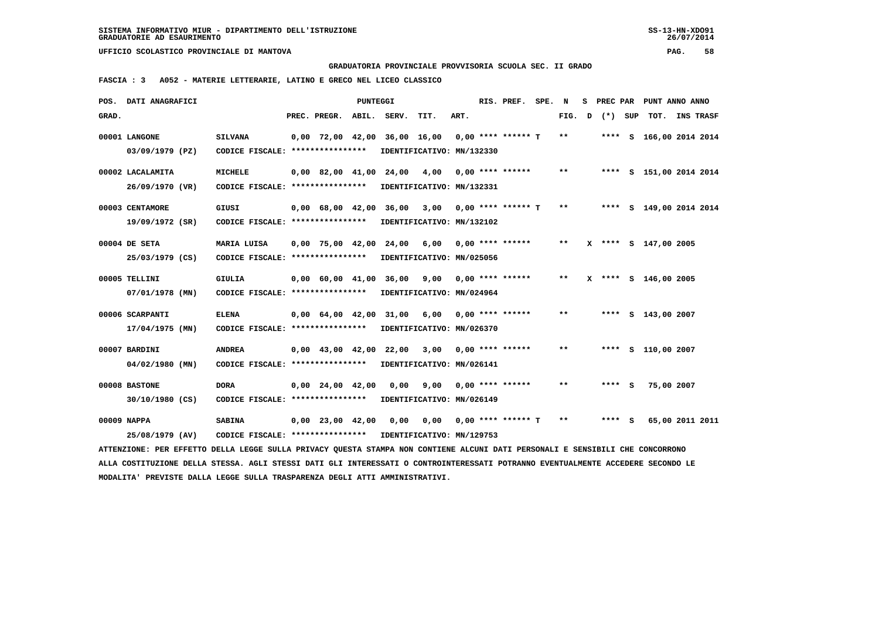**GRADUATORIA PROVINCIALE PROVVISORIA SCUOLA SEC. II GRADO**

 **FASCIA : 3 A052 - MATERIE LETTERARIE, LATINO E GRECO NEL LICEO CLASSICO**

|       | POS. DATI ANAGRAFICI                                                                                                            |                                                            |                          | PUNTEGGI |                                                     |                           |      | RIS. PREF.              | SPE. N |        |         | S PREC PAR PUNT ANNO ANNO |  |
|-------|---------------------------------------------------------------------------------------------------------------------------------|------------------------------------------------------------|--------------------------|----------|-----------------------------------------------------|---------------------------|------|-------------------------|--------|--------|---------|---------------------------|--|
| GRAD. |                                                                                                                                 |                                                            | PREC. PREGR. ABIL. SERV. |          |                                                     | TIT.                      | ART. |                         |        | FIG. D | (*) SUP | TOT. INS TRASF            |  |
|       | 00001 LANGONE                                                                                                                   | <b>SILVANA</b>                                             |                          |          | $0,00$ 72,00 42,00 36,00 16,00 0,00 **** ****** T   |                           |      |                         |        | $***$  |         | **** S 166,00 2014 2014   |  |
|       | 03/09/1979 (PZ)                                                                                                                 | CODICE FISCALE: *****************                          |                          |          |                                                     | IDENTIFICATIVO: MN/132330 |      |                         |        |        |         |                           |  |
|       | 00002 LACALAMITA                                                                                                                | MICHELE                                                    |                          |          | 0,00 82,00 41,00 24,00 4,00 0,00 **** ******        |                           |      |                         |        | $* *$  |         | **** S 151,00 2014 2014   |  |
|       | 26/09/1970 (VR)                                                                                                                 | CODICE FISCALE: **************** IDENTIFICATIVO: MN/132331 |                          |          |                                                     |                           |      |                         |        |        |         |                           |  |
|       | 00003 CENTAMORE                                                                                                                 | GIUSI                                                      |                          |          | $0,00$ 68,00 42,00 36,00 3,00 0,00 **** ****** T ** |                           |      |                         |        |        |         | **** S 149,00 2014 2014   |  |
|       | 19/09/1972 (SR)                                                                                                                 | CODICE FISCALE: ****************                           |                          |          |                                                     | IDENTIFICATIVO: MN/132102 |      |                         |        |        |         |                           |  |
|       | 00004 DE SETA                                                                                                                   | MARIA LUISA                                                |                          |          | 0,00 75,00 42,00 24,00 6,00 0,00 **** ******        |                           |      |                         |        | $* *$  |         | X **** S 147,00 2005      |  |
|       | 25/03/1979 (CS)                                                                                                                 | CODICE FISCALE: ****************                           |                          |          |                                                     | IDENTIFICATIVO: MN/025056 |      |                         |        |        |         |                           |  |
|       | 00005 TELLINI                                                                                                                   | <b>GIULIA</b>                                              |                          |          | 0,00 60,00 41,00 36,00 9,00 0,00 **** ******        |                           |      |                         |        | $* *$  |         | X **** S 146,00 2005      |  |
|       | 07/01/1978 (MN)                                                                                                                 | CODICE FISCALE: *****************                          |                          |          |                                                     | IDENTIFICATIVO: MN/024964 |      |                         |        |        |         |                           |  |
|       | 00006 SCARPANTI                                                                                                                 | ELENA                                                      |                          |          | $0,00$ 64,00 42,00 31,00 6,00 0,00 **** ******      |                           |      |                         |        | $***$  |         | **** S 143,00 2007        |  |
|       | 17/04/1975 (MN)                                                                                                                 | CODICE FISCALE: **************** IDENTIFICATIVO: MN/026370 |                          |          |                                                     |                           |      |                         |        |        |         |                           |  |
|       | 00007 BARDINI                                                                                                                   | <b>ANDREA</b>                                              |                          |          | 0,00 43,00 42,00 22,00 3,00 0,00 **** ******        |                           |      |                         |        | $***$  |         | **** S 110,00 2007        |  |
|       | 04/02/1980 (MN)                                                                                                                 | CODICE FISCALE: *****************                          |                          |          |                                                     | IDENTIFICATIVO: MN/026141 |      |                         |        |        |         |                           |  |
|       | 00008 BASTONE                                                                                                                   | <b>DORA</b>                                                |                          |          | 0,00 24,00 42,00 0,00                               |                           |      | $9,00$ 0,00 **** ****** |        | $**$   | $***$ S | 75,00 2007                |  |
|       | 30/10/1980 (CS)                                                                                                                 | CODICE FISCALE: **************** IDENTIFICATIVO: MN/026149 |                          |          |                                                     |                           |      |                         |        |        |         |                           |  |
|       | 00009 NAPPA                                                                                                                     | <b>SABINA</b>                                              |                          |          | $0,00$ 23,00 42,00 0,00 0,00 0,00 **** ****** T     |                           |      |                         |        | $***$  | **** S  | 65,00 2011 2011           |  |
|       | 25/08/1979 (AV)                                                                                                                 | CODICE FISCALE: **************** IDENTIFICATIVO: MN/129753 |                          |          |                                                     |                           |      |                         |        |        |         |                           |  |
|       | ATTENZIONE: PER EFFETTO DELLA LEGGE SULLA PRIVACY QUESTA STAMPA NON CONTIENE ALCUNI DATI PERSONALI E SENSIBILI CHE CONCORRONO   |                                                            |                          |          |                                                     |                           |      |                         |        |        |         |                           |  |
|       | ALLA COSTITUZIONE DELLA STESSA. AGLI STESSI DATI GLI INTERESSATI O CONTROINTERESSATI POTRANNO EVENTUALMENTE ACCEDERE SECONDO LE |                                                            |                          |          |                                                     |                           |      |                         |        |        |         |                           |  |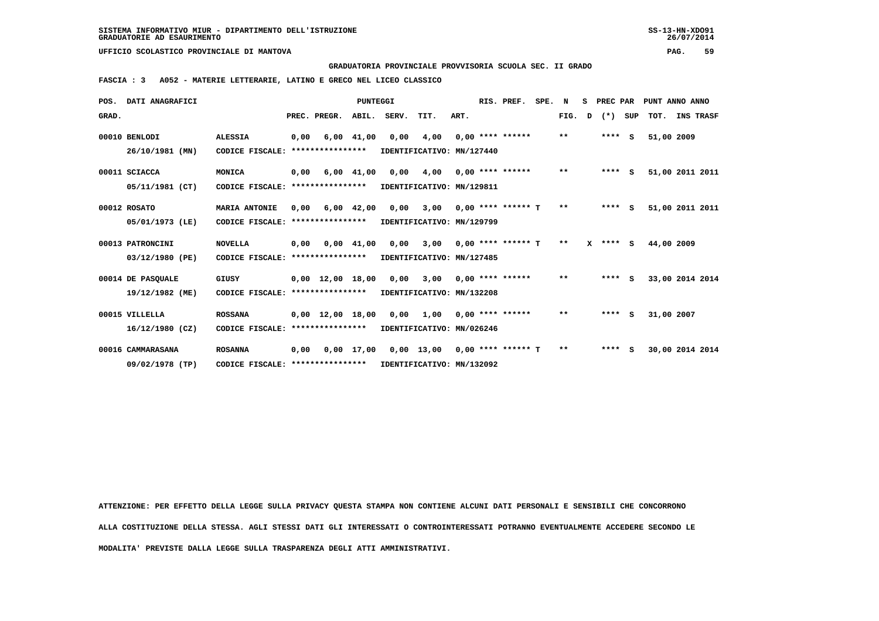**GRADUATORIA PROVINCIALE PROVVISORIA SCUOLA SEC. II GRADO**

 **FASCIA : 3 A052 - MATERIE LETTERARIE, LATINO E GRECO NEL LICEO CLASSICO**

|       | POS. DATI ANAGRAFICI |                                  |      |                  | <b>PUNTEGGI</b>    |                            |                           |      | RIS. PREF.           | SPE. | N            | S PREC PAR   |     |            | PUNT ANNO ANNO   |
|-------|----------------------|----------------------------------|------|------------------|--------------------|----------------------------|---------------------------|------|----------------------|------|--------------|--------------|-----|------------|------------------|
| GRAD. |                      |                                  |      | PREC. PREGR.     |                    | ABIL. SERV.                | TIT.                      | ART. |                      |      | FIG. D       | $(*)$        | SUP | тот.       | <b>INS TRASF</b> |
|       | 00010 BENLODI        | <b>ALESSIA</b>                   | 0,00 |                  | 6,00 41,00         | 0,00                       | 4,00                      |      | $0.00$ **** ******   |      | $***$        | $***$ S      |     | 51,00 2009 |                  |
|       | 26/10/1981 (MN)      | CODICE FISCALE:                  |      | **************** |                    | IDENTIFICATIVO: MN/127440  |                           |      |                      |      |              |              |     |            |                  |
|       | 00011 SCIACCA        | MONICA                           | 0.00 |                  | $6,00$ $41,00$     | 0,00                       | 4,00                      |      | $0.00$ **** ******   |      | $\star\star$ | $***$ S      |     |            | 51,00 2011 2011  |
|       | 05/11/1981 (CT)      | CODICE FISCALE: **************** |      |                  |                    |                            | IDENTIFICATIVO: MN/129811 |      |                      |      |              |              |     |            |                  |
|       | 00012 ROSATO         | <b>MARIA ANTONIE</b>             | 0,00 |                  | 6,00 42,00         | 0,00                       | 3,00                      |      | $0.00$ **** ****** T |      | $***$        | $***$ S      |     |            | 51,00 2011 2011  |
|       | 05/01/1973 (LE)      | CODICE FISCALE: **************** |      |                  |                    | IDENTIFICATIVO: MN/129799  |                           |      |                      |      |              |              |     |            |                  |
|       | 00013 PATRONCINI     | <b>NOVELLA</b>                   | 0.00 |                  | $0.00 \quad 41.00$ |                            | 0,00 3,00                 |      | $0.00$ **** ****** T |      | $***$        | $X$ **** $S$ |     | 44,00 2009 |                  |
|       | 03/12/1980 (PE)      | CODICE FISCALE: **************** |      |                  |                    | IDENTIFICATIVO: MN/127485  |                           |      |                      |      |              |              |     |            |                  |
|       | 00014 DE PASQUALE    | GIUSY                            |      |                  |                    | 0,00 12,00 18,00 0,00 3,00 |                           |      | $0.00$ **** ******   |      | $***$        | $***$ S      |     |            | 33,00 2014 2014  |
|       | 19/12/1982 (ME)      | CODICE FISCALE: **************** |      |                  |                    | IDENTIFICATIVO: MN/132208  |                           |      |                      |      |              |              |     |            |                  |
|       | 00015 VILLELLA       | <b>ROSSANA</b>                   |      |                  |                    | 0,00 12,00 18,00 0,00 1,00 |                           |      | $0.00$ **** ******   |      | $* *$        | $***$ S      |     | 31,00 2007 |                  |
|       | 16/12/1980 (CZ)      | CODICE FISCALE: **************** |      |                  |                    | IDENTIFICATIVO: MN/026246  |                           |      |                      |      |              |              |     |            |                  |
|       | 00016 CAMMARASANA    | <b>ROSANNA</b>                   | 0,00 |                  |                    | 0,00 17,00 0,00 13,00      |                           |      | $0.00$ **** ****** T |      | $* *$        | $***$ S      |     |            | 30,00 2014 2014  |
|       | 09/02/1978 (TP)      | CODICE FISCALE: **************** |      |                  |                    | IDENTIFICATIVO: MN/132092  |                           |      |                      |      |              |              |     |            |                  |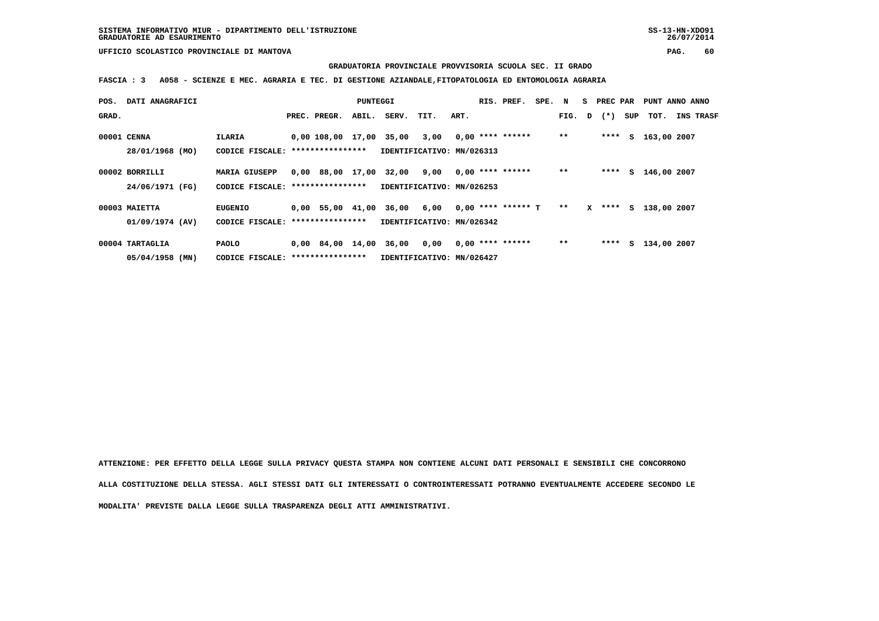**GRADUATORIA PROVINCIALE PROVVISORIA SCUOLA SEC. II GRADO**

 **FASCIA : 3 A058 - SCIENZE E MEC. AGRARIA E TEC. DI GESTIONE AZIANDALE,FITOPATOLOGIA ED ENTOMOLOGIA AGRARIA**

| POS.        | DATI ANAGRAFICI   |                                   |                         | PUNTEGGI |                           |      |      | RIS. PREF.           | SPE. N |        | S PREC PAR |     | PUNT ANNO ANNO |                  |
|-------------|-------------------|-----------------------------------|-------------------------|----------|---------------------------|------|------|----------------------|--------|--------|------------|-----|----------------|------------------|
| GRAD.       |                   |                                   | PREC. PREGR.            | ABIL.    | SERV.                     | TIT. | ART. |                      |        | FIG. D | $(\star)$  | SUP | тот.           | <b>INS TRASF</b> |
| 00001 CENNA |                   | ILARIA                            | 0,00 108,00 17,00 35,00 |          |                           | 3,00 |      | $0,00$ **** ******   |        | $* *$  | ****       |     | S 163,00 2007  |                  |
|             | 28/01/1968 (MO)   | CODICE FISCALE: ****************  |                         |          | IDENTIFICATIVO: MN/026313 |      |      |                      |        |        |            |     |                |                  |
|             | 00002 BORRILLI    | <b>MARIA GIUSEPP</b>              | 0,00 88,00 17,00        |          | 32,00                     | 9,00 |      | $0,00$ **** ******   |        | $* *$  | ****       |     | S 146,00 2007  |                  |
|             | 24/06/1971 (FG)   | CODICE FISCALE: ***************** |                         |          | IDENTIFICATIVO: MN/026253 |      |      |                      |        |        |            |     |                |                  |
|             | 00003 MAIETTA     | <b>EUGENIO</b>                    | $0.00$ 55.00 41.00      |          | 36,00                     | 6,00 |      | $0,00$ **** ****** T |        | $* *$  | $X$ ****   |     | S 138,00 2007  |                  |
|             | 01/09/1974 (AV)   | CODICE FISCALE: ****************  |                         |          | IDENTIFICATIVO: MN/026342 |      |      |                      |        |        |            |     |                |                  |
|             | 00004 TARTAGLIA   | <b>PAOLO</b>                      |                         |          | 0,00 84,00 14,00 36,00    | 0,00 |      | $0,00$ **** ******   |        | $**$   | ****       | s   | 134,00 2007    |                  |
|             | $05/04/1958$ (MN) | CODICE FISCALE: ***************** |                         |          | IDENTIFICATIVO: MN/026427 |      |      |                      |        |        |            |     |                |                  |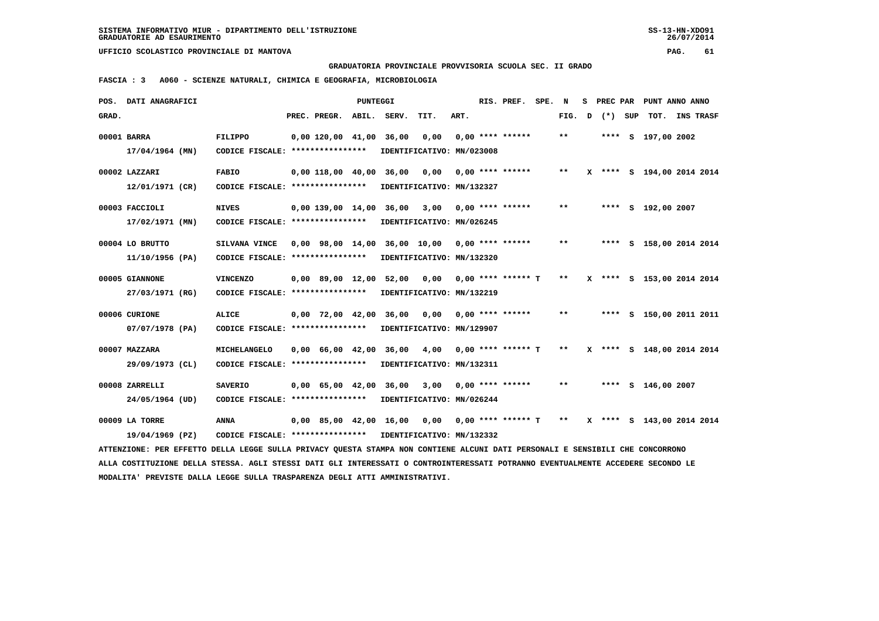**GRADUATORIA PROVINCIALE PROVVISORIA SCUOLA SEC. II GRADO**

 **FASCIA : 3 A060 - SCIENZE NATURALI, CHIMICA E GEOGRAFIA, MICROBIOLOGIA**

|       | POS. DATI ANAGRAFICI                                                                                                            |                                                            |                           | <b>PUNTEGGI</b> |                                                     |      |      | RIS. PREF.         | SPE. | N                          | s |         | PREC PAR PUNT ANNO ANNO   |                  |  |
|-------|---------------------------------------------------------------------------------------------------------------------------------|------------------------------------------------------------|---------------------------|-----------------|-----------------------------------------------------|------|------|--------------------|------|----------------------------|---|---------|---------------------------|------------------|--|
| GRAD. |                                                                                                                                 |                                                            | PREC. PREGR.              |                 | ABIL. SERV.                                         | TIT. | ART. |                    |      | FIG. D                     |   | (*) SUP | тот.                      | <b>INS TRASF</b> |  |
|       | 00001 BARRA                                                                                                                     | FILIPPO                                                    | $0.00$ 120.00 41.00 36.00 |                 |                                                     | 0.00 |      | $0.00$ **** ****** |      | $* *$                      |   |         | **** S 197,00 2002        |                  |  |
|       | $17/04/1964$ (MN)                                                                                                               | CODICE FISCALE: ****************                           |                           |                 | IDENTIFICATIVO: MN/023008                           |      |      |                    |      |                            |   |         |                           |                  |  |
|       |                                                                                                                                 |                                                            |                           |                 |                                                     |      |      |                    |      |                            |   |         |                           |                  |  |
|       | 00002 LAZZARI                                                                                                                   | <b>FABIO</b>                                               |                           |                 | $0.00$ 118,00 40.00 36.00 0.00                      |      |      | $0.00$ **** ****** |      | $\pmb{\times}\pmb{\times}$ |   |         | X **** S 194,00 2014 2014 |                  |  |
|       | 12/01/1971 (CR)                                                                                                                 | CODICE FISCALE: ****************                           |                           |                 | IDENTIFICATIVO: MN/132327                           |      |      |                    |      |                            |   |         |                           |                  |  |
|       | 00003 FACCIOLI                                                                                                                  | <b>NIVES</b>                                               |                           |                 | $0,00$ 139,00 14,00 36,00 3,00 0,00 **** ******     |      |      |                    |      | $* *$                      |   |         | **** S 192,00 2007        |                  |  |
|       | 17/02/1971 (MN)                                                                                                                 | CODICE FISCALE: *****************                          |                           |                 | IDENTIFICATIVO: MN/026245                           |      |      |                    |      |                            |   |         |                           |                  |  |
|       | 00004 LO BRUTTO                                                                                                                 | SILVANA VINCE                                              |                           |                 | 0,00 98,00 14,00 36,00 10,00 0,00 **** ******       |      |      |                    |      | $***$                      |   |         | **** S 158,00 2014 2014   |                  |  |
|       | 11/10/1956 (PA)                                                                                                                 | CODICE FISCALE: *****************                          |                           |                 | IDENTIFICATIVO: MN/132320                           |      |      |                    |      |                            |   |         |                           |                  |  |
|       |                                                                                                                                 |                                                            |                           |                 |                                                     |      |      |                    |      |                            |   |         |                           |                  |  |
|       | 00005 GIANNONE                                                                                                                  | <b>VINCENZO</b>                                            |                           |                 | $0,00$ 89,00 12,00 52,00 0,00 0,00 **** ****** T ** |      |      |                    |      |                            |   |         | X **** S 153,00 2014 2014 |                  |  |
|       | 27/03/1971 (RG)                                                                                                                 | CODICE FISCALE: ****************                           |                           |                 | IDENTIFICATIVO: MN/132219                           |      |      |                    |      |                            |   |         |                           |                  |  |
|       | 00006 CURIONE                                                                                                                   | <b>ALICE</b>                                               |                           |                 | $0,00$ 72,00 42,00 36,00 0,00                       |      |      | $0,00$ **** ****** |      | $***$                      |   |         | **** S 150,00 2011 2011   |                  |  |
|       | 07/07/1978 (PA)                                                                                                                 | CODICE FISCALE: ****************                           |                           |                 | IDENTIFICATIVO: MN/129907                           |      |      |                    |      |                            |   |         |                           |                  |  |
|       |                                                                                                                                 |                                                            |                           |                 |                                                     |      |      |                    |      |                            |   |         |                           |                  |  |
|       | 00007 MAZZARA                                                                                                                   | MICHELANGELO                                               |                           |                 | $0,00$ 66,00 42,00 36,00 4,00 0,00 **** ****** T    |      |      |                    |      | $\star\star$               |   |         | X **** S 148,00 2014 2014 |                  |  |
|       | 29/09/1973 (CL)                                                                                                                 | CODICE FISCALE: ****************                           |                           |                 | IDENTIFICATIVO: MN/132311                           |      |      |                    |      |                            |   |         |                           |                  |  |
|       | 00008 ZARRELLI                                                                                                                  | <b>SAVERIO</b>                                             |                           |                 | 0,00 65,00 42,00 36,00                              | 3,00 |      | 0,00 **** ******   |      | $***$                      |   |         | **** S 146,00 2007        |                  |  |
|       | 24/05/1964 (UD)                                                                                                                 | CODICE FISCALE: ****************                           |                           |                 | IDENTIFICATIVO: MN/026244                           |      |      |                    |      |                            |   |         |                           |                  |  |
|       |                                                                                                                                 |                                                            |                           |                 |                                                     |      |      |                    |      |                            |   |         |                           |                  |  |
|       | 00009 LA TORRE                                                                                                                  | <b>ANNA</b>                                                |                           |                 | $0,00$ 85,00 42,00 16,00 0,00 0,00 **** ****** T ** |      |      |                    |      |                            |   |         | X **** S 143,00 2014 2014 |                  |  |
|       | 19/04/1969 (PZ)                                                                                                                 | CODICE FISCALE: **************** IDENTIFICATIVO: MN/132332 |                           |                 |                                                     |      |      |                    |      |                            |   |         |                           |                  |  |
|       | ATTENZIONE: PER EFFETTO DELLA LEGGE SULLA PRIVACY QUESTA STAMPA NON CONTIENE ALCUNI DATI PERSONALI E SENSIBILI CHE CONCORRONO   |                                                            |                           |                 |                                                     |      |      |                    |      |                            |   |         |                           |                  |  |
|       | ALLA COSTITUZIONE DELLA STESSA. AGLI STESSI DATI GLI INTERESSATI O CONTROINTERESSATI POTRANNO EVENTUALMENTE ACCEDERE SECONDO LE |                                                            |                           |                 |                                                     |      |      |                    |      |                            |   |         |                           |                  |  |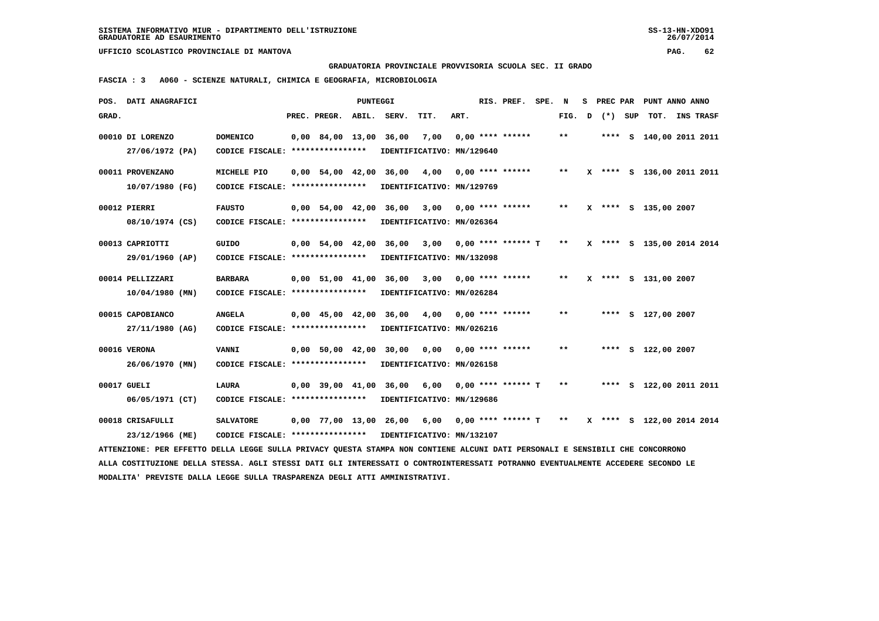**GRADUATORIA PROVINCIALE PROVVISORIA SCUOLA SEC. II GRADO**

 **FASCIA : 3 A060 - SCIENZE NATURALI, CHIMICA E GEOGRAFIA, MICROBIOLOGIA**

|       | POS. DATI ANAGRAFICI                                                                                                            |                                                            |                    | <b>PUNTEGGI</b> |                             |                           |      | RIS. PREF.              | SPE. N |       | s | PREC PAR |     | PUNT ANNO ANNO            |                  |  |
|-------|---------------------------------------------------------------------------------------------------------------------------------|------------------------------------------------------------|--------------------|-----------------|-----------------------------|---------------------------|------|-------------------------|--------|-------|---|----------|-----|---------------------------|------------------|--|
| GRAD. |                                                                                                                                 |                                                            | PREC. PREGR.       | ABIL.           | SERV.                       | TIT.                      | ART. |                         |        | FIG.  | D | $(*)$    | SUP | TOT.                      | <b>INS TRASF</b> |  |
|       | 00010 DI LORENZO                                                                                                                | <b>DOMENICO</b>                                            |                    |                 | 0,00 84,00 13,00 36,00      | 7,00                      |      | $0.00$ **** ******      |        | $* *$ |   |          |     | **** S 140,00 2011 2011   |                  |  |
|       | 27/06/1972 (PA)                                                                                                                 | CODICE FISCALE: ****************                           |                    |                 |                             | IDENTIFICATIVO: MN/129640 |      |                         |        |       |   |          |     |                           |                  |  |
|       | 00011 PROVENZANO                                                                                                                | MICHELE PIO                                                |                    |                 | 0,00 54,00 42,00 36,00      | 4,00                      |      | $0.00$ **** ******      |        | $***$ |   |          |     | X **** S 136,00 2011 2011 |                  |  |
|       | 10/07/1980 (FG)                                                                                                                 | CODICE FISCALE: ****************                           |                    |                 | IDENTIFICATIVO: MN/129769   |                           |      |                         |        |       |   |          |     |                           |                  |  |
|       |                                                                                                                                 |                                                            |                    |                 |                             |                           |      |                         |        |       |   |          |     |                           |                  |  |
|       | 00012 PIERRI                                                                                                                    | <b>FAUSTO</b>                                              | $0.00$ 54.00 42.00 |                 | 36,00                       | 3,00                      |      | $0.00$ **** ******      |        | $***$ |   |          |     | X **** S 135,00 2007      |                  |  |
|       | 08/10/1974 (CS)                                                                                                                 | CODICE FISCALE: ****************                           |                    |                 | IDENTIFICATIVO: MN/026364   |                           |      |                         |        |       |   |          |     |                           |                  |  |
|       | 00013 CAPRIOTTI                                                                                                                 | GUIDO                                                      |                    |                 | 0,00 54,00 42,00 36,00      | 3,00                      |      | $0.00$ **** ****** T    |        | $***$ |   |          |     | X **** S 135,00 2014 2014 |                  |  |
|       | 29/01/1960 (AP)                                                                                                                 | CODICE FISCALE: *****************                          |                    |                 | IDENTIFICATIVO: MN/132098   |                           |      |                         |        |       |   |          |     |                           |                  |  |
|       |                                                                                                                                 |                                                            |                    |                 |                             |                           |      |                         |        |       |   |          |     |                           |                  |  |
|       | 00014 PELLIZZARI                                                                                                                | <b>BARBARA</b>                                             | 0,00 51,00 41,00   |                 | 36,00                       | 3,00                      |      | $0.00$ **** ******      |        | $***$ |   |          |     | X **** S 131,00 2007      |                  |  |
|       | $10/04/1980$ (MN)                                                                                                               | CODICE FISCALE: ****************                           |                    |                 | IDENTIFICATIVO: MN/026284   |                           |      |                         |        |       |   |          |     |                           |                  |  |
|       | 00015 CAPOBIANCO                                                                                                                | <b>ANGELA</b>                                              |                    |                 | 0,00 45,00 42,00 36,00 4,00 |                           |      | $0.00$ **** ******      |        | $* *$ |   |          |     | **** S 127,00 2007        |                  |  |
|       | 27/11/1980 (AG)                                                                                                                 | CODICE FISCALE: ****************                           |                    |                 |                             | IDENTIFICATIVO: MN/026216 |      |                         |        |       |   |          |     |                           |                  |  |
|       | 00016 VERONA                                                                                                                    | <b>VANNI</b>                                               |                    |                 | 0,00 50,00 42,00 30,00      | 0.00                      |      | $0.00$ **** ******      |        | $**$  |   |          |     | **** S 122,00 2007        |                  |  |
|       | 26/06/1970 (MN)                                                                                                                 | CODICE FISCALE: ****************                           |                    |                 |                             | IDENTIFICATIVO: MN/026158 |      |                         |        |       |   |          |     |                           |                  |  |
|       |                                                                                                                                 |                                                            |                    |                 |                             |                           |      |                         |        |       |   |          |     |                           |                  |  |
|       | 00017 GUELI                                                                                                                     | <b>LAURA</b>                                               |                    |                 | 0,00 39,00 41,00 36,00      | 6,00                      |      | $0.00$ **** ****** T    |        | $* *$ |   |          |     | **** S 122,00 2011 2011   |                  |  |
|       | 06/05/1971 (CT)                                                                                                                 | CODICE FISCALE: ****************                           |                    |                 | IDENTIFICATIVO: MN/129686   |                           |      |                         |        |       |   |          |     |                           |                  |  |
|       |                                                                                                                                 |                                                            |                    |                 |                             |                           |      |                         |        |       |   |          |     |                           |                  |  |
|       | 00018 CRISAFULLI                                                                                                                | <b>SALVATORE</b>                                           |                    |                 | 0,00 77,00 13,00 26,00 6,00 |                           |      | $0,00$ **** ****** T ** |        |       |   |          |     | X **** S 122,00 2014 2014 |                  |  |
|       | 23/12/1966 (ME)                                                                                                                 | CODICE FISCALE: **************** IDENTIFICATIVO: MN/132107 |                    |                 |                             |                           |      |                         |        |       |   |          |     |                           |                  |  |
|       | ATTENZIONE: PER EFFETTO DELLA LEGGE SULLA PRIVACY OUESTA STAMPA NON CONTIENE ALCUNI DATI PERSONALI E SENSIBILI CHE CONCORRONO   |                                                            |                    |                 |                             |                           |      |                         |        |       |   |          |     |                           |                  |  |
|       | ALLA COSTITUZIONE DELLA STESSA. AGLI STESSI DATI GLI INTERESSATI O CONTROINTERESSATI POTRANNO EVENTUALMENTE ACCEDERE SECONDO LE |                                                            |                    |                 |                             |                           |      |                         |        |       |   |          |     |                           |                  |  |
|       | MODALITA' PREVISTE DALLA LEGGE SULLA TRASPARENZA DEGLI ATTI AMMINISTRATIVI.                                                     |                                                            |                    |                 |                             |                           |      |                         |        |       |   |          |     |                           |                  |  |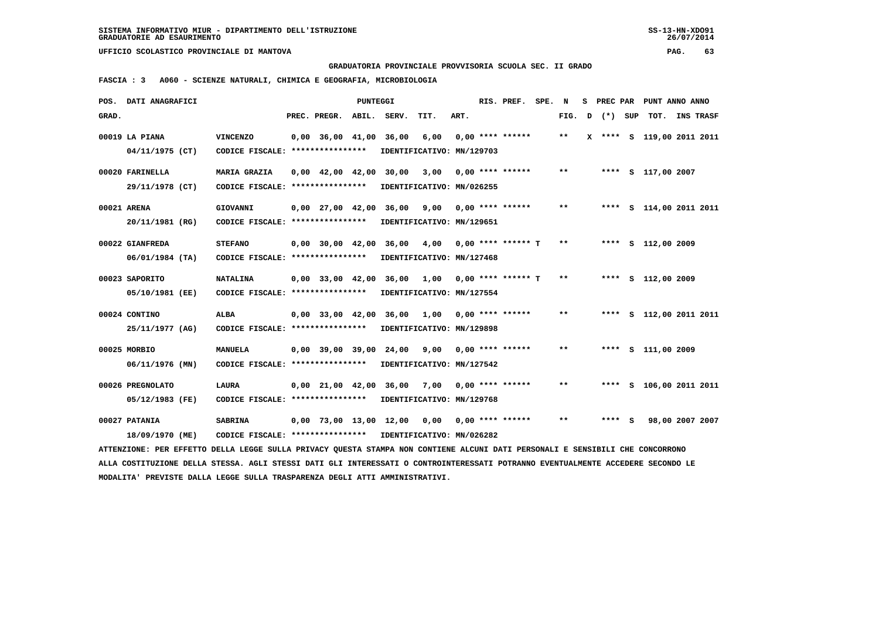**GRADUATORIA PROVINCIALE PROVVISORIA SCUOLA SEC. II GRADO**

 **FASCIA : 3 A060 - SCIENZE NATURALI, CHIMICA E GEOGRAFIA, MICROBIOLOGIA**

|       | POS. DATI ANAGRAFICI                                                                                                            |                                                            |                                            | PUNTEGGI |                                    |      |      | RIS. PREF.           | SPE. N |              |   |         | S PREC PAR PUNT ANNO ANNO |  |
|-------|---------------------------------------------------------------------------------------------------------------------------------|------------------------------------------------------------|--------------------------------------------|----------|------------------------------------|------|------|----------------------|--------|--------------|---|---------|---------------------------|--|
| GRAD. |                                                                                                                                 |                                                            | PREC. PREGR. ABIL.                         |          | SERV.                              | TIT. | ART. |                      |        | FIG.         | D | (*) SUP | TOT. INS TRASF            |  |
|       | 00019 LA PIANA                                                                                                                  | <b>VINCENZO</b>                                            | $0,00$ 36,00 41,00                         |          | 36,00                              | 6,00 |      | $0.00$ **** ******   |        | $\star\star$ |   |         | X **** S 119,00 2011 2011 |  |
|       | 04/11/1975 (CT)                                                                                                                 | CODICE FISCALE: ****************                           |                                            |          | IDENTIFICATIVO: MN/129703          |      |      |                      |        |              |   |         |                           |  |
|       | 00020 FARINELLA                                                                                                                 | MARIA GRAZIA                                               | $0.00 \quad 42.00 \quad 42.00 \quad 30.00$ |          |                                    | 3,00 |      | $0.00$ **** ******   |        | $* *$        |   |         | **** S 117,00 2007        |  |
|       | 29/11/1978 (CT)                                                                                                                 | CODICE FISCALE: *****************                          |                                            |          | IDENTIFICATIVO: MN/026255          |      |      |                      |        |              |   |         |                           |  |
|       |                                                                                                                                 |                                                            |                                            |          |                                    |      |      |                      |        | $* *$        |   |         |                           |  |
|       | 00021 ARENA<br>20/11/1981 (RG)                                                                                                  | GIOVANNI<br>CODICE FISCALE: *****************              | $0,00$ 27,00 42,00                         |          | 36,00<br>IDENTIFICATIVO: MN/129651 | 9,00 |      | $0.00$ **** ******   |        |              |   |         | **** S 114,00 2011 2011   |  |
|       |                                                                                                                                 |                                                            |                                            |          |                                    |      |      |                      |        |              |   |         |                           |  |
|       | 00022 GIANFREDA                                                                                                                 | <b>STEFANO</b>                                             |                                            |          | 0,00 30,00 42,00 36,00             | 4,00 |      | $0.00$ **** ****** T |        | $***$        |   |         | **** S 112,00 2009        |  |
|       | $06/01/1984$ (TA)                                                                                                               | CODICE FISCALE: *****************                          |                                            |          | IDENTIFICATIVO: MN/127468          |      |      |                      |        |              |   |         |                           |  |
|       | 00023 SAPORITO                                                                                                                  | <b>NATALINA</b>                                            |                                            |          | 0,00 33,00 42,00 36,00 1,00        |      |      | $0.00$ **** ****** T |        | $***$        |   |         | **** S 112,00 2009        |  |
|       | 05/10/1981 (EE)                                                                                                                 | CODICE FISCALE: ****************                           |                                            |          | IDENTIFICATIVO: MN/127554          |      |      |                      |        |              |   |         |                           |  |
|       |                                                                                                                                 |                                                            |                                            |          |                                    |      |      |                      |        |              |   |         |                           |  |
|       | 00024 CONTINO                                                                                                                   | <b>ALBA</b>                                                |                                            |          | 0,00 33,00 42,00 36,00 1,00        |      |      | $0.00$ **** ******   |        | $***$        |   |         | **** S 112,00 2011 2011   |  |
|       | 25/11/1977 (AG)                                                                                                                 | CODICE FISCALE: ****************                           |                                            |          | IDENTIFICATIVO: MN/129898          |      |      |                      |        |              |   |         |                           |  |
|       | 00025 MORBIO                                                                                                                    | MANUELA                                                    |                                            |          | 0,00 39,00 39,00 24,00             | 9,00 |      | $0.00$ **** ******   |        | **           |   |         | **** S 111,00 2009        |  |
|       | 06/11/1976 (MN)                                                                                                                 | CODICE FISCALE: *****************                          |                                            |          | IDENTIFICATIVO: MN/127542          |      |      |                      |        |              |   |         |                           |  |
|       | 00026 PREGNOLATO                                                                                                                | <b>LAURA</b>                                               | $0.00$ $21.00$ $42.00$                     |          | 36,00                              | 7,00 |      | $0.00$ **** ******   |        | $* *$        |   |         | **** S 106,00 2011 2011   |  |
|       |                                                                                                                                 |                                                            |                                            |          |                                    |      |      |                      |        |              |   |         |                           |  |
|       | 05/12/1983 (FE)                                                                                                                 | CODICE FISCALE: ****************                           |                                            |          | IDENTIFICATIVO: MN/129768          |      |      |                      |        |              |   |         |                           |  |
|       | 00027 PATANIA                                                                                                                   | <b>SABRINA</b>                                             |                                            |          | 0,00 73,00 13,00 12,00 0,00        |      |      | $0.00$ **** ******   |        | $***$        |   | $***$ S | 98,00 2007 2007           |  |
|       | 18/09/1970 (ME)                                                                                                                 | CODICE FISCALE: **************** IDENTIFICATIVO: MN/026282 |                                            |          |                                    |      |      |                      |        |              |   |         |                           |  |
|       | ATTENZIONE: PER EFFETTO DELLA LEGGE SULLA PRIVACY QUESTA STAMPA NON CONTIENE ALCUNI DATI PERSONALI E SENSIBILI CHE CONCORRONO   |                                                            |                                            |          |                                    |      |      |                      |        |              |   |         |                           |  |
|       | ALLA COSTITUZIONE DELLA STESSA. AGLI STESSI DATI GLI INTERESSATI O CONTROINTERESSATI POTRANNO EVENTUALMENTE ACCEDERE SECONDO LE |                                                            |                                            |          |                                    |      |      |                      |        |              |   |         |                           |  |
|       | MODALITA' PREVISTE DALLA LEGGE SULLA TRASPARENZA DEGLI ATTI AMMINISTRATIVI.                                                     |                                                            |                                            |          |                                    |      |      |                      |        |              |   |         |                           |  |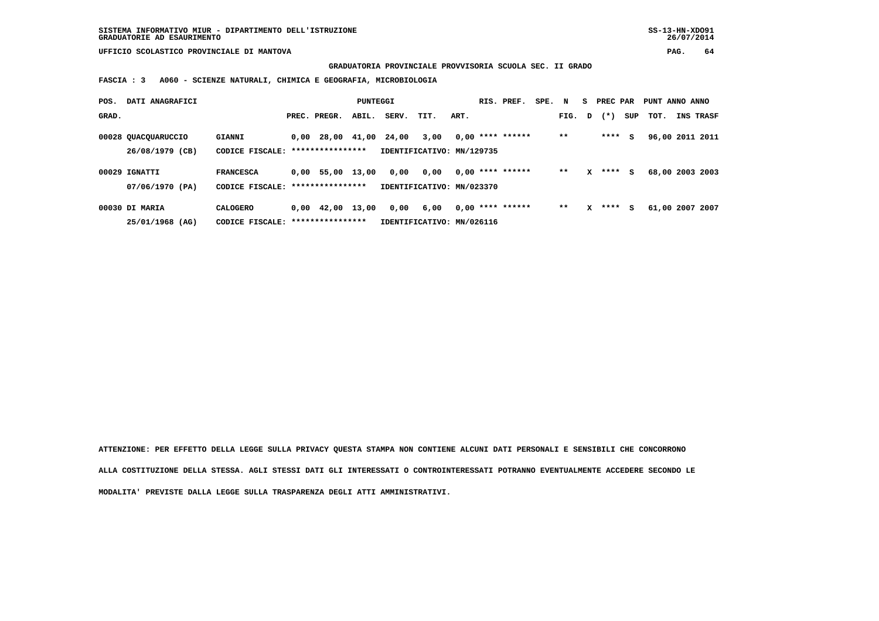**GRADUATORIA PROVINCIALE PROVVISORIA SCUOLA SEC. II GRADO**

 **FASCIA : 3 A060 - SCIENZE NATURALI, CHIMICA E GEOGRAFIA, MICROBIOLOGIA**

| POS.  | DATI ANAGRAFICI                        |                                   |                                              | PUNTEGGI |       |                                   |      | RIS. PREF.         | SPE. N |        |   | S PREC PAR |     | PUNT ANNO ANNO  |                  |
|-------|----------------------------------------|-----------------------------------|----------------------------------------------|----------|-------|-----------------------------------|------|--------------------|--------|--------|---|------------|-----|-----------------|------------------|
| GRAD. |                                        |                                   | PREC. PREGR.                                 | ABIL.    | SERV. | TIT.                              | ART. |                    |        | FIG. D |   | $(* )$     | SUP | тот.            | <b>INS TRASF</b> |
|       | 00028 QUACQUARUCCIO<br>26/08/1979 (CB) | <b>GIANNI</b><br>CODICE FISCALE:  | $0,00$ 28,00 41,00 24,00<br>**************** |          |       | 3,00<br>IDENTIFICATIVO: MN/129735 |      | $0.00$ **** ****** |        | $* *$  |   | $***$ S    |     | 96,00 2011 2011 |                  |
|       |                                        |                                   |                                              |          |       |                                   |      |                    |        |        |   |            |     |                 |                  |
|       | 00029 IGNATTI                          | <b>FRANCESCA</b>                  | 0,00 55,00 13,00                             |          | 0,00  | 0,00                              |      | $0.00$ **** ****** |        | $* *$  | x | $***$ S    |     | 68,00 2003 2003 |                  |
|       | 07/06/1970 (PA)                        | CODICE FISCALE:                   | ****************                             |          |       | IDENTIFICATIVO: MN/023370         |      |                    |        |        |   |            |     |                 |                  |
|       | 00030 DI MARIA                         | CALOGERO                          | $0,00 \quad 42,00 \quad 13,00$               |          | 0,00  | 6,00                              |      | $0.00$ **** ****** |        | $* *$  | x | ****       | s   | 61,00 2007 2007 |                  |
|       | 25/01/1968 (AG)                        | CODICE FISCALE: ***************** |                                              |          |       | IDENTIFICATIVO: MN/026116         |      |                    |        |        |   |            |     |                 |                  |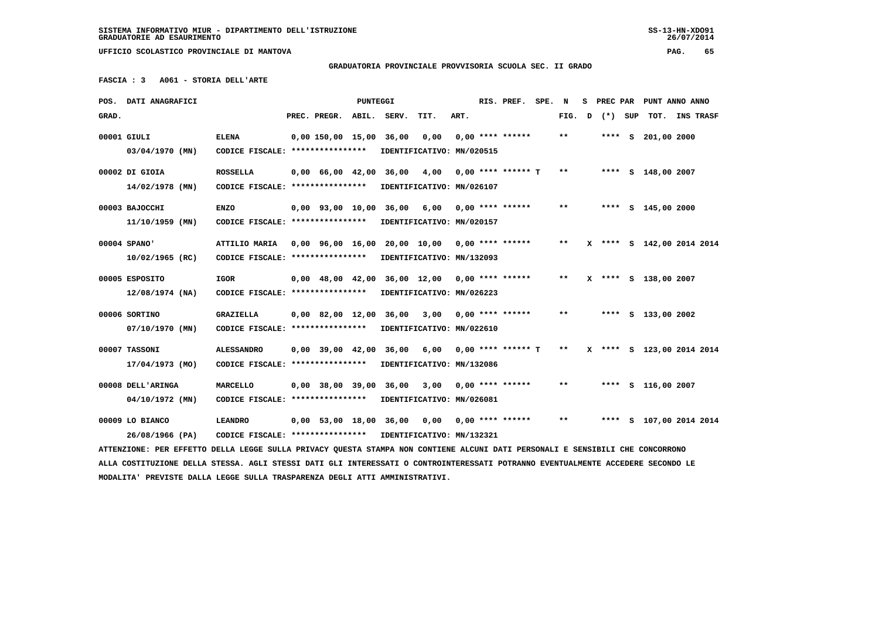# **GRADUATORIA PROVINCIALE PROVVISORIA SCUOLA SEC. II GRADO**

 **FASCIA : 3 A061 - STORIA DELL'ARTE**

|       | POS. DATI ANAGRAFICI                                                                                                            |                                                            |                          | PUNTEGGI |                         |                                                 |      | RIS. PREF.           | SPE. N |                            | s | PREC PAR | PUNT ANNO ANNO            |                |  |
|-------|---------------------------------------------------------------------------------------------------------------------------------|------------------------------------------------------------|--------------------------|----------|-------------------------|-------------------------------------------------|------|----------------------|--------|----------------------------|---|----------|---------------------------|----------------|--|
| GRAD. |                                                                                                                                 |                                                            | PREC. PREGR. ABIL. SERV. |          |                         | TIT.                                            | ART. |                      |        | FIG. D                     |   | (*) SUP  |                           | TOT. INS TRASF |  |
|       | 00001 GIULI                                                                                                                     | <b>ELENA</b>                                               |                          |          | 0,00 150,00 15,00 36,00 | 0,00                                            |      | $0.00$ **** ******   |        | **                         |   |          | **** $S$ 201,00 2000      |                |  |
|       | $03/04/1970$ (MN)                                                                                                               | CODICE FISCALE: ****************                           |                          |          |                         | IDENTIFICATIVO: MN/020515                       |      |                      |        |                            |   |          |                           |                |  |
|       |                                                                                                                                 |                                                            |                          |          |                         |                                                 |      |                      |        |                            |   |          |                           |                |  |
|       | 00002 DI GIOIA                                                                                                                  | <b>ROSSELLA</b>                                            | 0,00 66,00 42,00 36,00   |          |                         | 4,00                                            |      | $0.00$ **** ****** T |        | $***$                      |   |          | **** S 148,00 2007        |                |  |
|       | 14/02/1978 (MN)                                                                                                                 | CODICE FISCALE: ****************                           |                          |          |                         | IDENTIFICATIVO: MN/026107                       |      |                      |        |                            |   |          |                           |                |  |
|       | 00003 BAJOCCHI                                                                                                                  | ENZO                                                       |                          |          |                         | 0,00 93,00 10,00 36,00 6,00                     |      | $0,00$ **** ******   |        | $\pmb{\times}\pmb{\times}$ |   |          | **** S 145,00 2000        |                |  |
|       | $11/10/1959$ (MN)                                                                                                               | CODICE FISCALE: ****************                           |                          |          |                         | IDENTIFICATIVO: MN/020157                       |      |                      |        |                            |   |          |                           |                |  |
|       |                                                                                                                                 |                                                            |                          |          |                         |                                                 |      |                      |        |                            |   |          |                           |                |  |
|       | 00004 SPANO'                                                                                                                    | ATTILIO MARIA                                              |                          |          |                         | $0.00$ 96.00 16.00 20.00 10.00 0.00 **** ****** |      |                      |        | $***$                      |   |          | X **** S 142,00 2014 2014 |                |  |
|       | $10/02/1965$ (RC)                                                                                                               | CODICE FISCALE: ****************                           |                          |          |                         | IDENTIFICATIVO: MN/132093                       |      |                      |        |                            |   |          |                           |                |  |
|       | 00005 ESPOSITO                                                                                                                  | IGOR                                                       |                          |          |                         | 0,00 48,00 42,00 36,00 12,00                    |      | 0,00 **** ******     |        | $***$                      |   |          | X **** S 138,00 2007      |                |  |
|       | $12/08/1974$ (NA)                                                                                                               | CODICE FISCALE: ****************                           |                          |          |                         | IDENTIFICATIVO: MN/026223                       |      |                      |        |                            |   |          |                           |                |  |
|       |                                                                                                                                 |                                                            |                          |          |                         |                                                 |      |                      |        |                            |   |          |                           |                |  |
|       | 00006 SORTINO                                                                                                                   | <b>GRAZIELLA</b>                                           |                          |          |                         | 0,00 82,00 12,00 36,00 3,00                     |      | $0.00$ **** ******   |        | $* *$                      |   |          | **** S 133,00 2002        |                |  |
|       | 07/10/1970 (MN)                                                                                                                 | CODICE FISCALE: ****************                           |                          |          |                         | IDENTIFICATIVO: MN/022610                       |      |                      |        |                            |   |          |                           |                |  |
|       | 00007 TASSONI                                                                                                                   | <b>ALESSANDRO</b>                                          |                          |          | 0,00 39,00 42,00 36,00  | 6,00                                            |      | $0.00$ **** ****** T |        | $* *$                      |   |          | X **** S 123,00 2014 2014 |                |  |
|       | 17/04/1973 (MO)                                                                                                                 | CODICE FISCALE: ****************                           |                          |          |                         | IDENTIFICATIVO: MN/132086                       |      |                      |        |                            |   |          |                           |                |  |
|       |                                                                                                                                 |                                                            |                          |          |                         |                                                 |      |                      |        |                            |   |          |                           |                |  |
|       | 00008 DELL'ARINGA                                                                                                               | <b>MARCELLO</b>                                            |                          |          |                         | 0,00 38,00 39,00 36,00 3,00                     |      | $0.00$ **** ******   |        | **                         |   |          | **** S 116,00 2007        |                |  |
|       | 04/10/1972 (MN)                                                                                                                 | CODICE FISCALE: ****************                           |                          |          |                         | IDENTIFICATIVO: MN/026081                       |      |                      |        |                            |   |          |                           |                |  |
|       | 00009 LO BIANCO                                                                                                                 | <b>LEANDRO</b>                                             |                          |          |                         | 0,00 53,00 18,00 36,00 0,00                     |      | $0.00$ **** ******   |        | $***$                      |   |          | **** S 107,00 2014 2014   |                |  |
|       | 26/08/1966 (PA)                                                                                                                 | CODICE FISCALE: **************** IDENTIFICATIVO: MN/132321 |                          |          |                         |                                                 |      |                      |        |                            |   |          |                           |                |  |
|       | ATTENZIONE: PER EFFETTO DELLA LEGGE SULLA PRIVACY QUESTA STAMPA NON CONTIENE ALCUNI DATI PERSONALI E SENSIBILI CHE CONCORRONO   |                                                            |                          |          |                         |                                                 |      |                      |        |                            |   |          |                           |                |  |
|       | ALLA COSTITUZIONE DELLA STESSA. AGLI STESSI DATI GLI INTERESSATI O CONTROINTERESSATI POTRANNO EVENTUALMENTE ACCEDERE SECONDO LE |                                                            |                          |          |                         |                                                 |      |                      |        |                            |   |          |                           |                |  |
|       | MODALITA' PREVISTE DALLA LEGGE SULLA TRASPARENZA DEGLI ATTI AMMINISTRATIVI.                                                     |                                                            |                          |          |                         |                                                 |      |                      |        |                            |   |          |                           |                |  |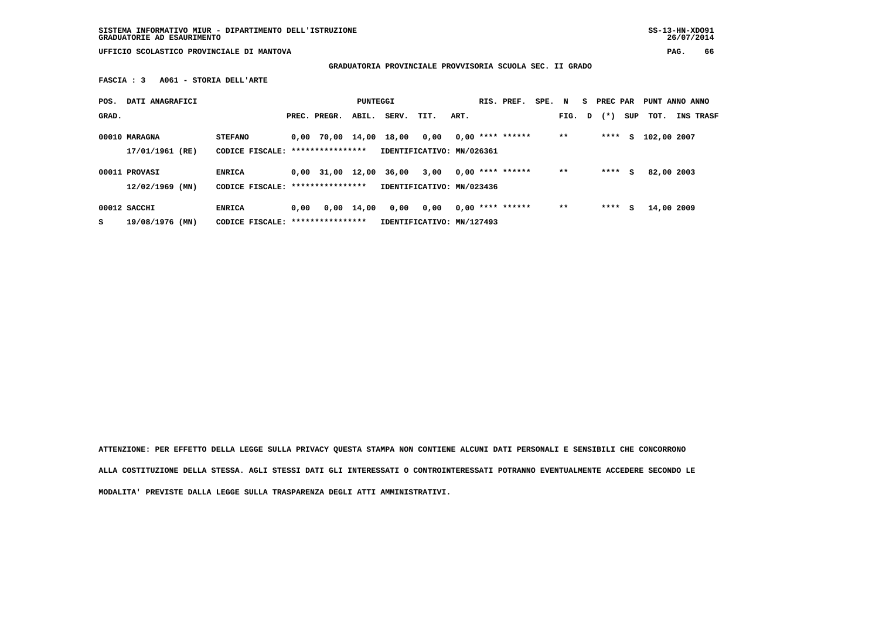**SISTEMA INFORMATIVO MIUR - DIPARTIMENTO DELL'ISTRUZIONE SS-13-HN-XDO91 GRADUATORIE AD ESAURIMENTO 26/07/2014**

 **UFFICIO SCOLASTICO PROVINCIALE DI MANTOVA PAG. 66**

 **GRADUATORIA PROVINCIALE PROVVISORIA SCUOLA SEC. II GRADO**

 **FASCIA : 3 A061 - STORIA DELL'ARTE**

|                                    |                                                     |      |                        | PUNTEGGI |                  |                                   |      | RIS. PREF.                | SPE. N             |        | S PREC PAR |     | PUNT ANNO ANNO |                  |
|------------------------------------|-----------------------------------------------------|------|------------------------|----------|------------------|-----------------------------------|------|---------------------------|--------------------|--------|------------|-----|----------------|------------------|
|                                    |                                                     |      | PREC. PREGR.           | ABIL.    | SERV.            | TIT.                              | ART. |                           |                    | FIG. D | $(\star)$  | SUP | тот.           | <b>INS TRASF</b> |
| 00010 MARAGNA<br>17/01/1961 (RE)   | <b>STEFANO</b><br>CODICE FISCALE: ***************** |      | 0,00 70,00 14,00 18,00 |          |                  | 0,00<br>IDENTIFICATIVO: MN/026361 |      | $0,00$ **** ******        |                    | $* *$  | ****       | s   | 102,00 2007    |                  |
| 00011 PROVASI<br>$12/02/1969$ (MN) | <b>ENRICA</b><br>CODICE FISCALE: ****************   |      | $0,00$ 31,00 12,00     |          | 36,00            | 3,00<br>IDENTIFICATIVO: MN/023436 |      | $0,00$ **** ******        |                    | $* *$  | ****       | s   | 82,00 2003     |                  |
| 00012 SACCHI                       | <b>ENRICA</b>                                       | 0,00 |                        |          | 0,00             | 0,00                              |      |                           |                    | $* *$  |            | s   |                |                  |
| 19/08/1976 (MN)                    |                                                     |      | CODICE FISCALE:        |          | **************** | $0,00 \quad 14,00$                |      | IDENTIFICATIVO: MN/127493 | $0,00$ **** ****** |        |            |     | ****           | 14,00 2009       |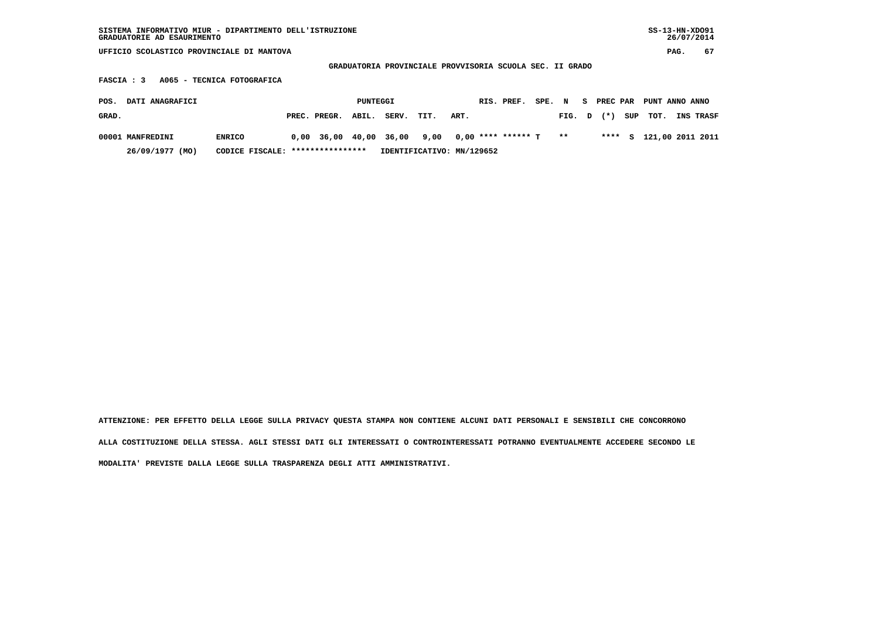| SISTEMA INFORMATIVO MIUR - DIPARTIMENTO DELL'ISTRUZIONE<br>GRADUATORIE AD ESAURIMENTO |                                   |                    |                           |                                                          |        |        |            |     | $SS-13-HN-XDO91$ | 26/07/2014 |                  |
|---------------------------------------------------------------------------------------|-----------------------------------|--------------------|---------------------------|----------------------------------------------------------|--------|--------|------------|-----|------------------|------------|------------------|
| UFFICIO SCOLASTICO PROVINCIALE DI MANTOVA                                             |                                   |                    |                           |                                                          |        |        |            |     |                  | PAG.       | 67               |
|                                                                                       |                                   |                    |                           | GRADUATORIA PROVINCIALE PROVVISORIA SCUOLA SEC. II GRADO |        |        |            |     |                  |            |                  |
| A065 - TECNICA FOTOGRAFICA<br>FASCIA : 3                                              |                                   |                    |                           |                                                          |        |        |            |     |                  |            |                  |
| DATI ANAGRAFICI<br>POS.                                                               |                                   | PUNTEGGI           |                           | RIS. PREF.                                               | SPE. N |        | S PREC PAR |     | PUNT ANNO ANNO   |            |                  |
| GRAD.                                                                                 | PREC. PREGR.                      | ABIL.              | SERV.<br>TIT.             | ART.                                                     |        | FIG. D | $(\star)$  | SUP | тот.             |            | <b>INS TRASF</b> |
| 00001 MANFREDINI<br><b>ENRICO</b>                                                     |                                   | $0.00$ 36.00 40.00 | 36,00<br>9,00             | $0,00$ **** ****** T                                     |        | $* *$  | ****       | s   | 121,00 2011 2011 |            |                  |
| 26/09/1977 (MO)                                                                       | CODICE FISCALE: ***************** |                    | IDENTIFICATIVO: MN/129652 |                                                          |        |        |            |     |                  |            |                  |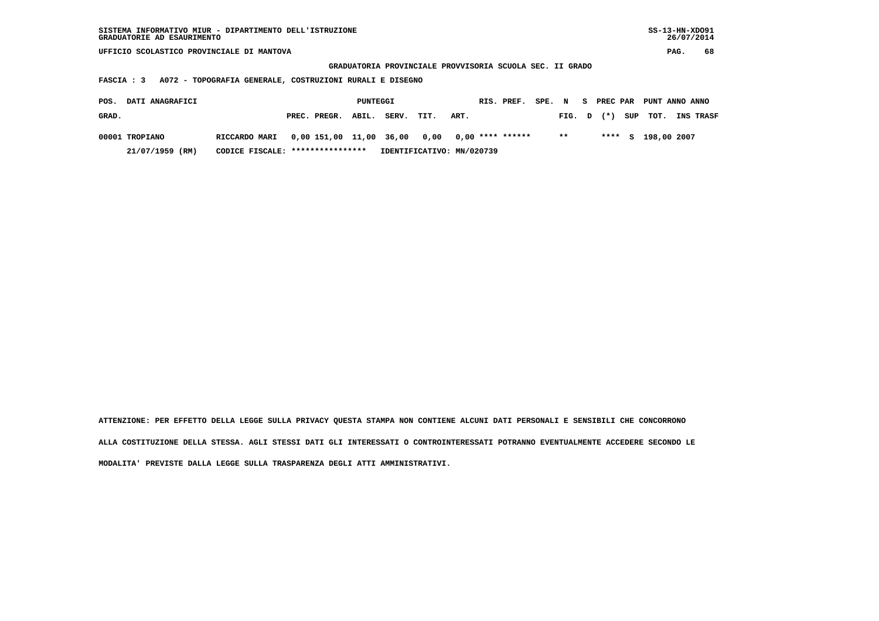| SISTEMA INFORMATIVO MIUR - DIPARTIMENTO DELL'ISTRUZIONE<br>GRADUATORIE AD ESAURIMENTO |                                   |                       |                                                          |                    |        |              | $SS-13-HN-XDO91$<br>26/07/2014 |
|---------------------------------------------------------------------------------------|-----------------------------------|-----------------------|----------------------------------------------------------|--------------------|--------|--------------|--------------------------------|
| UFFICIO SCOLASTICO PROVINCIALE DI MANTOVA                                             |                                   |                       |                                                          |                    |        |              | 68<br>PAG.                     |
|                                                                                       |                                   |                       | GRADUATORIA PROVINCIALE PROVVISORIA SCUOLA SEC. II GRADO |                    |        |              |                                |
| A072 - TOPOGRAFIA GENERALE, COSTRUZIONI RURALI E DISEGNO<br>FASCIA : 3                |                                   |                       |                                                          |                    |        |              |                                |
| DATI ANAGRAFICI<br>POS.                                                               |                                   | PUNTEGGI              |                                                          | RIS. PREF.         | SPE. N | S PREC PAR   | PUNT ANNO ANNO                 |
| GRAD.                                                                                 | PREC. PREGR.                      | ABIL.<br><b>SERV.</b> | TIT.<br>ART.                                             |                    | FIG. D | SUP<br>$(*)$ | тот.<br>INS TRASF              |
| 00001 TROPIANO<br>RICCARDO MARI                                                       | 0,00 151,00 11,00                 | 36,00                 | 0,00                                                     | $0,00$ **** ****** | $***$  | ****<br>s    | 198,00 2007                    |
| 21/07/1959<br>(RM)                                                                    | CODICE FISCALE: ***************** |                       | IDENTIFICATIVO: MN/020739                                |                    |        |              |                                |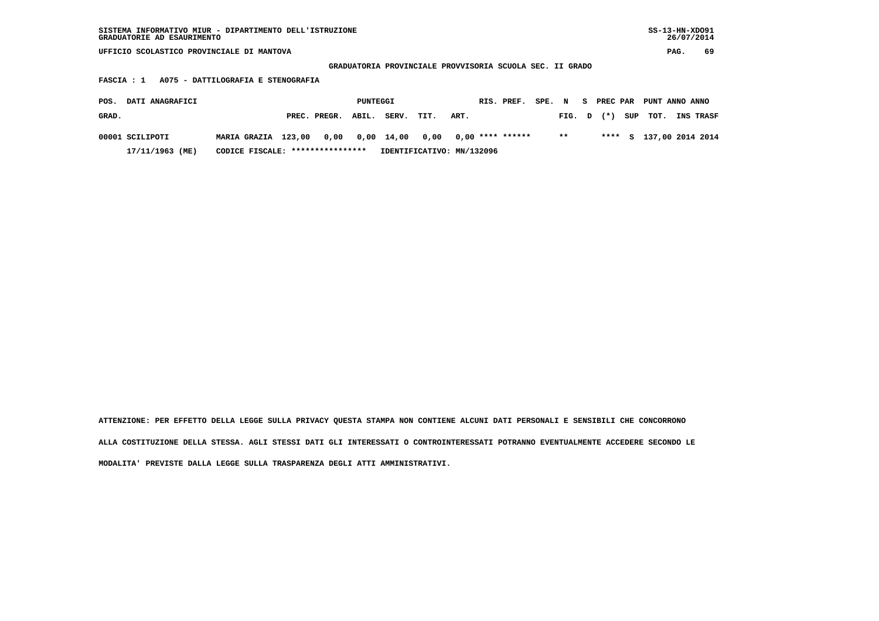| SISTEMA INFORMATIVO MIUR - DIPARTIMENTO DELL'ISTRUZIONE | $SS-13-HN-XDO91$ |
|---------------------------------------------------------|------------------|
| GRADUATORIE AD ESAURIMENTO                              | 26/07/2014       |

 **GRADUATORIA PROVINCIALE PROVVISORIA SCUOLA SEC. II GRADO**

 **FASCIA : 1 A075 - DATTILOGRAFIA E STENOGRAFIA**

| POS.  | <b>DATI ANAGRAFICI</b> |                     |                                       | PUNTEGGI |       |                           |      | RIS. PREF. | SPE. N |              |  | S PREC PAR PUNT ANNO ANNO |                         |
|-------|------------------------|---------------------|---------------------------------------|----------|-------|---------------------------|------|------------|--------|--------------|--|---------------------------|-------------------------|
| GRAD. |                        |                     | PREC. PREGR. ABIL.                    |          | SERV. | TIT.                      | ART. |            |        |              |  | FIG. $D$ $(*)$ SUP TOT.   | <b>INS TRASF</b>        |
|       | 00001 SCILIPOTI        | MARIA GRAZIA 123,00 | 0,00 0,00 14,00 0,00 0,00 **** ****** |          |       |                           |      |            |        | $\star\star$ |  |                           | **** S 137,00 2014 2014 |
|       | 17/11/1963 (ME)        |                     | CODICE FISCALE: ****************      |          |       | IDENTIFICATIVO: MN/132096 |      |            |        |              |  |                           |                         |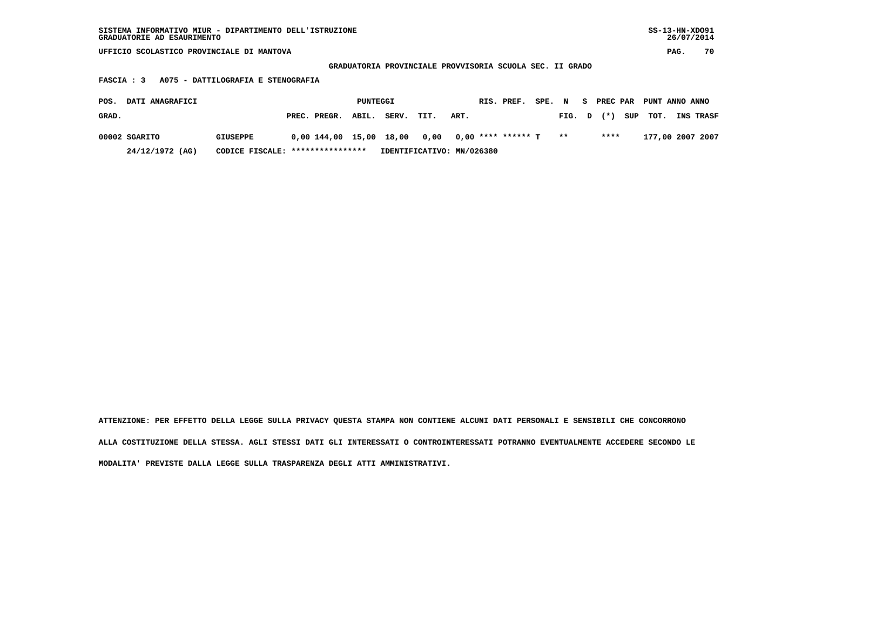| SISTEMA INFORMATIVO MIUR - DIPARTIMENTO DELL'ISTRUZIONE | SS-13-HN-XD091 |
|---------------------------------------------------------|----------------|
| GRADUATORIE AD ESAURIMENTO                              | 26/07/2014     |

 **GRADUATORIA PROVINCIALE PROVVISORIA SCUOLA SEC. II GRADO**

 **FASCIA : 3 A075 - DATTILOGRAFIA E STENOGRAFIA**

| POS.  | <b>DATI ANAGRAFICI</b> |                                  |                                                   | PUNTEGGI |                           |      |      | RIS. PREF. | SPE. | $\mathbf N$ | - S | PREC PAR |     | PUNT ANNO ANNO |                  |
|-------|------------------------|----------------------------------|---------------------------------------------------|----------|---------------------------|------|------|------------|------|-------------|-----|----------|-----|----------------|------------------|
| GRAD. |                        |                                  | PREC. PREGR. ABIL.                                |          | SERV.                     | TIT. | ART. |            |      | FIG. D      |     | $(*)$    | SUP | тот.           | <b>INS TRASF</b> |
|       | 00002 SGARITO          | <b>GIUSEPPE</b>                  | $0.00$ 144.00 15.00 18.00 0.00 0.00 **** ****** T |          |                           |      |      |            |      | $***$       |     | ****     |     |                | 177,00 2007 2007 |
|       | 24/12/1972 (AG)        | CODICE FISCALE: **************** |                                                   |          | IDENTIFICATIVO: MN/026380 |      |      |            |      |             |     |          |     |                |                  |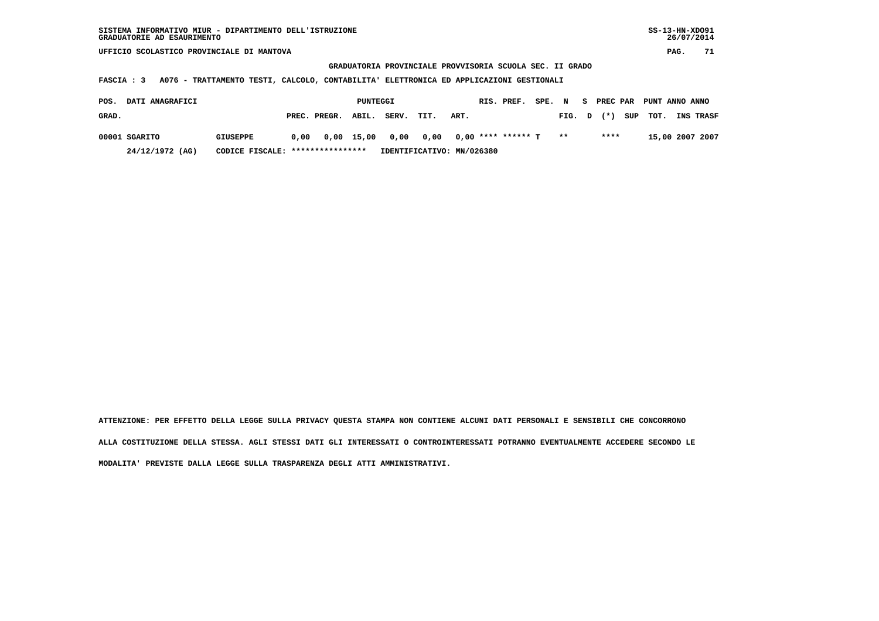**GRADUATORIA PROVINCIALE PROVVISORIA SCUOLA SEC. II GRADO**

 **FASCIA : 3 A076 - TRATTAMENTO TESTI, CALCOLO, CONTABILITA' ELETTRONICA ED APPLICAZIONI GESTIONALI**

| POS.  | <b>DATI ANAGRAFICI</b> |                                  |      |                                         |       | PUNTEGGI                  |      |      | RIS. PREF. | SPE. | $\mathbf N$ | - S | <b>PREC PAR</b> |     | PUNT ANNO ANNO |                  |
|-------|------------------------|----------------------------------|------|-----------------------------------------|-------|---------------------------|------|------|------------|------|-------------|-----|-----------------|-----|----------------|------------------|
| GRAD. |                        |                                  |      | PREC. PREGR.                            | ABIL. | SERV.                     | TIT. | ART. |            |      | FIG. D      |     | $(*)$           | SUP | тот.           | <b>INS TRASF</b> |
|       | 00001 SGARITO          | <b>GIUSEPPE</b>                  | 0.00 | 0,00 15,00 0,00 0,00 0,00 **** ****** T |       |                           |      |      |            |      | $***$       |     | ****            |     |                | 15,00 2007 2007  |
|       | 24/12/1972 (AG)        | CODICE FISCALE: **************** |      |                                         |       | IDENTIFICATIVO: MN/026380 |      |      |            |      |             |     |                 |     |                |                  |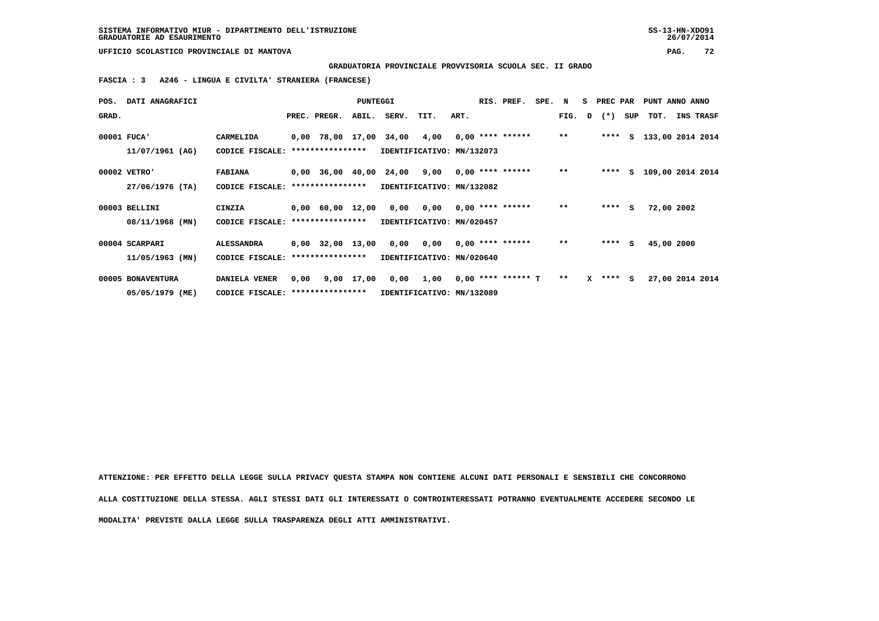**GRADUATORIA PROVINCIALE PROVVISORIA SCUOLA SEC. II GRADO**

 **FASCIA : 3 A246 - LINGUA E CIVILTA' STRANIERA (FRANCESE)**

| POS.        | DATI ANAGRAFICI                 |                                   |                                  |                  | PUNTEGGI                  |                                                                             |                                        |      |  | RIS. PREF.         | SPE. N |        |              | S PREC PAR |     | PUNT ANNO ANNO     |           |  |
|-------------|---------------------------------|-----------------------------------|----------------------------------|------------------|---------------------------|-----------------------------------------------------------------------------|----------------------------------------|------|--|--------------------|--------|--------|--------------|------------|-----|--------------------|-----------|--|
| GRAD.       |                                 |                                   |                                  | PREC. PREGR.     | ABIL.                     | SERV.                                                                       | TIT.                                   | ART. |  |                    |        | FIG. D |              | $(\star)$  | SUP | тот.               | INS TRASF |  |
| 00001 FUCA' | 11/07/1961 (AG)                 | CARMELIDA<br>CODICE FISCALE:      |                                  | **************** |                           | $0,00$ 78,00 17,00 34,00 4,00 0,00 **** ******<br>IDENTIFICATIVO: MN/132073 |                                        |      |  |                    |        | $* *$  |              | ****       |     | S 133,00 2014 2014 |           |  |
|             | 00002 VETRO'<br>27/06/1976 (TA) | <b>FABIANA</b><br>CODICE FISCALE: |                                  | **************** |                           | $0,00$ 36,00 40,00 24,00 9,00 0,00 **** ******<br>IDENTIFICATIVO: MN/132082 |                                        |      |  |                    |        | $***$  |              | ****       | S.  | 109,00 2014 2014   |           |  |
|             | 00003 BELLINI                   | CINZIA                            |                                  |                  |                           | 0,00 60,00 12,00 0,00 0,00                                                  |                                        |      |  | 0,00 **** ******   |        | $***$  |              | $***$ S    |     | 72,00 2002         |           |  |
|             | 08/11/1968 (MN)                 | CODICE FISCALE:                   | ****************                 |                  | IDENTIFICATIVO: MN/020457 |                                                                             |                                        |      |  |                    |        |        |              |            |     |                    |           |  |
|             | 00004 SCARPARI                  | <b>ALESSANDRA</b>                 |                                  | 0,00 32,00 13,00 |                           |                                                                             | $0,00$ $0,00$ $0,00$ $***$ **** ****** |      |  |                    |        | $* *$  |              | $***$ S    |     | 45,00 2000         |           |  |
|             | 11/05/1963 (MN)                 | CODICE FISCALE:                   | ****************                 |                  | IDENTIFICATIVO: MN/020640 |                                                                             |                                        |      |  |                    |        |        |              |            |     |                    |           |  |
|             | 00005 BONAVENTURA               | DANIELA VENER                     | 0,00                             | 9,00 17,00       |                           |                                                                             | 0,00 1,00                              |      |  | 0,00 **** ****** T |        | $***$  | $\mathbf{x}$ | **** S     |     | 27,00 2014 2014    |           |  |
|             | 05/05/1979 (ME)                 |                                   | CODICE FISCALE: **************** |                  | IDENTIFICATIVO: MN/132089 |                                                                             |                                        |      |  |                    |        |        |              |            |     |                    |           |  |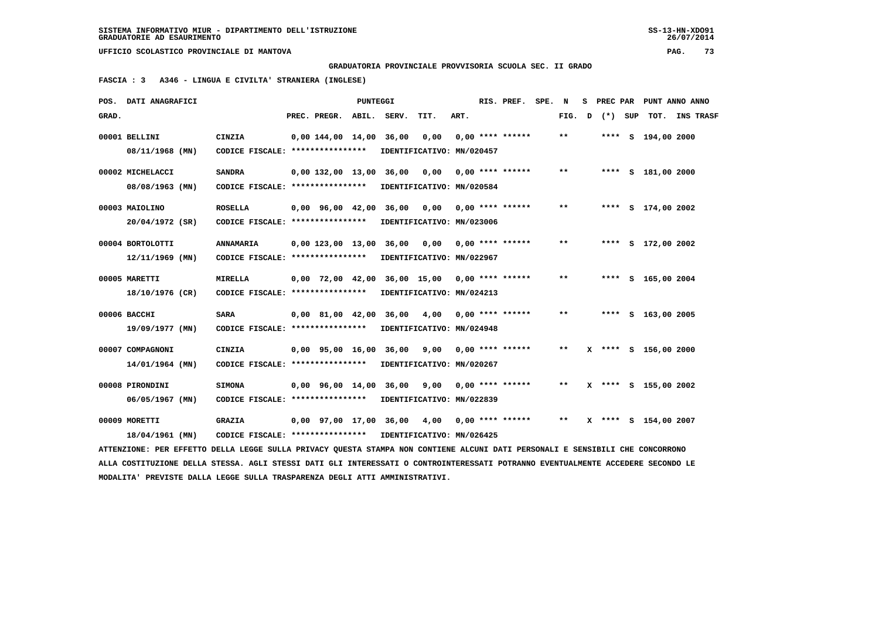**GRADUATORIA PROVINCIALE PROVVISORIA SCUOLA SEC. II GRADO**

 **FASCIA : 3 A346 - LINGUA E CIVILTA' STRANIERA (INGLESE)**

|       | POS. DATI ANAGRAFICI                                                                                                            |                                                                             |                          | PUNTEGGI |                                                                              |      | RIS. PREF. SPE.  | N      |         | S PREC PAR PUNT ANNO ANNO |  |
|-------|---------------------------------------------------------------------------------------------------------------------------------|-----------------------------------------------------------------------------|--------------------------|----------|------------------------------------------------------------------------------|------|------------------|--------|---------|---------------------------|--|
| GRAD. |                                                                                                                                 |                                                                             | PREC. PREGR. ABIL. SERV. |          | TIT.                                                                         | ART. |                  | FIG. D | (*) SUP | TOT. INS TRASF            |  |
|       | 00001 BELLINI<br>08/11/1968 (MN)                                                                                                | <b>CINZIA</b><br>CODICE FISCALE: *****************                          | 0.00144.0014.0036.00     |          | 0,00<br>IDENTIFICATIVO: MN/020457                                            |      | 0,00 **** ****** | $**$   |         | **** S 194,00 2000        |  |
|       | 00002 MICHELACCI                                                                                                                | <b>SANDRA</b>                                                               | 0,00 132,00 13,00 36,00  |          |                                                                              |      |                  | **     |         | **** S 181,00 2000        |  |
|       | 08/08/1963 (MN)<br>00003 MAIOLINO                                                                                               | CODICE FISCALE: ****************<br><b>ROSELLA</b>                          |                          |          | IDENTIFICATIVO: MN/020584<br>$0,00$ 96,00 42,00 36,00 0,00 0,00 **** ******  |      |                  | $* *$  |         | **** S 174,00 2002        |  |
|       | 20/04/1972 (SR)<br>00004 BORTOLOTTI                                                                                             | CODICE FISCALE: *****************<br>ANNAMARIA                              |                          |          | IDENTIFICATIVO: MN/023006<br>$0,00$ 123,00 13,00 36,00 0,00 0,00 **** ****** |      |                  | $***$  |         | **** S 172,00 2002        |  |
|       | $12/11/1969$ (MN)                                                                                                               | CODICE FISCALE: ****************                                            |                          |          | IDENTIFICATIVO: MN/022967                                                    |      |                  |        |         |                           |  |
|       | 00005 MARETTI<br>18/10/1976 (CR)                                                                                                | <b>MIRELLA</b><br>CODICE FISCALE: ****************                          |                          |          | $0.00$ 72.00 42.00 36.00 15.00 0.00 **** ******<br>IDENTIFICATIVO: MN/024213 |      |                  | $* *$  |         | **** S 165,00 2004        |  |
|       | 00006 BACCHI<br>19/09/1977 (MN)                                                                                                 | <b>SARA</b><br>CODICE FISCALE: ****************                             |                          |          | 0,00 81,00 42,00 36,00 4,00<br>IDENTIFICATIVO: MN/024948                     |      | 0,00 **** ****** | $* *$  |         | **** S 163,00 2005        |  |
|       | 00007 COMPAGNONI<br>14/01/1964 (MN)                                                                                             | CINZIA<br>CODICE FISCALE: ****************                                  |                          |          | 0,00 95,00 16,00 36,00 9,00 0,00 **** ******<br>IDENTIFICATIVO: MN/020267    |      |                  | $* *$  |         | X **** S 156,00 2000      |  |
|       | 00008 PIRONDINI<br>06/05/1967 (MN)                                                                                              | <b>SIMONA</b><br>CODICE FISCALE: ****************                           |                          |          | 0,00 96,00 14,00 36,00 9,00 0,00 **** ******<br>IDENTIFICATIVO: MN/022839    |      |                  | $* *$  |         | X **** S 155,00 2002      |  |
|       | 00009 MORETTI<br>18/04/1961 (MN)                                                                                                | <b>GRAZIA</b><br>CODICE FISCALE: **************** IDENTIFICATIVO: MN/026425 |                          |          | 0,00 97,00 17,00 36,00 4,00 0,00 **** ******                                 |      |                  | $***$  |         | X **** S 154,00 2007      |  |
|       | ATTENZIONE: PER EFFETTO DELLA LEGGE SULLA PRIVACY QUESTA STAMPA NON CONTIENE ALCUNI DATI PERSONALI E SENSIBILI CHE CONCORRONO   |                                                                             |                          |          |                                                                              |      |                  |        |         |                           |  |
|       | ALLA COSTITUZIONE DELLA STESSA. AGLI STESSI DATI GLI INTERESSATI O CONTROINTERESSATI POTRANNO EVENTUALMENTE ACCEDERE SECONDO LE |                                                                             |                          |          |                                                                              |      |                  |        |         |                           |  |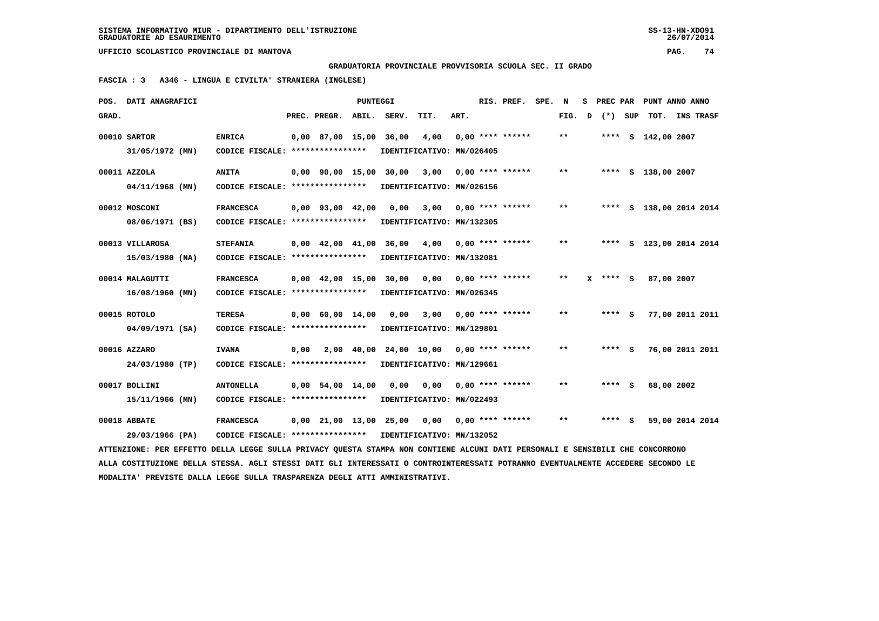**GRADUATORIA PROVINCIALE PROVVISORIA SCUOLA SEC. II GRADO**

 **FASCIA : 3 A346 - LINGUA E CIVILTA' STRANIERA (INGLESE)**

|       | POS. DATI ANAGRAFICI                                                                                                            |                                                            |      |                        | PUNTEGGI |                                         |                           |      | RIS. PREF.                      | SPE. | N      | s | PREC PAR |     | PUNT ANNO ANNO          |  |
|-------|---------------------------------------------------------------------------------------------------------------------------------|------------------------------------------------------------|------|------------------------|----------|-----------------------------------------|---------------------------|------|---------------------------------|------|--------|---|----------|-----|-------------------------|--|
| GRAD. |                                                                                                                                 |                                                            |      | PREC. PREGR.           | ABIL.    | SERV.                                   | TIT.                      | ART. |                                 |      | FIG. D |   | $(*)$    | SUP | TOT. INS TRASF          |  |
|       | 00010 SARTOR                                                                                                                    | <b>ENRICA</b>                                              |      | $0,00$ 87,00 15,00     |          | 36,00                                   | 4,00                      |      | $0.00$ **** ******              |      | $***$  |   |          |     | **** S 142,00 2007      |  |
|       | 31/05/1972 (MN)                                                                                                                 | CODICE FISCALE: ****************                           |      |                        |          |                                         | IDENTIFICATIVO: MN/026405 |      |                                 |      |        |   |          |     |                         |  |
|       |                                                                                                                                 |                                                            |      |                        |          |                                         |                           |      |                                 |      |        |   |          |     |                         |  |
|       | 00011 AZZOLA                                                                                                                    | <b>ANITA</b>                                               |      |                        |          | 0,00 90,00 15,00 30,00                  | 3,00                      |      | $0.00$ **** ******              |      | $* *$  |   |          |     | **** S 138,00 2007      |  |
|       | 04/11/1968 (MN)                                                                                                                 | CODICE FISCALE: ****************                           |      |                        |          |                                         | IDENTIFICATIVO: MN/026156 |      |                                 |      |        |   |          |     |                         |  |
|       | 00012 MOSCONI                                                                                                                   | <b>FRANCESCA</b>                                           |      | $0,00$ $93,00$ $42,00$ |          | 0.00                                    | 3,00                      |      | $0.00$ **** ******              |      | $* *$  |   |          |     | **** S 138,00 2014 2014 |  |
|       | 08/06/1971 (BS)                                                                                                                 | CODICE FISCALE: ****************                           |      |                        |          |                                         | IDENTIFICATIVO: MN/132305 |      |                                 |      |        |   |          |     |                         |  |
|       |                                                                                                                                 |                                                            |      |                        |          |                                         |                           |      |                                 |      | $* *$  |   |          |     |                         |  |
|       | 00013 VILLAROSA                                                                                                                 | <b>STEFANIA</b>                                            |      |                        |          | 0,00 42,00 41,00 36,00                  | 4,00                      |      | 0,00 **** ******                |      |        |   |          |     | **** S 123,00 2014 2014 |  |
|       | 15/03/1980 (NA)                                                                                                                 | CODICE FISCALE: ****************                           |      |                        |          |                                         | IDENTIFICATIVO: MN/132081 |      |                                 |      |        |   |          |     |                         |  |
|       | 00014 MALAGUTTI                                                                                                                 | <b>FRANCESCA</b>                                           |      |                        |          | 0,00 42,00 15,00 30,00                  | 0.00                      |      | 0,00 **** ******                |      | $**$   |   |          | - S | 87,00 2007              |  |
|       | 16/08/1960 (MN)                                                                                                                 | CODICE FISCALE: ****************                           |      |                        |          |                                         | IDENTIFICATIVO: MN/026345 |      |                                 |      |        |   |          |     |                         |  |
|       |                                                                                                                                 |                                                            |      |                        |          |                                         |                           |      |                                 |      | $* *$  |   |          |     |                         |  |
|       | 00015 ROTOLO                                                                                                                    | <b>TERESA</b>                                              |      | $0,00$ 60,00 14,00     |          | 0,00                                    | 3,00                      |      | $0.00$ **** ******              |      |        |   | $***$ S  |     | 77,00 2011 2011         |  |
|       | 04/09/1971 (SA)                                                                                                                 | CODICE FISCALE: ****************                           |      |                        |          |                                         | IDENTIFICATIVO: MN/129801 |      |                                 |      |        |   |          |     |                         |  |
|       | 00016 AZZARO                                                                                                                    | <b>IVANA</b>                                               | 0,00 |                        |          | 2,00 40,00 24,00 10,00 0,00 **** ****** |                           |      |                                 |      | $**$   |   | **** S   |     | 76,00 2011 2011         |  |
|       | 24/03/1980 (TP)                                                                                                                 | CODICE FISCALE: *****************                          |      |                        |          |                                         | IDENTIFICATIVO: MN/129661 |      |                                 |      |        |   |          |     |                         |  |
|       |                                                                                                                                 |                                                            |      |                        |          |                                         |                           |      |                                 |      |        |   |          |     |                         |  |
|       | 00017 BOLLINI                                                                                                                   | <b>ANTONELLA</b>                                           |      | $0,00$ 54,00 14,00     |          | 0,00                                    | 0,00                      |      | $0.00$ **** ******              |      | $**$   |   | **** S   |     | 68,00 2002              |  |
|       | 15/11/1966 (MN)                                                                                                                 | CODICE FISCALE: *****************                          |      |                        |          |                                         | IDENTIFICATIVO: MN/022493 |      |                                 |      |        |   |          |     |                         |  |
|       | 00018 ABBATE                                                                                                                    | <b>FRANCESCA</b>                                           |      |                        |          | 0,00 21,00 13,00 25,00                  |                           |      | $0,00$ $0,00$ $***$ $***$ $***$ |      | $* *$  |   | $***$ S  |     | 59,00 2014 2014         |  |
|       | 29/03/1966 (PA)                                                                                                                 | CODICE FISCALE: **************** IDENTIFICATIVO: MN/132052 |      |                        |          |                                         |                           |      |                                 |      |        |   |          |     |                         |  |
|       | ATTENZIONE: PER EFFETTO DELLA LEGGE SULLA PRIVACY QUESTA STAMPA NON CONTIENE ALCUNI DATI PERSONALI E SENSIBILI CHE CONCORRONO   |                                                            |      |                        |          |                                         |                           |      |                                 |      |        |   |          |     |                         |  |
|       | ALLA COSTITUZIONE DELLA STESSA. AGLI STESSI DATI GLI INTERESSATI O CONTROINTERESSATI POTRANNO EVENTUALMENTE ACCEDERE SECONDO LE |                                                            |      |                        |          |                                         |                           |      |                                 |      |        |   |          |     |                         |  |
|       | MODALITA' PREVISTE DALLA LEGGE SULLA TRASPARENZA DEGLI ATTI AMMINISTRATIVI.                                                     |                                                            |      |                        |          |                                         |                           |      |                                 |      |        |   |          |     |                         |  |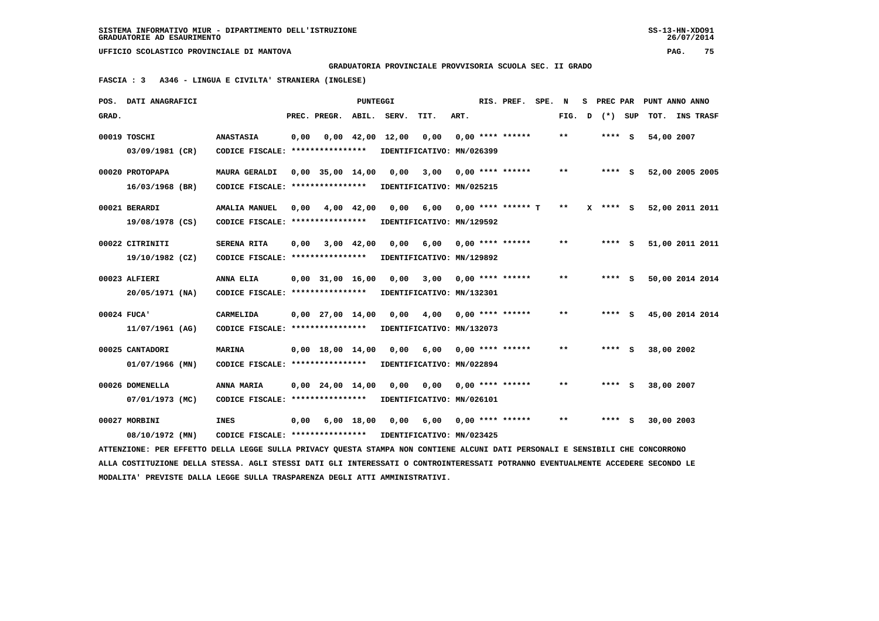**GRADUATORIA PROVINCIALE PROVVISORIA SCUOLA SEC. II GRADO**

 **FASCIA : 3 A346 - LINGUA E CIVILTA' STRANIERA (INGLESE)**

|             | POS. DATI ANAGRAFICI                                                                                                            |                                   |      |                        | PUNTEGGI     |       |                           |      | RIS. PREF.                  | SPE. | N            | s | PREC PAR     | PUNT ANNO ANNO |                 |  |
|-------------|---------------------------------------------------------------------------------------------------------------------------------|-----------------------------------|------|------------------------|--------------|-------|---------------------------|------|-----------------------------|------|--------------|---|--------------|----------------|-----------------|--|
| GRAD.       |                                                                                                                                 |                                   |      | PREC. PREGR.           | ABIL.        | SERV. | TIT.                      | ART. |                             |      | FIG. D       |   | (*) SUP      |                | TOT. INS TRASF  |  |
|             | 00019 TOSCHI                                                                                                                    | <b>ANASTASIA</b>                  | 0,00 |                        | $0,00$ 42,00 | 12,00 | 0,00                      |      | $0.00$ **** ******          |      | $* *$        |   | $***$ S      | 54,00 2007     |                 |  |
|             | 03/09/1981 (CR)                                                                                                                 | CODICE FISCALE: ****************  |      |                        |              |       | IDENTIFICATIVO: MN/026399 |      |                             |      |              |   |              |                |                 |  |
|             | 00020 PROTOPAPA                                                                                                                 | <b>MAURA GERALDI</b>              |      | $0,00$ 35,00 14,00     |              | 0,00  | 3,00                      |      | $0.00$ **** ******          |      | $\star\star$ |   | $***$ S      |                | 52,00 2005 2005 |  |
|             | 16/03/1968 (BR)                                                                                                                 | CODICE FISCALE: ***************** |      |                        |              |       | IDENTIFICATIVO: MN/025215 |      |                             |      |              |   |              |                |                 |  |
|             | 00021 BERARDI                                                                                                                   | <b>AMALIA MANUEL</b>              | 0.00 | 4,00 42,00             |              | 0,00  |                           |      | $6.00$ $0.00$ **** ****** T |      | $***$        |   | $X$ **** $S$ |                | 52,00 2011 2011 |  |
|             | 19/08/1978 (CS)                                                                                                                 | CODICE FISCALE: ****************  |      |                        |              |       | IDENTIFICATIVO: MN/129592 |      |                             |      |              |   |              |                |                 |  |
|             | 00022 CITRINITI                                                                                                                 | SERENA RITA                       | 0.00 |                        | 3,00 42,00   | 0,00  | 6,00                      |      | $0.00$ **** ******          |      | $***$        |   | **** S       |                | 51,00 2011 2011 |  |
|             | 19/10/1982 (CZ)                                                                                                                 | CODICE FISCALE: ****************  |      |                        |              |       | IDENTIFICATIVO: MN/129892 |      |                             |      |              |   |              |                |                 |  |
|             | 00023 ALFIERI                                                                                                                   | ANNA ELIA                         |      | $0.00$ $31.00$ $16.00$ |              | 0,00  | 3,00                      |      | $0.00$ **** ******          |      | $* *$        |   | **** S       |                | 50,00 2014 2014 |  |
|             | 20/05/1971 (NA)                                                                                                                 | CODICE FISCALE: ****************  |      |                        |              |       | IDENTIFICATIVO: MN/132301 |      |                             |      |              |   |              |                |                 |  |
| 00024 FUCA' |                                                                                                                                 | CARMELIDA                         |      | $0,00$ 27,00 14,00     |              | 0,00  | 4,00                      |      | $0.00$ **** ******          |      | $**$         |   | **** S       |                | 45,00 2014 2014 |  |
|             | 11/07/1961 (AG)                                                                                                                 | CODICE FISCALE: ****************  |      |                        |              |       | IDENTIFICATIVO: MN/132073 |      |                             |      |              |   |              |                |                 |  |
|             | 00025 CANTADORI                                                                                                                 | MARINA                            |      | $0,00$ 18,00 14,00     |              | 0,00  | 6,00                      |      | $0.00$ **** ******          |      | $* *$        |   | $***$ S      | 38,00 2002     |                 |  |
|             | 01/07/1966 (MN)                                                                                                                 | CODICE FISCALE: ****************  |      |                        |              |       | IDENTIFICATIVO: MN/022894 |      |                             |      |              |   |              |                |                 |  |
|             | 00026 DOMENELLA                                                                                                                 | ANNA MARIA                        |      | $0,00$ 24,00 14,00     |              | 0,00  | 0,00                      |      | $0.00$ **** ******          |      | $* *$        |   | **** S       | 38,00 2007     |                 |  |
|             | 07/01/1973 (MC)                                                                                                                 | CODICE FISCALE: ****************  |      |                        |              |       | IDENTIFICATIVO: MN/026101 |      |                             |      |              |   |              |                |                 |  |
|             | 00027 MORBINI                                                                                                                   | <b>INES</b>                       | 0,00 |                        | $6,00$ 18,00 | 0,00  | 6,00                      |      | $0.00$ **** ******          |      | $* *$        |   | $***$ S      | 30,00 2003     |                 |  |
|             | 08/10/1972 (MN)                                                                                                                 | CODICE FISCALE: ****************  |      |                        |              |       | IDENTIFICATIVO: MN/023425 |      |                             |      |              |   |              |                |                 |  |
|             | ATTENZIONE: PER EFFETTO DELLA LEGGE SULLA PRIVACY OUESTA STAMPA NON CONTIENE ALCUNI DATI PERSONALI E SENSIBILI CHE CONCORRONO   |                                   |      |                        |              |       |                           |      |                             |      |              |   |              |                |                 |  |
|             | ALLA COSTITUZIONE DELLA STESSA. AGLI STESSI DATI GLI INTERESSATI O CONTROINTERESSATI POTRANNO EVENTUALMENTE ACCEDERE SECONDO LE |                                   |      |                        |              |       |                           |      |                             |      |              |   |              |                |                 |  |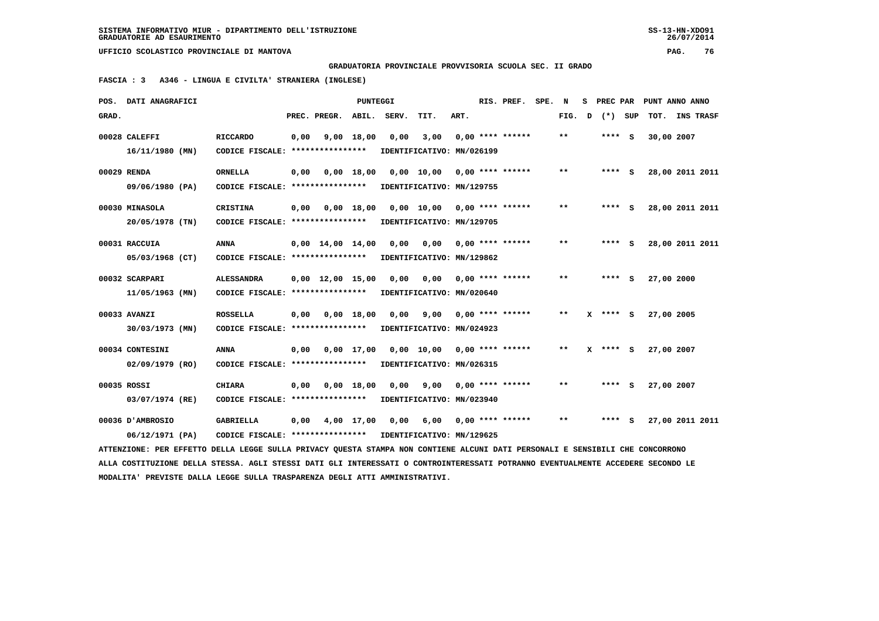**GRADUATORIA PROVINCIALE PROVVISORIA SCUOLA SEC. II GRADO**

 **FASCIA : 3 A346 - LINGUA E CIVILTA' STRANIERA (INGLESE)**

|       | POS. DATI ANAGRAFICI                                                                                                            |                                                            |      |                                | PUNTEGGI     |       |                           |      | RIS. PREF.         | SPE. | N            | s            | PREC PAR   |     | PUNT ANNO ANNO  |           |  |
|-------|---------------------------------------------------------------------------------------------------------------------------------|------------------------------------------------------------|------|--------------------------------|--------------|-------|---------------------------|------|--------------------|------|--------------|--------------|------------|-----|-----------------|-----------|--|
| GRAD. |                                                                                                                                 |                                                            |      | PREC. PREGR.                   | ABIL.        | SERV. | TIT.                      | ART. |                    |      | FIG.         | $\mathbf{D}$ | $(*)$      | SUP | TOT.            | INS TRASF |  |
|       | 00028 CALEFFI                                                                                                                   | <b>RICCARDO</b>                                            | 0,00 |                                | 9,00 18,00   | 0,00  | 3,00                      |      | $0.00$ **** ****** |      | $***$        |              | $***$ S    |     | 30,00 2007      |           |  |
|       | $16/11/1980$ (MN)                                                                                                               | CODICE FISCALE: ****************                           |      |                                |              |       | IDENTIFICATIVO: MN/026199 |      |                    |      |              |              |            |     |                 |           |  |
|       |                                                                                                                                 |                                                            |      |                                |              |       |                           |      |                    |      |              |              |            |     |                 |           |  |
|       | 00029 RENDA                                                                                                                     | <b>ORNELLA</b>                                             | 0,00 |                                |              |       | 0,00 18,00 0,00 10,00     |      | $0.00$ **** ****** |      | $* *$        |              | **** S     |     | 28,00 2011 2011 |           |  |
|       | 09/06/1980 (PA)                                                                                                                 | CODICE FISCALE: *****************                          |      |                                |              |       | IDENTIFICATIVO: MN/129755 |      |                    |      |              |              |            |     |                 |           |  |
|       | 00030 MINASOLA                                                                                                                  | <b>CRISTINA</b>                                            | 0.00 |                                | 0.00 18.00   |       | 0,00 10,00                |      | $0.00$ **** ****** |      | $\star\star$ |              |            | - S | 28,00 2011 2011 |           |  |
|       | 20/05/1978 (TN)                                                                                                                 | CODICE FISCALE: *****************                          |      |                                |              |       | IDENTIFICATIVO: MN/129705 |      |                    |      |              |              |            |     |                 |           |  |
|       |                                                                                                                                 |                                                            |      |                                |              |       |                           |      |                    |      | $***$        |              |            |     |                 |           |  |
|       | 00031 RACCUIA                                                                                                                   | <b>ANNA</b>                                                |      | $0,00 \quad 14,00 \quad 14,00$ |              | 0.00  | 0.00                      |      | $0.00$ **** ****** |      |              |              | $***$ S    |     | 28,00 2011 2011 |           |  |
|       | 05/03/1968 (CT)                                                                                                                 | CODICE FISCALE: ****************                           |      |                                |              |       | IDENTIFICATIVO: MN/129862 |      |                    |      |              |              |            |     |                 |           |  |
|       | 00032 SCARPARI                                                                                                                  | <b>ALESSANDRA</b>                                          |      | $0.00 \quad 12.00 \quad 15.00$ |              | 0.00  | 0.00                      |      | $0.00$ **** ****** |      | $**$         |              | **** S     |     | 27,00 2000      |           |  |
|       | 11/05/1963 (MN)                                                                                                                 | CODICE FISCALE: ****************                           |      |                                |              |       | IDENTIFICATIVO: MN/020640 |      |                    |      |              |              |            |     |                 |           |  |
|       |                                                                                                                                 |                                                            |      |                                |              |       |                           |      |                    |      | $* *$        |              |            |     |                 |           |  |
|       | 00033 AVANZI                                                                                                                    | <b>ROSSELLA</b>                                            | 0,00 |                                | $0,00$ 18,00 | 0,00  | 9,00                      |      | $0.00$ **** ****** |      |              |              | **** S     |     | 27,00 2005      |           |  |
|       | 30/03/1973 (MN)                                                                                                                 | CODICE FISCALE: ****************                           |      |                                |              |       | IDENTIFICATIVO: MN/024923 |      |                    |      |              |              |            |     |                 |           |  |
|       | 00034 CONTESINI                                                                                                                 | <b>ANNA</b>                                                | 0,00 |                                | $0,00$ 17,00 |       | 0,00 10,00                |      | $0.00$ **** ****** |      | $* *$        |              | $X$ **** S |     | 27,00 2007      |           |  |
|       | $02/09/1979$ (RO)                                                                                                               | CODICE FISCALE: ****************                           |      |                                |              |       | IDENTIFICATIVO: MN/026315 |      |                    |      |              |              |            |     |                 |           |  |
|       |                                                                                                                                 |                                                            |      |                                |              |       |                           |      |                    |      |              |              |            |     |                 |           |  |
|       | 00035 ROSSI                                                                                                                     | <b>CHIARA</b>                                              | 0,00 |                                | $0,00$ 18,00 | 0,00  | 9,00                      |      | $0.00$ **** ****** |      | $* *$        |              | **** S     |     | 27,00 2007      |           |  |
|       | 03/07/1974 (RE)                                                                                                                 | CODICE FISCALE: ****************                           |      |                                |              |       | IDENTIFICATIVO: MN/023940 |      |                    |      |              |              |            |     |                 |           |  |
|       | 00036 D'AMBROSIO                                                                                                                | <b>GABRIELLA</b>                                           | 0,00 |                                | 4,00 17,00   | 0,00  | 6,00                      |      | $0.00$ **** ****** |      | $* *$        |              | $***$ S    |     | 27,00 2011 2011 |           |  |
|       | 06/12/1971 (PA)                                                                                                                 | CODICE FISCALE: **************** IDENTIFICATIVO: MN/129625 |      |                                |              |       |                           |      |                    |      |              |              |            |     |                 |           |  |
|       | ATTENZIONE: PER EFFETTO DELLA LEGGE SULLA PRIVACY QUESTA STAMPA NON CONTIENE ALCUNI DATI PERSONALI E SENSIBILI CHE CONCORRONO   |                                                            |      |                                |              |       |                           |      |                    |      |              |              |            |     |                 |           |  |
|       | ALLA COSTITUZIONE DELLA STESSA. AGLI STESSI DATI GLI INTERESSATI O CONTROINTERESSATI POTRANNO EVENTUALMENTE ACCEDERE SECONDO LE |                                                            |      |                                |              |       |                           |      |                    |      |              |              |            |     |                 |           |  |
|       | MODALITA' PREVISTE DALLA LEGGE SULLA TRASPARENZA DEGLI ATTI AMMINISTRATIVI.                                                     |                                                            |      |                                |              |       |                           |      |                    |      |              |              |            |     |                 |           |  |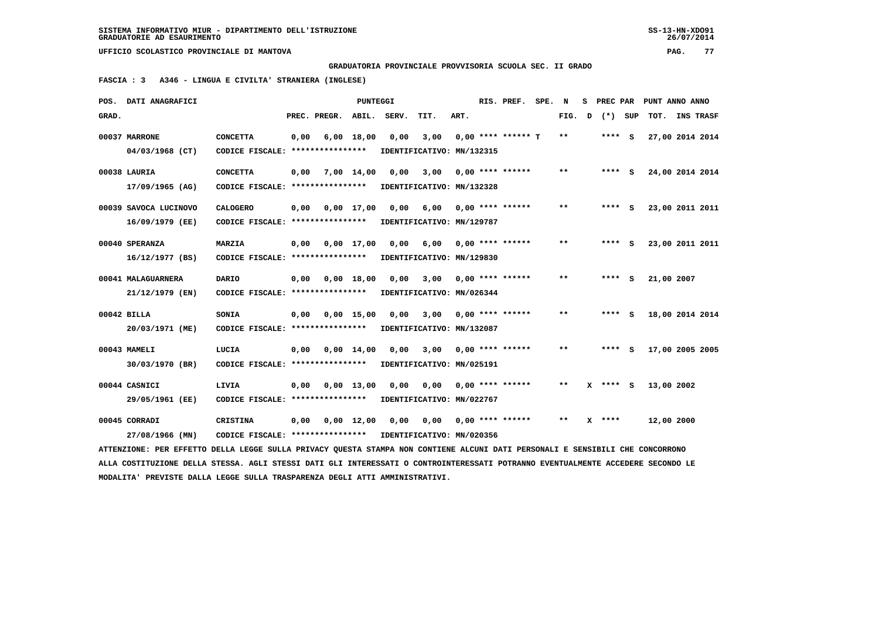**GRADUATORIA PROVINCIALE PROVVISORIA SCUOLA SEC. II GRADO**

 **FASCIA : 3 A346 - LINGUA E CIVILTA' STRANIERA (INGLESE)**

|       | POS. DATI ANAGRAFICI                                                                                                            |                                                            |      |              | PUNTEGGI           |       |                           |      | RIS. PREF.              | SPE. | N                          | s | PREC PAR |            | PUNT ANNO ANNO  |
|-------|---------------------------------------------------------------------------------------------------------------------------------|------------------------------------------------------------|------|--------------|--------------------|-------|---------------------------|------|-------------------------|------|----------------------------|---|----------|------------|-----------------|
| GRAD. |                                                                                                                                 |                                                            |      | PREC. PREGR. | ABIL.              | SERV. | TIT.                      | ART. |                         |      | FIG.                       | D | (*) SUP  | TOT.       | INS TRASF       |
|       | 00037 MARRONE                                                                                                                   | <b>CONCETTA</b>                                            | 0,00 |              | $6,00$ 18,00       | 0,00  | 3,00                      |      | $0,00$ **** ****** T    |      | **                         |   | $***$ S  |            | 27,00 2014 2014 |
|       | 04/03/1968 (CT)                                                                                                                 | CODICE FISCALE: *****************                          |      |              |                    |       | IDENTIFICATIVO: MN/132315 |      |                         |      |                            |   |          |            |                 |
|       | 00038 LAURIA                                                                                                                    | <b>CONCETTA</b>                                            | 0,00 | 7,00 14,00   |                    | 0,00  | 3,00                      |      | $0,00$ **** ******      |      | $* *$                      |   | **** S   |            | 24,00 2014 2014 |
|       | 17/09/1965 (AG)                                                                                                                 | CODICE FISCALE: ****************                           |      |              |                    |       | IDENTIFICATIVO: MN/132328 |      |                         |      |                            |   |          |            |                 |
|       | 00039 SAVOCA LUCINOVO                                                                                                           | <b>CALOGERO</b>                                            | 0,00 | 0,00 17,00   |                    | 0,00  |                           |      | $6,00$ 0,00 **** ****** |      | $***$                      |   | $***$ S  |            | 23,00 2011 2011 |
|       | 16/09/1979 (EE)                                                                                                                 | CODICE FISCALE: *****************                          |      |              |                    |       | IDENTIFICATIVO: MN/129787 |      |                         |      |                            |   |          |            |                 |
|       | 00040 SPERANZA                                                                                                                  | MARZIA                                                     | 0,00 |              | $0,00$ 17,00       | 0,00  | 6,00                      |      | $0.00$ **** ******      |      | $* *$                      |   | **** S   |            | 23,00 2011 2011 |
|       | $16/12/1977$ (BS)                                                                                                               | CODICE FISCALE: ****************                           |      |              |                    |       | IDENTIFICATIVO: MN/129830 |      |                         |      |                            |   |          |            |                 |
|       | 00041 MALAGUARNERA                                                                                                              | <b>DARIO</b>                                               | 0,00 |              | $0,00$ 18,00       | 0,00  | 3,00                      |      | $0.00$ **** ******      |      | $* *$                      |   | **** S   | 21,00 2007 |                 |
|       | 21/12/1979 (EN)                                                                                                                 | CODICE FISCALE: ****************                           |      |              |                    |       | IDENTIFICATIVO: MN/026344 |      |                         |      |                            |   |          |            |                 |
|       | 00042 BILLA                                                                                                                     | <b>SONIA</b>                                               | 0,00 |              | $0,00 \quad 15,00$ | 0,00  | 3,00                      |      | $0.00$ **** ******      |      | $***$                      |   | **** S   |            | 18,00 2014 2014 |
|       | 20/03/1971 (ME)                                                                                                                 | CODICE FISCALE: ****************                           |      |              |                    |       | IDENTIFICATIVO: MN/132087 |      |                         |      |                            |   |          |            |                 |
|       | 00043 MAMELI                                                                                                                    | LUCIA                                                      | 0,00 | 0,00 14,00   |                    | 0,00  | 3,00                      |      | $0.00$ **** ******      |      | **                         |   | **** S   |            | 17,00 2005 2005 |
|       | 30/03/1970 (BR)                                                                                                                 | CODICE FISCALE: ****************                           |      |              |                    |       | IDENTIFICATIVO: MN/025191 |      |                         |      |                            |   |          |            |                 |
|       | 00044 CASNICI                                                                                                                   | LIVIA                                                      | 0,00 | 0,00 13,00   |                    | 0,00  | 0,00                      |      | $0.00$ **** ******      |      | **                         |   | X **** S | 13,00 2002 |                 |
|       | 29/05/1961 (EE)                                                                                                                 | CODICE FISCALE: *****************                          |      |              |                    |       | IDENTIFICATIVO: MN/022767 |      |                         |      |                            |   |          |            |                 |
|       | 00045 CORRADI                                                                                                                   | <b>CRISTINA</b>                                            | 0,00 |              | 0,00 12,00         | 0,00  | 0,00                      |      | $0,00$ **** ******      |      | $\pmb{\times}\pmb{\times}$ |   | $X$ **** | 12,00 2000 |                 |
|       | 27/08/1966 (MN)                                                                                                                 | CODICE FISCALE: **************** IDENTIFICATIVO: MN/020356 |      |              |                    |       |                           |      |                         |      |                            |   |          |            |                 |
|       | ATTENZIONE: PER EFFETTO DELLA LEGGE SULLA PRIVACY QUESTA STAMPA NON CONTIENE ALCUNI DATI PERSONALI E SENSIBILI CHE CONCORRONO   |                                                            |      |              |                    |       |                           |      |                         |      |                            |   |          |            |                 |
|       | ALLA COSTITUZIONE DELLA STESSA. AGLI STESSI DATI GLI INTERESSATI O CONTROINTERESSATI POTRANNO EVENTUALMENTE ACCEDERE SECONDO LE |                                                            |      |              |                    |       |                           |      |                         |      |                            |   |          |            |                 |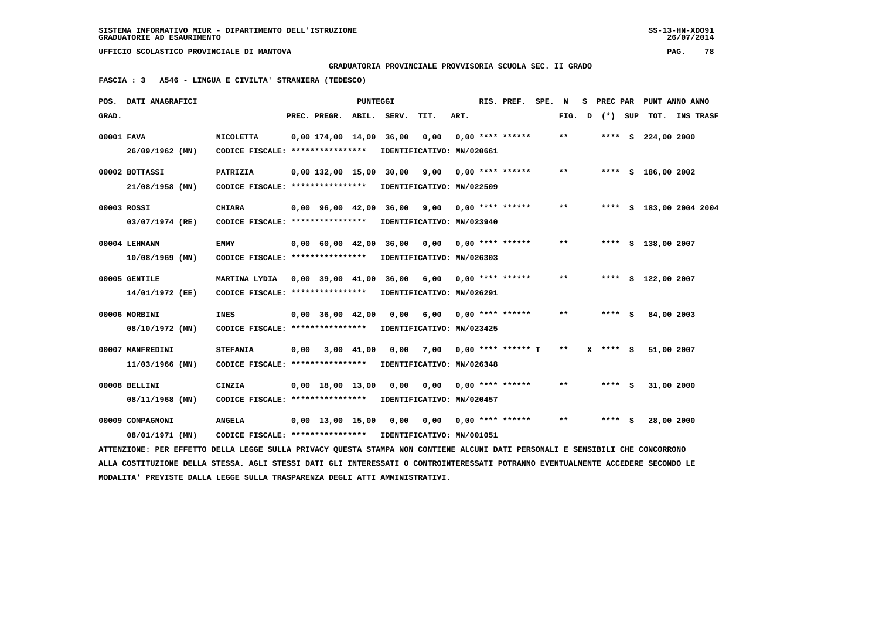**GRADUATORIA PROVINCIALE PROVVISORIA SCUOLA SEC. II GRADO**

 **FASCIA : 3 A546 - LINGUA E CIVILTA' STRANIERA (TEDESCO)**

|            | POS. DATI ANAGRAFICI                                                                                                            |                                   |      |                                | PUNTEGGI       |       |                             |      | RIS. PREF. SPE.      | N                          | s |            |     | PREC PAR PUNT ANNO ANNO |                  |  |
|------------|---------------------------------------------------------------------------------------------------------------------------------|-----------------------------------|------|--------------------------------|----------------|-------|-----------------------------|------|----------------------|----------------------------|---|------------|-----|-------------------------|------------------|--|
| GRAD.      |                                                                                                                                 |                                   |      | PREC. PREGR.                   | ABIL.          | SERV. | TIT.                        | ART. |                      | FIG.                       | D | $(*)$      | SUP | тот.                    | <b>INS TRASF</b> |  |
| 00001 FAVA |                                                                                                                                 | <b>NICOLETTA</b>                  |      | 0,00 174,00 14,00 36,00        |                |       | 0,00                        |      | $0,00$ **** ******   | $* *$                      |   |            |     | **** S 224,00 2000      |                  |  |
|            | 26/09/1962 (MN)                                                                                                                 | CODICE FISCALE: ****************  |      |                                |                |       | IDENTIFICATIVO: MN/020661   |      |                      |                            |   |            |     |                         |                  |  |
|            | 00002 BOTTASSI                                                                                                                  | PATRIZIA                          |      | $0,00$ 132,00 15,00            |                | 30,00 | 9,00                        |      | $0.00$ **** ******   | $* *$                      |   |            |     | **** S 186,00 2002      |                  |  |
|            | 21/08/1958 (MN)                                                                                                                 | CODICE FISCALE: ****************  |      |                                |                |       | IDENTIFICATIVO: MN/022509   |      |                      |                            |   |            |     |                         |                  |  |
|            | 00003 ROSSI                                                                                                                     | <b>CHIARA</b>                     |      | 0,00 96,00 42,00 36,00         |                |       | 9,00 0,00 **** ******       |      |                      | $* *$                      |   |            |     | **** S 183,00 2004 2004 |                  |  |
|            | 03/07/1974 (RE)                                                                                                                 | CODICE FISCALE: ****************  |      |                                |                |       | IDENTIFICATIVO: MN/023940   |      |                      |                            |   |            |     |                         |                  |  |
|            | 00004 LEHMANN                                                                                                                   | EMMY                              |      | 0,00 60,00 42,00               |                | 36,00 | 0,00                        |      | $0.00$ **** ******   | $\pmb{\times}\pmb{\times}$ |   |            |     | **** S 138,00 2007      |                  |  |
|            | $10/08/1969$ (MN)                                                                                                               | CODICE FISCALE: ****************  |      |                                |                |       | IDENTIFICATIVO: MN/026303   |      |                      |                            |   |            |     |                         |                  |  |
|            | 00005 GENTILE                                                                                                                   | MARTINA LYDIA                     |      |                                |                |       | 0,00 39,00 41,00 36,00 6,00 |      | $0,00$ **** ******   | $***$                      |   |            |     | **** S 122,00 2007      |                  |  |
|            | 14/01/1972 (EE)                                                                                                                 | CODICE FISCALE: ****************  |      |                                |                |       | IDENTIFICATIVO: MN/026291   |      |                      |                            |   |            |     |                         |                  |  |
|            | 00006 MORBINI                                                                                                                   | <b>INES</b>                       |      | $0,00$ 36,00 42,00             |                | 0,00  | 6,00                        |      | $0.00$ **** ******   | $***$                      |   | **** S     |     | 84,00 2003              |                  |  |
|            | 08/10/1972 (MN)                                                                                                                 | CODICE FISCALE: ***************** |      |                                |                |       | IDENTIFICATIVO: MN/023425   |      |                      |                            |   |            |     |                         |                  |  |
|            | 00007 MANFREDINI                                                                                                                | <b>STEFANIA</b>                   | 0,00 |                                | $3,00$ $41,00$ | 0.00  | 7,00                        |      | $0,00$ **** ****** T | $\pmb{\times}\pmb{\times}$ |   | $X$ **** S |     | 51,00 2007              |                  |  |
|            | $11/03/1966$ (MN)                                                                                                               | CODICE FISCALE: ****************  |      |                                |                |       | IDENTIFICATIVO: MN/026348   |      |                      |                            |   |            |     |                         |                  |  |
|            | 00008 BELLINI                                                                                                                   | CINZIA                            |      | $0.00 \quad 18.00 \quad 13.00$ |                | 0.00  | 0,00                        |      | $0.00$ **** ******   | $* *$                      |   | **** S     |     | 31,00 2000              |                  |  |
|            | 08/11/1968 (MN)                                                                                                                 | CODICE FISCALE: ****************  |      |                                |                |       | IDENTIFICATIVO: MN/020457   |      |                      |                            |   |            |     |                         |                  |  |
|            | 00009 COMPAGNONI                                                                                                                | <b>ANGELA</b>                     |      | $0,00$ 13,00 15,00             |                | 0,00  | 0,00                        |      | $0,00$ **** ******   | $* *$                      |   | **** S     |     | 28,00 2000              |                  |  |
|            | 08/01/1971 (MN)                                                                                                                 | CODICE FISCALE: ****************  |      |                                |                |       | IDENTIFICATIVO: MN/001051   |      |                      |                            |   |            |     |                         |                  |  |
|            | ATTENZIONE: PER EFFETTO DELLA LEGGE SULLA PRIVACY OUESTA STAMPA NON CONTIENE ALCUNI DATI PERSONALI E SENSIBILI CHE CONCORRONO   |                                   |      |                                |                |       |                             |      |                      |                            |   |            |     |                         |                  |  |
|            | ALLA COSTITUZIONE DELLA STESSA. AGLI STESSI DATI GLI INTERESSATI O CONTROINTERESSATI POTRANNO EVENTUALMENTE ACCEDERE SECONDO LE |                                   |      |                                |                |       |                             |      |                      |                            |   |            |     |                         |                  |  |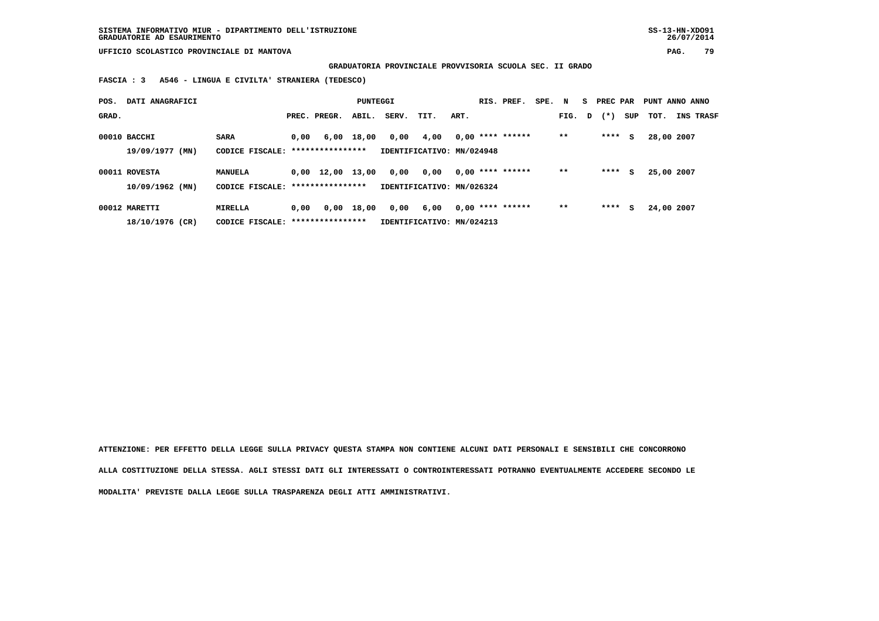**GRADUATORIA PROVINCIALE PROVVISORIA SCUOLA SEC. II GRADO**

 **FASCIA : 3 A546 - LINGUA E CIVILTA' STRANIERA (TEDESCO)**

| POS.  | DATI ANAGRAFICI                 |                                                  |      |                    | PUNTEGGI   |                           |                                   |      | RIS. PREF.         | SPE. N |       |   | S PREC PAR |     | PUNT ANNO ANNO |                  |
|-------|---------------------------------|--------------------------------------------------|------|--------------------|------------|---------------------------|-----------------------------------|------|--------------------|--------|-------|---|------------|-----|----------------|------------------|
| GRAD. |                                 |                                                  |      | PREC. PREGR.       | ABIL.      | SERV.                     | TIT.                              | ART. |                    |        | FIG.  | D | $(* )$     | SUP | тот.           | <b>INS TRASF</b> |
|       | 00010 BACCHI<br>19/09/1977 (MN) | <b>SARA</b><br>CODICE FISCALE: ***************** | 0,00 |                    | 6,00 18,00 | 0,00                      | 4,00<br>IDENTIFICATIVO: MN/024948 |      | $0,00$ **** ****** |        | $* *$ |   | ****       | s   | 28,00 2007     |                  |
|       | 00011 ROVESTA                   | MANUELA                                          |      | $0,00 \quad 12,00$ | 13,00      | 0,00                      | 0.00                              |      | $0.00$ **** ****** |        | $* *$ |   | ****       | s   | 25,00 2007     |                  |
|       | $10/09/1962$ (MN)               | CODICE FISCALE: ****************                 |      |                    |            | IDENTIFICATIVO: MN/026324 |                                   |      |                    |        |       |   |            |     |                |                  |
|       | 00012 MARETTI                   | <b>MIRELLA</b>                                   | 0.00 | 0,00               | 18,00      | 0,00                      | 6,00                              |      | $0,00$ **** ****** |        | $**$  |   | ****       | s   | 24,00 2007     |                  |
|       | 18/10/1976 (CR)                 | CODICE FISCALE: ****************                 |      |                    |            |                           | IDENTIFICATIVO: MN/024213         |      |                    |        |       |   |            |     |                |                  |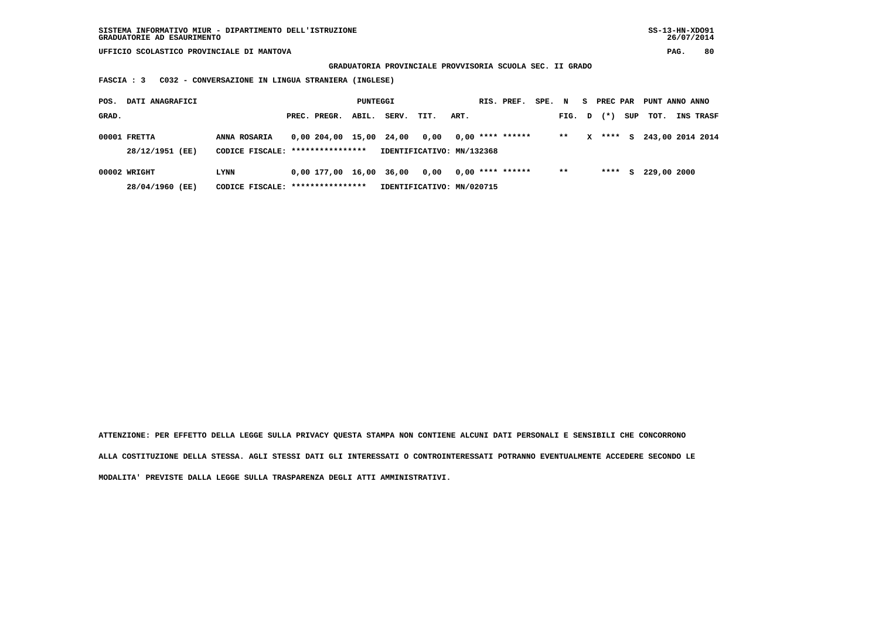**GRADUATORIA PROVINCIALE PROVVISORIA SCUOLA SEC. II GRADO**

 **FASCIA : 3 C032 - CONVERSAZIONE IN LINGUA STRANIERA (INGLESE)**

| POS.  | DATI ANAGRAFICI                 |                                                  |                         | PUNTEGGI |       |                                   |      | RIS. PREF.         | SPE. N |        |   | S PREC PAR |     | PUNT ANNO ANNO |                    |
|-------|---------------------------------|--------------------------------------------------|-------------------------|----------|-------|-----------------------------------|------|--------------------|--------|--------|---|------------|-----|----------------|--------------------|
| GRAD. |                                 |                                                  | PREC. PREGR.            | ABIL.    | SERV. | TIT.                              | ART. |                    |        | FIG. D |   | $(* )$     | SUP | тот.           | <b>INS TRASF</b>   |
|       | 00001 FRETTA<br>28/12/1951 (EE) | ANNA ROSARIA<br>CODICE FISCALE: **************** | 0,00 204,00 15,00 24,00 |          |       | 0,00<br>IDENTIFICATIVO: MN/132368 |      | $0.00$ **** ****** |        | $***$  | x | ****       |     |                | S 243,00 2014 2014 |
|       | 00002 WRIGHT<br>28/04/1960 (EE) | LYNN<br>CODICE FISCALE: ****************         | 0,00 177,00 16,00 36,00 |          |       | 0.00<br>IDENTIFICATIVO: MN/020715 |      | $0.00$ **** ****** |        | $* *$  |   | ****       | S.  | 229,00 2000    |                    |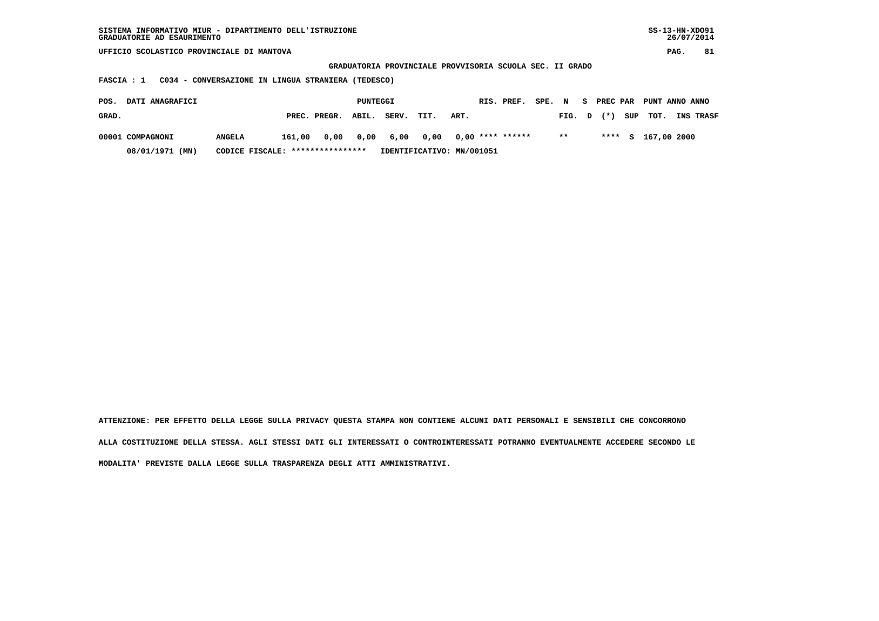| SISTEMA INFORMATIVO MIUR - DIPARTIMENTO DELL'ISTRUZIONE<br>GRADUATORIE AD ESAURIMENTO |                                                    |              |                                                          |       |      |                           |            |        |       |   |            |     |             | $SS-13-HN-XDO91$<br>26/07/2014 |  |
|---------------------------------------------------------------------------------------|----------------------------------------------------|--------------|----------------------------------------------------------|-------|------|---------------------------|------------|--------|-------|---|------------|-----|-------------|--------------------------------|--|
| UFFICIO SCOLASTICO PROVINCIALE DI MANTOVA                                             |                                                    |              |                                                          |       |      |                           |            |        |       |   |            |     |             | 81<br>PAG.                     |  |
|                                                                                       |                                                    |              | GRADUATORIA PROVINCIALE PROVVISORIA SCUOLA SEC. II GRADO |       |      |                           |            |        |       |   |            |     |             |                                |  |
| <b>FASCIA : 1</b>                                                                     | C034 - CONVERSAZIONE IN LINGUA STRANIERA (TEDESCO) |              |                                                          |       |      |                           |            |        |       |   |            |     |             |                                |  |
| DATI ANAGRAFICI<br>POS.                                                               |                                                    |              | PUNTEGGI                                                 |       |      |                           | RIS. PREF. | SPE. N |       |   | S PREC PAR |     |             | PUNT ANNO ANNO                 |  |
| GRAD.                                                                                 |                                                    | PREC. PREGR. | ABIL.                                                    | SERV. | TIT. | ART.                      |            |        | FIG.  | D | $(* )$     | SUP | TOT.        | INS TRASF                      |  |
| 00001 COMPAGNONI                                                                      | <b>ANGELA</b>                                      | 161,00       | 0,00<br>0,00                                             | 6,00  | 0,00 | $0,00$ **** ******        |            |        | $* *$ |   | ****       | S.  | 167,00 2000 |                                |  |
| 08/01/1971 (MN)                                                                       | CODICE FISCALE:                                    |              | ****************                                         |       |      | IDENTIFICATIVO: MN/001051 |            |        |       |   |            |     |             |                                |  |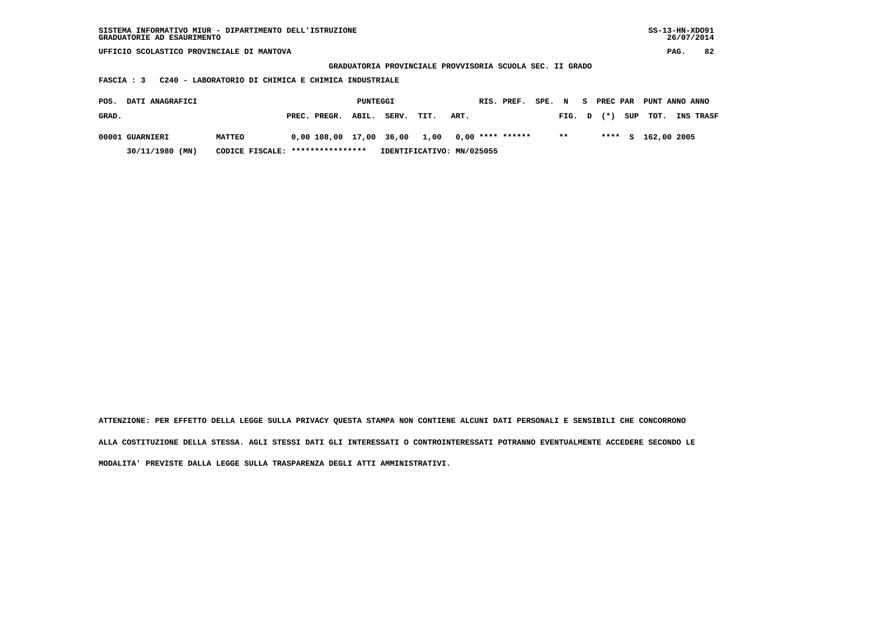| SISTEMA INFORMATIVO MIUR - DIPARTIMENTO DELL'ISTRUZIONE<br>GRADUATORIE AD ESAURIMENTO |                                                     |                   |          |       |      |                                                          |                    |        |    |          |     |             | $SS-13-HN-XDO91$<br>26/07/2014 |
|---------------------------------------------------------------------------------------|-----------------------------------------------------|-------------------|----------|-------|------|----------------------------------------------------------|--------------------|--------|----|----------|-----|-------------|--------------------------------|
| UFFICIO SCOLASTICO PROVINCIALE DI MANTOVA                                             |                                                     |                   |          |       |      |                                                          |                    |        |    |          |     |             | 82<br>PAG.                     |
|                                                                                       |                                                     |                   |          |       |      | GRADUATORIA PROVINCIALE PROVVISORIA SCUOLA SEC. II GRADO |                    |        |    |          |     |             |                                |
| FASCIA : 3                                                                            | C240 - LABORATORIO DI CHIMICA E CHIMICA INDUSTRIALE |                   |          |       |      |                                                          |                    |        |    |          |     |             |                                |
| DATI ANAGRAFICI<br>POS.                                                               |                                                     |                   | PUNTEGGI |       |      |                                                          | RIS. PREF.         | SPE. N | S. | PREC PAR |     |             | PUNT ANNO ANNO                 |
| GRAD.                                                                                 |                                                     | PREC. PREGR.      | ABIL.    | SERV. | TIT. | ART.                                                     |                    | FIG.   | D  | $(* )$   | SUP | TOT.        | INS TRASF                      |
| 00001 GUARNIERI                                                                       | <b>MATTEO</b>                                       | 0,00 108,00 17,00 |          | 36,00 | 1,00 |                                                          | $0.00$ **** ****** | $* *$  |    | ****     | s   | 162,00 2005 |                                |
| 30/11/1980 (MN)                                                                       | CODICE FISCALE:                                     | ****************  |          |       |      | IDENTIFICATIVO: MN/025055                                |                    |        |    |          |     |             |                                |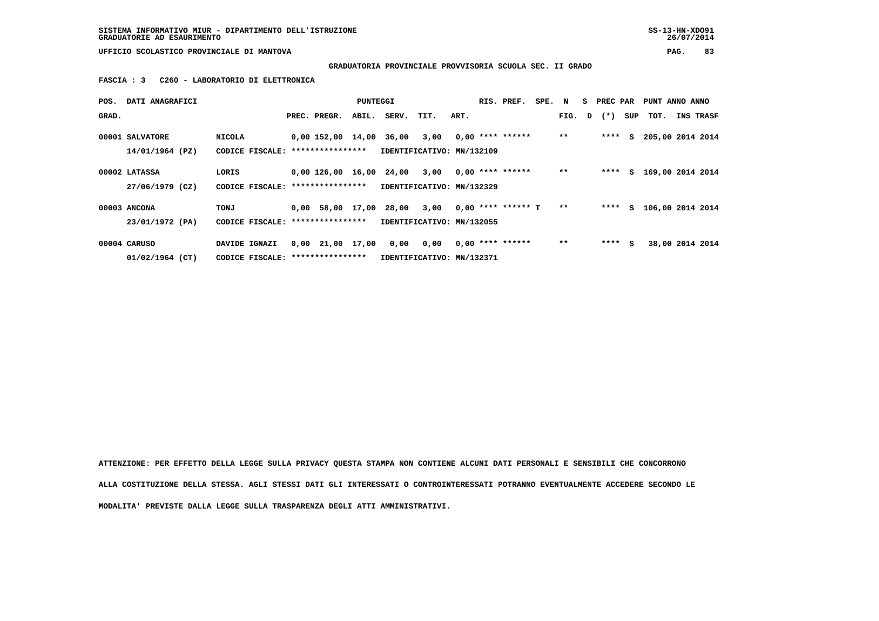**SISTEMA INFORMATIVO MIUR - DIPARTIMENTO DELL'ISTRUZIONE SS-13-HN-XDO91 GRADUATORIE AD ESAURIMENTO 26/07/2014**

 **UFFICIO SCOLASTICO PROVINCIALE DI MANTOVA PAG. 83**

 **GRADUATORIA PROVINCIALE PROVVISORIA SCUOLA SEC. II GRADO**

 **FASCIA : 3 C260 - LABORATORIO DI ELETTRONICA**

| POS.  | DATI ANAGRAFICI |                                   |                        | PUNTEGGI |                           |      |      | RIS. PREF.           | SPE. N |        | S PREC PAR |     | PUNT ANNO ANNO   |           |
|-------|-----------------|-----------------------------------|------------------------|----------|---------------------------|------|------|----------------------|--------|--------|------------|-----|------------------|-----------|
| GRAD. |                 |                                   | PREC. PREGR.           | ABIL.    | SERV.                     | TIT. | ART. |                      |        | FIG. D | $(\star)$  | SUP | тот.             | INS TRASF |
|       |                 |                                   |                        |          |                           |      |      |                      |        |        |            |     |                  |           |
|       | 00001 SALVATORE | <b>NICOLA</b>                     |                        |          | 0,00 152,00 14,00 36,00   | 3,00 |      | $0.00$ **** ******   |        | $***$  | $***$ S    |     | 205,00 2014 2014 |           |
|       | 14/01/1964 (PZ) | CODICE FISCALE: ***************** |                        |          | IDENTIFICATIVO: MN/132109 |      |      |                      |        |        |            |     |                  |           |
|       |                 |                                   |                        |          |                           |      |      |                      |        |        |            |     |                  |           |
|       | 00002 LATASSA   | LORIS                             |                        |          | 0,00 126,00 16,00 24,00   | 3,00 |      | $0.00$ **** ******   |        | $* *$  | **** $S$   |     | 169,00 2014 2014 |           |
|       | 27/06/1979 (CZ) | CODICE FISCALE: ****************  |                        |          | IDENTIFICATIVO: MN/132329 |      |      |                      |        |        |            |     |                  |           |
|       |                 |                                   |                        |          |                           |      |      |                      |        |        |            |     |                  |           |
|       | 00003 ANCONA    | TONJ                              |                        |          | 0,00 58,00 17,00 28,00    | 3,00 |      | $0.00$ **** ****** T |        | $**$   | $***$ S    |     | 106,00 2014 2014 |           |
|       | 23/01/1972 (PA) | CODICE FISCALE: ****************  |                        |          | IDENTIFICATIVO: MN/132055 |      |      |                      |        |        |            |     |                  |           |
|       |                 |                                   |                        |          |                           |      |      |                      |        |        |            |     |                  |           |
|       | 00004 CARUSO    | DAVIDE IGNAZI                     | $0,00$ $21,00$ $17,00$ |          | 0,00                      | 0,00 |      | $0.00$ **** ******   |        | $* *$  | $***$ S    |     | 38,00 2014 2014  |           |
|       | 01/02/1964 (CT) | CODICE FISCALE: ***************** |                        |          | IDENTIFICATIVO: MN/132371 |      |      |                      |        |        |            |     |                  |           |